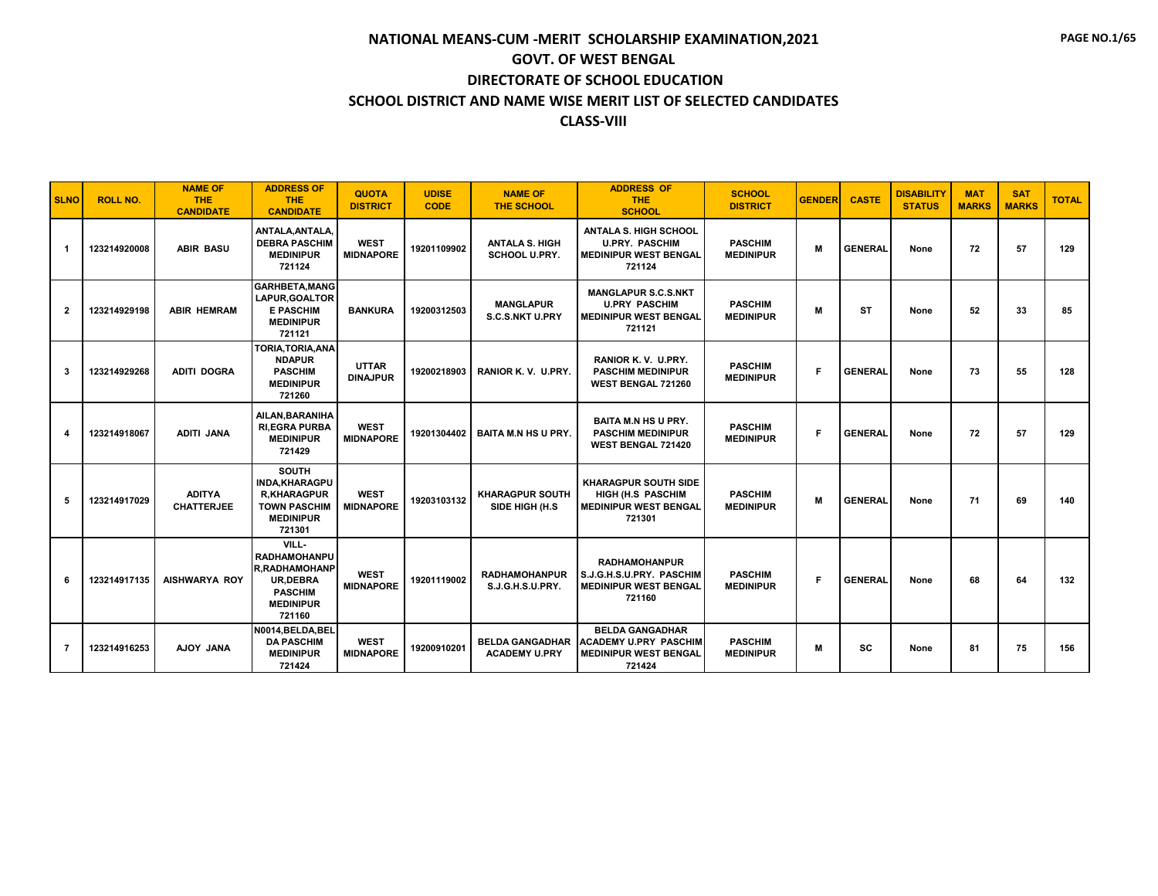| <b>SLNO</b>    | <b>ROLL NO.</b> | <b>NAME OF</b><br><b>THE</b><br><b>CANDIDATE</b> | <b>ADDRESS OF</b><br><b>THE</b><br><b>CANDIDATE</b>                                                                     | <b>QUOTA</b><br><b>DISTRICT</b> | <b>UDISE</b><br><b>CODE</b> | <b>NAME OF</b><br><b>THE SCHOOL</b>            | <b>ADDRESS OF</b><br><b>THE</b><br><b>SCHOOL</b>                                                 | <b>SCHOOL</b><br><b>DISTRICT</b>   | <b>GENDER</b> | <b>CASTE</b>   | <b>DISABILITY</b><br><b>STATUS</b> | <b>MAT</b><br><b>MARKS</b> | <b>SAT</b><br><b>MARKS</b> | <b>TOTAL</b> |
|----------------|-----------------|--------------------------------------------------|-------------------------------------------------------------------------------------------------------------------------|---------------------------------|-----------------------------|------------------------------------------------|--------------------------------------------------------------------------------------------------|------------------------------------|---------------|----------------|------------------------------------|----------------------------|----------------------------|--------------|
| -1             | 123214920008    | <b>ABIR BASU</b>                                 | ANTALA.ANTALA.<br><b>DEBRA PASCHIM</b><br><b>MEDINIPUR</b><br>721124                                                    | <b>WEST</b><br><b>MIDNAPORE</b> | 19201109902                 | <b>ANTALA S. HIGH</b><br><b>SCHOOL U.PRY.</b>  | <b>ANTALA S. HIGH SCHOOL</b><br><b>U.PRY. PASCHIM</b><br><b>MEDINIPUR WEST BENGAL</b><br>721124  | <b>PASCHIM</b><br><b>MEDINIPUR</b> | M             | <b>GENERAL</b> | None                               | 72                         | 57                         | 129          |
| $\mathbf{2}$   | 123214929198    | <b>ABIR HEMRAM</b>                               | <b>GARHBETA, MANG</b><br>LAPUR.GOALTOR<br><b>E PASCHIM</b><br><b>MEDINIPUR</b><br>721121                                | <b>BANKURA</b>                  | 19200312503                 | <b>MANGLAPUR</b><br><b>S.C.S.NKT U.PRY</b>     | <b>MANGLAPUR S.C.S.NKT</b><br><b>U.PRY PASCHIM</b><br><b>MEDINIPUR WEST BENGAL</b><br>721121     | <b>PASCHIM</b><br><b>MEDINIPUR</b> | M             | <b>ST</b>      | None                               | 52                         | 33                         | 85           |
| 3              | 123214929268    | <b>ADITI DOGRA</b>                               | TORIA, TORIA, ANA<br><b>NDAPUR</b><br><b>PASCHIM</b><br><b>MEDINIPUR</b><br>721260                                      | <b>UTTAR</b><br><b>DINAJPUR</b> | 19200218903                 | RANIOR K.V. U.PRY.                             | RANIOR K.V. U.PRY.<br><b>PASCHIM MEDINIPUR</b><br><b>WEST BENGAL 721260</b>                      | <b>PASCHIM</b><br><b>MEDINIPUR</b> | F             | <b>GENERAL</b> | None                               | 73                         | 55                         | 128          |
| 4              | 123214918067    | <b>ADITI JANA</b>                                | AILAN.BARANIHA<br><b>RI.EGRA PURBA</b><br><b>MEDINIPUR</b><br>721429                                                    | <b>WEST</b><br><b>MIDNAPORE</b> | 19201304402                 | <b>BAITA M.N HS U PRY.</b>                     | <b>BAITA M.N HS U PRY.</b><br><b>PASCHIM MEDINIPUR</b><br><b>WEST BENGAL 721420</b>              | <b>PASCHIM</b><br><b>MEDINIPUR</b> | F.            | <b>GENERAL</b> | None                               | 72                         | 57                         | 129          |
| 5              | 123214917029    | <b>ADITYA</b><br><b>CHATTERJEE</b>               | <b>SOUTH</b><br><b>INDA.KHARAGPU</b><br><b>R.KHARAGPUR</b><br><b>TOWN PASCHIM</b><br><b>MEDINIPUR</b><br>721301         | <b>WEST</b><br><b>MIDNAPORE</b> | 19203103132                 | <b>KHARAGPUR SOUTH</b><br>SIDE HIGH (H.S       | <b>KHARAGPUR SOUTH SIDE</b><br>HIGH (H.S. PASCHIM<br><b>MEDINIPUR WEST BENGAL</b><br>721301      | <b>PASCHIM</b><br><b>MEDINIPUR</b> | M             | <b>GENERAL</b> | None                               | 71                         | 69                         | 140          |
| 6              | 123214917135    | <b>AISHWARYA ROY</b>                             | VILL-<br><b>RADHAMOHANPU</b><br><b>R.RADHAMOHANP</b><br><b>UR.DEBRA</b><br><b>PASCHIM</b><br><b>MEDINIPUR</b><br>721160 | <b>WEST</b><br><b>MIDNAPORE</b> | 19201119002                 | <b>RADHAMOHANPUR</b><br>S.J.G.H.S.U.PRY.       | <b>RADHAMOHANPUR</b><br>S.J.G.H.S.U.PRY. PASCHIM<br><b>MEDINIPUR WEST BENGAL</b><br>721160       | <b>PASCHIM</b><br><b>MEDINIPUR</b> | F             | <b>GENERAL</b> | None                               | 68                         | 64                         | 132          |
| $\overline{7}$ | 123214916253    | AJOY JANA                                        | N0014.BELDA.BEL<br><b>DA PASCHIM</b><br><b>MEDINIPUR</b><br>721424                                                      | <b>WEST</b><br><b>MIDNAPORE</b> | 19200910201                 | <b>BELDA GANGADHAR</b><br><b>ACADEMY U.PRY</b> | <b>BELDA GANGADHAR</b><br><b>ACADEMY U.PRY PASCHIM</b><br><b>MEDINIPUR WEST BENGAL</b><br>721424 | <b>PASCHIM</b><br><b>MEDINIPUR</b> | M             | <b>SC</b>      | None                               | 81                         | 75                         | 156          |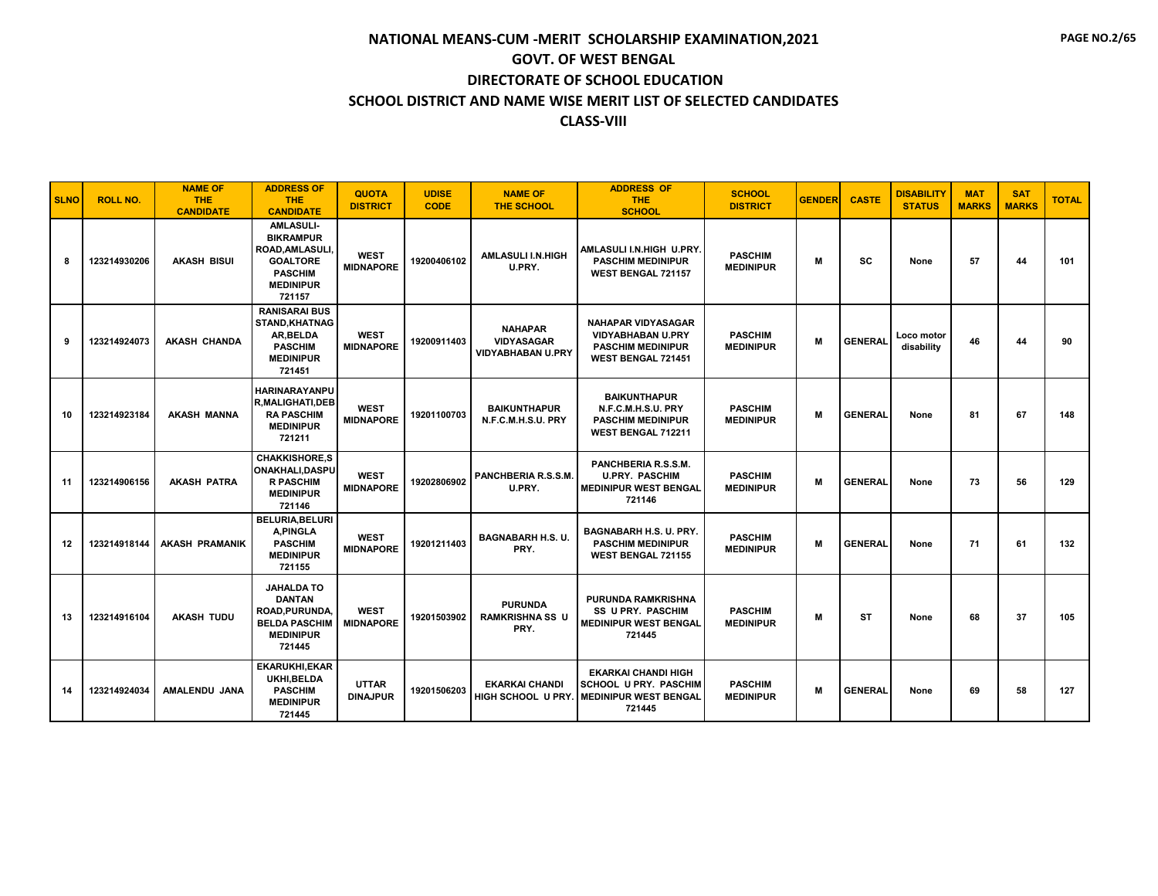| <b>SLNO</b> | <b>ROLL NO.</b> | <b>NAME OF</b><br><b>THE</b><br><b>CANDIDATE</b> | <b>ADDRESS OF</b><br><b>THE</b><br><b>CANDIDATE</b>                                                                              | <b>QUOTA</b><br><b>DISTRICT</b> | <b>UDISE</b><br><b>CODE</b> | <b>NAME OF</b><br><b>THE SCHOOL</b>                             | <b>ADDRESS OF</b><br><b>THE</b><br><b>SCHOOL</b>                                                               | <b>SCHOOL</b><br><b>DISTRICT</b>   | <b>GENDER</b> | <b>CASTE</b>   | <b>DISABILITY</b><br><b>STATUS</b> | <b>MAT</b><br><b>MARKS</b> | <b>SAT</b><br><b>MARKS</b> | <b>TOTAL</b> |
|-------------|-----------------|--------------------------------------------------|----------------------------------------------------------------------------------------------------------------------------------|---------------------------------|-----------------------------|-----------------------------------------------------------------|----------------------------------------------------------------------------------------------------------------|------------------------------------|---------------|----------------|------------------------------------|----------------------------|----------------------------|--------------|
| 8           | 123214930206    | <b>AKASH BISUI</b>                               | <b>AMLASULI-</b><br><b>BIKRAMPUR</b><br><b>ROAD.AMLASULI.</b><br><b>GOALTORE</b><br><b>PASCHIM</b><br><b>MEDINIPUR</b><br>721157 | <b>WEST</b><br><b>MIDNAPORE</b> | 19200406102                 | <b>AMLASULI I.N.HIGH</b><br>U.PRY.                              | AMLASULI I.N.HIGH U.PRY.<br><b>PASCHIM MEDINIPUR</b><br><b>WEST BENGAL 721157</b>                              | <b>PASCHIM</b><br><b>MEDINIPUR</b> | M             | <b>SC</b>      | None                               | 57                         | 44                         | 101          |
| 9           | 123214924073    | <b>AKASH CHANDA</b>                              | <b>RANISARAI BUS</b><br><b>STAND.KHATNAG</b><br>AR, BELDA<br><b>PASCHIM</b><br><b>MEDINIPUR</b><br>721451                        | <b>WEST</b><br><b>MIDNAPORE</b> | 19200911403                 | <b>NAHAPAR</b><br><b>VIDYASAGAR</b><br><b>VIDYABHABAN U.PRY</b> | <b>NAHAPAR VIDYASAGAR</b><br><b>VIDYABHABAN U.PRY</b><br><b>PASCHIM MEDINIPUR</b><br><b>WEST BENGAL 721451</b> | <b>PASCHIM</b><br><b>MEDINIPUR</b> | M             | <b>GENERAL</b> | Loco motor<br>disability           | 46                         | 44                         | 90           |
| 10          | 123214923184    | <b>AKASH MANNA</b>                               | <b>HARINARAYANPU</b><br><b>R.MALIGHATI.DEB</b><br><b>RA PASCHIM</b><br><b>MEDINIPUR</b><br>721211                                | <b>WEST</b><br><b>MIDNAPORE</b> | 19201100703                 | <b>BAIKUNTHAPUR</b><br>N.F.C.M.H.S.U. PRY                       | <b>BAIKUNTHAPUR</b><br>N.F.C.M.H.S.U. PRY<br><b>PASCHIM MEDINIPUR</b><br>WEST BENGAL 712211                    | <b>PASCHIM</b><br><b>MEDINIPUR</b> | M             | <b>GENERAL</b> | None                               | 81                         | 67                         | 148          |
| 11          | 123214906156    | <b>AKASH PATRA</b>                               | <b>CHAKKISHORE.S</b><br><b>ONAKHALI, DASPU</b><br><b>R PASCHIM</b><br><b>MEDINIPUR</b><br>721146                                 | <b>WEST</b><br><b>MIDNAPORE</b> | 19202806902                 | PANCHBERIA R.S.S.M.<br>U.PRY.                                   | PANCHBERIA R.S.S.M.<br><b>U.PRY. PASCHIM</b><br><b>MEDINIPUR WEST BENGAL</b><br>721146                         | <b>PASCHIM</b><br><b>MEDINIPUR</b> | м             | <b>GENERAL</b> | None                               | 73                         | 56                         | 129          |
| 12          | 123214918144    | <b>AKASH PRAMANIK</b>                            | <b>BELURIA, BELURI</b><br>A, PINGLA<br><b>PASCHIM</b><br><b>MEDINIPUR</b><br>721155                                              | <b>WEST</b><br><b>MIDNAPORE</b> | 19201211403                 | <b>BAGNABARH H.S. U.</b><br>PRY.                                | BAGNABARH H.S. U. PRY.<br><b>PASCHIM MEDINIPUR</b><br><b>WEST BENGAL 721155</b>                                | <b>PASCHIM</b><br><b>MEDINIPUR</b> | M             | <b>GENERAL</b> | None                               | 71                         | 61                         | 132          |
| 13          | 123214916104    | <b>AKASH TUDU</b>                                | <b>JAHALDA TO</b><br><b>DANTAN</b><br>ROAD, PURUNDA,<br><b>BELDA PASCHIM</b><br><b>MEDINIPUR</b><br>721445                       | <b>WEST</b><br><b>MIDNAPORE</b> | 19201503902                 | <b>PURUNDA</b><br><b>RAMKRISHNA SS U</b><br>PRY.                | <b>PURUNDA RAMKRISHNA</b><br><b>SS U PRY. PASCHIM</b><br><b>MEDINIPUR WEST BENGAL</b><br>721445                | <b>PASCHIM</b><br><b>MEDINIPUR</b> | M             | <b>ST</b>      | None                               | 68                         | 37                         | 105          |
| 14          | 123214924034    | AMALENDU JANA                                    | <b>EKARUKHI.EKAR</b><br>UKHI.BELDA<br><b>PASCHIM</b><br><b>MEDINIPUR</b><br>721445                                               | <b>UTTAR</b><br><b>DINAJPUR</b> | 19201506203                 | <b>EKARKAI CHANDI</b><br>HIGH SCHOOL U PRY.                     | <b>EKARKAI CHANDI HIGH</b><br><b>SCHOOL U PRY. PASCHIM</b><br><b>I MEDINIPUR WEST BENGAL</b><br>721445         | <b>PASCHIM</b><br><b>MEDINIPUR</b> | M             | <b>GENERAL</b> | None                               | 69                         | 58                         | 127          |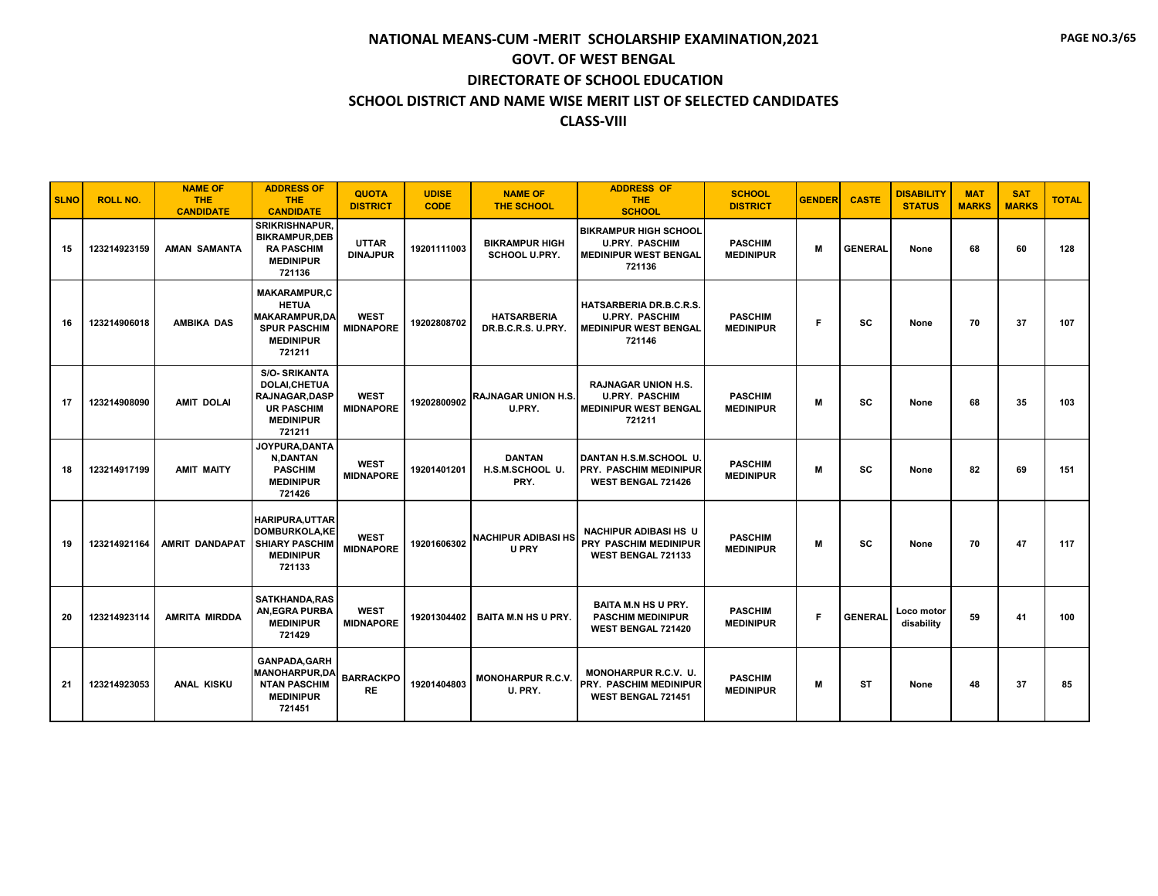| <b>SLNO</b> | <b>ROLL NO.</b> | <b>NAME OF</b><br><b>THE</b><br><b>CANDIDATE</b> | <b>ADDRESS OF</b><br><b>THE</b><br><b>CANDIDATE</b>                                                                   | <b>QUOTA</b><br><b>DISTRICT</b> | <b>UDISE</b><br><b>CODE</b> | <b>NAME OF</b><br><b>THE SCHOOL</b>           | <b>ADDRESS OF</b><br><b>THE</b><br><b>SCHOOL</b>                                                | <b>SCHOOL</b><br><b>DISTRICT</b>   | <b>GENDER</b> | <b>CASTE</b>   | <b>DISABILITY</b><br><b>STATUS</b> | <b>MAT</b><br><b>MARKS</b> | <b>SAT</b><br><b>MARKS</b> | <b>TOTAL</b> |
|-------------|-----------------|--------------------------------------------------|-----------------------------------------------------------------------------------------------------------------------|---------------------------------|-----------------------------|-----------------------------------------------|-------------------------------------------------------------------------------------------------|------------------------------------|---------------|----------------|------------------------------------|----------------------------|----------------------------|--------------|
| 15          | 123214923159    | <b>AMAN SAMANTA</b>                              | <b>SRIKRISHNAPUR,</b><br><b>BIKRAMPUR.DEB</b><br><b>RA PASCHIM</b><br><b>MEDINIPUR</b><br>721136                      | <b>UTTAR</b><br><b>DINAJPUR</b> | 19201111003                 | <b>BIKRAMPUR HIGH</b><br><b>SCHOOL U.PRY.</b> | <b>BIKRAMPUR HIGH SCHOOL</b><br><b>U.PRY. PASCHIM</b><br><b>MEDINIPUR WEST BENGAL</b><br>721136 | <b>PASCHIM</b><br><b>MEDINIPUR</b> | M             | <b>GENERAL</b> | None                               | 68                         | 60                         | 128          |
| 16          | 123214906018    | <b>AMBIKA DAS</b>                                | <b>MAKARAMPUR,C</b><br><b>HETUA</b><br><b>MAKARAMPUR.DA</b><br><b>SPUR PASCHIM</b><br><b>MEDINIPUR</b><br>721211      | <b>WEST</b><br><b>MIDNAPORE</b> | 19202808702                 | <b>HATSARBERIA</b><br>DR.B.C.R.S. U.PRY.      | HATSARBERIA DR.B.C.R.S.<br><b>U.PRY. PASCHIM</b><br><b>MEDINIPUR WEST BENGAL</b><br>721146      | <b>PASCHIM</b><br><b>MEDINIPUR</b> | F             | SC             | None                               | 70                         | 37                         | 107          |
| 17          | 123214908090    | <b>AMIT DOLAI</b>                                | <b>S/O-SRIKANTA</b><br><b>DOLAI.CHETUA</b><br><b>RAJNAGAR.DASP</b><br><b>UR PASCHIM</b><br><b>MEDINIPUR</b><br>721211 | <b>WEST</b><br><b>MIDNAPORE</b> | 19202800902                 | RAJNAGAR UNION H.S.<br>U.PRY.                 | <b>RAJNAGAR UNION H.S.</b><br><b>U.PRY. PASCHIM</b><br><b>MEDINIPUR WEST BENGAL</b><br>721211   | <b>PASCHIM</b><br><b>MEDINIPUR</b> | M             | SC             | None                               | 68                         | 35                         | 103          |
| 18          | 123214917199    | <b>AMIT MAITY</b>                                | JOYPURA.DANTA<br><b>N,DANTAN</b><br><b>PASCHIM</b><br><b>MEDINIPUR</b><br>721426                                      | <b>WEST</b><br><b>MIDNAPORE</b> | 19201401201                 | <b>DANTAN</b><br>H.S.M.SCHOOL U.<br>PRY.      | DANTAN H.S.M.SCHOOL U.<br>PRY. PASCHIM MEDINIPUR<br><b>WEST BENGAL 721426</b>                   | <b>PASCHIM</b><br><b>MEDINIPUR</b> | M             | SC             | None                               | 82                         | 69                         | 151          |
| 19          | 123214921164    | <b>AMRIT DANDAPAT</b>                            | <b>HARIPURA,UTTAR</b><br>DOMBURKOLA.KE<br><b>SHIARY PASCHIM</b><br><b>MEDINIPUR</b><br>721133                         | <b>WEST</b><br><b>MIDNAPORE</b> | 19201606302                 | <b>NACHIPUR ADIBASI HS</b><br><b>U PRY</b>    | <b>NACHIPUR ADIBASI HS U</b><br>PRY PASCHIM MEDINIPUR<br><b>WEST BENGAL 721133</b>              | <b>PASCHIM</b><br><b>MEDINIPUR</b> | M             | <b>SC</b>      | None                               | 70                         | 47                         | 117          |
| 20          | 123214923114    | <b>AMRITA MIRDDA</b>                             | <b>SATKHANDA.RAS</b><br><b>AN, EGRA PURBA</b><br><b>MEDINIPUR</b><br>721429                                           | <b>WEST</b><br><b>MIDNAPORE</b> | 19201304402                 | <b>BAITA M.N HS U PRY.</b>                    | <b>BAITA M.N HS U PRY.</b><br><b>PASCHIM MEDINIPUR</b><br><b>WEST BENGAL 721420</b>             | <b>PASCHIM</b><br><b>MEDINIPUR</b> | F             | <b>GENERAL</b> | Loco motor<br>disability           | 59                         | 41                         | 100          |
| 21          | 123214923053    | <b>ANAL KISKU</b>                                | <b>GANPADA, GARH</b><br><b>MANOHARPUR,DA</b><br><b>NTAN PASCHIM</b><br><b>MEDINIPUR</b><br>721451                     | <b>BARRACKPO</b><br>RE          | 19201404803                 | <b>MONOHARPUR R.C.V.</b><br>U. PRY.           | MONOHARPUR R.C.V. U.<br>PRY. PASCHIM MEDINIPUR<br>WEST BENGAL 721451                            | <b>PASCHIM</b><br><b>MEDINIPUR</b> | M             | <b>ST</b>      | None                               | 48                         | 37                         | 85           |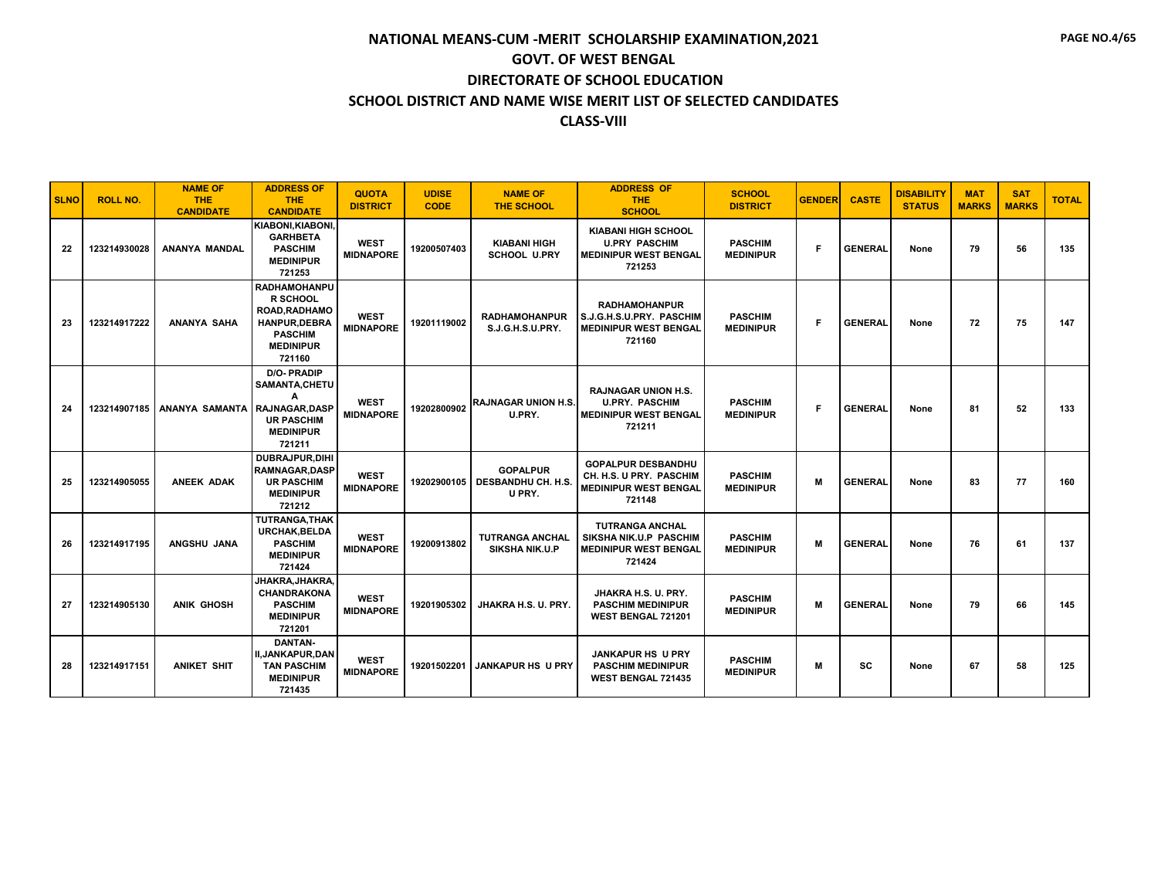| <b>SLNO</b> | <b>ROLL NO.</b> | <b>NAME OF</b><br><b>THE</b><br><b>CANDIDATE</b> | <b>ADDRESS OF</b><br><b>THE</b><br><b>CANDIDATE</b>                                                                           | <b>QUOTA</b><br><b>DISTRICT</b> | <b>UDISE</b><br><b>CODE</b> | <b>NAME OF</b><br><b>THE SCHOOL</b>                   | <b>ADDRESS OF</b><br><b>THE</b><br><b>SCHOOL</b>                                               | <b>SCHOOL</b><br><b>DISTRICT</b>   | <b>GENDER</b> | <b>CASTE</b>   | <b>DISABILITY</b><br><b>STATUS</b> | <b>MAT</b><br><b>MARKS</b> | <b>SAT</b><br><b>MARKS</b> | <b>TOTAL</b> |
|-------------|-----------------|--------------------------------------------------|-------------------------------------------------------------------------------------------------------------------------------|---------------------------------|-----------------------------|-------------------------------------------------------|------------------------------------------------------------------------------------------------|------------------------------------|---------------|----------------|------------------------------------|----------------------------|----------------------------|--------------|
| 22          | 123214930028    | ANANYA MANDAL                                    | <b>KIABONI.KIABONI.</b><br><b>GARHBETA</b><br><b>PASCHIM</b><br><b>MEDINIPUR</b><br>721253                                    | <b>WEST</b><br><b>MIDNAPORE</b> | 19200507403                 | <b>KIABANI HIGH</b><br><b>SCHOOL U.PRY</b>            | <b>KIABANI HIGH SCHOOL</b><br><b>U.PRY PASCHIM</b><br><b>MEDINIPUR WEST BENGAL</b><br>721253   | <b>PASCHIM</b><br><b>MEDINIPUR</b> | F             | <b>GENERAL</b> | None                               | 79                         | 56                         | 135          |
| 23          | 123214917222    | <b>ANANYA SAHA</b>                               | <b>RADHAMOHANPU</b><br>R SCHOOL<br><b>ROAD.RADHAMO</b><br><b>HANPUR.DEBRA</b><br><b>PASCHIM</b><br><b>MEDINIPUR</b><br>721160 | <b>WEST</b><br><b>MIDNAPORE</b> | 19201119002                 | <b>RADHAMOHANPUR</b><br>S.J.G.H.S.U.PRY.              | <b>RADHAMOHANPUR</b><br>S.J.G.H.S.U.PRY. PASCHIM<br><b>MEDINIPUR WEST BENGAL</b><br>721160     | <b>PASCHIM</b><br><b>MEDINIPUR</b> | F             | <b>GENERAL</b> | None                               | 72                         | 75                         | 147          |
| 24          | 123214907185    | ANANYA SAMANTA RAJNAGAR, DASP                    | <b>D/O-PRADIP</b><br>SAMANTA, CHETU<br>A<br><b>UR PASCHIM</b><br><b>MEDINIPUR</b><br>721211                                   | <b>WEST</b><br><b>MIDNAPORE</b> | 19202800902                 | <b>RAJNAGAR UNION H.S.</b><br>U.PRY.                  | <b>RAJNAGAR UNION H.S.</b><br><b>U.PRY. PASCHIM</b><br><b>MEDINIPUR WEST BENGAL</b><br>721211  | <b>PASCHIM</b><br><b>MEDINIPUR</b> | F             | <b>GENERAL</b> | None                               | 81                         | 52                         | 133          |
| 25          | 123214905055    | <b>ANEEK ADAK</b>                                | DUBRAJPUR.DIHI<br><b>RAMNAGAR, DASP</b><br><b>UR PASCHIM</b><br><b>MEDINIPUR</b><br>721212                                    | <b>WEST</b><br><b>MIDNAPORE</b> | 19202900105                 | <b>GOPALPUR</b><br><b>DESBANDHU CH. H.S</b><br>U PRY. | <b>GOPALPUR DESBANDHU</b><br>CH. H.S. U PRY. PASCHIM<br><b>MEDINIPUR WEST BENGAL</b><br>721148 | <b>PASCHIM</b><br><b>MEDINIPUR</b> | M             | <b>GENERAL</b> | None                               | 83                         | 77                         | 160          |
| 26          | 123214917195    | ANGSHU JANA                                      | <b>TUTRANGA.THAK</b><br><b>URCHAK.BELDA</b><br><b>PASCHIM</b><br><b>MEDINIPUR</b><br>721424                                   | <b>WEST</b><br><b>MIDNAPORE</b> | 19200913802                 | <b>TUTRANGA ANCHAL</b><br><b>SIKSHA NIK.U.P</b>       | <b>TUTRANGA ANCHAL</b><br>SIKSHA NIK.U.P PASCHIM<br><b>MEDINIPUR WEST BENGAL</b><br>721424     | <b>PASCHIM</b><br><b>MEDINIPUR</b> | M             | <b>GENERAL</b> | None                               | 76                         | 61                         | 137          |
| 27          | 123214905130    | <b>ANIK GHOSH</b>                                | JHAKRA.JHAKRA.<br><b>CHANDRAKONA</b><br><b>PASCHIM</b><br><b>MEDINIPUR</b><br>721201                                          | <b>WEST</b><br><b>MIDNAPORE</b> | 19201905302                 | JHAKRA H.S. U. PRY.                                   | JHAKRA H.S. U. PRY.<br><b>PASCHIM MEDINIPUR</b><br>WEST BENGAL 721201                          | <b>PASCHIM</b><br><b>MEDINIPUR</b> | M             | <b>GENERAL</b> | None                               | 79                         | 66                         | 145          |
| 28          | 123214917151    | <b>ANIKET SHIT</b>                               | <b>DANTAN-</b><br><b>II, JANKAPUR, DAN</b><br><b>TAN PASCHIM</b><br><b>MEDINIPUR</b><br>721435                                | <b>WEST</b><br><b>MIDNAPORE</b> | 19201502201                 | <b>JANKAPUR HS U PRY</b>                              | <b>JANKAPUR HS U PRY</b><br><b>PASCHIM MEDINIPUR</b><br><b>WEST BENGAL 721435</b>              | <b>PASCHIM</b><br><b>MEDINIPUR</b> | M             | SC             | None                               | 67                         | 58                         | 125          |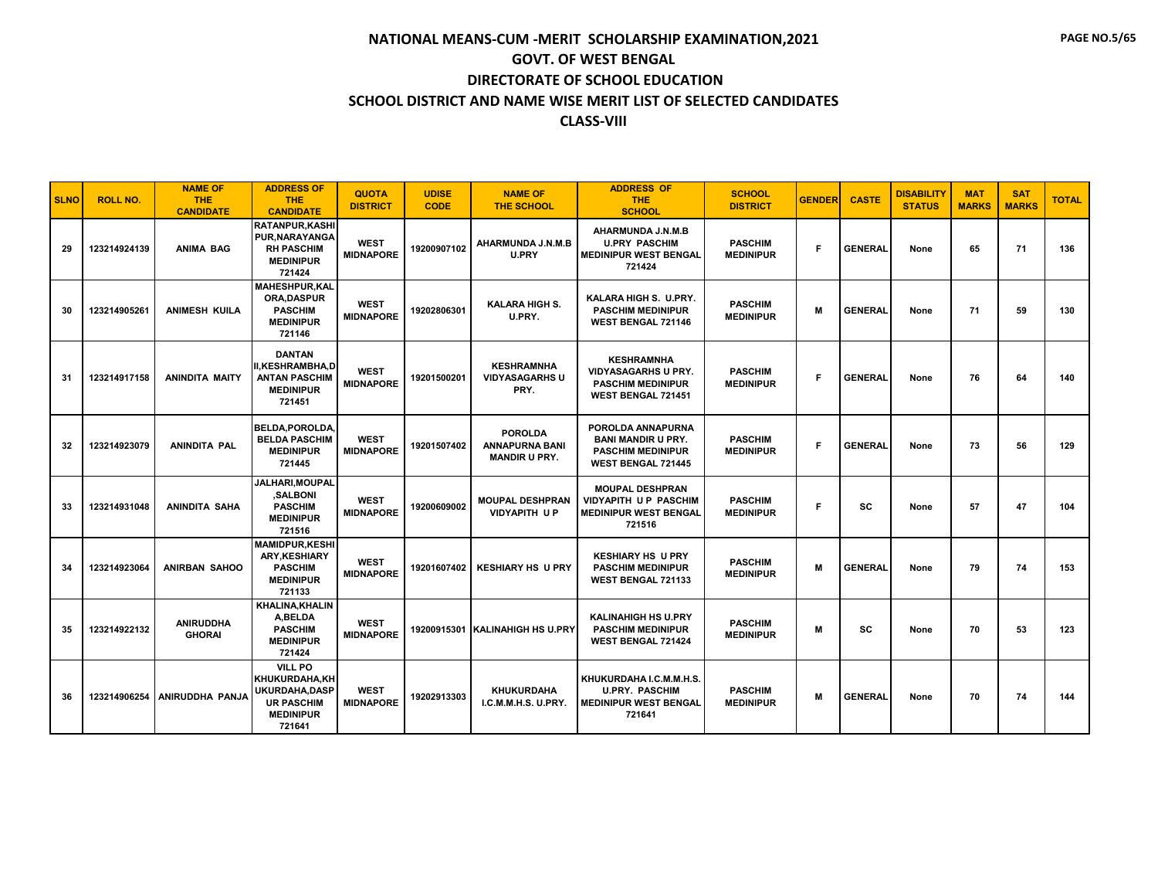| <b>SLNO</b> | <b>ROLL NO.</b> | <b>NAME OF</b><br><b>THE</b><br><b>CANDIDATE</b> | <b>ADDRESS OF</b><br><b>THE</b><br><b>CANDIDATE</b>                                                         | <b>QUOTA</b><br><b>DISTRICT</b> | <b>UDISE</b><br><b>CODE</b> | <b>NAME OF</b><br><b>THE SCHOOL</b>                             | <b>ADDRESS OF</b><br><b>THE</b><br><b>SCHOOL</b>                                                        | <b>SCHOOL</b><br><b>DISTRICT</b>   | <b>GENDER</b> | <b>CASTE</b>   | <b>DISABILITY</b><br><b>STATUS</b> | <b>MAT</b><br><b>MARKS</b> | <b>SAT</b><br><b>MARKS</b> | <b>TOTAL</b> |
|-------------|-----------------|--------------------------------------------------|-------------------------------------------------------------------------------------------------------------|---------------------------------|-----------------------------|-----------------------------------------------------------------|---------------------------------------------------------------------------------------------------------|------------------------------------|---------------|----------------|------------------------------------|----------------------------|----------------------------|--------------|
| 29          | 123214924139    | <b>ANIMA BAG</b>                                 | <b>RATANPUR.KASHI</b><br>PUR, NARAYANGA<br><b>RH PASCHIM</b><br><b>MEDINIPUR</b><br>721424                  | <b>WEST</b><br><b>MIDNAPORE</b> | 19200907102                 | AHARMUNDA J.N.M.B<br>U.PRY                                      | AHARMUNDA J.N.M.B<br><b>U.PRY PASCHIM</b><br><b>MEDINIPUR WEST BENGAL</b><br>721424                     | <b>PASCHIM</b><br><b>MEDINIPUR</b> | F             | <b>GENERAL</b> | None                               | 65                         | 71                         | 136          |
| 30          | 123214905261    | <b>ANIMESH KUILA</b>                             | <b>MAHESHPUR,KAL</b><br><b>ORA.DASPUR</b><br><b>PASCHIM</b><br><b>MEDINIPUR</b><br>721146                   | <b>WEST</b><br><b>MIDNAPORE</b> | 19202806301                 | <b>KALARA HIGH S.</b><br>U.PRY.                                 | KALARA HIGH S. U.PRY.<br><b>PASCHIM MEDINIPUR</b><br><b>WEST BENGAL 721146</b>                          | <b>PASCHIM</b><br><b>MEDINIPUR</b> | M             | <b>GENERAL</b> | None                               | 71                         | 59                         | 130          |
| 31          | 123214917158    | <b>ANINDITA MAITY</b>                            | <b>DANTAN</b><br><b>II,KESHRAMBHA,D</b><br><b>ANTAN PASCHIM</b><br><b>MEDINIPUR</b><br>721451               | <b>WEST</b><br><b>MIDNAPORE</b> | 19201500201                 | <b>KESHRAMNHA</b><br><b>VIDYASAGARHS U</b><br>PRY.              | <b>KESHRAMNHA</b><br><b>VIDYASAGARHS U PRY.</b><br><b>PASCHIM MEDINIPUR</b><br>WEST BENGAL 721451       | <b>PASCHIM</b><br><b>MEDINIPUR</b> | F             | <b>GENERAL</b> | None                               | 76                         | 64                         | 140          |
| 32          | 123214923079    | <b>ANINDITA PAL</b>                              | <b>BELDA.POROLDA</b><br><b>BELDA PASCHIM</b><br><b>MEDINIPUR</b><br>721445                                  | <b>WEST</b><br><b>MIDNAPORE</b> | 19201507402                 | <b>POROLDA</b><br><b>ANNAPURNA BANI</b><br><b>MANDIR U PRY.</b> | POROLDA ANNAPURNA<br><b>BANI MANDIR U PRY.</b><br><b>PASCHIM MEDINIPUR</b><br><b>WEST BENGAL 721445</b> | <b>PASCHIM</b><br><b>MEDINIPUR</b> | F             | <b>GENERAL</b> | None                               | 73                         | 56                         | 129          |
| 33          | 123214931048    | <b>ANINDITA SAHA</b>                             | JALHARI, MOUPAL<br>.SALBONI<br><b>PASCHIM</b><br><b>MEDINIPUR</b><br>721516                                 | <b>WEST</b><br><b>MIDNAPORE</b> | 19200609002                 | <b>MOUPAL DESHPRAN</b><br><b>VIDYAPITH UP</b>                   | <b>MOUPAL DESHPRAN</b><br><b>VIDYAPITH UP PASCHIM</b><br><b>MEDINIPUR WEST BENGAL</b><br>721516         | <b>PASCHIM</b><br><b>MEDINIPUR</b> | F             | SC             | None                               | 57                         | 47                         | 104          |
| 34          | 123214923064    | <b>ANIRBAN SAHOO</b>                             | <b>MAMIDPUR.KESHI</b><br><b>ARY.KESHIARY</b><br><b>PASCHIM</b><br><b>MEDINIPUR</b><br>721133                | <b>WEST</b><br><b>MIDNAPORE</b> | 19201607402                 | <b>KESHIARY HS U PRY</b>                                        | <b>KESHIARY HS U PRY</b><br><b>PASCHIM MEDINIPUR</b><br>WEST BENGAL 721133                              | <b>PASCHIM</b><br><b>MEDINIPUR</b> | M             | <b>GENERAL</b> | None                               | 79                         | 74                         | 153          |
| 35          | 123214922132    | <b>ANIRUDDHA</b><br><b>GHORAI</b>                | <b>KHALINA, KHALIN</b><br>A, BELDA<br><b>PASCHIM</b><br><b>MEDINIPUR</b><br>721424                          | <b>WEST</b><br><b>MIDNAPORE</b> |                             | 19200915301 KALINAHIGH HS U.PRY                                 | <b>KALINAHIGH HS U.PRY</b><br><b>PASCHIM MEDINIPUR</b><br><b>WEST BENGAL 721424</b>                     | <b>PASCHIM</b><br><b>MEDINIPUR</b> | M             | <b>SC</b>      | None                               | 70                         | 53                         | 123          |
| 36          | 123214906254    | ANIRUDDHA PANJA                                  | <b>VILL PO</b><br>KHUKURDAHA, KH<br><b>UKURDAHA.DASP</b><br><b>UR PASCHIM</b><br><b>MEDINIPUR</b><br>721641 | <b>WEST</b><br><b>MIDNAPORE</b> | 19202913303                 | <b>KHUKURDAHA</b><br>I.C.M.M.H.S. U.PRY.                        | KHUKURDAHA I.C.M.M.H.S.<br><b>U.PRY. PASCHIM</b><br><b>MEDINIPUR WEST BENGAL</b><br>721641              | <b>PASCHIM</b><br><b>MEDINIPUR</b> | M             | <b>GENERAL</b> | None                               | 70                         | 74                         | 144          |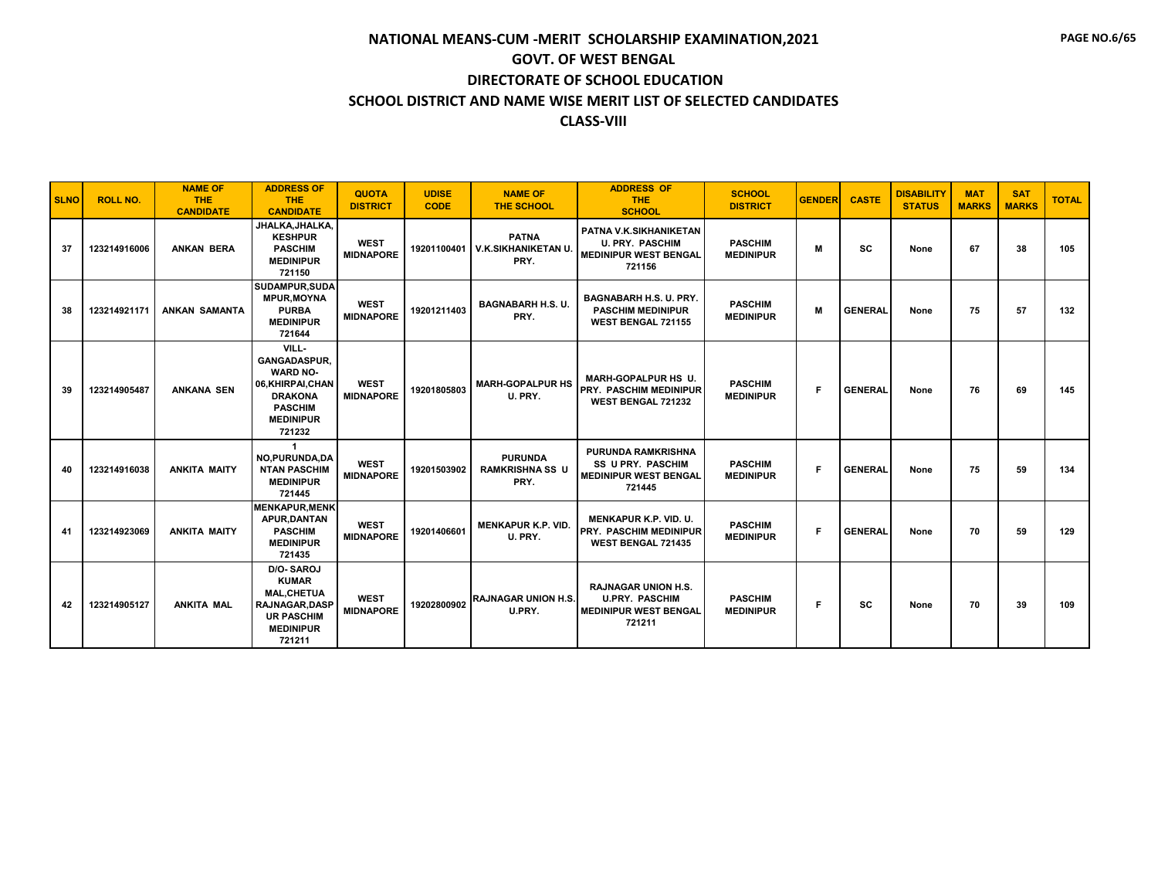| <b>SLNO</b> | <b>ROLL NO.</b> | <b>NAME OF</b><br><b>THE</b><br><b>CANDIDATE</b> | <b>ADDRESS OF</b><br><b>THE</b><br><b>CANDIDATE</b>                                                                                    | <b>QUOTA</b><br><b>DISTRICT</b> | <b>UDISE</b><br><b>CODE</b> | <b>NAME OF</b><br><b>THE SCHOOL</b>               | <b>ADDRESS OF</b><br><b>THE</b><br><b>SCHOOL</b>                                                | <b>SCHOOL</b><br><b>DISTRICT</b>   | <b>GENDER</b> | <b>CASTE</b>   | <b>DISABILITY</b><br><b>STATUS</b> | <b>MAT</b><br><b>MARKS</b> | <b>SAT</b><br><b>MARKS</b> | <b>TOTAL</b> |
|-------------|-----------------|--------------------------------------------------|----------------------------------------------------------------------------------------------------------------------------------------|---------------------------------|-----------------------------|---------------------------------------------------|-------------------------------------------------------------------------------------------------|------------------------------------|---------------|----------------|------------------------------------|----------------------------|----------------------------|--------------|
| 37          | 123214916006    | <b>ANKAN BERA</b>                                | JHALKA, JHALKA,<br><b>KESHPUR</b><br><b>PASCHIM</b><br><b>MEDINIPUR</b><br>721150                                                      | <b>WEST</b><br><b>MIDNAPORE</b> | 19201100401                 | <b>PATNA</b><br><b>V.K.SIKHANIKETAN U</b><br>PRY. | PATNA V.K.SIKHANIKETAN<br><b>U. PRY. PASCHIM</b><br><b>MEDINIPUR WEST BENGAL</b><br>721156      | <b>PASCHIM</b><br><b>MEDINIPUR</b> | M             | <b>SC</b>      | None                               | 67                         | 38                         | 105          |
| 38          | 123214921171    | <b>ANKAN SAMANTA</b>                             | SUDAMPUR, SUDA<br><b>MPUR, MOYNA</b><br><b>PURBA</b><br><b>MEDINIPUR</b><br>721644                                                     | <b>WEST</b><br><b>MIDNAPORE</b> | 19201211403                 | <b>BAGNABARH H.S. U.</b><br>PRY.                  | <b>BAGNABARH H.S. U. PRY.</b><br><b>PASCHIM MEDINIPUR</b><br>WEST BENGAL 721155                 | <b>PASCHIM</b><br><b>MEDINIPUR</b> | M             | <b>GENERAL</b> | None                               | 75                         | 57                         | 132          |
| 39          | 123214905487    | <b>ANKANA SEN</b>                                | VILL-<br><b>GANGADASPUR.</b><br><b>WARD NO-</b><br>06, KHIRPAI, CHAN<br><b>DRAKONA</b><br><b>PASCHIM</b><br><b>MEDINIPUR</b><br>721232 | <b>WEST</b><br><b>MIDNAPORE</b> | 19201805803                 | <b>MARH-GOPALPUR HS</b><br>U. PRY.                | MARH-GOPALPUR HS U.<br><b>PRY. PASCHIM MEDINIPUR</b><br>WEST BENGAL 721232                      | <b>PASCHIM</b><br><b>MEDINIPUR</b> | F             | <b>GENERAL</b> | None                               | 76                         | 69                         | 145          |
| 40          | 123214916038    | <b>ANKITA MAITY</b>                              | $\mathbf{1}$<br>NO, PURUNDA, DA<br><b>NTAN PASCHIM</b><br><b>MEDINIPUR</b><br>721445                                                   | <b>WEST</b><br><b>MIDNAPORE</b> | 19201503902                 | <b>PURUNDA</b><br><b>RAMKRISHNA SS U</b><br>PRY.  | <b>PURUNDA RAMKRISHNA</b><br><b>SS U PRY. PASCHIM</b><br><b>MEDINIPUR WEST BENGAL</b><br>721445 | <b>PASCHIM</b><br><b>MEDINIPUR</b> | F             | <b>GENERAL</b> | None                               | 75                         | 59                         | 134          |
| 41          | 123214923069    | <b>ANKITA MAITY</b>                              | <b>MENKAPUR.MENK</b><br><b>APUR.DANTAN</b><br><b>PASCHIM</b><br><b>MEDINIPUR</b><br>721435                                             | <b>WEST</b><br><b>MIDNAPORE</b> | 19201406601                 | <b>MENKAPUR K.P. VID.</b><br>U. PRY.              | <b>MENKAPUR K.P. VID. U.</b><br><b>PRY. PASCHIM MEDINIPUR</b><br><b>WEST BENGAL 721435</b>      | <b>PASCHIM</b><br><b>MEDINIPUR</b> | F             | <b>GENERAL</b> | None                               | 70                         | 59                         | 129          |
| 42          | 123214905127    | <b>ANKITA MAL</b>                                | D/O-SAROJ<br><b>KUMAR</b><br><b>MAL,CHETUA</b><br><b>RAJNAGAR, DASP</b><br><b>UR PASCHIM</b><br><b>MEDINIPUR</b><br>721211             | <b>WEST</b><br><b>MIDNAPORE</b> | 19202800902                 | <b>RAJNAGAR UNION H.S.</b><br>U.PRY.              | <b>RAJNAGAR UNION H.S.</b><br><b>U.PRY. PASCHIM</b><br><b>MEDINIPUR WEST BENGAL</b><br>721211   | <b>PASCHIM</b><br><b>MEDINIPUR</b> | F             | <b>SC</b>      | None                               | 70                         | 39                         | 109          |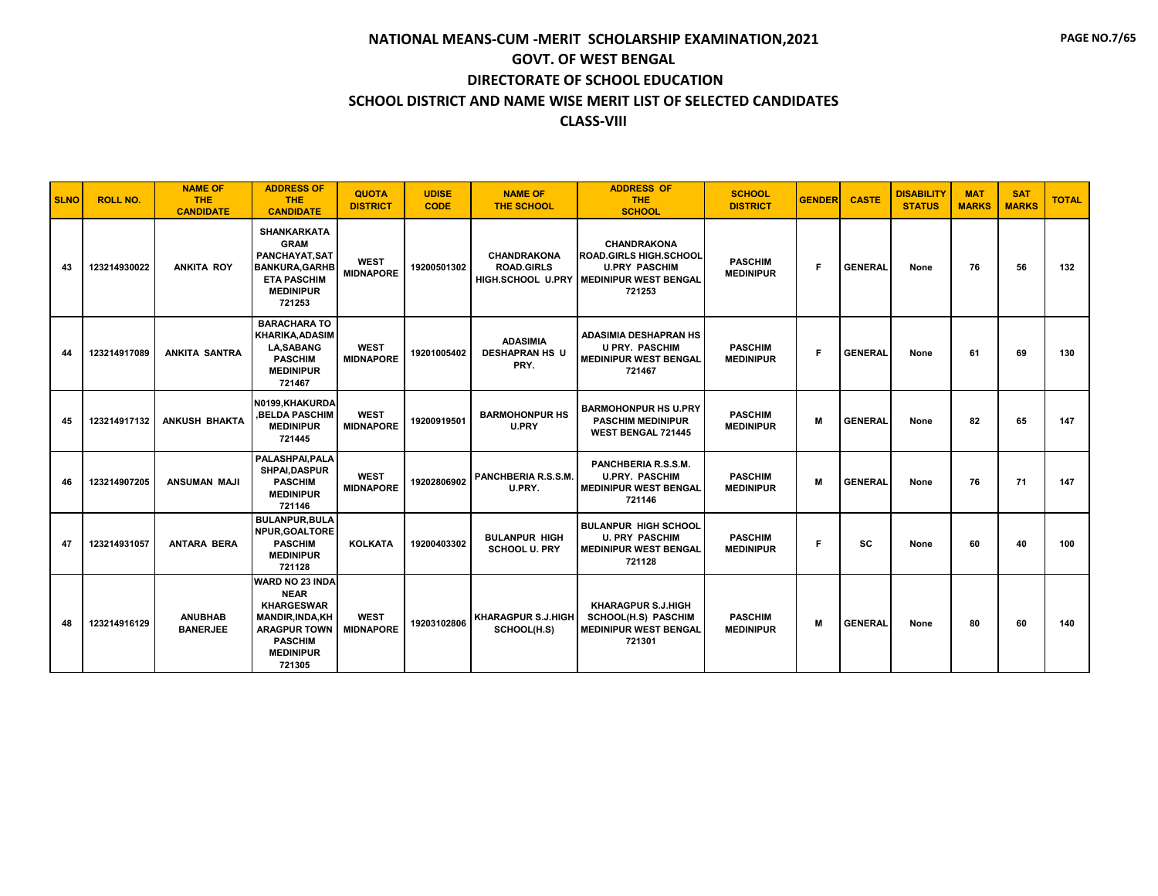| <b>SLNO</b> | <b>ROLL NO.</b> | <b>NAME OF</b><br><b>THE</b><br><b>CANDIDATE</b> | <b>ADDRESS OF</b><br><b>THE</b><br><b>CANDIDATE</b>                                                                                                   | <b>QUOTA</b><br><b>DISTRICT</b> | <b>UDISE</b><br><b>CODE</b> | <b>NAME OF</b><br>THE SCHOOL                     | <b>ADDRESS OF</b><br><b>THE</b><br><b>SCHOOL</b>                                                                                 | <b>SCHOOL</b><br><b>DISTRICT</b>   | <b>GENDER</b> | <b>CASTE</b>   | <b>DISABILITY</b><br><b>STATUS</b> | <b>MAT</b><br><b>MARKS</b> | <b>SAT</b><br><b>MARKS</b> | <b>TOTAL</b> |
|-------------|-----------------|--------------------------------------------------|-------------------------------------------------------------------------------------------------------------------------------------------------------|---------------------------------|-----------------------------|--------------------------------------------------|----------------------------------------------------------------------------------------------------------------------------------|------------------------------------|---------------|----------------|------------------------------------|----------------------------|----------------------------|--------------|
| 43          | 123214930022    | <b>ANKITA ROY</b>                                | <b>SHANKARKATA</b><br><b>GRAM</b><br>PANCHAYAT, SAT<br><b>BANKURA, GARHB</b><br><b>ETA PASCHIM</b><br><b>MEDINIPUR</b><br>721253                      | <b>WEST</b><br><b>MIDNAPORE</b> | 19200501302                 | <b>CHANDRAKONA</b><br><b>ROAD.GIRLS</b>          | <b>CHANDRAKONA</b><br><b>ROAD.GIRLS HIGH.SCHOOL</b><br><b>U.PRY PASCHIM</b><br>HIGH.SCHOOL U.PRY MEDINIPUR WEST BENGAL<br>721253 | <b>PASCHIM</b><br><b>MEDINIPUR</b> | F             | <b>GENERAL</b> | None                               | 76                         | 56                         | 132          |
| 44          | 123214917089    | <b>ANKITA SANTRA</b>                             | <b>BARACHARA TO</b><br><b>KHARIKA.ADASIM</b><br><b>LA.SABANG</b><br><b>PASCHIM</b><br><b>MEDINIPUR</b><br>721467                                      | <b>WEST</b><br><b>MIDNAPORE</b> | 19201005402                 | <b>ADASIMIA</b><br><b>DESHAPRAN HS U</b><br>PRY. | ADASIMIA DESHAPRAN HS<br><b>U PRY. PASCHIM</b><br><b>MEDINIPUR WEST BENGAL</b><br>721467                                         | <b>PASCHIM</b><br><b>MEDINIPUR</b> | F             | <b>GENERAL</b> | None                               | 61                         | 69                         | 130          |
| 45          | 123214917132    | <b>ANKUSH BHAKTA</b>                             | N0199.KHAKURDA<br><b>.BELDA PASCHIM</b><br><b>MEDINIPUR</b><br>721445                                                                                 | <b>WEST</b><br><b>MIDNAPORE</b> | 19200919501                 | <b>BARMOHONPUR HS</b><br>U.PRY                   | <b>BARMOHONPUR HS U.PRY</b><br><b>PASCHIM MEDINIPUR</b><br><b>WEST BENGAL 721445</b>                                             | <b>PASCHIM</b><br><b>MEDINIPUR</b> | M             | <b>GENERAL</b> | None                               | 82                         | 65                         | 147          |
| 46          | 123214907205    | <b>ANSUMAN MAJI</b>                              | PALASHPAI, PALA<br><b>SHPAI,DASPUR</b><br><b>PASCHIM</b><br><b>MEDINIPUR</b><br>721146                                                                | <b>WEST</b><br><b>MIDNAPORE</b> | 19202806902                 | PANCHBERIA R.S.S.M.<br>U.PRY.                    | PANCHBERIA R.S.S.M.<br><b>U.PRY. PASCHIM</b><br><b>MEDINIPUR WEST BENGAL</b><br>721146                                           | <b>PASCHIM</b><br><b>MEDINIPUR</b> | M             | <b>GENERAL</b> | None                               | 76                         | 71                         | 147          |
| 47          | 123214931057    | <b>ANTARA BERA</b>                               | <b>BULANPUR.BULA</b><br>NPUR.GOALTORE<br><b>PASCHIM</b><br><b>MEDINIPUR</b><br>721128                                                                 | <b>KOLKATA</b>                  | 19200403302                 | <b>BULANPUR HIGH</b><br><b>SCHOOL U. PRY</b>     | <b>BULANPUR HIGH SCHOOL</b><br><b>U. PRY PASCHIM</b><br><b>MEDINIPUR WEST BENGAL</b><br>721128                                   | <b>PASCHIM</b><br><b>MEDINIPUR</b> | F             | <b>SC</b>      | None                               | 60                         | 40                         | 100          |
| 48          | 123214916129    | <b>ANUBHAB</b><br><b>BANERJEE</b>                | WARD NO 23 INDA<br><b>NEAR</b><br><b>KHARGESWAR</b><br><b>MANDIR, INDA, KH</b><br><b>ARAGPUR TOWN</b><br><b>PASCHIM</b><br><b>MEDINIPUR</b><br>721305 | <b>WEST</b><br><b>MIDNAPORE</b> | 19203102806                 | <b>KHARAGPUR S.J.HIGH</b><br>SCHOOL(H.S)         | <b>KHARAGPUR S.J.HIGH</b><br>SCHOOL(H.S) PASCHIM<br><b>MEDINIPUR WEST BENGAL</b><br>721301                                       | <b>PASCHIM</b><br><b>MEDINIPUR</b> | M             | <b>GENERAL</b> | None                               | 80                         | 60                         | 140          |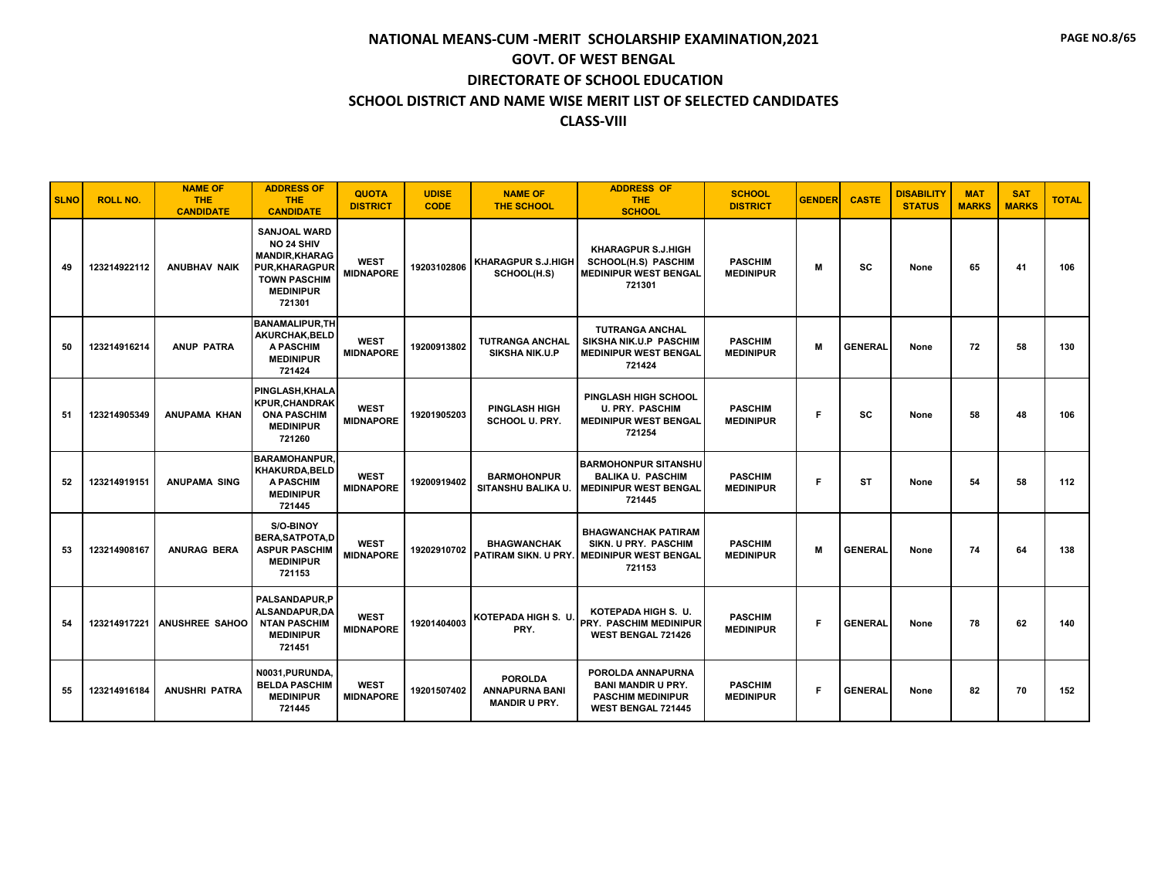| <b>SLNO</b> | <b>ROLL NO.</b> | <b>NAME OF</b><br><b>THE</b><br><b>CANDIDATE</b> | <b>ADDRESS OF</b><br><b>THE</b><br><b>CANDIDATE</b>                                                                                            | <b>QUOTA</b><br><b>DISTRICT</b> | <b>UDISE</b><br><b>CODE</b> | <b>NAME OF</b><br><b>THE SCHOOL</b>                             | <b>ADDRESS OF</b><br><b>THE</b><br><b>SCHOOL</b>                                                           | <b>SCHOOL</b><br><b>DISTRICT</b>   | <b>GENDER</b> | <b>CASTE</b>   | <b>DISABILITY</b><br><b>STATUS</b> | <b>MAT</b><br><b>MARKS</b> | <b>SAT</b><br><b>MARKS</b> | <b>TOTAL</b> |
|-------------|-----------------|--------------------------------------------------|------------------------------------------------------------------------------------------------------------------------------------------------|---------------------------------|-----------------------------|-----------------------------------------------------------------|------------------------------------------------------------------------------------------------------------|------------------------------------|---------------|----------------|------------------------------------|----------------------------|----------------------------|--------------|
| 49          | 123214922112    | <b>ANUBHAV NAIK</b>                              | <b>SANJOAL WARD</b><br><b>NO 24 SHIV</b><br><b>MANDIR, KHARAG</b><br><b>PUR,KHARAGPUR</b><br><b>TOWN PASCHIM</b><br><b>MEDINIPUR</b><br>721301 | <b>WEST</b><br><b>MIDNAPORE</b> | 19203102806                 | <b>KHARAGPUR S.J.HIGH</b><br>SCHOOL(H.S)                        | <b>KHARAGPUR S.J.HIGH</b><br><b>SCHOOL(H.S) PASCHIM</b><br><b>MEDINIPUR WEST BENGAL</b><br>721301          | <b>PASCHIM</b><br><b>MEDINIPUR</b> | М             | SC             | None                               | 65                         | 41                         | 106          |
| 50          | 123214916214    | <b>ANUP PATRA</b>                                | <b>BANAMALIPUR.TH</b><br>AKURCHAK.BELD<br><b>A PASCHIM</b><br><b>MEDINIPUR</b><br>721424                                                       | <b>WEST</b><br><b>MIDNAPORE</b> | 19200913802                 | <b>TUTRANGA ANCHAL</b><br><b>SIKSHA NIK.U.P</b>                 | <b>TUTRANGA ANCHAL</b><br>SIKSHA NIK.U.P PASCHIM<br><b>MEDINIPUR WEST BENGAL</b><br>721424                 | <b>PASCHIM</b><br><b>MEDINIPUR</b> | M             | <b>GENERAL</b> | None                               | 72                         | 58                         | 130          |
| 51          | 123214905349    | <b>ANUPAMA KHAN</b>                              | PINGLASH, KHALA<br><b>KPUR.CHANDRAK</b><br><b>ONA PASCHIM</b><br><b>MEDINIPUR</b><br>721260                                                    | <b>WEST</b><br><b>MIDNAPORE</b> | 19201905203                 | <b>PINGLASH HIGH</b><br><b>SCHOOL U. PRY.</b>                   | <b>PINGLASH HIGH SCHOOL</b><br><b>U. PRY. PASCHIM</b><br><b>MEDINIPUR WEST BENGAL</b><br>721254            | <b>PASCHIM</b><br><b>MEDINIPUR</b> | F             | SC             | None                               | 58                         | 48                         | 106          |
| 52          | 123214919151    | <b>ANUPAMA SING</b>                              | <b>BARAMOHANPUR.</b><br><b>KHAKURDA.BELD</b><br><b>A PASCHIM</b><br><b>MEDINIPUR</b><br>721445                                                 | <b>WEST</b><br><b>MIDNAPORE</b> | 19200919402                 | <b>BARMOHONPUR</b><br>SITANSHU BALIKA U.                        | <b>BARMOHONPUR SITANSHU</b><br><b>BALIKA U. PASCHIM</b><br><b>MEDINIPUR WEST BENGAL</b><br>721445          | <b>PASCHIM</b><br><b>MEDINIPUR</b> | F             | <b>ST</b>      | None                               | 54                         | 58                         | 112          |
| 53          | 123214908167    | <b>ANURAG BERA</b>                               | S/O-BINOY<br><b>BERA, SATPOTA, D</b><br><b>ASPUR PASCHIM</b><br><b>MEDINIPUR</b><br>721153                                                     | <b>WEST</b><br><b>MIDNAPORE</b> | 19202910702                 | <b>BHAGWANCHAK</b>                                              | <b>BHAGWANCHAK PATIRAM</b><br>SIKN. U PRY. PASCHIM<br>PATIRAM SIKN. U PRY. MEDINIPUR WEST BENGAL<br>721153 | <b>PASCHIM</b><br><b>MEDINIPUR</b> | M             | <b>GENERAL</b> | None                               | 74                         | 64                         | 138          |
| 54          | 123214917221    | <b>ANUSHREE SAHOO</b>                            | <b>PALSANDAPUR.P</b><br>ALSANDAPUR.DA<br><b>NTAN PASCHIM</b><br><b>MEDINIPUR</b><br>721451                                                     | <b>WEST</b><br><b>MIDNAPORE</b> | 19201404003                 | KOTEPADA HIGH S. U.<br>PRY.                                     | KOTEPADA HIGH S. U.<br><b>PRY. PASCHIM MEDINIPUR</b><br><b>WEST BENGAL 721426</b>                          | <b>PASCHIM</b><br><b>MEDINIPUR</b> | F             | <b>GENERAL</b> | None                               | 78                         | 62                         | 140          |
| 55          | 123214916184    | <b>ANUSHRI PATRA</b>                             | N0031, PURUNDA,<br><b>BELDA PASCHIM</b><br><b>MEDINIPUR</b><br>721445                                                                          | <b>WEST</b><br><b>MIDNAPORE</b> | 19201507402                 | <b>POROLDA</b><br><b>ANNAPURNA BANI</b><br><b>MANDIR U PRY.</b> | POROLDA ANNAPURNA<br><b>BANI MANDIR U PRY.</b><br><b>PASCHIM MEDINIPUR</b><br><b>WEST BENGAL 721445</b>    | <b>PASCHIM</b><br><b>MEDINIPUR</b> | F             | <b>GENERAL</b> | None                               | 82                         | 70                         | 152          |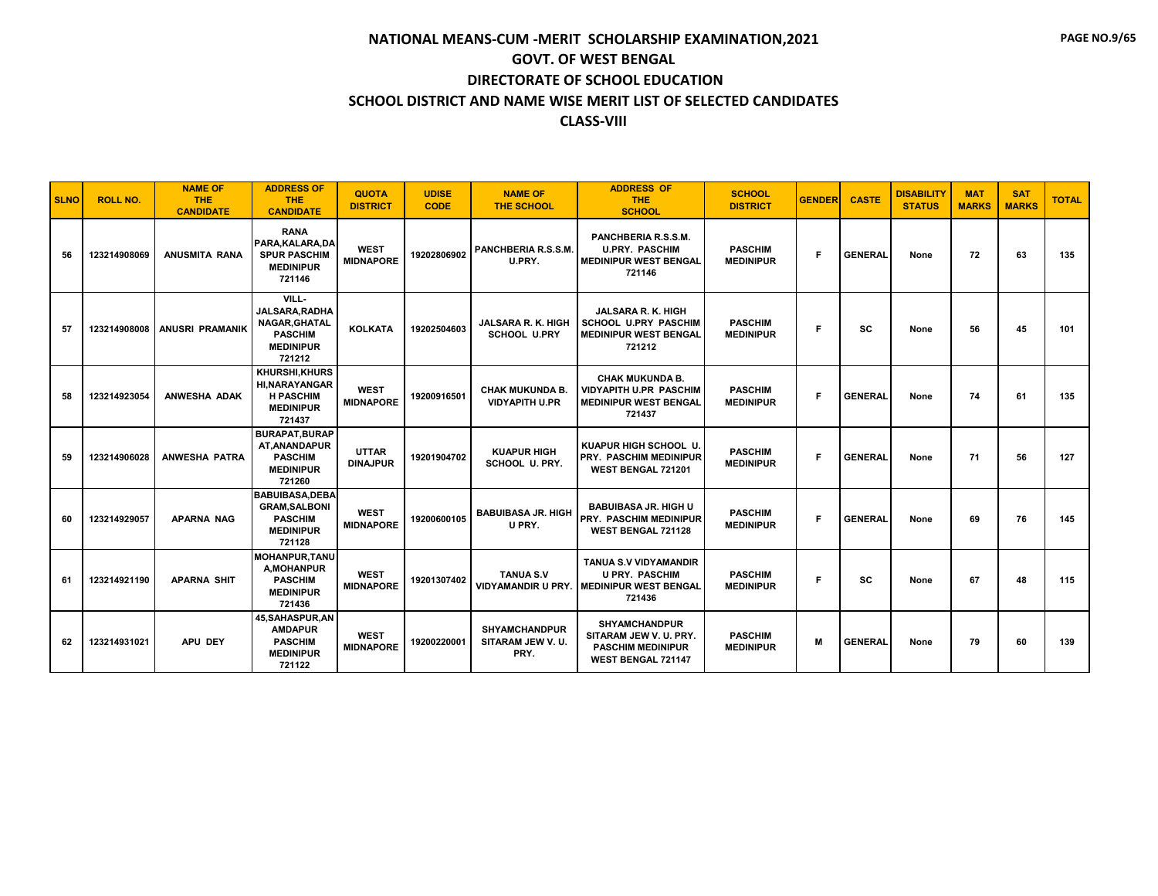| <b>SLNO</b> | <b>ROLL NO.</b> | <b>NAME OF</b><br><b>THE</b><br><b>CANDIDATE</b> | <b>ADDRESS OF</b><br><b>THE</b><br><b>CANDIDATE</b>                                            | <b>QUOTA</b><br><b>DISTRICT</b> | <b>UDISE</b><br><b>CODE</b> | <b>NAME OF</b><br><b>THE SCHOOL</b>              | <b>ADDRESS OF</b><br><b>THE</b><br><b>SCHOOL</b>                                                                   | <b>SCHOOL</b><br><b>DISTRICT</b>   | <b>GENDER</b> | <b>CASTE</b>   | <b>DISABILITY</b><br><b>STATUS</b> | <b>MAT</b><br><b>MARKS</b> | <b>SAT</b><br><b>MARKS</b> | <b>TOTAL</b> |
|-------------|-----------------|--------------------------------------------------|------------------------------------------------------------------------------------------------|---------------------------------|-----------------------------|--------------------------------------------------|--------------------------------------------------------------------------------------------------------------------|------------------------------------|---------------|----------------|------------------------------------|----------------------------|----------------------------|--------------|
| 56          | 123214908069    | ANUSMITA RANA                                    | <b>RANA</b><br>PARA.KALARA.DA<br><b>SPUR PASCHIM</b><br><b>MEDINIPUR</b><br>721146             | <b>WEST</b><br><b>MIDNAPORE</b> | 19202806902                 | PANCHBERIA R.S.S.M.<br>U.PRY.                    | PANCHBERIA R.S.S.M.<br><b>U.PRY. PASCHIM</b><br><b>MEDINIPUR WEST BENGAL</b><br>721146                             | <b>PASCHIM</b><br><b>MEDINIPUR</b> | F             | <b>GENERAL</b> | None                               | 72                         | 63                         | 135          |
| 57          | 123214908008    | <b>ANUSRI PRAMANIK</b>                           | VILL-<br>JALSARA, RADHA<br>NAGAR, GHATAL<br><b>PASCHIM</b><br><b>MEDINIPUR</b><br>721212       | <b>KOLKATA</b>                  | 19202504603                 | <b>JALSARA R. K. HIGH</b><br><b>SCHOOL U.PRY</b> | JALSARA R. K. HIGH<br><b>SCHOOL U.PRY PASCHIM</b><br><b>MEDINIPUR WEST BENGAL</b><br>721212                        | <b>PASCHIM</b><br><b>MEDINIPUR</b> | Е             | <b>SC</b>      | None                               | 56                         | 45                         | 101          |
| 58          | 123214923054    | <b>ANWESHA ADAK</b>                              | <b>KHURSHI.KHURS</b><br><b>HI.NARAYANGAR</b><br><b>H PASCHIM</b><br><b>MEDINIPUR</b><br>721437 | <b>WEST</b><br><b>MIDNAPORE</b> | 19200916501                 | <b>CHAK MUKUNDA B.</b><br><b>VIDYAPITH U.PR</b>  | <b>CHAK MUKUNDA B.</b><br><b>VIDYAPITH U.PR PASCHIM</b><br><b>MEDINIPUR WEST BENGAL</b><br>721437                  | <b>PASCHIM</b><br><b>MEDINIPUR</b> | F             | <b>GENERAL</b> | None                               | 74                         | 61                         | 135          |
| 59          | 123214906028    | <b>ANWESHA PATRA</b>                             | <b>BURAPAT.BURAP</b><br><b>AT.ANANDAPUR</b><br><b>PASCHIM</b><br><b>MEDINIPUR</b><br>721260    | <b>UTTAR</b><br><b>DINAJPUR</b> | 19201904702                 | <b>KUAPUR HIGH</b><br><b>SCHOOL U. PRY.</b>      | KUAPUR HIGH SCHOOL U.<br><b>PRY. PASCHIM MEDINIPUR</b><br>WEST BENGAL 721201                                       | <b>PASCHIM</b><br><b>MEDINIPUR</b> | F             | <b>GENERAL</b> | None                               | 71                         | 56                         | 127          |
| 60          | 123214929057    | <b>APARNA NAG</b>                                | <b>BABUIBASA, DEBA</b><br><b>GRAM.SALBONI</b><br><b>PASCHIM</b><br><b>MEDINIPUR</b><br>721128  | <b>WEST</b><br><b>MIDNAPORE</b> | 19200600105                 | <b>BABUIBASA JR. HIGH</b><br>U PRY.              | <b>BABUIBASA JR. HIGH U</b><br><b>PRY. PASCHIM MEDINIPUR</b><br>WEST BENGAL 721128                                 | <b>PASCHIM</b><br><b>MEDINIPUR</b> | F             | <b>GENERAL</b> | None                               | 69                         | 76                         | 145          |
| 61          | 123214921190    | <b>APARNA SHIT</b>                               | <b>MOHANPUR, TANU</b><br>A, MOHANPUR<br><b>PASCHIM</b><br><b>MEDINIPUR</b><br>721436           | <b>WEST</b><br><b>MIDNAPORE</b> | 19201307402                 | <b>TANUA S.V</b>                                 | <b>TANUA S.V VIDYAMANDIR</b><br><b>U PRY. PASCHIM</b><br><b>VIDYAMANDIR U PRY. MEDINIPUR WEST BENGAL</b><br>721436 | <b>PASCHIM</b><br><b>MEDINIPUR</b> | F             | <b>SC</b>      | None                               | 67                         | 48                         | 115          |
| 62          | 123214931021    | APU DEY                                          | 45, SAHASPUR, AN<br><b>AMDAPUR</b><br><b>PASCHIM</b><br><b>MEDINIPUR</b><br>721122             | <b>WEST</b><br><b>MIDNAPORE</b> | 19200220001                 | <b>SHYAMCHANDPUR</b><br>SITARAM JEW V.U.<br>PRY. | <b>SHYAMCHANDPUR</b><br>SITARAM JEW V.U. PRY.<br><b>PASCHIM MEDINIPUR</b><br><b>WEST BENGAL 721147</b>             | <b>PASCHIM</b><br><b>MEDINIPUR</b> | M             | <b>GENERAL</b> | None                               | 79                         | 60                         | 139          |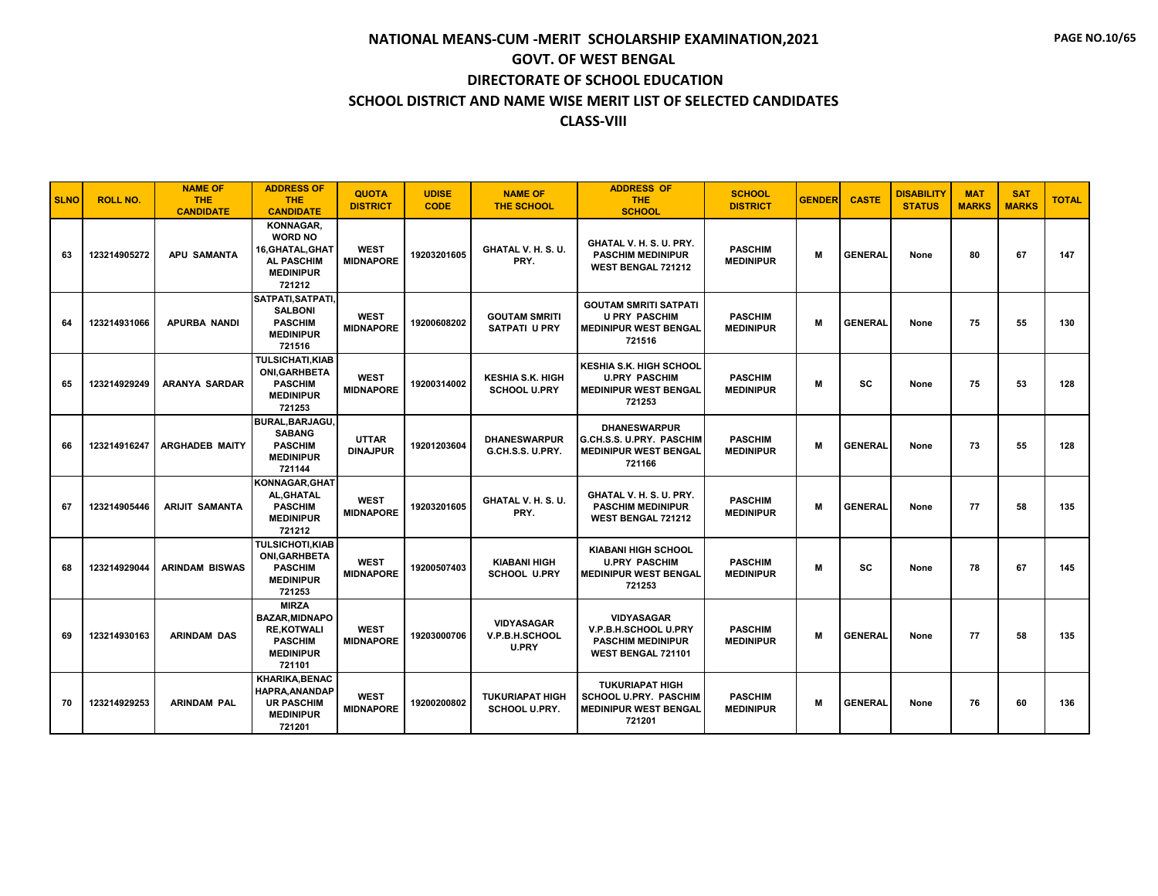| <b>SLNO</b> | <b>ROLL NO.</b> | <b>NAME OF</b><br><b>THE</b><br><b>CANDIDATE</b> | <b>ADDRESS OF</b><br><b>THE</b><br><b>CANDIDATE</b>                                                       | <b>QUOTA</b><br><b>DISTRICT</b> | <b>UDISE</b><br><b>CODE</b> | <b>NAME OF</b><br><b>THE SCHOOL</b>                 | <b>ADDRESS OF</b><br>THE.<br><b>SCHOOL</b>                                                       | <b>SCHOOL</b><br><b>DISTRICT</b>   | <b>GENDER</b> | <b>CASTE</b>   | <b>DISABILITY</b><br><b>STATUS</b> | <b>MAT</b><br><b>MARKS</b> | <b>SAT</b><br><b>MARKS</b> | <b>TOTAL</b> |
|-------------|-----------------|--------------------------------------------------|-----------------------------------------------------------------------------------------------------------|---------------------------------|-----------------------------|-----------------------------------------------------|--------------------------------------------------------------------------------------------------|------------------------------------|---------------|----------------|------------------------------------|----------------------------|----------------------------|--------------|
| 63          | 123214905272    | <b>APU SAMANTA</b>                               | KONNAGAR.<br><b>WORD NO</b><br>16, GHATAL, GHAT<br><b>AL PASCHIM</b><br><b>MEDINIPUR</b><br>721212        | <b>WEST</b><br><b>MIDNAPORE</b> | 19203201605                 | GHATAL V. H. S. U.<br>PRY.                          | GHATAL V. H. S. U. PRY.<br><b>PASCHIM MEDINIPUR</b><br>WEST BENGAL 721212                        | <b>PASCHIM</b><br><b>MEDINIPUR</b> | M             | <b>GENERAL</b> | None                               | 80                         | 67                         | 147          |
| 64          | 123214931066    | <b>APURBA NANDI</b>                              | SATPATI, SATPATI,<br><b>SALBONI</b><br><b>PASCHIM</b><br><b>MEDINIPUR</b><br>721516                       | <b>WEST</b><br><b>MIDNAPORE</b> | 19200608202                 | <b>GOUTAM SMRITI</b><br><b>SATPATI U PRY</b>        | <b>GOUTAM SMRITI SATPATI</b><br><b>U PRY PASCHIM</b><br><b>MEDINIPUR WEST BENGAL</b><br>721516   | <b>PASCHIM</b><br><b>MEDINIPUR</b> | M             | <b>GENERAL</b> | None                               | 75                         | 55                         | 130          |
| 65          | 123214929249    | <b>ARANYA SARDAR</b>                             | <b>TULSICHATI.KIAB</b><br><b>ONI, GARHBETA</b><br><b>PASCHIM</b><br><b>MEDINIPUR</b><br>721253            | <b>WEST</b><br><b>MIDNAPORE</b> | 19200314002                 | <b>KESHIA S.K. HIGH</b><br><b>SCHOOL U.PRY</b>      | <b>KESHIA S.K. HIGH SCHOOL</b><br><b>U.PRY PASCHIM</b><br><b>MEDINIPUR WEST BENGAL</b><br>721253 | <b>PASCHIM</b><br><b>MEDINIPUR</b> | M             | sc             | None                               | 75                         | 53                         | 128          |
| 66          | 123214916247    | <b>ARGHADEB MAITY</b>                            | <b>BURAL, BARJAGU.</b><br><b>SABANG</b><br><b>PASCHIM</b><br><b>MEDINIPUR</b><br>721144                   | <b>UTTAR</b><br><b>DINAJPUR</b> | 19201203604                 | <b>DHANESWARPUR</b><br>G.CH.S.S. U.PRY.             | <b><i>DHANESWARPUR</i></b><br>G.CH.S.S. U.PRY. PASCHIM<br><b>MEDINIPUR WEST BENGAL</b><br>721166 | <b>PASCHIM</b><br><b>MEDINIPUR</b> | M             | <b>GENERAL</b> | None                               | 73                         | 55                         | 128          |
| 67          | 123214905446    | <b>ARIJIT SAMANTA</b>                            | KONNAGAR.GHAT<br>AL, GHATAL<br><b>PASCHIM</b><br><b>MEDINIPUR</b><br>721212                               | <b>WEST</b><br><b>MIDNAPORE</b> | 19203201605                 | GHATAL V. H. S. U.<br>PRY.                          | GHATAL V. H. S. U. PRY.<br><b>PASCHIM MEDINIPUR</b><br><b>WEST BENGAL 721212</b>                 | <b>PASCHIM</b><br><b>MEDINIPUR</b> | M             | <b>GENERAL</b> | None                               | 77                         | 58                         | 135          |
| 68          | 123214929044    | <b>ARINDAM BISWAS</b>                            | <b>TULSICHOTI,KIAB</b><br><b>ONI, GARHBETA</b><br><b>PASCHIM</b><br><b>MEDINIPUR</b><br>721253            | <b>WEST</b><br><b>MIDNAPORE</b> | 19200507403                 | <b>KIABANI HIGH</b><br><b>SCHOOL U.PRY</b>          | <b>KIABANI HIGH SCHOOL</b><br><b>U.PRY PASCHIM</b><br><b>MEDINIPUR WEST BENGAL</b><br>721253     | <b>PASCHIM</b><br><b>MEDINIPUR</b> | M             | <b>SC</b>      | None                               | 78                         | 67                         | 145          |
| 69          | 123214930163    | <b>ARINDAM DAS</b>                               | <b>MIRZA</b><br><b>BAZAR.MIDNAPO</b><br><b>RE.KOTWALI</b><br><b>PASCHIM</b><br><b>MEDINIPUR</b><br>721101 | <b>WEST</b><br><b>MIDNAPORE</b> | 19203000706                 | <b>VIDYASAGAR</b><br>V.P.B.H.SCHOOL<br><b>U.PRY</b> | <b>VIDYASAGAR</b><br>V.P.B.H.SCHOOL U.PRY<br><b>PASCHIM MEDINIPUR</b><br>WEST BENGAL 721101      | <b>PASCHIM</b><br><b>MEDINIPUR</b> | м             | <b>GENERAL</b> | None                               | 77                         | 58                         | 135          |
| 70          | 123214929253    | <b>ARINDAM PAL</b>                               | <b>KHARIKA, BENAC</b><br><b>HAPRA, ANANDAP</b><br><b>UR PASCHIM</b><br><b>MEDINIPUR</b><br>721201         | <b>WEST</b><br><b>MIDNAPORE</b> | 19200200802                 | <b>TUKURIAPAT HIGH</b><br><b>SCHOOL U.PRY.</b>      | <b>TUKURIAPAT HIGH</b><br><b>SCHOOL U.PRY. PASCHIM</b><br><b>MEDINIPUR WEST BENGAL</b><br>721201 | <b>PASCHIM</b><br><b>MEDINIPUR</b> | M             | <b>GENERAL</b> | None                               | 76                         | 60                         | 136          |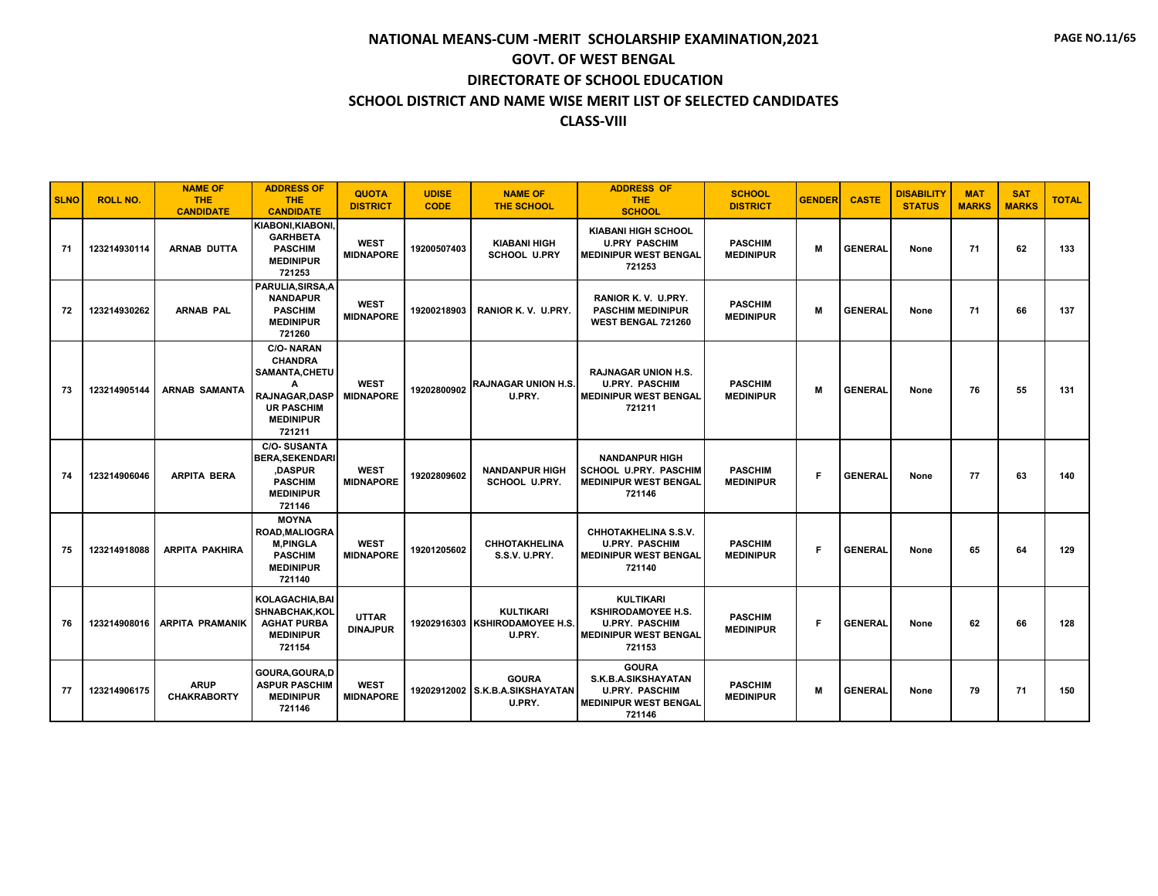| <b>SLNO</b> | <b>ROLL NO.</b> | <b>NAME OF</b><br><b>THE</b><br><b>CANDIDATE</b> | <b>ADDRESS OF</b><br><b>THE</b><br><b>CANDIDATE</b>                                                                            | <b>QUOTA</b><br><b>DISTRICT</b> | <b>UDISE</b><br><b>CODE</b> | <b>NAME OF</b><br><b>THE SCHOOL</b>                       | <b>ADDRESS OF</b><br><b>THE</b><br><b>SCHOOL</b>                                                                 | <b>SCHOOL</b><br><b>DISTRICT</b>   | <b>GENDER</b> | <b>CASTE</b>   | <b>DISABILITY</b><br><b>STATUS</b> | <b>MAT</b><br><b>MARKS</b> | <b>SAT</b><br><b>MARKS</b> | <b>TOTAL</b> |
|-------------|-----------------|--------------------------------------------------|--------------------------------------------------------------------------------------------------------------------------------|---------------------------------|-----------------------------|-----------------------------------------------------------|------------------------------------------------------------------------------------------------------------------|------------------------------------|---------------|----------------|------------------------------------|----------------------------|----------------------------|--------------|
| 71          | 123214930114    | <b>ARNAB DUTTA</b>                               | KIABONI, KIABONI.<br><b>GARHBETA</b><br><b>PASCHIM</b><br><b>MEDINIPUR</b><br>721253                                           | <b>WEST</b><br><b>MIDNAPORE</b> | 19200507403                 | <b>KIABANI HIGH</b><br><b>SCHOOL U.PRY</b>                | <b>KIABANI HIGH SCHOOL</b><br><b>U.PRY PASCHIM</b><br><b>MEDINIPUR WEST BENGAL</b><br>721253                     | <b>PASCHIM</b><br><b>MEDINIPUR</b> | M             | <b>GENERAL</b> | None                               | 71                         | 62                         | 133          |
| 72          | 123214930262    | <b>ARNAB PAL</b>                                 | PARULIA, SIRSA, A<br><b>NANDAPUR</b><br><b>PASCHIM</b><br><b>MEDINIPUR</b><br>721260                                           | <b>WEST</b><br><b>MIDNAPORE</b> | 19200218903                 | RANIOR K.V. U.PRY.                                        | RANIOR K.V. U.PRY.<br><b>PASCHIM MEDINIPUR</b><br>WEST BENGAL 721260                                             | <b>PASCHIM</b><br><b>MEDINIPUR</b> | M             | <b>GENERAL</b> | None                               | 71                         | 66                         | 137          |
| 73          | 123214905144    | <b>ARNAB SAMANTA</b>                             | <b>C/O-NARAN</b><br><b>CHANDRA</b><br>SAMANTA, CHETU<br>A<br>RAJNAGAR, DASP<br><b>UR PASCHIM</b><br><b>MEDINIPUR</b><br>721211 | <b>WEST</b><br><b>MIDNAPORE</b> | 19202800902                 | <b>RAJNAGAR UNION H.S.</b><br>U.PRY.                      | <b>RAJNAGAR UNION H.S.</b><br><b>U.PRY. PASCHIM</b><br><b>MEDINIPUR WEST BENGAL</b><br>721211                    | <b>PASCHIM</b><br><b>MEDINIPUR</b> | M             | <b>GENERAL</b> | None                               | 76                         | 55                         | 131          |
| 74          | 123214906046    | <b>ARPITA BERA</b>                               | <b>C/O-SUSANTA</b><br><b>BERA.SEKENDARI</b><br>,DASPUR<br><b>PASCHIM</b><br><b>MEDINIPUR</b><br>721146                         | <b>WEST</b><br><b>MIDNAPORE</b> | 19202809602                 | <b>NANDANPUR HIGH</b><br><b>SCHOOL U.PRY.</b>             | <b>NANDANPUR HIGH</b><br><b>SCHOOL U.PRY. PASCHIM</b><br><b>MEDINIPUR WEST BENGAL</b><br>721146                  | <b>PASCHIM</b><br><b>MEDINIPUR</b> | F             | <b>GENERAL</b> | None                               | 77                         | 63                         | 140          |
| 75          | 123214918088    | <b>ARPITA PAKHIRA</b>                            | <b>MOYNA</b><br><b>ROAD.MALIOGRA</b><br><b>M.PINGLA</b><br><b>PASCHIM</b><br><b>MEDINIPUR</b><br>721140                        | <b>WEST</b><br><b>MIDNAPORE</b> | 19201205602                 | <b>CHHOTAKHELINA</b><br><b>S.S.V. U.PRY.</b>              | <b>CHHOTAKHELINA S.S.V.</b><br><b>U.PRY. PASCHIM</b><br><b>MEDINIPUR WEST BENGAL</b><br>721140                   | <b>PASCHIM</b><br><b>MEDINIPUR</b> | F             | <b>GENERAL</b> | None                               | 65                         | 64                         | 129          |
| 76          | 123214908016    | <b>ARPITA PRAMANIK</b>                           | <b>KOLAGACHIA, BAI</b><br>SHNABCHAK.KOL<br><b>AGHAT PURBA</b><br><b>MEDINIPUR</b><br>721154                                    | <b>UTTAR</b><br><b>DINAJPUR</b> | 19202916303                 | <b>KULTIKARI</b><br><b>KSHIRODAMOYEE H.S.</b><br>U.PRY.   | <b>KULTIKARI</b><br><b>KSHIRODAMOYEE H.S.</b><br><b>U.PRY. PASCHIM</b><br><b>MEDINIPUR WEST BENGAL</b><br>721153 | <b>PASCHIM</b><br><b>MEDINIPUR</b> | F             | <b>GENERAL</b> | None                               | 62                         | 66                         | 128          |
| 77          | 123214906175    | <b>ARUP</b><br><b>CHAKRABORTY</b>                | GOURA, GOURA, D<br><b>ASPUR PASCHIM</b><br><b>MEDINIPUR</b><br>721146                                                          | <b>WEST</b><br><b>MIDNAPORE</b> |                             | <b>GOURA</b><br>19202912002 S.K.B.A.SIKSHAYATAN<br>U.PRY. | <b>GOURA</b><br>S.K.B.A.SIKSHAYATAN<br><b>U.PRY. PASCHIM</b><br><b>MEDINIPUR WEST BENGAL</b><br>721146           | <b>PASCHIM</b><br><b>MEDINIPUR</b> | м             | <b>GENERAL</b> | None                               | 79                         | 71                         | 150          |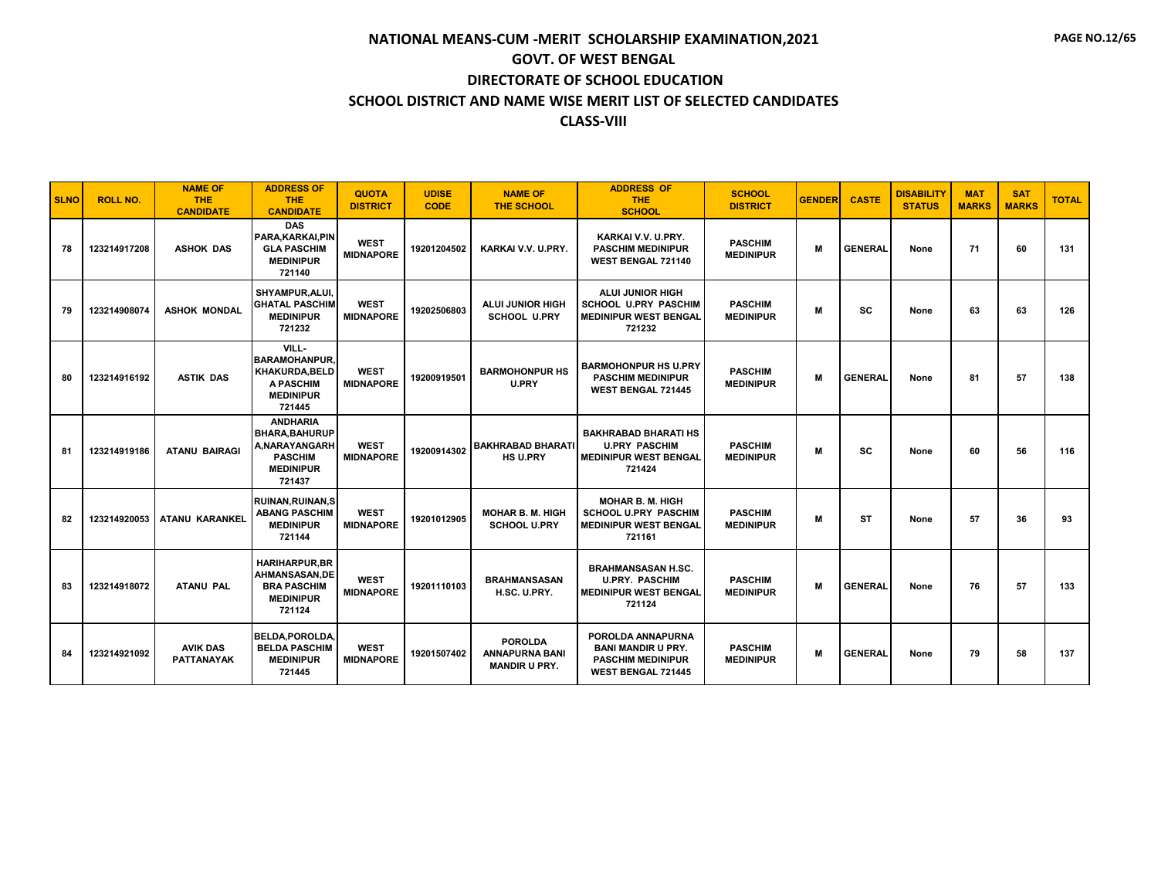| <b>SLNO</b> | <b>ROLL NO.</b> | <b>NAME OF</b><br><b>THE</b><br><b>CANDIDATE</b> | <b>ADDRESS OF</b><br><b>THE</b><br><b>CANDIDATE</b>                                                      | <b>QUOTA</b><br><b>DISTRICT</b> | <b>UDISE</b><br>CODE | <b>NAME OF</b><br><b>THE SCHOOL</b>                             | <b>ADDRESS OF</b><br><b>THE</b><br><b>SCHOOL</b>                                                 | <b>SCHOOL</b><br><b>DISTRICT</b>   | <b>GENDER</b> | <b>CASTE</b>   | <b>DISABILITY</b><br><b>STATUS</b> | <b>MAT</b><br><b>MARKS</b> | <b>SAT</b><br><b>MARKS</b> | <b>TOTAL</b> |
|-------------|-----------------|--------------------------------------------------|----------------------------------------------------------------------------------------------------------|---------------------------------|----------------------|-----------------------------------------------------------------|--------------------------------------------------------------------------------------------------|------------------------------------|---------------|----------------|------------------------------------|----------------------------|----------------------------|--------------|
| 78          | 123214917208    | <b>ASHOK DAS</b>                                 | <b>DAS</b><br>PARA, KARKAI, PIN<br><b>GLA PASCHIM</b><br><b>MEDINIPUR</b><br>721140                      | <b>WEST</b><br><b>MIDNAPORE</b> | 19201204502          | KARKAI V.V. U.PRY.                                              | KARKAI V.V. U.PRY.<br><b>PASCHIM MEDINIPUR</b><br>WEST BENGAL 721140                             | <b>PASCHIM</b><br><b>MEDINIPUR</b> | M             | <b>GENERAL</b> | None                               | 71                         | 60                         | 131          |
| 79          | 123214908074    | <b>ASHOK MONDAL</b>                              | <b>SHYAMPUR.ALUI.</b><br><b>GHATAL PASCHIM</b><br><b>MEDINIPUR</b><br>721232                             | <b>WEST</b><br><b>MIDNAPORE</b> | 19202506803          | <b>ALUI JUNIOR HIGH</b><br><b>SCHOOL U.PRY</b>                  | <b>ALUI JUNIOR HIGH</b><br><b>SCHOOL U.PRY PASCHIM</b><br><b>MEDINIPUR WEST BENGAL</b><br>721232 | <b>PASCHIM</b><br><b>MEDINIPUR</b> | M             | <b>SC</b>      | None                               | 63                         | 63                         | 126          |
| 80          | 123214916192    | <b>ASTIK DAS</b>                                 | VILL-<br><b>BARAMOHANPUR.</b><br>KHAKURDA.BELD<br>A PASCHIM<br><b>MEDINIPUR</b><br>721445                | <b>WEST</b><br><b>MIDNAPORE</b> | 19200919501          | <b>BARMOHONPUR HS</b><br>U.PRY                                  | <b>BARMOHONPUR HS U.PRY</b><br><b>PASCHIM MEDINIPUR</b><br><b>WEST BENGAL 721445</b>             | <b>PASCHIM</b><br><b>MEDINIPUR</b> | M             | <b>GENERAL</b> | None                               | 81                         | 57                         | 138          |
| 81          | 123214919186    | <b>ATANU BAIRAGI</b>                             | <b>ANDHARIA</b><br><b>BHARA.BAHURUP</b><br>A.NARAYANGARH<br><b>PASCHIM</b><br><b>MEDINIPUR</b><br>721437 | <b>WEST</b><br><b>MIDNAPORE</b> | 19200914302          | BAKHRABAD BHARATI<br><b>HS U.PRY</b>                            | <b>BAKHRABAD BHARATI HS</b><br><b>U.PRY PASCHIM</b><br><b>MEDINIPUR WEST BENGAL</b><br>721424    | <b>PASCHIM</b><br><b>MEDINIPUR</b> | M             | SC             | None                               | 60                         | 56                         | 116          |
| 82          | 123214920053    | <b>ATANU KARANKEL</b>                            | <b>RUINAN.RUINAN.S</b><br><b>ABANG PASCHIM</b><br><b>MEDINIPUR</b><br>721144                             | <b>WEST</b><br><b>MIDNAPORE</b> | 19201012905          | <b>MOHAR B. M. HIGH</b><br><b>SCHOOL U.PRY</b>                  | <b>MOHAR B. M. HIGH</b><br><b>SCHOOL U.PRY PASCHIM</b><br><b>MEDINIPUR WEST BENGAL</b><br>721161 | <b>PASCHIM</b><br><b>MEDINIPUR</b> | M             | <b>ST</b>      | None                               | 57                         | 36                         | 93           |
| 83          | 123214918072    | <b>ATANU PAL</b>                                 | <b>HARIHARPUR.BR</b><br><b>AHMANSASAN.DE</b><br><b>BRA PASCHIM</b><br><b>MEDINIPUR</b><br>721124         | <b>WEST</b><br><b>MIDNAPORE</b> | 19201110103          | <b>BRAHMANSASAN</b><br>H.SC. U.PRY.                             | <b>BRAHMANSASAN H.SC.</b><br><b>U.PRY. PASCHIM</b><br><b>MEDINIPUR WEST BENGAL</b><br>721124     | <b>PASCHIM</b><br><b>MEDINIPUR</b> | M             | <b>GENERAL</b> | None                               | 76                         | 57                         | 133          |
| 84          | 123214921092    | <b>AVIK DAS</b><br><b>PATTANAYAK</b>             | <b>BELDA, POROLDA</b><br><b>BELDA PASCHIM</b><br><b>MEDINIPUR</b><br>721445                              | <b>WEST</b><br><b>MIDNAPORE</b> | 19201507402          | <b>POROLDA</b><br><b>ANNAPURNA BANI</b><br><b>MANDIR U PRY.</b> | POROLDA ANNAPURNA<br><b>BANI MANDIR U PRY.</b><br><b>PASCHIM MEDINIPUR</b><br>WEST BENGAL 721445 | <b>PASCHIM</b><br><b>MEDINIPUR</b> | M             | <b>GENERAL</b> | None                               | 79                         | 58                         | 137          |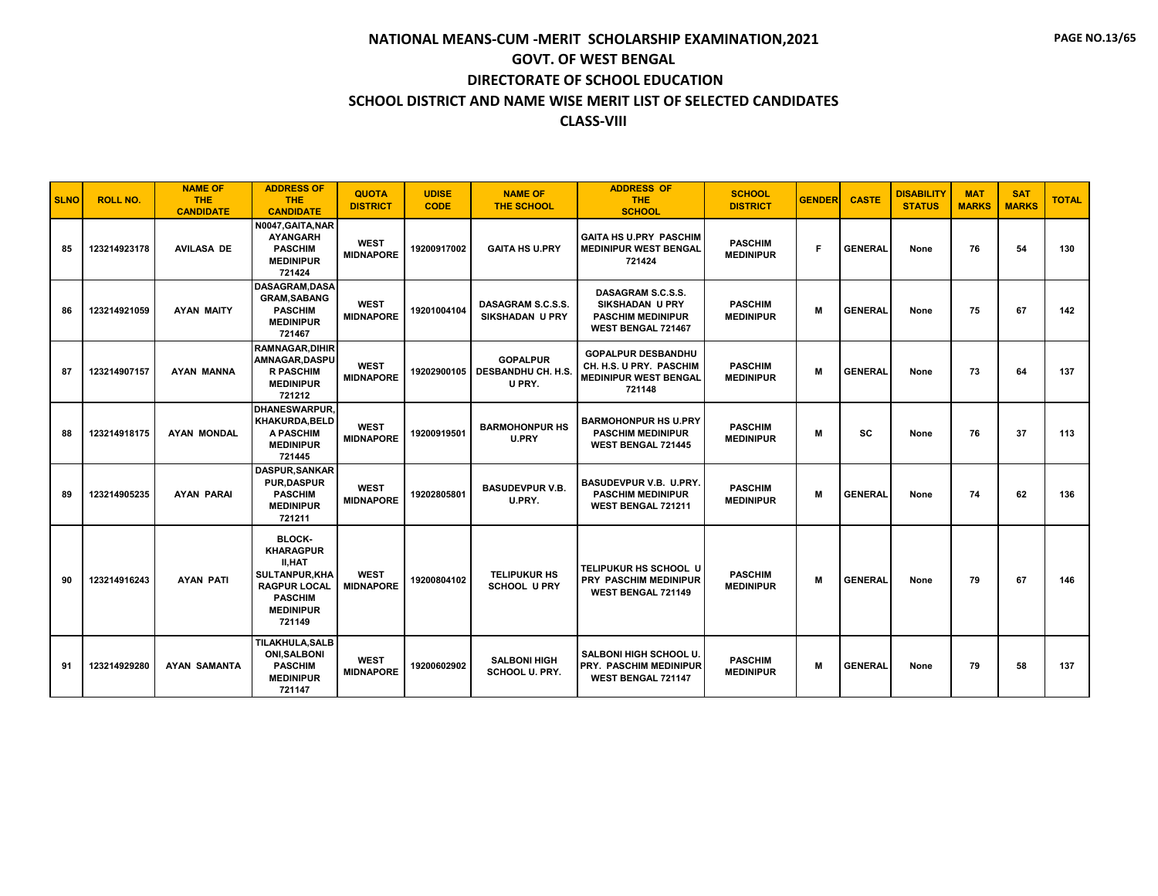| <b>SLNO</b> | <b>ROLL NO.</b> | <b>NAME OF</b><br><b>THE</b><br><b>CANDIDATE</b> | <b>ADDRESS OF</b><br><b>THE</b><br><b>CANDIDATE</b>                                                                                               | <b>QUOTA</b><br><b>DISTRICT</b> | <b>UDISE</b><br><b>CODE</b> | <b>NAME OF</b><br><b>THE SCHOOL</b>                    | <b>ADDRESS OF</b><br>THE.<br><b>SCHOOL</b>                                                           | <b>SCHOOL</b><br><b>DISTRICT</b>   | <b>GENDER</b> | <b>CASTE</b>   | <b>DISABILITY</b><br><b>STATUS</b> | <b>MAT</b><br><b>MARKS</b> | <b>SAT</b><br><b>MARKS</b> | <b>TOTAL</b> |
|-------------|-----------------|--------------------------------------------------|---------------------------------------------------------------------------------------------------------------------------------------------------|---------------------------------|-----------------------------|--------------------------------------------------------|------------------------------------------------------------------------------------------------------|------------------------------------|---------------|----------------|------------------------------------|----------------------------|----------------------------|--------------|
| 85          | 123214923178    | <b>AVILASA DE</b>                                | N0047, GAITA, NAR<br><b>AYANGARH</b><br><b>PASCHIM</b><br><b>MEDINIPUR</b><br>721424                                                              | <b>WEST</b><br><b>MIDNAPORE</b> | 19200917002                 | <b>GAITA HS U.PRY</b>                                  | <b>GAITA HS U.PRY PASCHIM</b><br><b>MEDINIPUR WEST BENGAL</b><br>721424                              | <b>PASCHIM</b><br><b>MEDINIPUR</b> | F.            | <b>GENERAL</b> | None                               | 76                         | 54                         | 130          |
| 86          | 123214921059    | <b>AYAN MAITY</b>                                | <b>DASAGRAM.DASA</b><br><b>GRAM.SABANG</b><br><b>PASCHIM</b><br><b>MEDINIPUR</b><br>721467                                                        | <b>WEST</b><br><b>MIDNAPORE</b> | 19201004104                 | DASAGRAM S.C.S.S.<br><b>SIKSHADAN U PRY</b>            | DASAGRAM S.C.S.S.<br><b>SIKSHADAN U PRY</b><br><b>PASCHIM MEDINIPUR</b><br><b>WEST BENGAL 721467</b> | <b>PASCHIM</b><br><b>MEDINIPUR</b> | M             | <b>GENERAL</b> | None                               | 75                         | 67                         | 142          |
| 87          | 123214907157    | <b>AYAN MANNA</b>                                | <b>RAMNAGAR, DIHIR</b><br>AMNAGAR, DASPU<br><b>R PASCHIM</b><br><b>MEDINIPUR</b><br>721212                                                        | <b>WEST</b><br><b>MIDNAPORE</b> | 19202900105                 | <b>GOPALPUR</b><br><b>DESBANDHU CH. H.S.</b><br>U PRY. | <b>GOPALPUR DESBANDHU</b><br>CH. H.S. U PRY. PASCHIM<br><b>MEDINIPUR WEST BENGAL</b><br>721148       | <b>PASCHIM</b><br><b>MEDINIPUR</b> | M             | <b>GENERAL</b> | None                               | 73                         | 64                         | 137          |
| 88          | 123214918175    | <b>AYAN MONDAL</b>                               | <b>DHANESWARPUR.</b><br>KHAKURDA, BELD<br><b>A PASCHIM</b><br><b>MEDINIPUR</b><br>721445                                                          | <b>WEST</b><br><b>MIDNAPORE</b> | 19200919501                 | <b>BARMOHONPUR HS</b><br>U.PRY                         | <b>BARMOHONPUR HS U.PRY</b><br><b>PASCHIM MEDINIPUR</b><br><b>WEST BENGAL 721445</b>                 | <b>PASCHIM</b><br><b>MEDINIPUR</b> | M             | <b>SC</b>      | None                               | 76                         | 37                         | 113          |
| 89          | 123214905235    | <b>AYAN PARAI</b>                                | <b>DASPUR, SANKAR</b><br><b>PUR.DASPUR</b><br><b>PASCHIM</b><br><b>MEDINIPUR</b><br>721211                                                        | <b>WEST</b><br><b>MIDNAPORE</b> | 19202805801                 | <b>BASUDEVPUR V.B.</b><br>U.PRY.                       | <b>BASUDEVPUR V.B. U.PRY.</b><br><b>PASCHIM MEDINIPUR</b><br>WEST BENGAL 721211                      | <b>PASCHIM</b><br><b>MEDINIPUR</b> | M             | <b>GENERAL</b> | None                               | 74                         | 62                         | 136          |
| 90          | 123214916243    | <b>AYAN PATI</b>                                 | <b>BLOCK-</b><br><b>KHARAGPUR</b><br><b>II.HAT</b><br><b>SULTANPUR,KHA</b><br><b>RAGPUR LOCAL</b><br><b>PASCHIM</b><br><b>MEDINIPUR</b><br>721149 | <b>WEST</b><br><b>MIDNAPORE</b> | 19200804102                 | <b>TELIPUKUR HS</b><br><b>SCHOOL U PRY</b>             | TELIPUKUR HS SCHOOL U<br>PRY PASCHIM MEDINIPUR<br>WEST BENGAL 721149                                 | <b>PASCHIM</b><br><b>MEDINIPUR</b> | M             | <b>GENERAL</b> | None                               | 79                         | 67                         | 146          |
| 91          | 123214929280    | <b>AYAN SAMANTA</b>                              | <b>TILAKHULA, SALB</b><br><b>ONI.SALBONI</b><br><b>PASCHIM</b><br><b>MEDINIPUR</b><br>721147                                                      | <b>WEST</b><br><b>MIDNAPORE</b> | 19200602902                 | <b>SALBONI HIGH</b><br>SCHOOL U. PRY.                  | <b>SALBONI HIGH SCHOOL U.</b><br><b>PRY. PASCHIM MEDINIPUR</b><br>WEST BENGAL 721147                 | <b>PASCHIM</b><br><b>MEDINIPUR</b> | M             | <b>GENERAL</b> | None                               | 79                         | 58                         | 137          |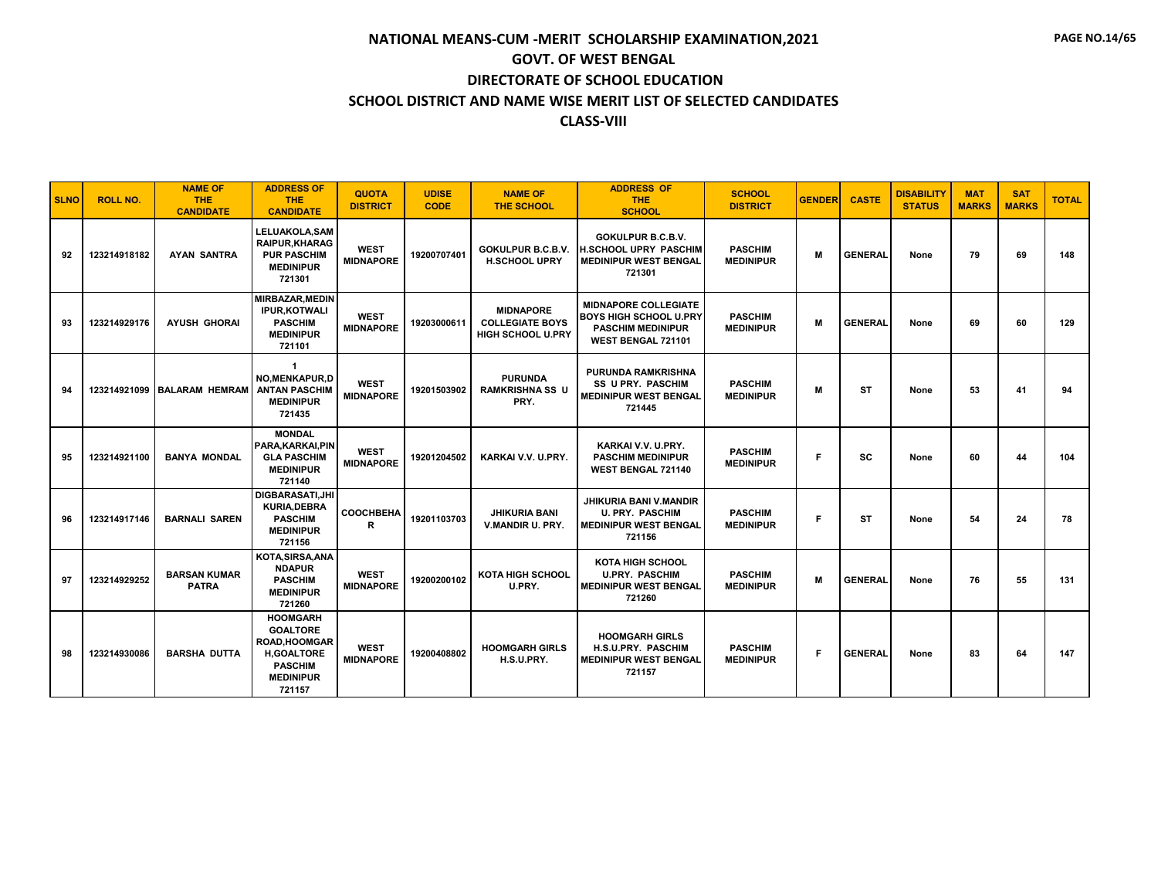| <b>SLNO</b> | <b>ROLL NO.</b> | <b>NAME OF</b><br><b>THE</b><br><b>CANDIDATE</b> | <b>ADDRESS OF</b><br><b>THE</b><br><b>CANDIDATE</b>                                                                             | <b>QUOTA</b><br><b>DISTRICT</b> | <b>UDISE</b><br><b>CODE</b> | <b>NAME OF</b><br>THE SCHOOL                                           | <b>ADDRESS OF</b><br><b>THE</b><br><b>SCHOOL</b>                                                               | <b>SCHOOL</b><br><b>DISTRICT</b>   | <b>GENDER</b> | <b>CASTE</b>   | <b>DISABILITY</b><br><b>STATUS</b> | <b>MAT</b><br><b>MARKS</b> | <b>SAT</b><br><b>MARKS</b> | <b>TOTAL</b> |
|-------------|-----------------|--------------------------------------------------|---------------------------------------------------------------------------------------------------------------------------------|---------------------------------|-----------------------------|------------------------------------------------------------------------|----------------------------------------------------------------------------------------------------------------|------------------------------------|---------------|----------------|------------------------------------|----------------------------|----------------------------|--------------|
| 92          | 123214918182    | <b>AYAN SANTRA</b>                               | LELUAKOLA, SAM<br><b>RAIPUR, KHARAG</b><br><b>PUR PASCHIM</b><br><b>MEDINIPUR</b><br>721301                                     | <b>WEST</b><br><b>MIDNAPORE</b> | 19200707401                 | GOKULPUR B.C.B.V.<br><b>H.SCHOOL UPRY</b>                              | <b>GOKULPUR B.C.B.V.</b><br><b>IH.SCHOOL UPRY PASCHIM</b><br><b>MEDINIPUR WEST BENGAL</b><br>721301            | <b>PASCHIM</b><br><b>MEDINIPUR</b> | M             | <b>GENERAL</b> | None                               | 79                         | 69                         | 148          |
| 93          | 123214929176    | <b>AYUSH GHORAI</b>                              | MIRBAZAR, MEDIN<br><b>IPUR, KOTWALI</b><br><b>PASCHIM</b><br><b>MEDINIPUR</b><br>721101                                         | <b>WEST</b><br><b>MIDNAPORE</b> | 19203000611                 | <b>MIDNAPORE</b><br><b>COLLEGIATE BOYS</b><br><b>HIGH SCHOOL U.PRY</b> | <b>MIDNAPORE COLLEGIATE</b><br><b>BOYS HIGH SCHOOL U.PRY</b><br><b>PASCHIM MEDINIPUR</b><br>WEST BENGAL 721101 | <b>PASCHIM</b><br><b>MEDINIPUR</b> | M             | <b>GENERAL</b> | None                               | 69                         | 60                         | 129          |
| 94          | 123214921099    | <b>BALARAM HEMRAM</b>                            | $\mathbf{1}$<br><b>NO, MENKAPUR, D</b><br><b>ANTAN PASCHIM</b><br><b>MEDINIPUR</b><br>721435                                    | <b>WEST</b><br><b>MIDNAPORE</b> | 19201503902                 | <b>PURUNDA</b><br><b>RAMKRISHNA SS U</b><br>PRY.                       | <b>PURUNDA RAMKRISHNA</b><br><b>SS U PRY. PASCHIM</b><br><b>MEDINIPUR WEST BENGAL</b><br>721445                | <b>PASCHIM</b><br><b>MEDINIPUR</b> | M             | <b>ST</b>      | None                               | 53                         | 41                         | 94           |
| 95          | 123214921100    | <b>BANYA MONDAL</b>                              | <b>MONDAL</b><br>PARA.KARKAI.PIN<br><b>GLA PASCHIM</b><br><b>MEDINIPUR</b><br>721140                                            | <b>WEST</b><br><b>MIDNAPORE</b> | 19201204502                 | KARKAI V.V. U.PRY.                                                     | KARKAI V.V. U.PRY.<br><b>PASCHIM MEDINIPUR</b><br><b>WEST BENGAL 721140</b>                                    | <b>PASCHIM</b><br><b>MEDINIPUR</b> | F             | SC             | None                               | 60                         | 44                         | 104          |
| 96          | 123214917146    | <b>BARNALI SAREN</b>                             | <b>DIGBARASATI.JHI</b><br><b>KURIA.DEBRA</b><br><b>PASCHIM</b><br><b>MEDINIPUR</b><br>721156                                    | COOCHBEHA<br>R                  | 19201103703                 | <b>JHIKURIA BANI</b><br>V.MANDIR U. PRY.                               | <b>JHIKURIA BANI V.MANDIR</b><br><b>U. PRY. PASCHIM</b><br><b>MEDINIPUR WEST BENGAL</b><br>721156              | <b>PASCHIM</b><br><b>MEDINIPUR</b> | F.            | <b>ST</b>      | None                               | 54                         | 24                         | 78           |
| 97          | 123214929252    | <b>BARSAN KUMAR</b><br><b>PATRA</b>              | KOTA, SIRSA, ANA<br><b>NDAPUR</b><br><b>PASCHIM</b><br><b>MEDINIPUR</b><br>721260                                               | <b>WEST</b><br><b>MIDNAPORE</b> | 19200200102                 | KOTA HIGH SCHOOL<br>U.PRY.                                             | <b>KOTA HIGH SCHOOL</b><br><b>U.PRY. PASCHIM</b><br><b>MEDINIPUR WEST BENGAL</b><br>721260                     | <b>PASCHIM</b><br><b>MEDINIPUR</b> | M             | <b>GENERAL</b> | None                               | 76                         | 55                         | 131          |
| 98          | 123214930086    | <b>BARSHA DUTTA</b>                              | <b>HOOMGARH</b><br><b>GOALTORE</b><br><b>ROAD, HOOMGAR</b><br><b>H,GOALTORE</b><br><b>PASCHIM</b><br><b>MEDINIPUR</b><br>721157 | <b>WEST</b><br><b>MIDNAPORE</b> | 19200408802                 | <b>HOOMGARH GIRLS</b><br>H.S.U.PRY.                                    | <b>HOOMGARH GIRLS</b><br>H.S.U.PRY. PASCHIM<br><b>MEDINIPUR WEST BENGAL</b><br>721157                          | <b>PASCHIM</b><br><b>MEDINIPUR</b> | F             | <b>GENERAL</b> | None                               | 83                         | 64                         | 147          |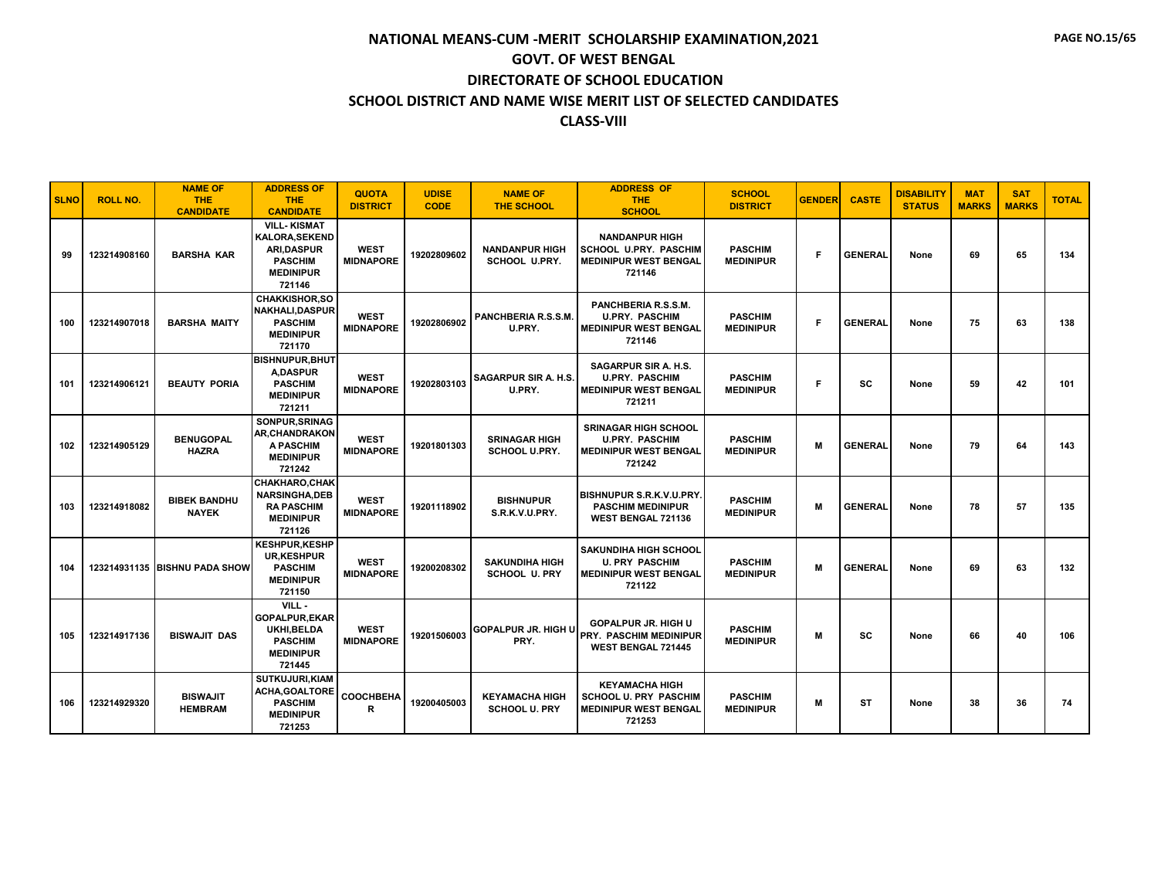| <b>SLNO</b> | <b>ROLL NO.</b> | <b>NAME OF</b><br><b>THE</b><br><b>CANDIDATE</b> | <b>ADDRESS OF</b><br><b>THE</b><br><b>CANDIDATE</b>                                                             | <b>QUOTA</b><br><b>DISTRICT</b> | <b>UDISE</b><br><b>CODE</b> | <b>NAME OF</b><br><b>THE SCHOOL</b>           | <b>ADDRESS OF</b><br><b>THE</b><br><b>SCHOOL</b>                                                | <b>SCHOOL</b><br><b>DISTRICT</b>   | <b>GENDER</b> | <b>CASTE</b>   | <b>DISABILITY</b><br><b>STATUS</b> | <b>MAT</b><br><b>MARKS</b> | <b>SAT</b><br><b>MARKS</b> | <b>TOTAL</b> |
|-------------|-----------------|--------------------------------------------------|-----------------------------------------------------------------------------------------------------------------|---------------------------------|-----------------------------|-----------------------------------------------|-------------------------------------------------------------------------------------------------|------------------------------------|---------------|----------------|------------------------------------|----------------------------|----------------------------|--------------|
| 99          | 123214908160    | <b>BARSHA KAR</b>                                | <b>VILL-KISMAT</b><br><b>KALORA.SEKEND</b><br><b>ARI.DASPUR</b><br><b>PASCHIM</b><br><b>MEDINIPUR</b><br>721146 | <b>WEST</b><br><b>MIDNAPORE</b> | 19202809602                 | <b>NANDANPUR HIGH</b><br><b>SCHOOL U.PRY.</b> | <b>NANDANPUR HIGH</b><br><b>SCHOOL U.PRY. PASCHIM</b><br><b>MEDINIPUR WEST BENGAL</b><br>721146 | <b>PASCHIM</b><br><b>MEDINIPUR</b> | F.            | <b>GENERAL</b> | None                               | 69                         | 65                         | 134          |
| 100         | 123214907018    | <b>BARSHA MAITY</b>                              | <b>CHAKKISHOR,SO</b><br><b>NAKHALI.DASPUR</b><br><b>PASCHIM</b><br><b>MEDINIPUR</b><br>721170                   | <b>WEST</b><br><b>MIDNAPORE</b> | 19202806902                 | PANCHBERIA R.S.S.M.<br>U.PRY.                 | PANCHBERIA R.S.S.M.<br><b>U.PRY. PASCHIM</b><br><b>MEDINIPUR WEST BENGAL</b><br>721146          | <b>PASCHIM</b><br><b>MEDINIPUR</b> | F             | <b>GENERAL</b> | None                               | 75                         | 63                         | 138          |
| 101         | 123214906121    | <b>BEAUTY PORIA</b>                              | <b>BISHNUPUR, BHUT</b><br><b>A.DASPUR</b><br><b>PASCHIM</b><br><b>MEDINIPUR</b><br>721211                       | <b>WEST</b><br><b>MIDNAPORE</b> | 19202803103                 | <b>SAGARPUR SIR A. H.S.</b><br>U.PRY.         | SAGARPUR SIR A. H.S.<br><b>U.PRY. PASCHIM</b><br><b>MEDINIPUR WEST BENGAL</b><br>721211         | <b>PASCHIM</b><br><b>MEDINIPUR</b> | F             | <b>SC</b>      | None                               | 59                         | 42                         | 101          |
| 102         | 123214905129    | <b>BENUGOPAL</b><br><b>HAZRA</b>                 | SONPUR, SRINAG<br><b>AR, CHANDRAKON</b><br>A PASCHIM<br><b>MEDINIPUR</b><br>721242                              | <b>WEST</b><br><b>MIDNAPORE</b> | 19201801303                 | <b>SRINAGAR HIGH</b><br><b>SCHOOL U.PRY.</b>  | <b>SRINAGAR HIGH SCHOOL</b><br><b>U.PRY. PASCHIM</b><br><b>MEDINIPUR WEST BENGAL</b><br>721242  | <b>PASCHIM</b><br><b>MEDINIPUR</b> | М             | <b>GENERAL</b> | None                               | 79                         | 64                         | 143          |
| 103         | 123214918082    | <b>BIBEK BANDHU</b><br><b>NAYEK</b>              | <b>CHAKHARO.CHAK</b><br><b>NARSINGHA.DEB</b><br><b>RA PASCHIM</b><br><b>MEDINIPUR</b><br>721126                 | <b>WEST</b><br><b>MIDNAPORE</b> | 19201118902                 | <b>BISHNUPUR</b><br>S.R.K.V.U.PRY.            | BISHNUPUR S.R.K.V.U.PRY.<br><b>PASCHIM MEDINIPUR</b><br>WEST BENGAL 721136                      | <b>PASCHIM</b><br><b>MEDINIPUR</b> | м             | <b>GENERAI</b> | None                               | 78                         | 57                         | 135          |
| 104         |                 | 123214931135 BISHNU PADA SHOW                    | <b>KESHPUR,KESHP</b><br><b>UR,KESHPUR</b><br><b>PASCHIM</b><br><b>MEDINIPUR</b><br>721150                       | <b>WEST</b><br><b>MIDNAPORE</b> | 19200208302                 | <b>SAKUNDIHA HIGH</b><br><b>SCHOOL U. PRY</b> | SAKUNDIHA HIGH SCHOOL<br><b>U. PRY PASCHIM</b><br><b>MEDINIPUR WEST BENGAL</b><br>721122        | <b>PASCHIM</b><br><b>MEDINIPUR</b> | M             | <b>GENERAL</b> | None                               | 69                         | 63                         | 132          |
| 105         | 123214917136    | <b>BISWAJIT DAS</b>                              | VILL -<br><b>GOPALPUR,EKAR</b><br>UKHI.BELDA<br><b>PASCHIM</b><br><b>MEDINIPUR</b><br>721445                    | <b>WEST</b><br><b>MIDNAPORE</b> | 19201506003                 | <b>GOPALPUR JR. HIGH U</b><br>PRY.            | <b>GOPALPUR JR. HIGH U</b><br>PRY. PASCHIM MEDINIPUR<br><b>WEST BENGAL 721445</b>               | <b>PASCHIM</b><br><b>MEDINIPUR</b> | м             | sc             | None                               | 66                         | 40                         | 106          |
| 106         | 123214929320    | <b>BISWAJIT</b><br><b>HEMBRAM</b>                | <b>SUTKUJURI, KIAM</b><br>ACHA, GOALTORE<br><b>PASCHIM</b><br><b>MEDINIPUR</b><br>721253                        | <b>COOCHBEHA</b><br>R           | 19200405003                 | <b>KEYAMACHA HIGH</b><br><b>SCHOOL U. PRY</b> | <b>KEYAMACHA HIGH</b><br><b>SCHOOL U. PRY PASCHIM</b><br><b>MEDINIPUR WEST BENGAL</b><br>721253 | <b>PASCHIM</b><br><b>MEDINIPUR</b> | M             | ST             | None                               | 38                         | 36                         | 74           |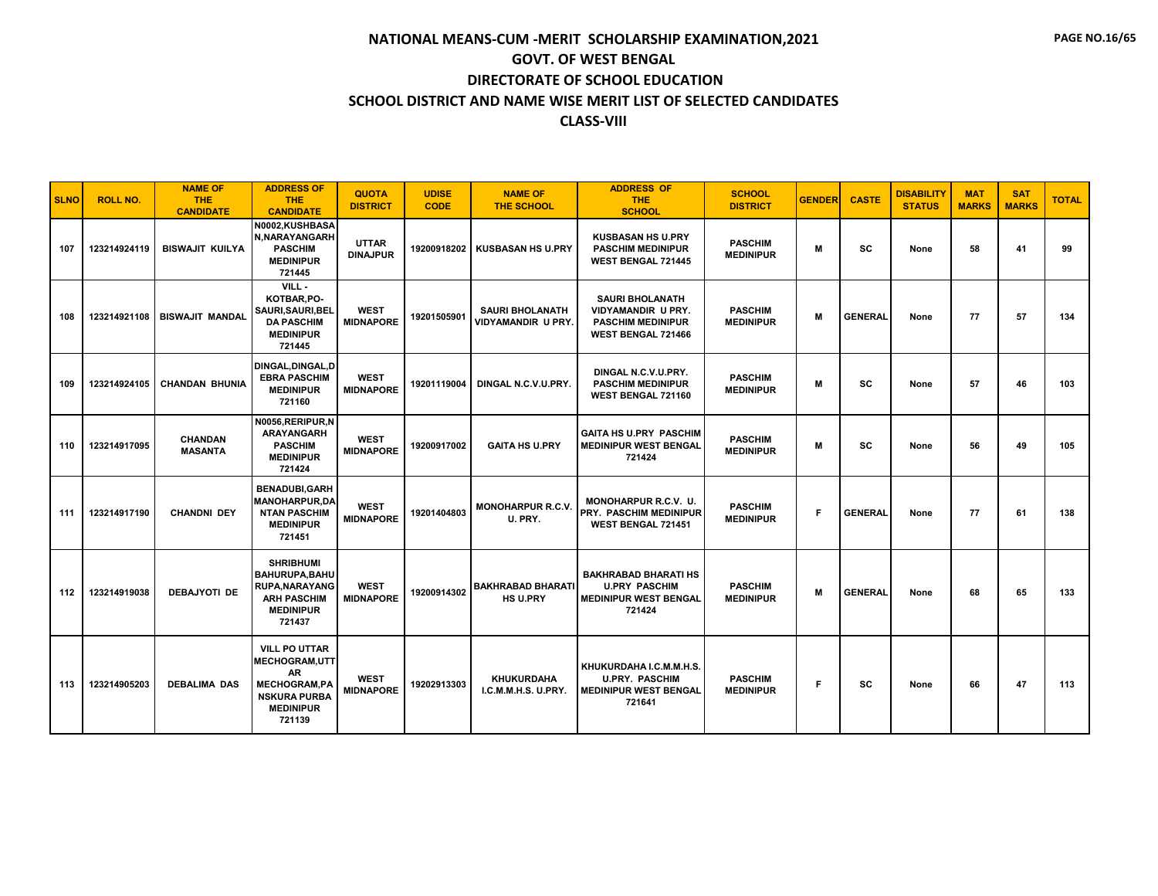| <b>SLNO</b> | <b>ROLL NO.</b> | <b>NAME OF</b><br><b>THE</b><br><b>CANDIDATE</b> | <b>ADDRESS OF</b><br><b>THE</b><br><b>CANDIDATE</b>                                                                             | <b>QUOTA</b><br><b>DISTRICT</b> | <b>UDISE</b><br><b>CODE</b> | <b>NAME OF</b><br><b>THE SCHOOL</b>          | <b>ADDRESS OF</b><br><b>THE</b><br><b>SCHOOL</b>                                               | <b>SCHOOL</b><br><b>DISTRICT</b>   | <b>GENDER</b> | <b>CASTE</b>   | <b>DISABILITY</b><br><b>STATUS</b> | <b>MAT</b><br><b>MARKS</b> | <b>SAT</b><br><b>MARKS</b> | <b>TOTAL</b> |
|-------------|-----------------|--------------------------------------------------|---------------------------------------------------------------------------------------------------------------------------------|---------------------------------|-----------------------------|----------------------------------------------|------------------------------------------------------------------------------------------------|------------------------------------|---------------|----------------|------------------------------------|----------------------------|----------------------------|--------------|
| 107         | 123214924119    | <b>BISWAJIT KUILYA</b>                           | N0002,KUSHBASA<br>N, NARAYANGARH<br><b>PASCHIM</b><br><b>MEDINIPUR</b><br>721445                                                | <b>UTTAR</b><br><b>DINAJPUR</b> | 19200918202                 | <b>KUSBASAN HS U.PRY</b>                     | <b>KUSBASAN HS U.PRY</b><br><b>PASCHIM MEDINIPUR</b><br><b>WEST BENGAL 721445</b>              | <b>PASCHIM</b><br><b>MEDINIPUR</b> | M             | <b>SC</b>      | None                               | 58                         | 41                         | 99           |
| 108         | 123214921108    | <b>BISWAJIT MANDAL</b>                           | VILL-<br>KOTBAR, PO-<br>SAURI, SAURI, BEL<br><b>DA PASCHIM</b><br><b>MEDINIPUR</b><br>721445                                    | <b>WEST</b><br><b>MIDNAPORE</b> | 19201505901                 | <b>SAURI BHOLANATH</b><br>VIDYAMANDIR U PRY. | <b>SAURI BHOLANATH</b><br>VIDYAMANDIR U PRY.<br><b>PASCHIM MEDINIPUR</b><br>WEST BENGAL 721466 | <b>PASCHIM</b><br><b>MEDINIPUR</b> | M             | <b>GENERAL</b> | None                               | 77                         | 57                         | 134          |
| 109         | 123214924105    | <b>CHANDAN BHUNIA</b>                            | DINGAL, DINGAL, D<br><b>EBRA PASCHIM</b><br><b>MEDINIPUR</b><br>721160                                                          | <b>WEST</b><br><b>MIDNAPORE</b> | 19201119004                 | DINGAL N.C.V.U.PRY.                          | DINGAL N.C.V.U.PRY.<br><b>PASCHIM MEDINIPUR</b><br>WEST BENGAL 721160                          | <b>PASCHIM</b><br><b>MEDINIPUR</b> | M             | <b>SC</b>      | None                               | 57                         | 46                         | 103          |
| 110         | 123214917095    | <b>CHANDAN</b><br><b>MASANTA</b>                 | N0056, RERIPUR, N<br><b>ARAYANGARH</b><br><b>PASCHIM</b><br><b>MEDINIPUR</b><br>721424                                          | <b>WEST</b><br><b>MIDNAPORE</b> | 19200917002                 | <b>GAITA HS U.PRY</b>                        | <b>GAITA HS U.PRY PASCHIM</b><br><b>MEDINIPUR WEST BENGAL</b><br>721424                        | <b>PASCHIM</b><br><b>MEDINIPUR</b> | M             | <b>SC</b>      | None                               | 56                         | 49                         | 105          |
| 111         | 123214917190    | <b>CHANDNI DEY</b>                               | <b>BENADUBI,GARH</b><br><b>MANOHARPUR.DA</b><br><b>NTAN PASCHIM</b><br><b>MEDINIPUR</b><br>721451                               | <b>WEST</b><br><b>MIDNAPORE</b> | 19201404803                 | <b>MONOHARPUR R.C.V.</b><br>U. PRY.          | <b>MONOHARPUR R.C.V. U.</b><br><b>PRY. PASCHIM MEDINIPUR</b><br><b>WEST BENGAL 721451</b>      | <b>PASCHIM</b><br><b>MEDINIPUR</b> | F             | <b>GENERAL</b> | None                               | 77                         | 61                         | 138          |
| 112         | 123214919038    | <b>DEBAJYOTI DE</b>                              | <b>SHRIBHUMI</b><br>BAHURUPA, BAHU<br><b>RUPA, NARAYANG</b><br><b>ARH PASCHIM</b><br><b>MEDINIPUR</b><br>721437                 | <b>WEST</b><br><b>MIDNAPORE</b> | 19200914302                 | <b>BAKHRABAD BHARATI</b><br><b>HS U.PRY</b>  | <b>BAKHRABAD BHARATI HS</b><br><b>U.PRY PASCHIM</b><br><b>MEDINIPUR WEST BENGAL</b><br>721424  | <b>PASCHIM</b><br><b>MEDINIPUR</b> | M             | <b>GENERAL</b> | None                               | 68                         | 65                         | 133          |
| 113         | 123214905203    | <b>DEBALIMA DAS</b>                              | <b>VILL PO UTTAR</b><br>MECHOGRAM, UTT<br><b>AR</b><br><b>MECHOGRAM,PA</b><br><b>NSKURA PURBA</b><br><b>MEDINIPUR</b><br>721139 | <b>WEST</b><br><b>MIDNAPORE</b> | 19202913303                 | <b>KHUKURDAHA</b><br>I.C.M.M.H.S. U.PRY.     | KHUKURDAHA I.C.M.M.H.S.<br><b>U.PRY. PASCHIM</b><br><b>MEDINIPUR WEST BENGAL</b><br>721641     | <b>PASCHIM</b><br><b>MEDINIPUR</b> | F             | SC             | None                               | 66                         | 47                         | 113          |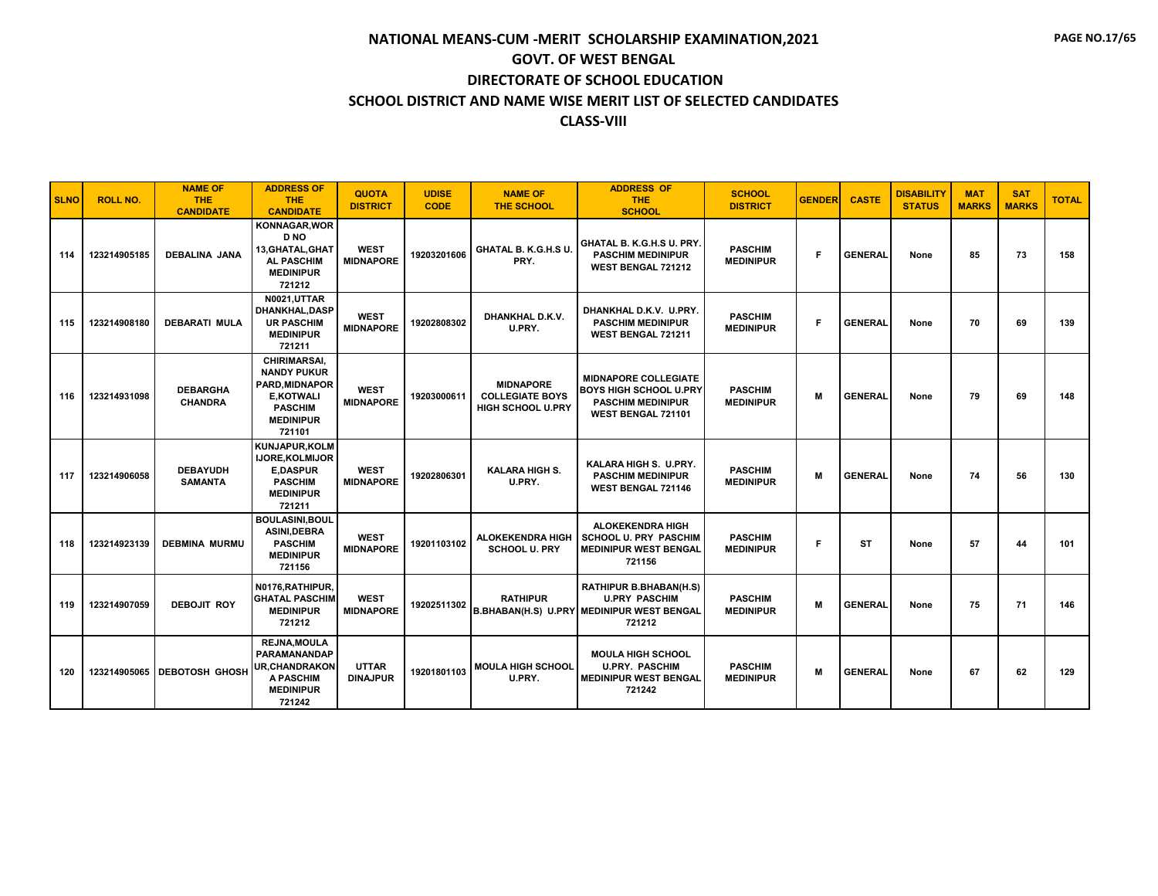| <b>SLNO</b> | <b>ROLL NO.</b> | <b>NAME OF</b><br><b>THE</b><br><b>CANDIDATE</b> | <b>ADDRESS OF</b><br><b>THE</b><br><b>CANDIDATE</b>                                                                            | <b>QUOTA</b><br><b>DISTRICT</b> | <b>UDISE</b><br><b>CODE</b> | <b>NAME OF</b><br><b>THE SCHOOL</b>                             | <b>ADDRESS OF</b><br><b>THE</b><br><b>SCHOOL</b>                                                               | <b>SCHOOL</b><br><b>DISTRICT</b>   | <b>GENDER</b> | <b>CASTE</b>   | <b>DISABILITY</b><br><b>STATUS</b> | <b>MAT</b><br><b>MARKS</b> | <b>SAT</b><br><b>MARKS</b> | <b>TOTAL</b> |
|-------------|-----------------|--------------------------------------------------|--------------------------------------------------------------------------------------------------------------------------------|---------------------------------|-----------------------------|-----------------------------------------------------------------|----------------------------------------------------------------------------------------------------------------|------------------------------------|---------------|----------------|------------------------------------|----------------------------|----------------------------|--------------|
| 114         | 123214905185    | <b>DEBALINA JANA</b>                             | <b>KONNAGAR, WOR</b><br><b>DNO</b><br>13, GHATAL, GHAT<br><b>AL PASCHIM</b><br><b>MEDINIPUR</b><br>721212                      | <b>WEST</b><br><b>MIDNAPORE</b> | 19203201606                 | GHATAL B. K.G.H.S U.<br>PRY.                                    | GHATAL B. K.G.H.S U. PRY.<br><b>PASCHIM MEDINIPUR</b><br><b>WEST BENGAL 721212</b>                             | <b>PASCHIM</b><br><b>MEDINIPUR</b> | F             | <b>GENERAL</b> | None                               | 85                         | 73                         | 158          |
| 115         | 123214908180    | <b>DEBARATI MULA</b>                             | <b>N0021,UTTAR</b><br><b>DHANKHAL.DASP</b><br><b>UR PASCHIM</b><br><b>MEDINIPUR</b><br>721211                                  | <b>WEST</b><br><b>MIDNAPORE</b> | 19202808302                 | DHANKHAL D.K.V.<br>U.PRY.                                       | DHANKHAL D.K.V. U.PRY.<br><b>PASCHIM MEDINIPUR</b><br><b>WEST BENGAL 721211</b>                                | <b>PASCHIM</b><br><b>MEDINIPUR</b> | F             | <b>GENERAL</b> | None                               | 70                         | 69                         | 139          |
| 116         | 123214931098    | <b>DEBARGHA</b><br><b>CHANDRA</b>                | CHIRIMARSAI,<br><b>NANDY PUKUR</b><br><b>PARD.MIDNAPOR</b><br><b>E.KOTWALI</b><br><b>PASCHIM</b><br><b>MEDINIPUR</b><br>721101 | <b>WEST</b><br><b>MIDNAPORE</b> | 19203000611                 | <b>MIDNAPORE</b><br><b>COLLEGIATE BOYS</b><br>HIGH SCHOOL U.PRY | <b>MIDNAPORE COLLEGIATE</b><br><b>BOYS HIGH SCHOOL U.PRY</b><br><b>PASCHIM MEDINIPUR</b><br>WEST BENGAL 721101 | <b>PASCHIM</b><br><b>MEDINIPUR</b> | M             | <b>GENERAL</b> | None                               | 79                         | 69                         | 148          |
| 117         | 123214906058    | <b>DEBAYUDH</b><br><b>SAMANTA</b>                | KUNJAPUR, KOLM<br>IJORE, KOLMIJOR<br><b>E,DASPUR</b><br><b>PASCHIM</b><br><b>MEDINIPUR</b><br>721211                           | <b>WEST</b><br><b>MIDNAPORE</b> | 19202806301                 | <b>KALARA HIGH S.</b><br>U.PRY.                                 | KALARA HIGH S. U.PRY.<br><b>PASCHIM MEDINIPUR</b><br><b>WEST BENGAL 721146</b>                                 | <b>PASCHIM</b><br><b>MEDINIPUR</b> | м             | <b>GENERAL</b> | None                               | 74                         | 56                         | 130          |
| 118         | 123214923139    | <b>DEBMINA MURMU</b>                             | <b>BOULASINI,BOUL</b><br><b>ASINI.DEBRA</b><br><b>PASCHIM</b><br><b>MEDINIPUR</b><br>721156                                    | <b>WEST</b><br><b>MIDNAPORE</b> | 19201103102                 | <b>ALOKEKENDRA HIGH</b><br><b>SCHOOL U. PRY</b>                 | ALOKEKENDRA HIGH<br><b>SCHOOL U. PRY PASCHIM</b><br><b>MEDINIPUR WEST BENGAL</b><br>721156                     | <b>PASCHIM</b><br><b>MEDINIPUR</b> | F             | <b>ST</b>      | None                               | 57                         | 44                         | 101          |
| 119         | 123214907059    | <b>DEBOJIT ROY</b>                               | N0176.RATHIPUR.<br><b>GHATAL PASCHIM</b><br><b>MEDINIPUR</b><br>721212                                                         | <b>WEST</b><br><b>MIDNAPORE</b> | 19202511302                 | <b>RATHIPUR</b>                                                 | RATHIPUR B.BHABAN(H.S)<br><b>U.PRY PASCHIM</b><br><b>B.BHABAN(H.S) U.PRY MEDINIPUR WEST BENGAL</b><br>721212   | <b>PASCHIM</b><br><b>MEDINIPUR</b> | M             | <b>GENERAL</b> | None                               | 75                         | 71                         | 146          |
| 120         |                 | 123214905065   DEBOTOSH GHOSH                    | <b>REJNA.MOULA</b><br><b>PARAMANANDAP</b><br><b>UR.CHANDRAKON</b><br><b>A PASCHIM</b><br><b>MEDINIPUR</b><br>721242            | <b>UTTAR</b><br><b>DINAJPUR</b> | 19201801103                 | <b>MOULA HIGH SCHOOL</b><br>U.PRY.                              | <b>MOULA HIGH SCHOOL</b><br><b>U.PRY. PASCHIM</b><br><b>MEDINIPUR WEST BENGAL</b><br>721242                    | <b>PASCHIM</b><br><b>MEDINIPUR</b> | M             | <b>GENERAL</b> | None                               | 67                         | 62                         | 129          |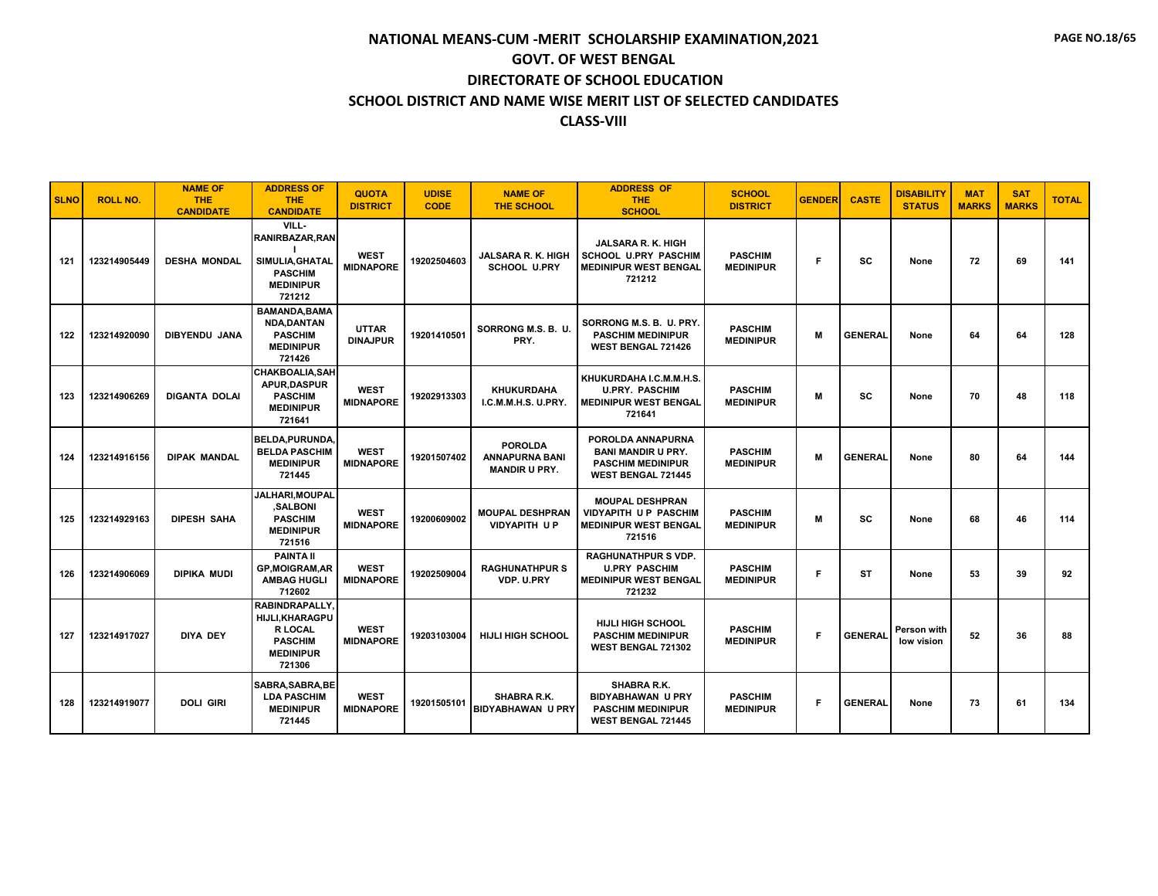| <b>SLNO</b> | <b>ROLL NO.</b> | <b>NAME OF</b><br><b>THE</b><br><b>CANDIDATE</b> | <b>ADDRESS OF</b><br><b>THE</b><br><b>CANDIDATE</b>                                                               | <b>QUOTA</b><br><b>DISTRICT</b> | <b>UDISE</b><br><b>CODE</b> | <b>NAME OF</b><br><b>THE SCHOOL</b>                             | <b>ADDRESS OF</b><br>THE.<br><b>SCHOOL</b>                                                              | <b>SCHOOL</b><br><b>DISTRICT</b>   | <b>GENDER</b> | <b>CASTE</b>   | <b>DISABILITY</b><br><b>STATUS</b> | <b>MAT</b><br><b>MARKS</b> | <b>SAT</b><br><b>MARKS</b> | <b>TOTAL</b> |
|-------------|-----------------|--------------------------------------------------|-------------------------------------------------------------------------------------------------------------------|---------------------------------|-----------------------------|-----------------------------------------------------------------|---------------------------------------------------------------------------------------------------------|------------------------------------|---------------|----------------|------------------------------------|----------------------------|----------------------------|--------------|
| 121         | 123214905449    | <b>DESHA MONDAL</b>                              | VILL-<br>RANIRBAZAR, RAN<br>SIMULIA, GHATAL<br><b>PASCHIM</b><br><b>MEDINIPUR</b><br>721212                       | <b>WEST</b><br><b>MIDNAPORE</b> | 19202504603                 | <b>JALSARA R. K. HIGH</b><br>SCHOOL U.PRY                       | <b>JALSARA R. K. HIGH</b><br><b>SCHOOL U.PRY PASCHIM</b><br><b>MEDINIPUR WEST BENGAL</b><br>721212      | <b>PASCHIM</b><br><b>MEDINIPUR</b> | F             | <b>SC</b>      | None                               | 72                         | 69                         | 141          |
| 122         | 123214920090    | <b>DIBYENDU JANA</b>                             | <b>BAMANDA, BAMA</b><br><b>NDA.DANTAN</b><br><b>PASCHIM</b><br><b>MEDINIPUR</b><br>721426                         | <b>UTTAR</b><br><b>DINAJPUR</b> | 19201410501                 | SORRONG M.S. B. U.<br>PRY.                                      | SORRONG M.S. B. U. PRY.<br><b>PASCHIM MEDINIPUR</b><br><b>WEST BENGAL 721426</b>                        | <b>PASCHIM</b><br><b>MEDINIPUR</b> | М             | <b>GENERAL</b> | None                               | 64                         | 64                         | 128          |
| 123         | 123214906269    | <b>DIGANTA DOLAI</b>                             | <b>CHAKBOALIA.SAH</b><br>APUR, DASPUR<br><b>PASCHIM</b><br><b>MEDINIPUR</b><br>721641                             | <b>WEST</b><br><b>MIDNAPORE</b> | 19202913303                 | <b>KHUKURDAHA</b><br>I.C.M.M.H.S. U.PRY.                        | KHUKURDAHA I.C.M.M.H.S.<br><b>U.PRY. PASCHIM</b><br><b>MEDINIPUR WEST BENGAL</b><br>721641              | <b>PASCHIM</b><br><b>MEDINIPUR</b> | м             | sc             | None                               | 70                         | 48                         | 118          |
| 124         | 123214916156    | <b>DIPAK MANDAL</b>                              | <b>BELDA, PURUNDA</b><br><b>BELDA PASCHIM</b><br><b>MEDINIPUR</b><br>721445                                       | <b>WEST</b><br><b>MIDNAPORE</b> | 19201507402                 | <b>POROLDA</b><br><b>ANNAPURNA BANI</b><br><b>MANDIR U PRY.</b> | POROLDA ANNAPURNA<br><b>BANI MANDIR U PRY.</b><br><b>PASCHIM MEDINIPUR</b><br><b>WEST BENGAL 721445</b> | <b>PASCHIM</b><br><b>MEDINIPUR</b> | М             | <b>GENERAL</b> | None                               | 80                         | 64                         | 144          |
| 125         | 123214929163    | <b>DIPESH SAHA</b>                               | JALHARI, MOUPAL<br>.SALBONI<br><b>PASCHIM</b><br><b>MEDINIPUR</b><br>721516                                       | <b>WEST</b><br><b>MIDNAPORE</b> | 19200609002                 | <b>MOUPAL DESHPRAN</b><br><b>VIDYAPITH UP</b>                   | <b>MOUPAL DESHPRAN</b><br><b>VIDYAPITH UP PASCHIM</b><br><b>MEDINIPUR WEST BENGAL</b><br>721516         | <b>PASCHIM</b><br><b>MEDINIPUR</b> | M             | <b>SC</b>      | None                               | 68                         | 46                         | 114          |
| 126         | 123214906069    | <b>DIPIKA MUDI</b>                               | <b>PAINTA II</b><br><b>GP.MOIGRAM.AR</b><br><b>AMBAG HUGLI</b><br>712602                                          | <b>WEST</b><br><b>MIDNAPORE</b> | 19202509004                 | <b>RAGHUNATHPUR S</b><br>VDP. U.PRY                             | <b>RAGHUNATHPUR S VDP.</b><br><b>U.PRY PASCHIM</b><br><b>MEDINIPUR WEST BENGAL</b><br>721232            | <b>PASCHIM</b><br><b>MEDINIPUR</b> | F             | <b>ST</b>      | None                               | 53                         | 39                         | 92           |
| 127         | 123214917027    | <b>DIYA DEY</b>                                  | <b>RABINDRAPALLY.</b><br><b>HIJLI, KHARAGPU</b><br><b>R LOCAL</b><br><b>PASCHIM</b><br><b>MEDINIPUR</b><br>721306 | <b>WEST</b><br><b>MIDNAPORE</b> | 19203103004                 | <b>HIJLI HIGH SCHOOL</b>                                        | <b>HIJLI HIGH SCHOOL</b><br><b>PASCHIM MEDINIPUR</b><br>WEST BENGAL 721302                              | <b>PASCHIM</b><br><b>MEDINIPUR</b> | F.            | <b>GENERAL</b> | Person with<br>low vision          | 52                         | 36                         | 88           |
| 128         | 123214919077    | <b>DOLI GIRI</b>                                 | SABRA, SABRA, BE<br><b>LDA PASCHIM</b><br><b>MEDINIPUR</b><br>721445                                              | <b>WEST</b><br><b>MIDNAPORE</b> | 19201505101                 | SHABRA R.K.<br><b>BIDYABHAWAN U PRY</b>                         | SHABRA R.K.<br><b>BIDYABHAWAN U PRY</b><br><b>PASCHIM MEDINIPUR</b><br><b>WEST BENGAL 721445</b>        | <b>PASCHIM</b><br><b>MEDINIPUR</b> | F.            | <b>GENERAL</b> | None                               | 73                         | 61                         | 134          |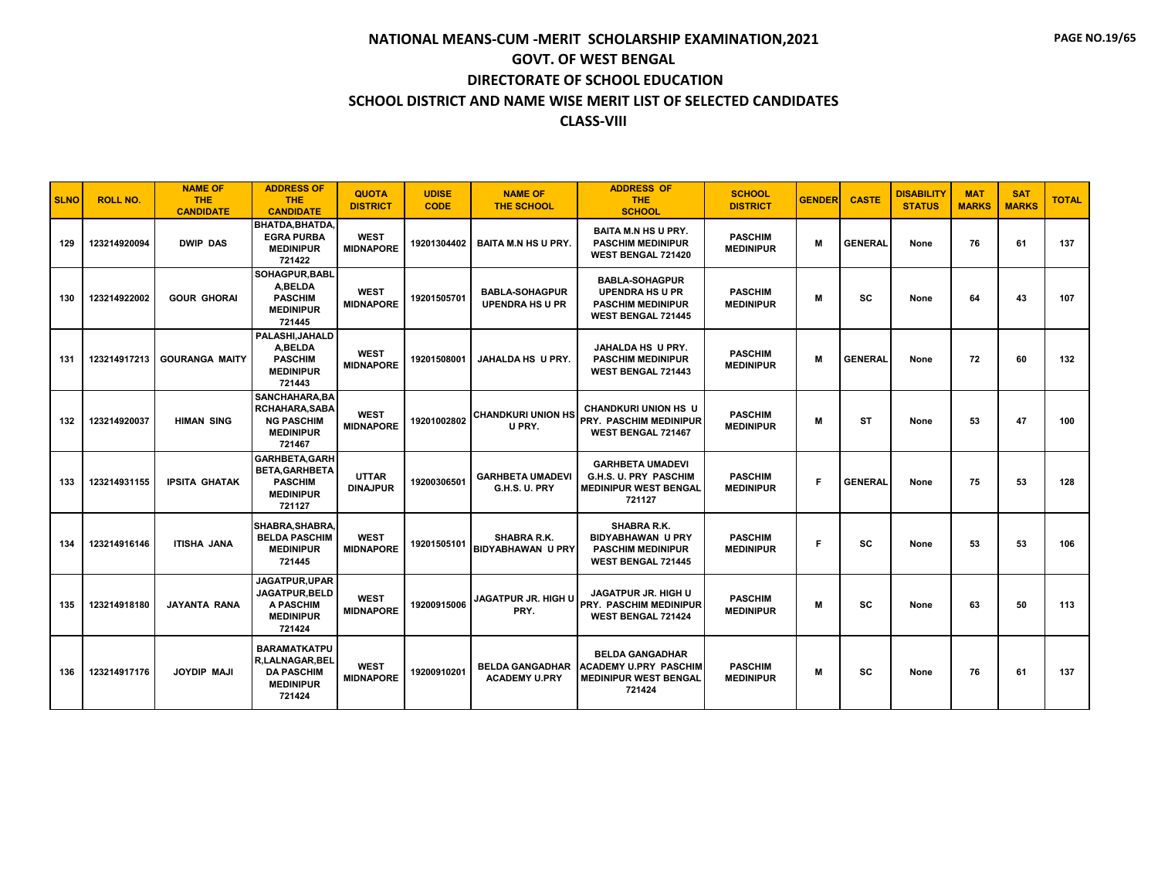| <b>SLNO</b> | <b>ROLL NO.</b> | <b>NAME OF</b><br><b>THE</b><br><b>CANDIDATE</b> | <b>ADDRESS OF</b><br><b>THE</b><br><b>CANDIDATE</b>                                          | <b>QUOTA</b><br><b>DISTRICT</b> | <b>UDISE</b><br><b>CODE</b> | <b>NAME OF</b><br><b>THE SCHOOL</b>             | <b>ADDRESS OF</b><br><b>THE</b><br><b>SCHOOL</b>                                                         | <b>SCHOOL</b><br><b>DISTRICT</b>   | <b>GENDER</b> | <b>CASTE</b>   | <b>DISABILITY</b><br><b>STATUS</b> | <b>MAT</b><br><b>MARKS</b> | <b>SAT</b><br><b>MARKS</b> | <b>TOTAL</b> |
|-------------|-----------------|--------------------------------------------------|----------------------------------------------------------------------------------------------|---------------------------------|-----------------------------|-------------------------------------------------|----------------------------------------------------------------------------------------------------------|------------------------------------|---------------|----------------|------------------------------------|----------------------------|----------------------------|--------------|
| 129         | 123214920094    | <b>DWIP DAS</b>                                  | BHATDA.BHATDA.<br><b>EGRA PURBA</b><br><b>MEDINIPUR</b><br>721422                            | <b>WEST</b><br><b>MIDNAPORE</b> | 19201304402                 | <b>BAITA M.N HS U PRY.</b>                      | <b>BAITA M.N HS U PRY.</b><br><b>PASCHIM MEDINIPUR</b><br><b>WEST BENGAL 721420</b>                      | <b>PASCHIM</b><br><b>MEDINIPUR</b> | M             | <b>GENERAL</b> | None                               | 76                         | 61                         | 137          |
| 130         | 123214922002    | <b>GOUR GHORAI</b>                               | SOHAGPUR.BABL<br>A.BELDA<br><b>PASCHIM</b><br><b>MEDINIPUR</b><br>721445                     | <b>WEST</b><br><b>MIDNAPORE</b> | 19201505701                 | <b>BABLA-SOHAGPUR</b><br><b>UPENDRA HS U PR</b> | <b>BABLA-SOHAGPUR</b><br><b>UPENDRA HS U PR</b><br><b>PASCHIM MEDINIPUR</b><br><b>WEST BENGAL 721445</b> | <b>PASCHIM</b><br><b>MEDINIPUR</b> | M             | SC             | None                               | 64                         | 43                         | 107          |
| 131         | 123214917213    | <b>GOURANGA MAITY</b>                            | PALASHI.JAHALD<br>A.BELDA<br><b>PASCHIM</b><br><b>MEDINIPUR</b><br>721443                    | <b>WEST</b><br><b>MIDNAPORE</b> | 19201508001                 | <b>JAHALDA HS U PRY.</b>                        | JAHALDA HS U PRY.<br><b>PASCHIM MEDINIPUR</b><br>WEST BENGAL 721443                                      | <b>PASCHIM</b><br><b>MEDINIPUR</b> | M             | <b>GENERAL</b> | None                               | 72                         | 60                         | 132          |
| 132         | 123214920037    | <b>HIMAN SING</b>                                | SANCHAHARA.BA<br><b>RCHAHARA.SABA</b><br><b>NG PASCHIM</b><br><b>MEDINIPUR</b><br>721467     | <b>WEST</b><br><b>MIDNAPORE</b> | 19201002802                 | <b>CHANDKURI UNION HS</b><br>U PRY.             | <b>CHANDKURI UNION HS U</b><br><b>PRY. PASCHIM MEDINIPUR</b><br>WEST BENGAL 721467                       | <b>PASCHIM</b><br><b>MEDINIPUR</b> | M             | <b>ST</b>      | None                               | 53                         | 47                         | 100          |
| 133         | 123214931155    | <b>IPSITA GHATAK</b>                             | <b>GARHBETA.GARH</b><br><b>BETA.GARHBETA</b><br><b>PASCHIM</b><br><b>MEDINIPUR</b><br>721127 | <b>UTTAR</b><br><b>DINAJPUR</b> | 19200306501                 | <b>GARHBETA UMADEVI</b><br>G.H.S. U. PRY        | <b>GARHBETA UMADEVI</b><br>G.H.S. U. PRY PASCHIM<br><b>MEDINIPUR WEST BENGAL</b><br>721127               | <b>PASCHIM</b><br><b>MEDINIPUR</b> | F             | <b>GENERAL</b> | None                               | 75                         | 53                         | 128          |
| 134         | 123214916146    | ITISHA JANA                                      | <b>SHABRA.SHABRA</b><br><b>BELDA PASCHIM</b><br><b>MEDINIPUR</b><br>721445                   | <b>WEST</b><br><b>MIDNAPORE</b> | 19201505101                 | SHABRA R.K.<br><b>BIDYABHAWAN U PRY</b>         | <b>SHABRA R.K.</b><br><b>BIDYABHAWAN U PRY</b><br><b>PASCHIM MEDINIPUR</b><br><b>WEST BENGAL 721445</b>  | <b>PASCHIM</b><br><b>MEDINIPUR</b> | F             | SC             | None                               | 53                         | 53                         | 106          |
| 135         | 123214918180    | <b>JAYANTA RANA</b>                              | JAGATPUR.UPAR<br><b>JAGATPUR.BELD</b><br><b>A PASCHIM</b><br><b>MEDINIPUR</b><br>721424      | <b>WEST</b><br><b>MIDNAPORE</b> | 19200915006                 | <b>JAGATPUR JR. HIGH U</b><br>PRY.              | <b>JAGATPUR JR. HIGH U</b><br>PRY. PASCHIM MEDINIPUR<br><b>WEST BENGAL 721424</b>                        | <b>PASCHIM</b><br><b>MEDINIPUR</b> | M             | SC             | None                               | 63                         | 50                         | 113          |
| 136         | 123214917176    | <b>JOYDIP MAJI</b>                               | <b>BARAMATKATPU</b><br>R.LALNAGAR.BEL<br><b>DA PASCHIM</b><br><b>MEDINIPUR</b><br>721424     | <b>WEST</b><br><b>MIDNAPORE</b> | 19200910201                 | <b>BELDA GANGADHAR</b><br><b>ACADEMY U.PRY</b>  | <b>BELDA GANGADHAR</b><br><b>ACADEMY U.PRY PASCHIM</b><br><b>MEDINIPUR WEST BENGAL</b><br>721424         | <b>PASCHIM</b><br><b>MEDINIPUR</b> | M             | SC             | None                               | 76                         | 61                         | 137          |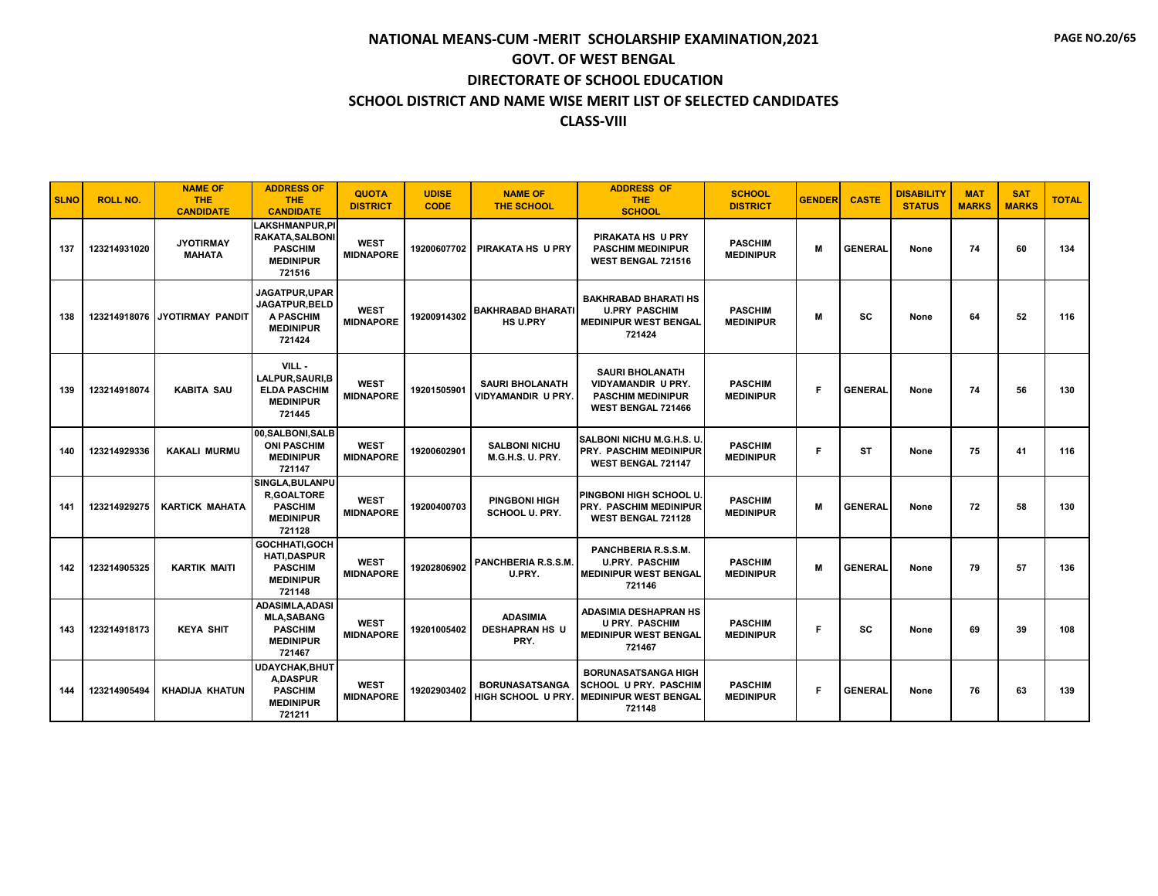| <b>SLNO</b> | <b>ROLL NO.</b> | <b>NAME OF</b><br><b>THE</b><br><b>CANDIDATE</b> | <b>ADDRESS OF</b><br><b>THE</b><br><b>CANDIDATE</b>                                             | <b>QUOTA</b><br><b>DISTRICT</b> | <b>UDISE</b><br><b>CODE</b> | <b>NAME OF</b><br><b>THE SCHOOL</b>                 | <b>ADDRESS OF</b><br><b>THE</b><br><b>SCHOOL</b>                                                      | <b>SCHOOL</b><br><b>DISTRICT</b>   | <b>GENDER</b> | <b>CASTE</b>   | <b>DISABILITY</b><br><b>STATUS</b> | <b>MAT</b><br><b>MARKS</b> | <b>SAT</b><br><b>MARKS</b> | <b>TOTAL</b> |
|-------------|-----------------|--------------------------------------------------|-------------------------------------------------------------------------------------------------|---------------------------------|-----------------------------|-----------------------------------------------------|-------------------------------------------------------------------------------------------------------|------------------------------------|---------------|----------------|------------------------------------|----------------------------|----------------------------|--------------|
| 137         | 123214931020    | <b>JYOTIRMAY</b><br><b>MAHATA</b>                | <b>LAKSHMANPUR,PI</b><br><b>RAKATA, SALBONI</b><br><b>PASCHIM</b><br><b>MEDINIPUR</b><br>721516 | <b>WEST</b><br><b>MIDNAPORE</b> | 19200607702                 | PIRAKATA HS U PRY                                   | PIRAKATA HS U PRY<br><b>PASCHIM MEDINIPUR</b><br><b>WEST BENGAL 721516</b>                            | <b>PASCHIM</b><br><b>MEDINIPUR</b> | M             | <b>GENERAL</b> | None                               | 74                         | 60                         | 134          |
| 138         |                 | 123214918076 JYOTIRMAY PANDIT                    | JAGATPUR, UPAR<br>JAGATPUR, BELD<br><b>A PASCHIM</b><br><b>MEDINIPUR</b><br>721424              | <b>WEST</b><br><b>MIDNAPORE</b> | 19200914302                 | <b>BAKHRABAD BHARATI</b><br><b>HS U.PRY</b>         | <b>BAKHRABAD BHARATI HS</b><br><b>U.PRY PASCHIM</b><br><b>MEDINIPUR WEST BENGAL</b><br>721424         | <b>PASCHIM</b><br><b>MEDINIPUR</b> | M             | SC             | None                               | 64                         | 52                         | 116          |
| 139         | 123214918074    | <b>KABITA SAU</b>                                | VILL -<br>LALPUR, SAURI, B<br><b>ELDA PASCHIM</b><br><b>MEDINIPUR</b><br>721445                 | <b>WEST</b><br><b>MIDNAPORE</b> | 19201505901                 | <b>SAURI BHOLANATH</b><br><b>VIDYAMANDIR U PRY.</b> | <b>SAURI BHOLANATH</b><br>VIDYAMANDIR U PRY.<br><b>PASCHIM MEDINIPUR</b><br><b>WEST BENGAL 721466</b> | <b>PASCHIM</b><br><b>MEDINIPUR</b> | F             | <b>GENERAL</b> | None                               | 74                         | 56                         | 130          |
| 140         | 123214929336    | <b>KAKALI MURMU</b>                              | 00, SALBONI, SALB<br><b>ONI PASCHIM</b><br><b>MEDINIPUR</b><br>721147                           | <b>WEST</b><br><b>MIDNAPORE</b> | 19200602901                 | <b>SALBONI NICHU</b><br><b>M.G.H.S. U. PRY.</b>     | SALBONI NICHU M.G.H.S. U.<br><b>PRY. PASCHIM MEDINIPUR</b><br><b>WEST BENGAL 721147</b>               | <b>PASCHIM</b><br><b>MEDINIPUR</b> | F             | <b>ST</b>      | None                               | 75                         | 41                         | 116          |
| 141         | 123214929275    | <b>KARTICK MAHATA</b>                            | SINGLA, BULANPU<br><b>R.GOALTORE</b><br><b>PASCHIM</b><br><b>MEDINIPUR</b><br>721128            | <b>WEST</b><br><b>MIDNAPORE</b> | 19200400703                 | <b>PINGBONI HIGH</b><br><b>SCHOOL U. PRY.</b>       | PINGBONI HIGH SCHOOL U.<br><b>PRY. PASCHIM MEDINIPUR</b><br>WEST BENGAL 721128                        | <b>PASCHIM</b><br><b>MEDINIPUR</b> | M             | <b>GENERAL</b> | None                               | 72                         | 58                         | 130          |
| 142         | 123214905325    | <b>KARTIK MAITI</b>                              | GOCHHATI.GOCH<br><b>HATI,DASPUR</b><br><b>PASCHIM</b><br><b>MEDINIPUR</b><br>721148             | <b>WEST</b><br><b>MIDNAPORE</b> | 19202806902                 | PANCHBERIA R.S.S.M.<br>U.PRY.                       | PANCHBERIA R.S.S.M.<br><b>U.PRY. PASCHIM</b><br><b>MEDINIPUR WEST BENGAL</b><br>721146                | <b>PASCHIM</b><br><b>MEDINIPUR</b> | M             | <b>GENERAL</b> | None                               | 79                         | 57                         | 136          |
| 143         | 123214918173    | <b>KEYA SHIT</b>                                 | ADASIMLA, ADASI<br><b>MLA,SABANG</b><br><b>PASCHIM</b><br><b>MEDINIPUR</b><br>721467            | <b>WEST</b><br><b>MIDNAPORE</b> | 19201005402                 | <b>ADASIMIA</b><br><b>DESHAPRAN HS U</b><br>PRY.    | <b>ADASIMIA DESHAPRAN HS</b><br><b>U PRY. PASCHIM</b><br><b>MEDINIPUR WEST BENGAL</b><br>721467       | <b>PASCHIM</b><br><b>MEDINIPUR</b> | Е             | SC             | None                               | 69                         | 39                         | 108          |
| 144         | 123214905494    | <b>KHADIJA KHATUN</b>                            | <b>UDAYCHAK.BHUT</b><br><b>A.DASPUR</b><br><b>PASCHIM</b><br><b>MEDINIPUR</b><br>721211         | <b>WEST</b><br><b>MIDNAPORE</b> | 19202903402                 | <b>BORUNASATSANGA</b><br>HIGH SCHOOL U PRY.         | <b>BORUNASATSANGA HIGH</b><br><b>SCHOOL U PRY. PASCHIM</b><br><b>MEDINIPUR WEST BENGAL</b><br>721148  | <b>PASCHIM</b><br><b>MEDINIPUR</b> | F             | <b>GENERAL</b> | None                               | 76                         | 63                         | 139          |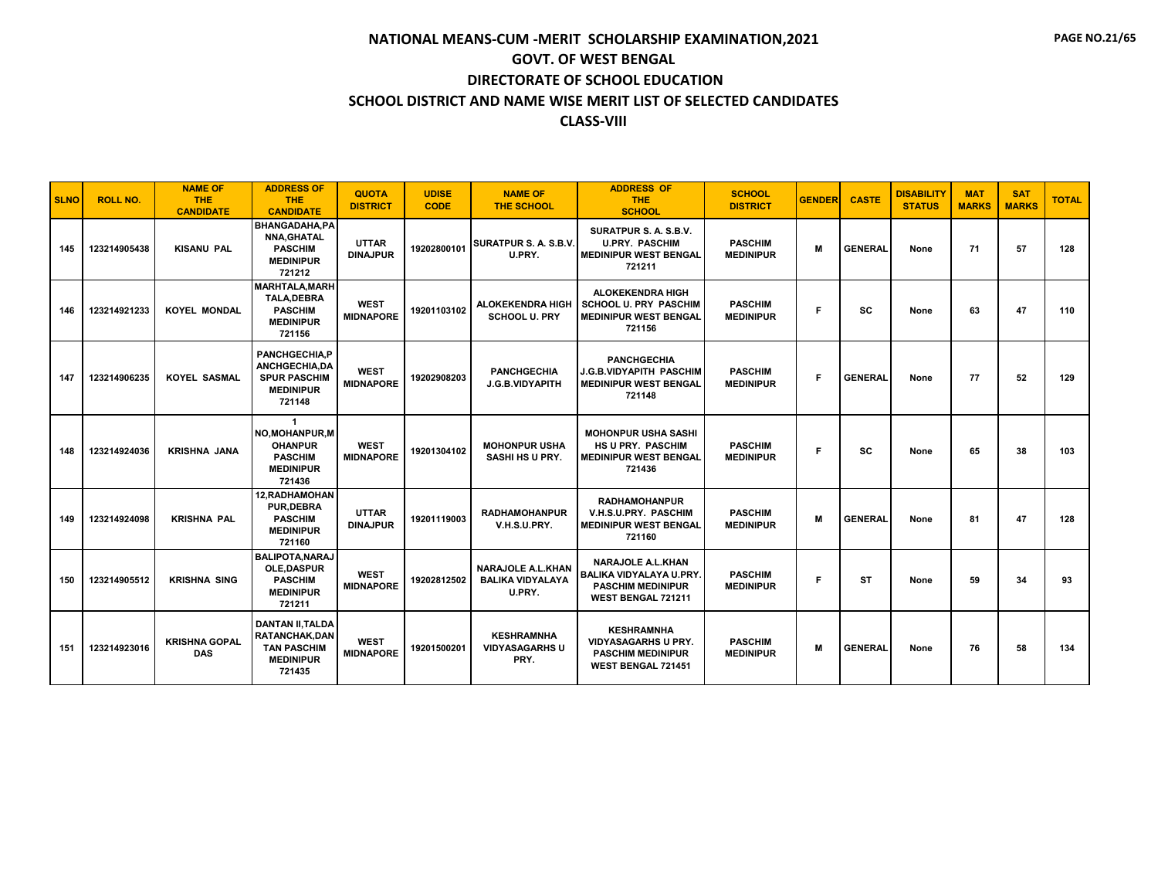| <b>SLNO</b> | <b>ROLL NO.</b> | <b>NAME OF</b><br><b>THE</b><br><b>CANDIDATE</b> | <b>ADDRESS OF</b><br><b>THE</b><br><b>CANDIDATE</b>                                                | <b>QUOTA</b><br><b>DISTRICT</b> | <b>UDISE</b><br><b>CODE</b> | <b>NAME OF</b><br><b>THE SCHOOL</b>                           | <b>ADDRESS OF</b><br><b>THE</b><br><b>SCHOOL</b>                                                             | <b>SCHOOL</b><br><b>DISTRICT</b>   | <b>GENDER</b> | <b>CASTE</b>   | <b>DISABILITY</b><br><b>STATUS</b> | <b>MAT</b><br><b>MARKS</b> | <b>SAT</b><br><b>MARKS</b> | <b>TOTAL</b> |
|-------------|-----------------|--------------------------------------------------|----------------------------------------------------------------------------------------------------|---------------------------------|-----------------------------|---------------------------------------------------------------|--------------------------------------------------------------------------------------------------------------|------------------------------------|---------------|----------------|------------------------------------|----------------------------|----------------------------|--------------|
| 145         | 123214905438    | <b>KISANU PAL</b>                                | <b>BHANGADAHA.PA</b><br><b>NNA, GHATAL</b><br><b>PASCHIM</b><br><b>MEDINIPUR</b><br>721212         | <b>UTTAR</b><br><b>DINAJPUR</b> | 19202800101                 | SURATPUR S. A. S.B.V.<br>U.PRY.                               | SURATPUR S. A. S.B.V.<br><b>U.PRY. PASCHIM</b><br><b>MEDINIPUR WEST BENGAL</b><br>721211                     | <b>PASCHIM</b><br><b>MEDINIPUR</b> | M             | <b>GENERAL</b> | None                               | 71                         | 57                         | 128          |
| 146         | 123214921233    | <b>KOYEL MONDAL</b>                              | <b>MARHTALA, MARH</b><br><b>TALA,DEBRA</b><br><b>PASCHIM</b><br><b>MEDINIPUR</b><br>721156         | <b>WEST</b><br><b>MIDNAPORE</b> | 19201103102                 | <b>ALOKEKENDRA HIGH</b><br><b>SCHOOL U. PRY</b>               | <b>ALOKEKENDRA HIGH</b><br><b>SCHOOL U. PRY PASCHIM</b><br><b>MEDINIPUR WEST BENGAL</b><br>721156            | <b>PASCHIM</b><br><b>MEDINIPUR</b> | F             | SC             | None                               | 63                         | 47                         | 110          |
| 147         | 123214906235    | <b>KOYEL SASMAL</b>                              | <b>PANCHGECHIA,P</b><br><b>ANCHGECHIA.DA</b><br><b>SPUR PASCHIM</b><br><b>MEDINIPUR</b><br>721148  | <b>WEST</b><br><b>MIDNAPORE</b> | 19202908203                 | <b>PANCHGECHIA</b><br>J.G.B.VIDYAPITH                         | <b>PANCHGECHIA</b><br><b>J.G.B.VIDYAPITH PASCHIM</b><br><b>MEDINIPUR WEST BENGAL</b><br>721148               | <b>PASCHIM</b><br><b>MEDINIPUR</b> | F             | <b>GENERAL</b> | None                               | 77                         | 52                         | 129          |
| 148         | 123214924036    | <b>KRISHNA JANA</b>                              | $\overline{1}$<br>NO.MOHANPUR.M<br><b>OHANPUR</b><br><b>PASCHIM</b><br><b>MEDINIPUR</b><br>721436  | <b>WEST</b><br><b>MIDNAPORE</b> | 19201304102                 | <b>MOHONPUR USHA</b><br><b>SASHI HS U PRY.</b>                | <b>MOHONPUR USHA SASHI</b><br><b>HS U PRY. PASCHIM</b><br><b>MEDINIPUR WEST BENGAL</b><br>721436             | <b>PASCHIM</b><br><b>MEDINIPUR</b> | F             | <b>SC</b>      | None                               | 65                         | 38                         | 103          |
| 149         | 123214924098    | <b>KRISHNA PAL</b>                               | 12, RADHAMOHAN<br><b>PUR.DEBRA</b><br><b>PASCHIM</b><br><b>MEDINIPUR</b><br>721160                 | <b>UTTAR</b><br><b>DINAJPUR</b> | 19201119003                 | <b>RADHAMOHANPUR</b><br>V.H.S.U.PRY.                          | <b>RADHAMOHANPUR</b><br>V.H.S.U.PRY. PASCHIM<br><b>MEDINIPUR WEST BENGAL</b><br>721160                       | <b>PASCHIM</b><br><b>MEDINIPUR</b> | M             | <b>GENERAL</b> | None                               | 81                         | 47                         | 128          |
| 150         | 123214905512    | <b>KRISHNA SING</b>                              | <b>BALIPOTA, NARAJ</b><br><b>OLE.DASPUR</b><br><b>PASCHIM</b><br><b>MEDINIPUR</b><br>721211        | <b>WEST</b><br><b>MIDNAPORE</b> | 19202812502                 | <b>NARAJOLE A.L.KHAN</b><br><b>BALIKA VIDYALAYA</b><br>U.PRY. | <b>NARAJOLE A.L.KHAN</b><br><b>BALIKA VIDYALAYA U.PRY.</b><br><b>PASCHIM MEDINIPUR</b><br>WEST BENGAL 721211 | <b>PASCHIM</b><br><b>MEDINIPUR</b> | F             | ST             | None                               | 59                         | 34                         | 93           |
| 151         | 123214923016    | <b>KRISHNA GOPAL</b><br><b>DAS</b>               | <b>DANTAN II.TALDA</b><br><b>RATANCHAK.DAN</b><br><b>TAN PASCHIM</b><br><b>MEDINIPUR</b><br>721435 | <b>WEST</b><br><b>MIDNAPORE</b> | 19201500201                 | <b>KESHRAMNHA</b><br><b>VIDYASAGARHS U</b><br>PRY.            | <b>KESHRAMNHA</b><br><b>VIDYASAGARHS U PRY.</b><br><b>PASCHIM MEDINIPUR</b><br><b>WEST BENGAL 721451</b>     | <b>PASCHIM</b><br><b>MEDINIPUR</b> | M             | <b>GENERAL</b> | None                               | 76                         | 58                         | 134          |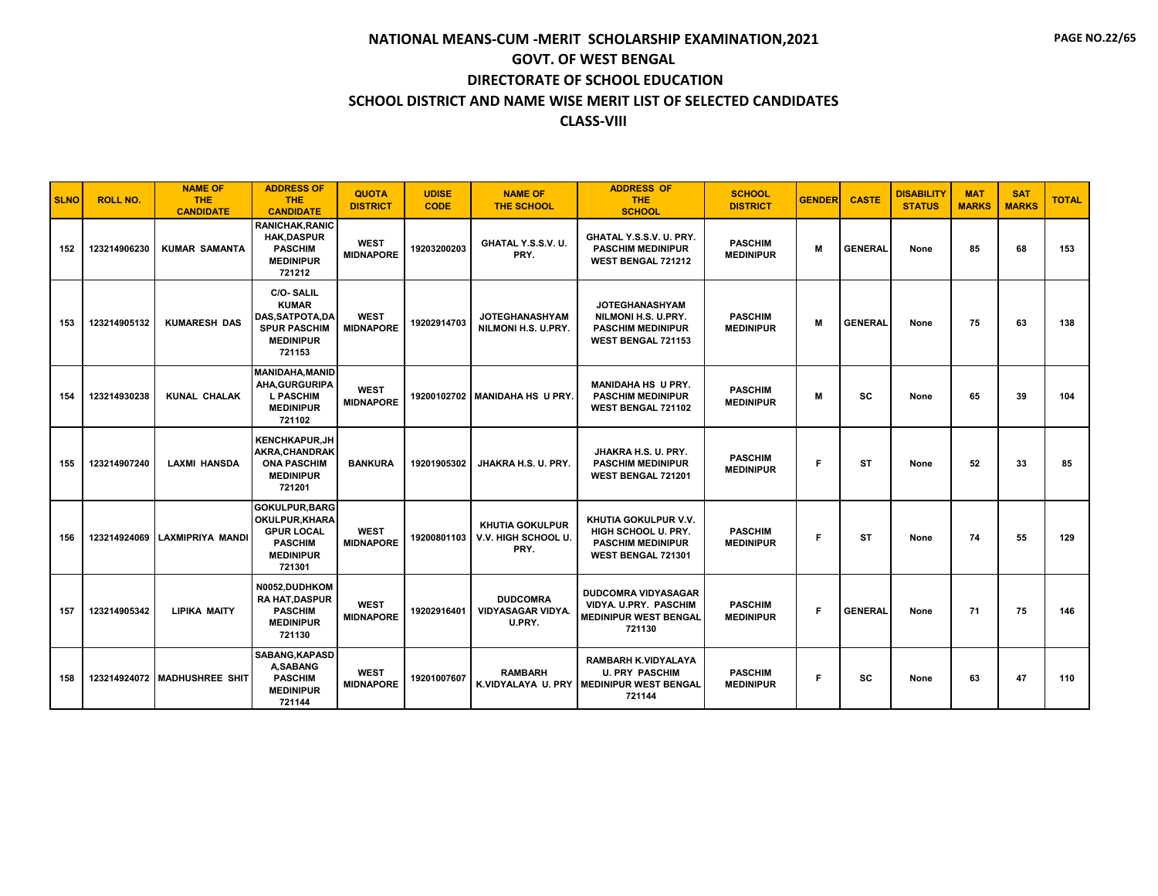| <b>SLNO</b> | <b>ROLL NO.</b> | <b>NAME OF</b><br><b>THE</b><br><b>CANDIDATE</b> | <b>ADDRESS OF</b><br><b>THE</b><br><b>CANDIDATE</b>                                                            | <b>QUOTA</b><br><b>DISTRICT</b> | <b>UDISE</b><br><b>CODE</b> | <b>NAME OF</b><br><b>THE SCHOOL</b>                   | <b>ADDRESS OF</b><br><b>THE</b><br><b>SCHOOL</b>                                                     | <b>SCHOOL</b><br><b>DISTRICT</b>   | <b>GENDER</b> | <b>CASTE</b>   | <b>DISABILITY</b><br><b>STATUS</b> | <b>MAT</b><br><b>MARKS</b> | <b>SAT</b><br><b>MARKS</b> | <b>TOTAL</b> |
|-------------|-----------------|--------------------------------------------------|----------------------------------------------------------------------------------------------------------------|---------------------------------|-----------------------------|-------------------------------------------------------|------------------------------------------------------------------------------------------------------|------------------------------------|---------------|----------------|------------------------------------|----------------------------|----------------------------|--------------|
| 152         | 123214906230    | <b>KUMAR SAMANTA</b>                             | <b>RANICHAK.RANIC</b><br><b>HAK,DASPUR</b><br><b>PASCHIM</b><br><b>MEDINIPUR</b><br>721212                     | <b>WEST</b><br><b>MIDNAPORE</b> | 19203200203                 | GHATAL Y.S.S.V. U.<br>PRY.                            | GHATAL Y.S.S.V. U. PRY.<br><b>PASCHIM MEDINIPUR</b><br><b>WEST BENGAL 721212</b>                     | <b>PASCHIM</b><br><b>MEDINIPUR</b> | M             | <b>GENERAL</b> | None                               | 85                         | 68                         | 153          |
| 153         | 123214905132    | <b>KUMARESH DAS</b>                              | <b>C/O-SALIL</b><br><b>KUMAR</b><br><b>DAS.SATPOTA.DA</b><br><b>SPUR PASCHIM</b><br><b>MEDINIPUR</b><br>721153 | <b>WEST</b><br><b>MIDNAPORE</b> | 19202914703                 | <b>JOTEGHANASHYAM</b><br>NILMONI H.S. U.PRY.          | <b>JOTEGHANASHYAM</b><br>NILMONI H.S. U.PRY.<br><b>PASCHIM MEDINIPUR</b><br>WEST BENGAL 721153       | <b>PASCHIM</b><br><b>MEDINIPUR</b> | M             | <b>GENERAL</b> | None                               | 75                         | 63                         | 138          |
| 154         | 123214930238    | <b>KUNAL CHALAK</b>                              | <b>MANIDAHA, MANID</b><br><b>AHA.GURGURIPA</b><br><b>L PASCHIM</b><br><b>MEDINIPUR</b><br>721102               | <b>WEST</b><br><b>MIDNAPORE</b> |                             | 19200102702 MANIDAHA HS U PRY.                        | <b>MANIDAHA HS U PRY.</b><br><b>PASCHIM MEDINIPUR</b><br>WEST BENGAL 721102                          | <b>PASCHIM</b><br><b>MEDINIPUR</b> | M             | <b>SC</b>      | None                               | 65                         | 39                         | 104          |
| 155         | 123214907240    | <b>LAXMI HANSDA</b>                              | <b>KENCHKAPUR,JH</b><br>AKRA.CHANDRAK<br><b>ONA PASCHIM</b><br><b>MEDINIPUR</b><br>721201                      | <b>BANKURA</b>                  | 19201905302                 | JHAKRA H.S. U. PRY.                                   | JHAKRA H.S. U. PRY.<br><b>PASCHIM MEDINIPUR</b><br>WEST BENGAL 721201                                | <b>PASCHIM</b><br><b>MEDINIPUR</b> | F             | <b>ST</b>      | None                               | 52                         | 33                         | 85           |
| 156         |                 | 123214924069 LAXMIPRIYA MANDI                    | <b>GOKULPUR.BARG</b><br>OKULPUR, KHARA<br><b>GPUR LOCAL</b><br><b>PASCHIM</b><br><b>MEDINIPUR</b><br>721301    | <b>WEST</b><br><b>MIDNAPORE</b> | 19200801103                 | <b>KHUTIA GOKULPUR</b><br>V.V. HIGH SCHOOL U.<br>PRY. | KHUTIA GOKULPUR V.V.<br>HIGH SCHOOL U. PRY.<br><b>PASCHIM MEDINIPUR</b><br>WEST BENGAL 721301        | <b>PASCHIM</b><br><b>MEDINIPUR</b> | F.            | <b>ST</b>      | None                               | 74                         | 55                         | 129          |
| 157         | 123214905342    | <b>LIPIKA MAITY</b>                              | N0052.DUDHKOM<br><b>RA HAT, DASPUR</b><br><b>PASCHIM</b><br><b>MEDINIPUR</b><br>721130                         | <b>WEST</b><br><b>MIDNAPORE</b> | 19202916401                 | <b>DUDCOMRA</b><br><b>VIDYASAGAR VIDYA.</b><br>U.PRY. | <b>DUDCOMRA VIDYASAGAR</b><br>VIDYA. U.PRY. PASCHIM<br><b>MEDINIPUR WEST BENGAL</b><br>721130        | <b>PASCHIM</b><br><b>MEDINIPUR</b> | F             | <b>GENERAL</b> | None                               | 71                         | 75                         | 146          |
| 158         |                 | 123214924072 MADHUSHREE SHIT                     | SABANG, KAPASD<br>A.SABANG<br><b>PASCHIM</b><br><b>MEDINIPUR</b><br>721144                                     | <b>WEST</b><br><b>MIDNAPORE</b> | 19201007607                 | <b>RAMBARH</b>                                        | RAMBARH K.VIDYALAYA<br><b>U. PRY PASCHIM</b><br>K.VIDYALAYA U. PRY   MEDINIPUR WEST BENGAL<br>721144 | <b>PASCHIM</b><br><b>MEDINIPUR</b> | F.            | <b>SC</b>      | None                               | 63                         | 47                         | 110          |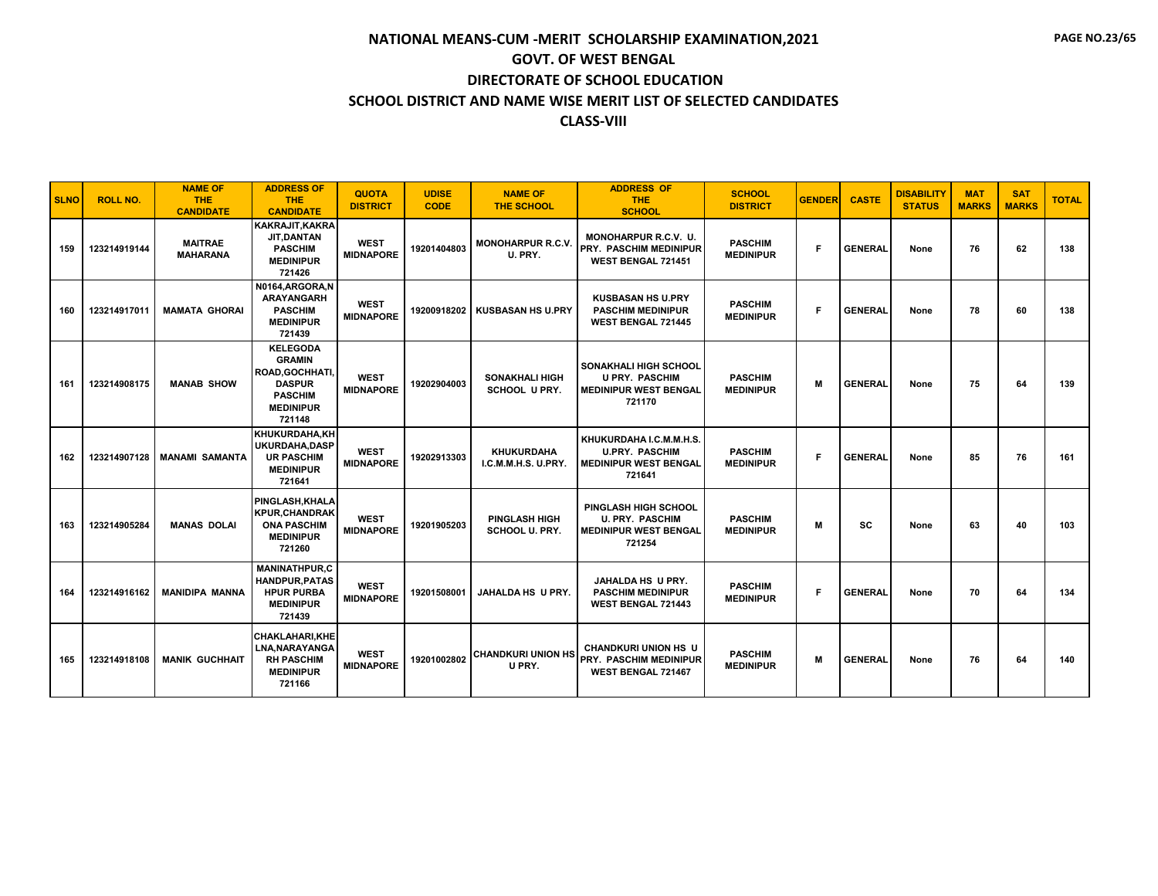| <b>SLNO</b> | <b>ROLL NO.</b> | <b>NAME OF</b><br><b>THE</b><br><b>CANDIDATE</b> | <b>ADDRESS OF</b><br><b>THE</b><br><b>CANDIDATE</b>                                                                  | <b>QUOTA</b><br><b>DISTRICT</b> | <b>UDISE</b><br><b>CODE</b> | <b>NAME OF</b><br><b>THE SCHOOL</b>           | <b>ADDRESS OF</b><br><b>THE</b><br><b>SCHOOL</b>                                                | <b>SCHOOL</b><br><b>DISTRICT</b>   | <b>GENDER</b> | <b>CASTE</b>   | <b>DISABILITY</b><br><b>STATUS</b> | <b>MAT</b><br><b>MARKS</b> | <b>SAT</b><br><b>MARKS</b> | <b>TOTAL</b> |
|-------------|-----------------|--------------------------------------------------|----------------------------------------------------------------------------------------------------------------------|---------------------------------|-----------------------------|-----------------------------------------------|-------------------------------------------------------------------------------------------------|------------------------------------|---------------|----------------|------------------------------------|----------------------------|----------------------------|--------------|
| 159         | 123214919144    | <b>MAITRAE</b><br><b>MAHARANA</b>                | <b>KAKRAJIT, KAKRA</b><br><b>JIT, DANTAN</b><br><b>PASCHIM</b><br><b>MEDINIPUR</b><br>721426                         | <b>WEST</b><br><b>MIDNAPORE</b> | 19201404803                 | <b>MONOHARPUR R.C.V.</b><br>U. PRY.           | MONOHARPUR R.C.V. U.<br><b>PRY. PASCHIM MEDINIPUR</b><br><b>WEST BENGAL 721451</b>              | <b>PASCHIM</b><br><b>MEDINIPUR</b> | F             | <b>GENERAL</b> | None                               | 76                         | 62                         | 138          |
| 160         | 123214917011    | <b>MAMATA GHORAI</b>                             | N0164.ARGORA.N<br><b>ARAYANGARH</b><br><b>PASCHIM</b><br><b>MEDINIPUR</b><br>721439                                  | <b>WEST</b><br><b>MIDNAPORE</b> | 19200918202                 | <b>KUSBASAN HS U.PRY</b>                      | <b>KUSBASAN HS U.PRY</b><br><b>PASCHIM MEDINIPUR</b><br><b>WEST BENGAL 721445</b>               | <b>PASCHIM</b><br><b>MEDINIPUR</b> | F             | <b>GENERAL</b> | None                               | 78                         | 60                         | 138          |
| 161         | 123214908175    | <b>MANAB SHOW</b>                                | <b>KELEGODA</b><br><b>GRAMIN</b><br>ROAD, GOCHHATI,<br><b>DASPUR</b><br><b>PASCHIM</b><br><b>MEDINIPUR</b><br>721148 | <b>WEST</b><br><b>MIDNAPORE</b> | 19202904003                 | <b>SONAKHALI HIGH</b><br><b>SCHOOL U PRY.</b> | <b>SONAKHALI HIGH SCHOOL</b><br><b>U PRY. PASCHIM</b><br><b>MEDINIPUR WEST BENGAL</b><br>721170 | <b>PASCHIM</b><br><b>MEDINIPUR</b> | М             | <b>GENERAL</b> | None                               | 75                         | 64                         | 139          |
| 162         | 123214907128    | <b>MANAMI SAMANTA</b>                            | KHUKURDAHA, KH<br>UKURDAHA.DASP<br><b>UR PASCHIM</b><br><b>MEDINIPUR</b><br>721641                                   | <b>WEST</b><br><b>MIDNAPORE</b> | 19202913303                 | <b>KHUKURDAHA</b><br>I.C.M.M.H.S. U.PRY.      | KHUKURDAHA I.C.M.M.H.S.<br><b>U.PRY. PASCHIM</b><br><b>MEDINIPUR WEST BENGAL</b><br>721641      | <b>PASCHIM</b><br><b>MEDINIPUR</b> | F             | <b>GENERAL</b> | None                               | 85                         | 76                         | 161          |
| 163         | 123214905284    | <b>MANAS DOLAI</b>                               | PINGLASH, KHALA<br><b>KPUR.CHANDRAK</b><br><b>ONA PASCHIM</b><br><b>MEDINIPUR</b><br>721260                          | <b>WEST</b><br><b>MIDNAPORE</b> | 19201905203                 | <b>PINGLASH HIGH</b><br>SCHOOL U. PRY.        | PINGLASH HIGH SCHOOL<br><b>U. PRY. PASCHIM</b><br><b>MEDINIPUR WEST BENGAL</b><br>721254        | <b>PASCHIM</b><br><b>MEDINIPUR</b> | М             | SC             | None                               | 63                         | 40                         | 103          |
| 164         | 123214916162    | <b>MANIDIPA MANNA</b>                            | <b>MANINATHPUR.C</b><br><b>HANDPUR, PATAS</b><br><b>HPUR PURBA</b><br><b>MEDINIPUR</b><br>721439                     | <b>WEST</b><br><b>MIDNAPORE</b> | 19201508001                 | JAHALDA HS U PRY.                             | JAHALDA HS U PRY.<br><b>PASCHIM MEDINIPUR</b><br><b>WEST BENGAL 721443</b>                      | <b>PASCHIM</b><br><b>MEDINIPUR</b> | F             | <b>GENERAL</b> | None                               | 70                         | 64                         | 134          |
| 165         | 123214918108    | <b>MANIK GUCHHAIT</b>                            | <b>CHAKLAHARI, KHE</b><br>LNA, NARAYANGA<br><b>RH PASCHIM</b><br><b>MEDINIPUR</b><br>721166                          | <b>WEST</b><br><b>MIDNAPORE</b> | 19201002802                 | <b>CHANDKURI UNION HS</b><br>U PRY.           | <b>CHANDKURI UNION HS U</b><br><b>PRY. PASCHIM MEDINIPUR</b><br><b>WEST BENGAL 721467</b>       | <b>PASCHIM</b><br><b>MEDINIPUR</b> | М             | <b>GENERAL</b> | None                               | 76                         | 64                         | 140          |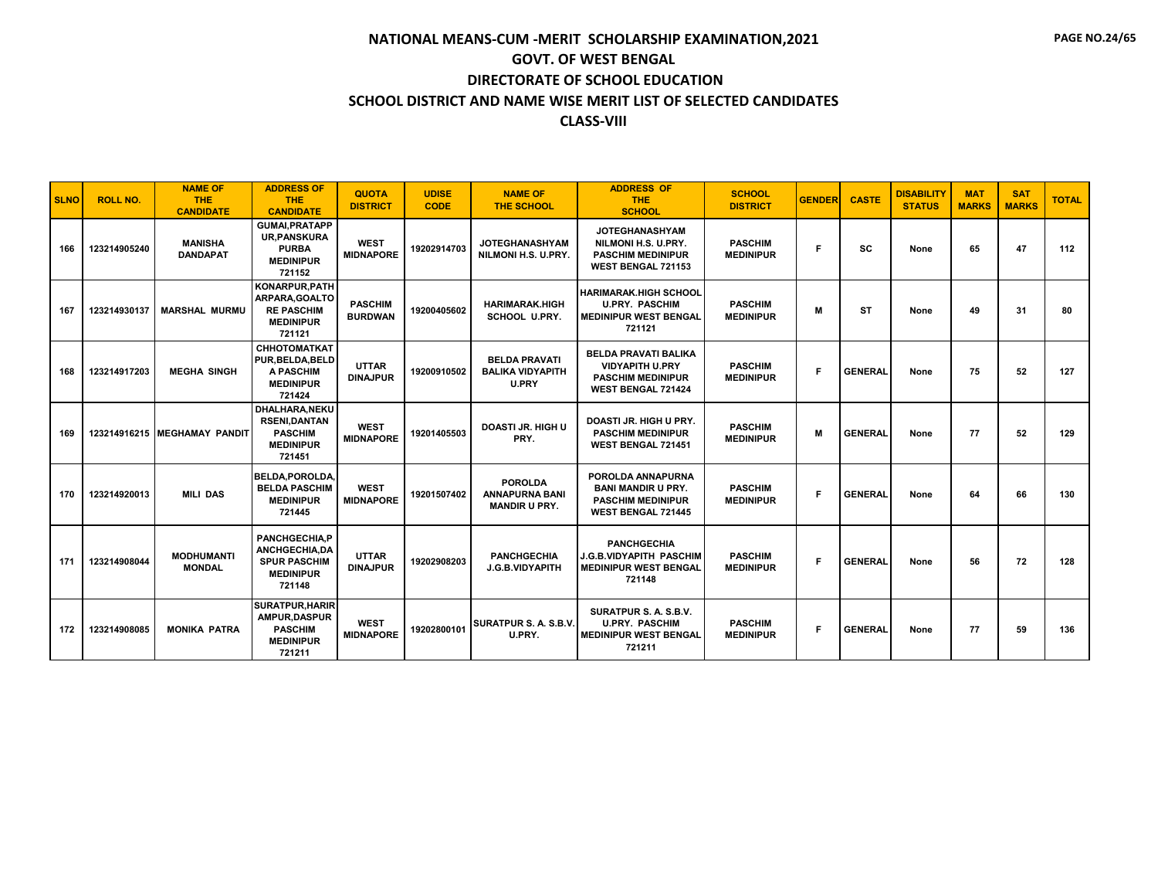| <b>SLNO</b> | <b>ROLL NO.</b> | <b>NAME OF</b><br><b>THE</b>                          | <b>ADDRESS OF</b><br><b>THE</b>                                                                               | <b>QUOTA</b><br><b>DISTRICT</b>  | <b>UDISE</b><br><b>CODE</b> | <b>NAME OF</b><br><b>THE SCHOOL</b>                             | <b>ADDRESS OF</b><br><b>THE</b>                                                                                 | <b>SCHOOL</b><br><b>DISTRICT</b>   | <b>GENDER</b> | <b>CASTE</b>   | <b>DISABILITY</b><br><b>STATUS</b> | <b>MAT</b><br><b>MARKS</b> | <b>SAT</b><br><b>MARKS</b> | <b>TOTAL</b> |
|-------------|-----------------|-------------------------------------------------------|---------------------------------------------------------------------------------------------------------------|----------------------------------|-----------------------------|-----------------------------------------------------------------|-----------------------------------------------------------------------------------------------------------------|------------------------------------|---------------|----------------|------------------------------------|----------------------------|----------------------------|--------------|
| 166         | 123214905240    | <b>CANDIDATE</b><br><b>MANISHA</b><br><b>DANDAPAT</b> | <b>CANDIDATE</b><br><b>GUMAI, PRATAPP</b><br><b>UR.PANSKURA</b><br><b>PURBA</b><br><b>MEDINIPUR</b><br>721152 | <b>WEST</b><br><b>MIDNAPORE</b>  | 19202914703                 | <b>JOTEGHANASHYAM</b><br>NILMONI H.S. U.PRY.                    | <b>SCHOOL</b><br><b>JOTEGHANASHYAM</b><br>NILMONI H.S. U.PRY.<br><b>PASCHIM MEDINIPUR</b><br>WEST BENGAL 721153 | <b>PASCHIM</b><br><b>MEDINIPUR</b> | F             | <b>SC</b>      | None                               | 65                         | 47                         | 112          |
| 167         | 123214930137    | <b>MARSHAL MURMU</b>                                  | <b>KONARPUR.PATH</b><br>ARPARA.GOALTO<br><b>RE PASCHIM</b><br><b>MEDINIPUR</b><br>721121                      | <b>PASCHIM</b><br><b>BURDWAN</b> | 19200405602                 | <b>HARIMARAK.HIGH</b><br><b>SCHOOL U.PRY.</b>                   | <b>HARIMARAK.HIGH SCHOOL</b><br><b>U.PRY. PASCHIM</b><br><b>MEDINIPUR WEST BENGAL</b><br>721121                 | <b>PASCHIM</b><br><b>MEDINIPUR</b> | M             | <b>ST</b>      | None                               | 49                         | 31                         | 80           |
| 168         | 123214917203    | <b>MEGHA SINGH</b>                                    | <b>СННОТОМАТКАТ</b><br>PUR, BELDA, BELD<br><b>A PASCHIM</b><br><b>MEDINIPUR</b><br>721424                     | <b>UTTAR</b><br><b>DINAJPUR</b>  | 19200910502                 | <b>BELDA PRAVATI</b><br><b>BALIKA VIDYAPITH</b><br><b>U.PRY</b> | <b>BELDA PRAVATI BALIKA</b><br><b>VIDYAPITH U.PRY</b><br><b>PASCHIM MEDINIPUR</b><br><b>WEST BENGAL 721424</b>  | <b>PASCHIM</b><br><b>MEDINIPUR</b> | F             | <b>GENERAL</b> | None                               | 75                         | 52                         | 127          |
| 169         |                 | 123214916215 MEGHAMAY PANDIT                          | <b>DHALHARA.NEKU</b><br><b>RSENI.DANTAN</b><br><b>PASCHIM</b><br><b>MEDINIPUR</b><br>721451                   | <b>WEST</b><br><b>MIDNAPORE</b>  | 19201405503                 | <b>DOASTI JR. HIGH U</b><br>PRY.                                | DOASTI JR. HIGH U PRY.<br><b>PASCHIM MEDINIPUR</b><br><b>WEST BENGAL 721451</b>                                 | <b>PASCHIM</b><br><b>MEDINIPUR</b> | M             | <b>GENERAL</b> | None                               | 77                         | 52                         | 129          |
| 170         | 123214920013    | <b>MILI DAS</b>                                       | BELDA.POROLDA<br><b>BELDA PASCHIM</b><br><b>MEDINIPUR</b><br>721445                                           | <b>WEST</b><br><b>MIDNAPORE</b>  | 19201507402                 | <b>POROLDA</b><br><b>ANNAPURNA BANI</b><br><b>MANDIR U PRY.</b> | POROLDA ANNAPURNA<br><b>BANI MANDIR U PRY.</b><br><b>PASCHIM MEDINIPUR</b><br><b>WEST BENGAL 721445</b>         | <b>PASCHIM</b><br><b>MEDINIPUR</b> | F             | <b>GENERAL</b> | None                               | 64                         | 66                         | 130          |
| 171         | 123214908044    | <b>MODHUMANTI</b><br><b>MONDAL</b>                    | PANCHGECHIA,P<br>ANCHGECHIA, DA<br><b>SPUR PASCHIM</b><br><b>MEDINIPUR</b><br>721148                          | <b>UTTAR</b><br><b>DINAJPUR</b>  | 19202908203                 | <b>PANCHGECHIA</b><br>J.G.B.VIDYAPITH                           | <b>PANCHGECHIA</b><br><b>J.G.B.VIDYAPITH PASCHIM</b><br><b>MEDINIPUR WEST BENGAL</b><br>721148                  | <b>PASCHIM</b><br><b>MEDINIPUR</b> | F             | <b>GENERAL</b> | None                               | 56                         | 72                         | 128          |
| 172         | 123214908085    | <b>MONIKA PATRA</b>                                   | <b>SURATPUR, HARIR</b><br><b>AMPUR.DASPUR</b><br><b>PASCHIM</b><br><b>MEDINIPUR</b><br>721211                 | <b>WEST</b><br><b>MIDNAPORE</b>  | 19202800101                 | SURATPUR S. A. S.B.V.<br>U.PRY.                                 | SURATPUR S. A. S.B.V.<br><b>U.PRY. PASCHIM</b><br><b>MEDINIPUR WEST BENGAL</b><br>721211                        | <b>PASCHIM</b><br><b>MEDINIPUR</b> | F.            | <b>GENERAL</b> | None                               | 77                         | 59                         | 136          |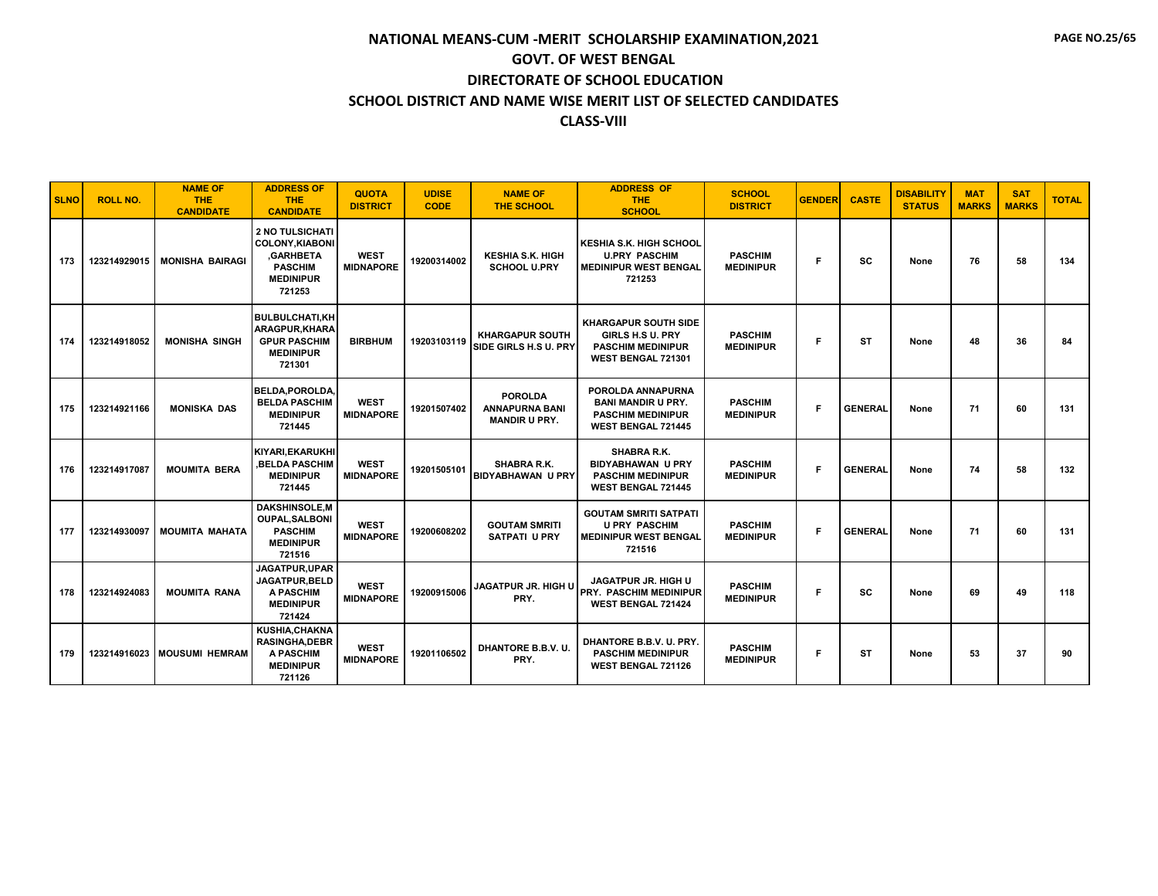| <b>SLNO</b> | <b>ROLL NO.</b> | <b>NAME OF</b><br><b>THE</b><br><b>CANDIDATE</b> | <b>ADDRESS OF</b><br><b>THE</b><br><b>CANDIDATE</b>                                                          | <b>QUOTA</b><br><b>DISTRICT</b> | <b>UDISE</b><br><b>CODE</b> | <b>NAME OF</b><br>THE SCHOOL                                    | <b>ADDRESS OF</b><br><b>THE</b><br><b>SCHOOL</b>                                                        | <b>SCHOOL</b><br><b>DISTRICT</b>   | <b>GENDER</b> | <b>CASTE</b>   | <b>DISABILITY</b><br><b>STATUS</b> | <b>MAT</b><br><b>MARKS</b> | <b>SAT</b><br><b>MARKS</b> | <b>TOTAL</b> |
|-------------|-----------------|--------------------------------------------------|--------------------------------------------------------------------------------------------------------------|---------------------------------|-----------------------------|-----------------------------------------------------------------|---------------------------------------------------------------------------------------------------------|------------------------------------|---------------|----------------|------------------------------------|----------------------------|----------------------------|--------------|
| 173         | 123214929015    | <b>MONISHA BAIRAGI</b>                           | <b>2 NO TULSICHATI</b><br><b>COLONY.KIABONI</b><br>,GARHBETA<br><b>PASCHIM</b><br><b>MEDINIPUR</b><br>721253 | <b>WEST</b><br><b>MIDNAPORE</b> | 19200314002                 | <b>KESHIA S.K. HIGH</b><br><b>SCHOOL U.PRY</b>                  | <b>KESHIA S.K. HIGH SCHOOL</b><br><b>U.PRY PASCHIM</b><br><b>MEDINIPUR WEST BENGAL</b><br>721253        | <b>PASCHIM</b><br><b>MEDINIPUR</b> | F             | sc             | None                               | 76                         | 58                         | 134          |
| 174         | 123214918052    | <b>MONISHA SINGH</b>                             | <b>BULBULCHATI.KH</b><br><b>ARAGPUR.KHARA</b><br><b>GPUR PASCHIM</b><br><b>MEDINIPUR</b><br>721301           | <b>BIRBHUM</b>                  | 19203103119                 | <b>KHARGAPUR SOUTH</b><br>SIDE GIRLS H.S U. PRY                 | <b>KHARGAPUR SOUTH SIDE</b><br>GIRLS H.S U. PRY<br><b>PASCHIM MEDINIPUR</b><br>WEST BENGAL 721301       | <b>PASCHIM</b><br><b>MEDINIPUR</b> | Е             | ST             | None                               | 48                         | 36                         | 84           |
| 175         | 123214921166    | <b>MONISKA DAS</b>                               | <b>BELDA.POROLDA.</b><br><b>BELDA PASCHIM</b><br><b>MEDINIPUR</b><br>721445                                  | <b>WEST</b><br><b>MIDNAPORE</b> | 19201507402                 | <b>POROLDA</b><br><b>ANNAPURNA BANI</b><br><b>MANDIR U PRY.</b> | POROLDA ANNAPURNA<br><b>BANI MANDIR U PRY.</b><br><b>PASCHIM MEDINIPUR</b><br><b>WEST BENGAL 721445</b> | <b>PASCHIM</b><br><b>MEDINIPUR</b> | F             | <b>GENERAL</b> | None                               | 71                         | 60                         | 131          |
| 176         | 123214917087    | <b>MOUMITA BERA</b>                              | KIYARI.EKARUKHI<br><b>BELDA PASCHIM.</b><br><b>MEDINIPUR</b><br>721445                                       | <b>WEST</b><br><b>MIDNAPORE</b> | 19201505101                 | SHABRA R.K.<br><b>BIDYABHAWAN U PRY</b>                         | SHABRA R.K.<br><b>BIDYABHAWAN U PRY</b><br><b>PASCHIM MEDINIPUR</b><br>WEST BENGAL 721445               | <b>PASCHIM</b><br><b>MEDINIPUR</b> | F             | <b>GENERAL</b> | None                               | 74                         | 58                         | 132          |
| 177         | 123214930097    | <b>MOUMITA MAHATA</b>                            | <b>DAKSHINSOLE,M</b><br><b>OUPAL.SALBONI</b><br><b>PASCHIM</b><br><b>MEDINIPUR</b><br>721516                 | <b>WEST</b><br><b>MIDNAPORE</b> | 19200608202                 | <b>GOUTAM SMRITI</b><br><b>SATPATI U PRY</b>                    | <b>GOUTAM SMRITI SATPATI</b><br><b>U PRY PASCHIM</b><br><b>MEDINIPUR WEST BENGAL</b><br>721516          | <b>PASCHIM</b><br><b>MEDINIPUR</b> | F.            | <b>GENERAL</b> | None                               | 71                         | 60                         | 131          |
| 178         | 123214924083    | <b>MOUMITA RANA</b>                              | JAGATPUR, UPAR<br><b>JAGATPUR.BELD</b><br>A PASCHIM<br><b>MEDINIPUR</b><br>721424                            | <b>WEST</b><br><b>MIDNAPORE</b> | 19200915006                 | <b>JAGATPUR JR. HIGH U</b><br>PRY.                              | <b>JAGATPUR JR. HIGH U</b><br><b>PRY. PASCHIM MEDINIPUR</b><br>WEST BENGAL 721424                       | <b>PASCHIM</b><br><b>MEDINIPUR</b> | Е             | sc             | None                               | 69                         | 49                         | 118          |
| 179         | 123214916023    | <b>MOUSUMI HEMRAM</b>                            | KUSHIA, CHAKNA<br><b>RASINGHA.DEBR</b><br>A PASCHIM<br><b>MEDINIPUR</b><br>721126                            | <b>WEST</b><br><b>MIDNAPORE</b> | 19201106502                 | DHANTORE B.B.V. U.<br>PRY.                                      | DHANTORE B.B.V. U. PRY.<br><b>PASCHIM MEDINIPUR</b><br><b>WEST BENGAL 721126</b>                        | <b>PASCHIM</b><br><b>MEDINIPUR</b> | F             | <b>ST</b>      | None                               | 53                         | 37                         | 90           |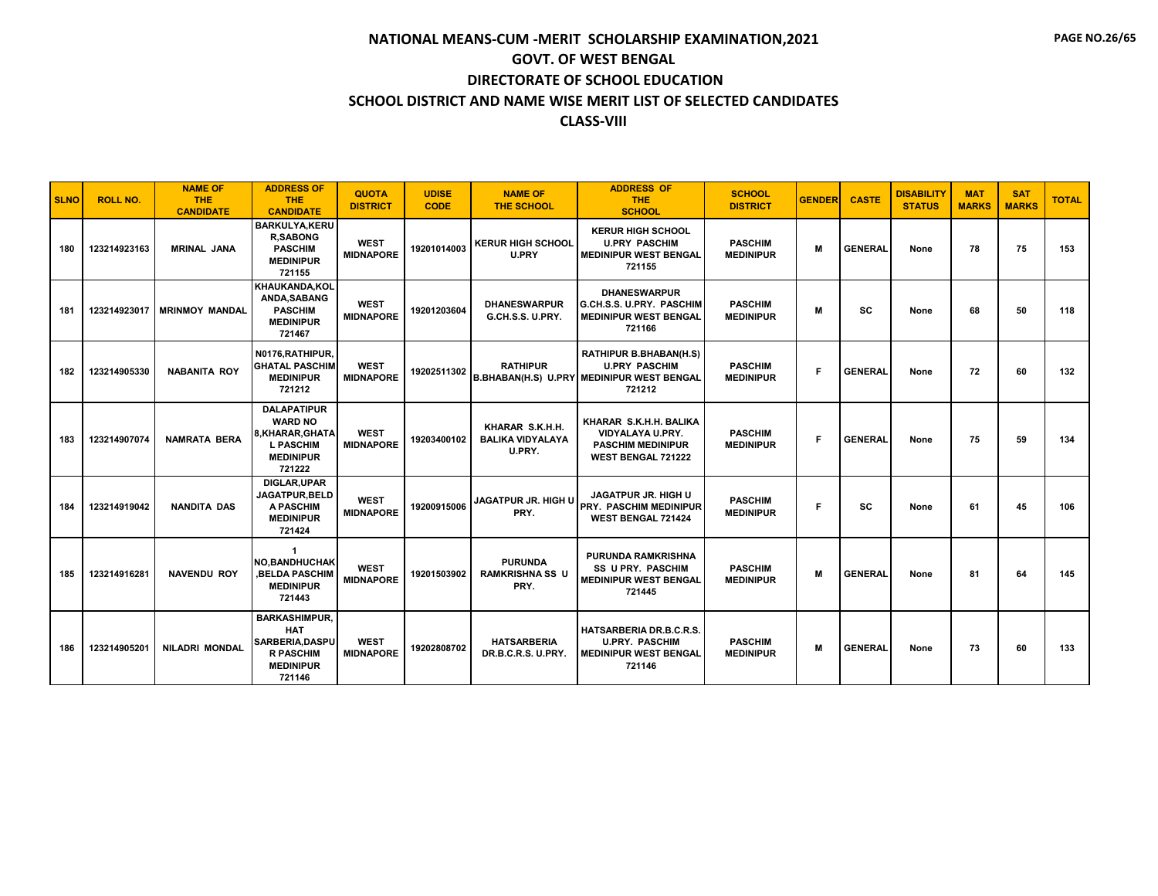| <b>SLNO</b> | <b>ROLL NO.</b> | <b>NAME OF</b><br><b>THE</b><br><b>CANDIDATE</b> | <b>ADDRESS OF</b><br><b>THE</b><br><b>CANDIDATE</b>                                                      | <b>QUOTA</b><br><b>DISTRICT</b> | <b>UDISE</b><br><b>CODE</b> | <b>NAME OF</b><br><b>THE SCHOOL</b>                  | <b>ADDRESS OF</b><br><b>THE</b><br><b>SCHOOL</b>                                                             | <b>SCHOOL</b><br><b>DISTRICT</b>   | <b>GENDER</b> | <b>CASTE</b>   | <b>DISABILITY</b><br><b>STATUS</b> | <b>MAT</b><br><b>MARKS</b> | <b>SAT</b><br><b>MARKS</b> | <b>TOTAL</b> |
|-------------|-----------------|--------------------------------------------------|----------------------------------------------------------------------------------------------------------|---------------------------------|-----------------------------|------------------------------------------------------|--------------------------------------------------------------------------------------------------------------|------------------------------------|---------------|----------------|------------------------------------|----------------------------|----------------------------|--------------|
| 180         | 123214923163    | <b>MRINAL JANA</b>                               | <b>BARKULYA,KERU</b><br><b>R.SABONG</b><br><b>PASCHIM</b><br><b>MEDINIPUR</b><br>721155                  | <b>WEST</b><br><b>MIDNAPORE</b> | 19201014003                 | <b>KERUR HIGH SCHOOL</b><br>U.PRY                    | <b>KERUR HIGH SCHOOL</b><br><b>U.PRY PASCHIM</b><br><b>MEDINIPUR WEST BENGAL</b><br>721155                   | <b>PASCHIM</b><br><b>MEDINIPUR</b> | M             | <b>GENERAL</b> | None                               | 78                         | 75                         | 153          |
| 181         | 123214923017    | <b>MRINMOY MANDAL</b>                            | KHAUKANDA.KOL<br>ANDA.SABANG<br><b>PASCHIM</b><br><b>MEDINIPUR</b><br>721467                             | <b>WEST</b><br><b>MIDNAPORE</b> | 19201203604                 | <b>DHANESWARPUR</b><br>G.CH.S.S. U.PRY.              | <b><i>DHANESWARPUR</i></b><br>G.CH.S.S. U.PRY. PASCHIM<br><b>MEDINIPUR WEST BENGAL</b><br>721166             | <b>PASCHIM</b><br><b>MEDINIPUR</b> | M             | <b>SC</b>      | None                               | 68                         | 50                         | 118          |
| 182         | 123214905330    | <b>NABANITA ROY</b>                              | N0176, RATHIPUR,<br><b>GHATAL PASCHIM</b><br><b>MEDINIPUR</b><br>721212                                  | <b>WEST</b><br><b>MIDNAPORE</b> | 19202511302                 | <b>RATHIPUR</b>                                      | RATHIPUR B.BHABAN(H.S)<br><b>U.PRY PASCHIM</b><br><b>B.BHABAN(H.S) U.PRY MEDINIPUR WEST BENGAL</b><br>721212 | <b>PASCHIM</b><br><b>MEDINIPUR</b> | F             | <b>GENERAL</b> | None                               | 72                         | 60                         | 132          |
| 183         | 123214907074    | <b>NAMRATA BERA</b>                              | <b>DALAPATIPUR</b><br><b>WARD NO</b><br>8.KHARAR.GHATA<br><b>L PASCHIM</b><br><b>MEDINIPUR</b><br>721222 | <b>WEST</b><br><b>MIDNAPORE</b> | 19203400102                 | KHARAR S.K.H.H.<br><b>BALIKA VIDYALAYA</b><br>U.PRY. | KHARAR S.K.H.H. BALIKA<br>VIDYALAYA U.PRY.<br><b>PASCHIM MEDINIPUR</b><br><b>WEST BENGAL 721222</b>          | <b>PASCHIM</b><br><b>MEDINIPUR</b> | F             | <b>GENERAL</b> | None                               | 75                         | 59                         | 134          |
| 184         | 123214919042    | <b>NANDITA DAS</b>                               | <b>DIGLAR.UPAR</b><br><b>JAGATPUR.BELD</b><br>A PASCHIM<br><b>MEDINIPUR</b><br>721424                    | <b>WEST</b><br><b>MIDNAPORE</b> | 19200915006                 | <b>JAGATPUR JR. HIGH U</b><br>PRY.                   | <b>JAGATPUR JR. HIGH U</b><br><b>PRY. PASCHIM MEDINIPUR</b><br><b>WEST BENGAL 721424</b>                     | <b>PASCHIM</b><br><b>MEDINIPUR</b> | F             | sc             | None                               | 61                         | 45                         | 106          |
| 185         | 123214916281    | <b>NAVENDU ROY</b>                               | <b>NO.BANDHUCHAK</b><br><b>BELDA PASCHIM</b><br><b>MEDINIPUR</b><br>721443                               | <b>WEST</b><br><b>MIDNAPORE</b> | 19201503902                 | <b>PURUNDA</b><br><b>RAMKRISHNA SS U</b><br>PRY.     | <b>PURUNDA RAMKRISHNA</b><br><b>SS U PRY. PASCHIM</b><br><b>MEDINIPUR WEST BENGAL</b><br>721445              | <b>PASCHIM</b><br><b>MEDINIPUR</b> | M             | <b>GENERAL</b> | None                               | 81                         | 64                         | 145          |
| 186         | 123214905201    | <b>NILADRI MONDAL</b>                            | <b>BARKASHIMPUR,</b><br><b>HAT</b><br>SARBERIA, DASPU<br><b>R PASCHIM</b><br><b>MEDINIPUR</b><br>721146  | <b>WEST</b><br><b>MIDNAPORE</b> | 19202808702                 | <b>HATSARBERIA</b><br>DR.B.C.R.S. U.PRY.             | <b>HATSARBERIA DR.B.C.R.S.</b><br><b>U.PRY. PASCHIM</b><br><b>MEDINIPUR WEST BENGAL</b><br>721146            | <b>PASCHIM</b><br><b>MEDINIPUR</b> | М             | <b>GENERAL</b> | None                               | 73                         | 60                         | 133          |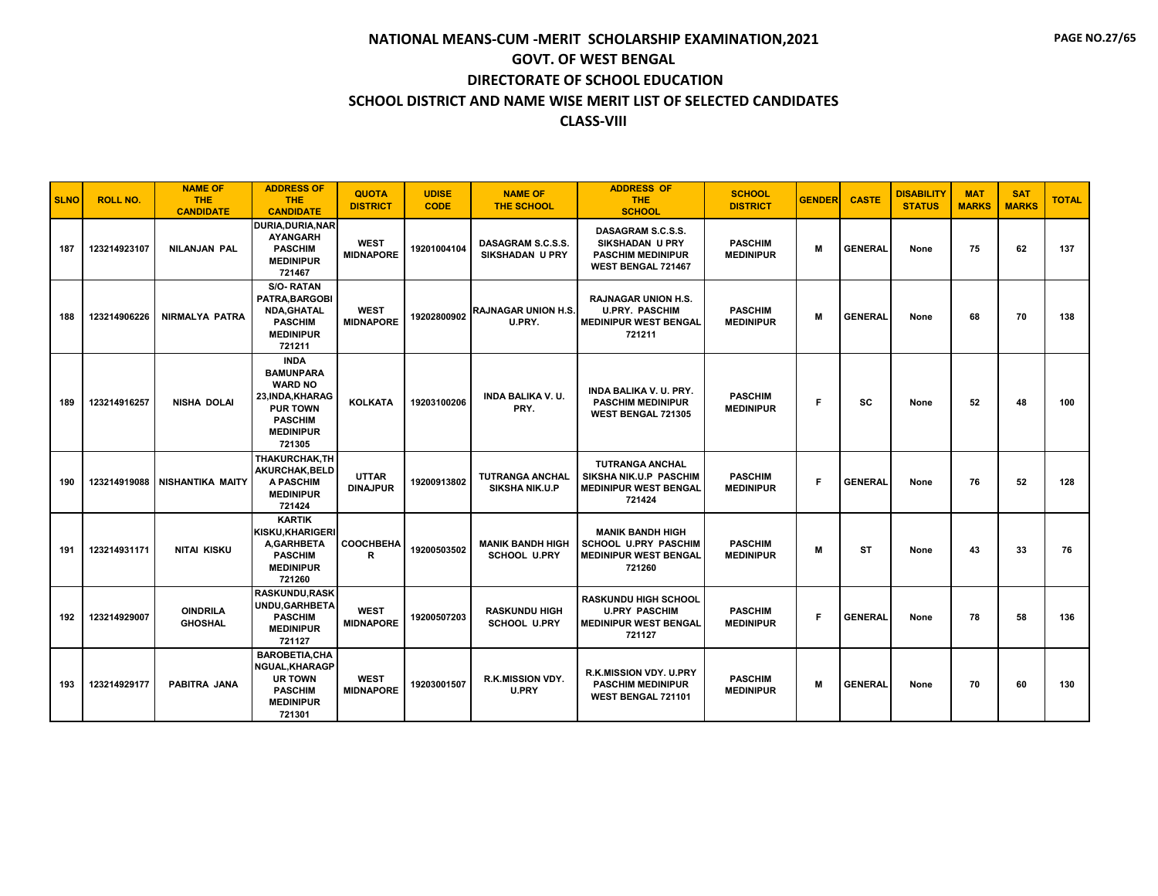| <b>SLNO</b> | <b>ROLL NO.</b> | <b>NAME OF</b><br><b>THE</b><br><b>CANDIDATE</b> | <b>ADDRESS OF</b><br><b>THE</b><br><b>CANDIDATE</b>                                                                                      | <b>QUOTA</b><br><b>DISTRICT</b> | <b>UDISE</b><br><b>CODE</b> | <b>NAME OF</b><br><b>THE SCHOOL</b>             | <b>ADDRESS OF</b><br><b>THE</b><br><b>SCHOOL</b>                                                 | <b>SCHOOL</b><br><b>DISTRICT</b>   | <b>GENDER</b> | <b>CASTE</b>   | <b>DISABILITY</b><br><b>STATUS</b> | <b>MAT</b><br><b>MARKS</b> | <b>SAT</b><br><b>MARKS</b> | <b>TOTAL</b> |
|-------------|-----------------|--------------------------------------------------|------------------------------------------------------------------------------------------------------------------------------------------|---------------------------------|-----------------------------|-------------------------------------------------|--------------------------------------------------------------------------------------------------|------------------------------------|---------------|----------------|------------------------------------|----------------------------|----------------------------|--------------|
| 187         | 123214923107    | <b>NILANJAN PAL</b>                              | DURIA, DURIA, NAR<br><b>AYANGARH</b><br><b>PASCHIM</b><br><b>MEDINIPUR</b><br>721467                                                     | <b>WEST</b><br><b>MIDNAPORE</b> | 19201004104                 | DASAGRAM S.C.S.S.<br><b>SIKSHADAN U PRY</b>     | DASAGRAM S.C.S.S.<br><b>SIKSHADAN U PRY</b><br><b>PASCHIM MEDINIPUR</b><br>WEST BENGAL 721467    | <b>PASCHIM</b><br><b>MEDINIPUR</b> | M             | <b>GENERAL</b> | None                               | 75                         | 62                         | 137          |
| 188         | 123214906226    | <b>NIRMALYA PATRA</b>                            | <b>S/O-RATAN</b><br>PATRA.BARGOBI<br><b>NDA, GHATAL</b><br><b>PASCHIM</b><br><b>MEDINIPUR</b><br>721211                                  | <b>WEST</b><br><b>MIDNAPORE</b> | 19202800902                 | <b>RAJNAGAR UNION H.S.</b><br>U.PRY.            | <b>RAJNAGAR UNION H.S.</b><br><b>U.PRY. PASCHIM</b><br><b>MEDINIPUR WEST BENGAL</b><br>721211    | <b>PASCHIM</b><br><b>MEDINIPUR</b> | M             | <b>GENERAL</b> | None                               | 68                         | 70                         | 138          |
| 189         | 123214916257    | <b>NISHA DOLAI</b>                               | <b>INDA</b><br><b>BAMUNPARA</b><br><b>WARD NO</b><br>23, INDA, KHARAG<br><b>PUR TOWN</b><br><b>PASCHIM</b><br><b>MEDINIPUR</b><br>721305 | <b>KOLKATA</b>                  | 19203100206                 | <b>INDA BALIKA V.U.</b><br>PRY.                 | <b>INDA BALIKA V. U. PRY.</b><br><b>PASCHIM MEDINIPUR</b><br>WEST BENGAL 721305                  | <b>PASCHIM</b><br><b>MEDINIPUR</b> | F             | SC             | None                               | 52                         | 48                         | 100          |
| 190         | 123214919088    | NISHANTIKA MAITY                                 | THAKURCHAK.TH<br>AKURCHAK, BELD<br><b>A PASCHIM</b><br><b>MEDINIPUR</b><br>721424                                                        | <b>UTTAR</b><br><b>DINAJPUR</b> | 19200913802                 | <b>TUTRANGA ANCHAL</b><br><b>SIKSHA NIK.U.P</b> | <b>TUTRANGA ANCHAL</b><br>SIKSHA NIK.U.P PASCHIM<br><b>MEDINIPUR WEST BENGAL</b><br>721424       | <b>PASCHIM</b><br><b>MEDINIPUR</b> | F             | <b>GENERAL</b> | None                               | 76                         | 52                         | 128          |
| 191         | 123214931171    | NITAI KISKU                                      | <b>KARTIK</b><br><b>KISKU.KHARIGERI</b><br>A,GARHBETA<br><b>PASCHIM</b><br><b>MEDINIPUR</b><br>721260                                    | <b>COOCHBEHA</b><br>R           | 19200503502                 | <b>MANIK BANDH HIGH</b><br><b>SCHOOL U.PRY</b>  | <b>MANIK BANDH HIGH</b><br><b>SCHOOL U.PRY PASCHIM</b><br><b>MEDINIPUR WEST BENGAL</b><br>721260 | <b>PASCHIM</b><br><b>MEDINIPUR</b> | M             | <b>ST</b>      | None                               | 43                         | 33                         | 76           |
| 192         | 123214929007    | <b>OINDRILA</b><br><b>GHOSHAL</b>                | <b>RASKUNDU,RASK</b><br>UNDU.GARHBETA<br><b>PASCHIM</b><br><b>MEDINIPUR</b><br>721127                                                    | <b>WEST</b><br><b>MIDNAPORE</b> | 19200507203                 | <b>RASKUNDU HIGH</b><br><b>SCHOOL U.PRY</b>     | <b>RASKUNDU HIGH SCHOOL</b><br><b>U.PRY PASCHIM</b><br><b>MEDINIPUR WEST BENGAL</b><br>721127    | <b>PASCHIM</b><br><b>MEDINIPUR</b> | F             | <b>GENERAL</b> | None                               | 78                         | 58                         | 136          |
| 193         | 123214929177    | PABITRA JANA                                     | <b>BAROBETIA,CHA</b><br><b>NGUAL, KHARAGP</b><br><b>UR TOWN</b><br><b>PASCHIM</b><br><b>MEDINIPUR</b><br>721301                          | <b>WEST</b><br><b>MIDNAPORE</b> | 19203001507                 | R.K.MISSION VDY.<br>U.PRY                       | R.K.MISSION VDY. U.PRY<br><b>PASCHIM MEDINIPUR</b><br>WEST BENGAL 721101                         | <b>PASCHIM</b><br><b>MEDINIPUR</b> | M             | <b>GENERAL</b> | None                               | 70                         | 60                         | 130          |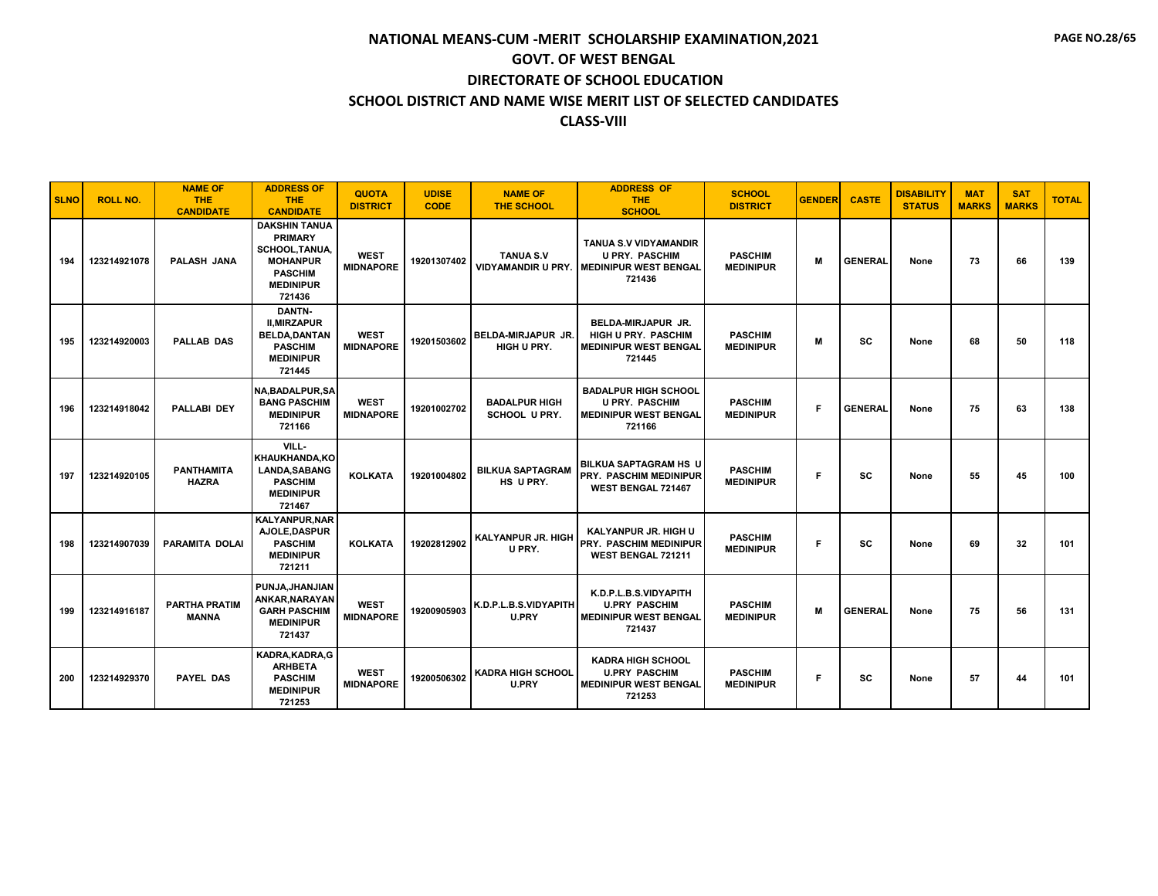| <b>SLNO</b> | <b>ROLL NO.</b> | <b>NAME OF</b><br><b>THE</b><br><b>CANDIDATE</b> | <b>ADDRESS OF</b><br><b>THE</b><br><b>CANDIDATE</b>                                                                                | <b>QUOTA</b><br><b>DISTRICT</b> | <b>UDISE</b><br><b>CODE</b> | <b>NAME OF</b><br><b>THE SCHOOL</b>           | <b>ADDRESS OF</b><br><b>THE</b><br><b>SCHOOL</b>                                                  | <b>SCHOOL</b><br><b>DISTRICT</b>   | <b>GENDER</b> | <b>CASTE</b>   | <b>DISABILITY</b><br><b>STATUS</b> | <b>MAT</b><br><b>MARKS</b> | <b>SAT</b><br><b>MARKS</b> | <b>TOTAL</b> |
|-------------|-----------------|--------------------------------------------------|------------------------------------------------------------------------------------------------------------------------------------|---------------------------------|-----------------------------|-----------------------------------------------|---------------------------------------------------------------------------------------------------|------------------------------------|---------------|----------------|------------------------------------|----------------------------|----------------------------|--------------|
| 194         | 123214921078    | <b>PALASH JANA</b>                               | <b>DAKSHIN TANUA</b><br><b>PRIMARY</b><br><b>SCHOOL, TANUA,</b><br><b>MOHANPUR</b><br><b>PASCHIM</b><br><b>MEDINIPUR</b><br>721436 | <b>WEST</b><br><b>MIDNAPORE</b> | 19201307402                 | <b>TANUA S.V</b><br><b>VIDYAMANDIR U PRY.</b> | <b>TANUA S.V VIDYAMANDIR</b><br><b>U PRY. PASCHIM</b><br><b>I MEDINIPUR WEST BENGAL</b><br>721436 | <b>PASCHIM</b><br><b>MEDINIPUR</b> | M             | <b>GENERAL</b> | None                               | 73                         | 66                         | 139          |
| 195         | 123214920003    | <b>PALLAB DAS</b>                                | DANTN-<br><b>II.MIRZAPUR</b><br><b>BELDA.DANTAN</b><br><b>PASCHIM</b><br><b>MEDINIPUR</b><br>721445                                | <b>WEST</b><br><b>MIDNAPORE</b> | 19201503602                 | <b>BELDA-MIRJAPUR JR.</b><br>HIGH U PRY.      | <b>BELDA-MIRJAPUR JR.</b><br><b>HIGH U PRY. PASCHIM</b><br><b>MEDINIPUR WEST BENGAL</b><br>721445 | <b>PASCHIM</b><br><b>MEDINIPUR</b> | M             | <b>SC</b>      | None                               | 68                         | 50                         | 118          |
| 196         | 123214918042    | <b>PALLABI DEY</b>                               | <b>NA.BADALPUR.SA</b><br><b>BANG PASCHIM</b><br><b>MEDINIPUR</b><br>721166                                                         | <b>WEST</b><br><b>MIDNAPORE</b> | 19201002702                 | <b>BADALPUR HIGH</b><br><b>SCHOOL U PRY.</b>  | <b>BADALPUR HIGH SCHOOL</b><br><b>U PRY. PASCHIM</b><br><b>MEDINIPUR WEST BENGAL</b><br>721166    | <b>PASCHIM</b><br><b>MEDINIPUR</b> | F             | <b>GENERAL</b> | None                               | 75                         | 63                         | 138          |
| 197         | 123214920105    | <b>PANTHAMITA</b><br><b>HAZRA</b>                | VILL-<br>KHAUKHANDA, KO<br><b>LANDA, SABANG</b><br><b>PASCHIM</b><br><b>MEDINIPUR</b><br>721467                                    | <b>KOLKATA</b>                  | 19201004802                 | <b>BILKUA SAPTAGRAM</b><br>HS U PRY.          | <b>BILKUA SAPTAGRAM HS U</b><br><b>PRY. PASCHIM MEDINIPUR</b><br>WEST BENGAL 721467               | <b>PASCHIM</b><br><b>MEDINIPUR</b> | F             | <b>SC</b>      | None                               | 55                         | 45                         | 100          |
| 198         | 123214907039    | <b>PARAMITA DOLAI</b>                            | <b>KALYANPUR, NAR</b><br>AJOLE, DASPUR<br><b>PASCHIM</b><br><b>MEDINIPUR</b><br>721211                                             | <b>KOLKATA</b>                  | 19202812902                 | <b>KALYANPUR JR. HIGH</b><br>U PRY.           | <b>KALYANPUR JR. HIGH U</b><br><b>PRY. PASCHIM MEDINIPUR</b><br>WEST BENGAL 721211                | <b>PASCHIM</b><br><b>MEDINIPUR</b> | F             | <b>SC</b>      | None                               | 69                         | 32                         | 101          |
| 199         | 123214916187    | <b>PARTHA PRATIM</b><br><b>MANNA</b>             | PUNJA.JHANJIAN<br>ANKAR, NARAYAN<br><b>GARH PASCHIM</b><br><b>MEDINIPUR</b><br>721437                                              | <b>WEST</b><br><b>MIDNAPORE</b> | 19200905903                 | K.D.P.L.B.S.VIDYAPITH<br>U.PRY                | K.D.P.L.B.S.VIDYAPITH<br><b>U.PRY PASCHIM</b><br><b>MEDINIPUR WEST BENGAL</b><br>721437           | <b>PASCHIM</b><br><b>MEDINIPUR</b> | M             | <b>GENERAL</b> | None                               | 75                         | 56                         | 131          |
| 200         | 123214929370    | <b>PAYEL DAS</b>                                 | KADRA, KADRA, G<br><b>ARHBETA</b><br><b>PASCHIM</b><br><b>MEDINIPUR</b><br>721253                                                  | <b>WEST</b><br><b>MIDNAPORE</b> | 19200506302                 | <b>KADRA HIGH SCHOOL</b><br><b>U.PRY</b>      | <b>KADRA HIGH SCHOOL</b><br><b>U.PRY PASCHIM</b><br><b>MEDINIPUR WEST BENGAL</b><br>721253        | <b>PASCHIM</b><br><b>MEDINIPUR</b> | F             | <b>SC</b>      | None                               | 57                         | 44                         | 101          |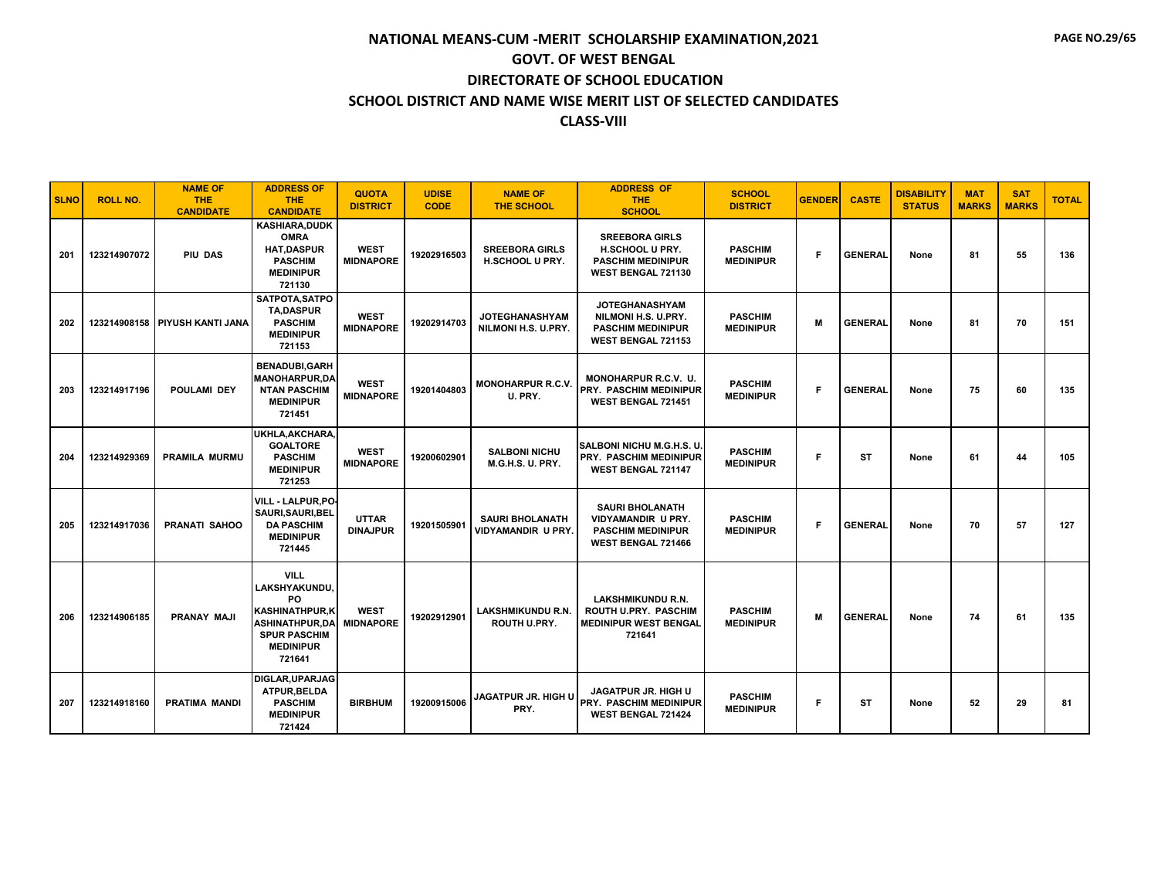| <b>SLNO</b> | <b>ROLL NO.</b> | <b>NAME OF</b><br><b>THE</b><br><b>CANDIDATE</b> | <b>ADDRESS OF</b><br><b>THE</b><br><b>CANDIDATE</b>                                                                                        | <b>QUOTA</b><br><b>DISTRICT</b> | <b>UDISE</b><br><b>CODE</b> | <b>NAME OF</b><br><b>THE SCHOOL</b>          | <b>ADDRESS OF</b><br>THE.<br><b>SCHOOL</b>                                                            | <b>SCHOOL</b><br><b>DISTRICT</b>   | <b>GENDER</b> | <b>CASTE</b>   | <b>DISABILITY</b><br><b>STATUS</b> | <b>MAT</b><br><b>MARKS</b> | <b>SAT</b><br><b>MARKS</b> | <b>TOTAL</b> |
|-------------|-----------------|--------------------------------------------------|--------------------------------------------------------------------------------------------------------------------------------------------|---------------------------------|-----------------------------|----------------------------------------------|-------------------------------------------------------------------------------------------------------|------------------------------------|---------------|----------------|------------------------------------|----------------------------|----------------------------|--------------|
| 201         | 123214907072    | PIU DAS                                          | <b>KASHIARA,DUDK</b><br><b>OMRA</b><br><b>HAT,DASPUR</b><br><b>PASCHIM</b><br><b>MEDINIPUR</b><br>721130                                   | <b>WEST</b><br><b>MIDNAPORE</b> | 19202916503                 | <b>SREEBORA GIRLS</b><br>H.SCHOOL U PRY.     | <b>SREEBORA GIRLS</b><br>H.SCHOOL U PRY.<br><b>PASCHIM MEDINIPUR</b><br>WEST BENGAL 721130            | <b>PASCHIM</b><br><b>MEDINIPUR</b> | F.            | <b>GENERAL</b> | None                               | 81                         | 55                         | 136          |
| 202         |                 | 123214908158 PIYUSH KANTI JANA                   | SATPOTA, SATPO<br><b>TA,DASPUR</b><br><b>PASCHIM</b><br><b>MEDINIPUR</b><br>721153                                                         | <b>WEST</b><br><b>MIDNAPORE</b> | 19202914703                 | <b>JOTEGHANASHYAM</b><br>NILMONI H.S. U.PRY. | <b>JOTEGHANASHYAM</b><br>NILMONI H.S. U.PRY.<br><b>PASCHIM MEDINIPUR</b><br>WEST BENGAL 721153        | <b>PASCHIM</b><br><b>MEDINIPUR</b> | M             | <b>GENERAL</b> | None                               | 81                         | 70                         | 151          |
| 203         | 123214917196    | <b>POULAMI DEY</b>                               | <b>BENADUBI,GARH</b><br><b>MANOHARPUR,DA</b><br><b>NTAN PASCHIM</b><br><b>MEDINIPUR</b><br>721451                                          | <b>WEST</b><br><b>MIDNAPORE</b> | 19201404803                 | <b>MONOHARPUR R.C.V.</b><br>U. PRY.          | <b>MONOHARPUR R.C.V. U.</b><br><b>PRY. PASCHIM MEDINIPUR</b><br>WEST BENGAL 721451                    | <b>PASCHIM</b><br><b>MEDINIPUR</b> | F.            | <b>GENERAL</b> | None                               | 75                         | 60                         | 135          |
| 204         | 123214929369    | <b>PRAMILA MURMU</b>                             | UKHLA, AKCHARA,<br><b>GOALTORE</b><br><b>PASCHIM</b><br><b>MEDINIPUR</b><br>721253                                                         | <b>WEST</b><br><b>MIDNAPORE</b> | 19200602901                 | <b>SALBONI NICHU</b><br>M.G.H.S. U. PRY.     | SALBONI NICHU M.G.H.S. U.<br><b>PRY. PASCHIM MEDINIPUR</b><br><b>WEST BENGAL 721147</b>               | <b>PASCHIM</b><br><b>MEDINIPUR</b> | F             | <b>ST</b>      | None                               | 61                         | 44                         | 105          |
| 205         | 123214917036    | <b>PRANATI SAHOO</b>                             | VILL - LALPUR.PO.<br>SAURI, SAURI, BEL<br><b>DA PASCHIM</b><br><b>MEDINIPUR</b><br>721445                                                  | <b>UTTAR</b><br><b>DINAJPUR</b> | 19201505901                 | <b>SAURI BHOLANATH</b><br>VIDYAMANDIR U PRY. | <b>SAURI BHOLANATH</b><br>VIDYAMANDIR U PRY.<br><b>PASCHIM MEDINIPUR</b><br><b>WEST BENGAL 721466</b> | <b>PASCHIM</b><br><b>MEDINIPUR</b> | F.            | <b>GENERAL</b> | None                               | 70                         | 57                         | 127          |
| 206         | 123214906185    | <b>PRANAY MAJI</b>                               | <b>VILL</b><br>LAKSHYAKUNDU,<br>PO.<br><b>KASHINATHPUR,K</b><br><b>ASHINATHPUR.DA</b><br><b>SPUR PASCHIM</b><br><b>MEDINIPUR</b><br>721641 | <b>WEST</b><br><b>MIDNAPORE</b> | 19202912901                 | LAKSHMIKUNDU R.N<br>ROUTH U.PRY.             | <b>LAKSHMIKUNDU R.N.</b><br>ROUTH U.PRY. PASCHIM<br><b>MEDINIPUR WEST BENGAL</b><br>721641            | <b>PASCHIM</b><br><b>MEDINIPUR</b> | M             | <b>GENERAL</b> | None                               | 74                         | 61                         | 135          |
| 207         | 123214918160    | <b>PRATIMA MANDI</b>                             | <b>DIGLAR, UPARJAG</b><br>ATPUR, BELDA<br><b>PASCHIM</b><br><b>MEDINIPUR</b><br>721424                                                     | <b>BIRBHUM</b>                  | 19200915006                 | <b>JAGATPUR JR. HIGH U</b><br>PRY.           | <b>JAGATPUR JR. HIGH U</b><br>PRY. PASCHIM MEDINIPUR<br><b>WEST BENGAL 721424</b>                     | <b>PASCHIM</b><br><b>MEDINIPUR</b> | F.            | <b>ST</b>      | None                               | 52                         | 29                         | 81           |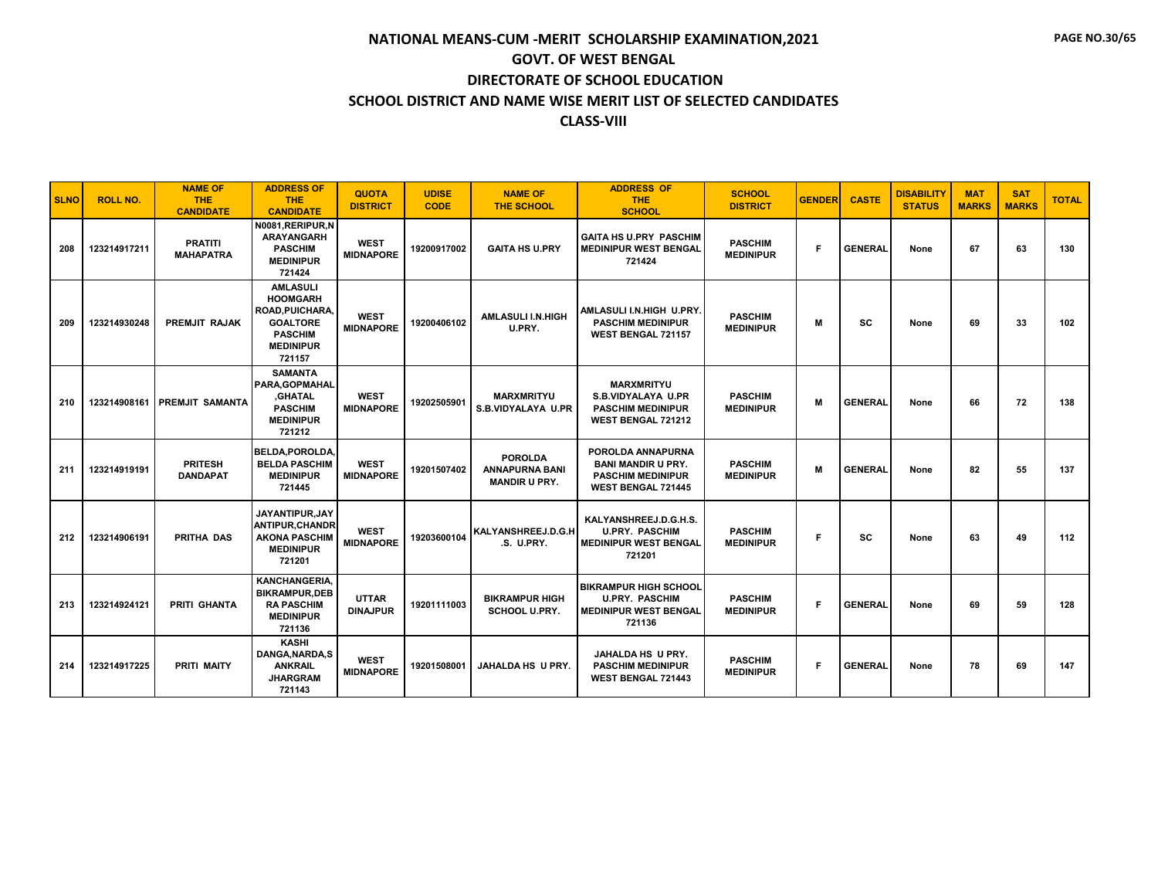| <b>SLNO</b> | <b>ROLL NO.</b> | <b>NAME OF</b><br><b>THE</b><br><b>CANDIDATE</b> | <b>ADDRESS OF</b><br><b>THE</b><br><b>CANDIDATE</b>                                                                      | <b>QUOTA</b><br><b>DISTRICT</b> | <b>UDISE</b><br><b>CODE</b> | <b>NAME OF</b><br><b>THE SCHOOL</b>                             | <b>ADDRESS OF</b><br><b>THE</b><br><b>SCHOOL</b>                                                        | <b>SCHOOL</b><br><b>DISTRICT</b>   | <b>GENDER</b> | <b>CASTE</b>   | <b>DISABILITY</b><br><b>STATUS</b> | <b>MAT</b><br><b>MARKS</b> | <b>SAT</b><br><b>MARKS</b> | <b>TOTAL</b> |
|-------------|-----------------|--------------------------------------------------|--------------------------------------------------------------------------------------------------------------------------|---------------------------------|-----------------------------|-----------------------------------------------------------------|---------------------------------------------------------------------------------------------------------|------------------------------------|---------------|----------------|------------------------------------|----------------------------|----------------------------|--------------|
| 208         | 123214917211    | <b>PRATITI</b><br><b>MAHAPATRA</b>               | N0081, RERIPUR, N<br><b>ARAYANGARH</b><br><b>PASCHIM</b><br><b>MEDINIPUR</b><br>721424                                   | <b>WEST</b><br><b>MIDNAPORE</b> | 19200917002                 | <b>GAITA HS U.PRY</b>                                           | <b>GAITA HS U.PRY PASCHIM</b><br><b>MEDINIPUR WEST BENGAL</b><br>721424                                 | <b>PASCHIM</b><br><b>MEDINIPUR</b> | F             | <b>GENERAL</b> | None                               | 67                         | 63                         | 130          |
| 209         | 123214930248    | <b>PREMJIT RAJAK</b>                             | <b>AMLASULI</b><br><b>HOOMGARH</b><br>ROAD, PUICHARA,<br><b>GOALTORE</b><br><b>PASCHIM</b><br><b>MEDINIPUR</b><br>721157 | <b>WEST</b><br><b>MIDNAPORE</b> | 19200406102                 | <b>AMLASULI I.N.HIGH</b><br>U.PRY.                              | AMLASULI I.N.HIGH U.PRY.<br><b>PASCHIM MEDINIPUR</b><br><b>WEST BENGAL 721157</b>                       | <b>PASCHIM</b><br><b>MEDINIPUR</b> | М             | SC             | None                               | 69                         | 33                         | 102          |
| 210         |                 | 123214908161 PREMJIT SAMANTA                     | <b>SAMANTA</b><br>PARA.GOPMAHAL<br>,GHATAL<br><b>PASCHIM</b><br><b>MEDINIPUR</b><br>721212                               | <b>WEST</b><br><b>MIDNAPORE</b> | 19202505901                 | <b>MARXMRITYU</b><br>S.B.VIDYALAYA U.PR                         | <b>MARXMRITYU</b><br><b>S.B.VIDYALAYA U.PR</b><br><b>PASCHIM MEDINIPUR</b><br><b>WEST BENGAL 721212</b> | <b>PASCHIM</b><br><b>MEDINIPUR</b> | M             | <b>GENERAL</b> | None                               | 66                         | 72                         | 138          |
| 211         | 123214919191    | <b>PRITESH</b><br><b>DANDAPAT</b>                | <b>BELDA.POROLDA.</b><br><b>BELDA PASCHIM</b><br><b>MEDINIPUR</b><br>721445                                              | <b>WEST</b><br><b>MIDNAPORE</b> | 19201507402                 | <b>POROLDA</b><br><b>ANNAPURNA BANI</b><br><b>MANDIR U PRY.</b> | POROLDA ANNAPURNA<br><b>BANI MANDIR U PRY.</b><br><b>PASCHIM MEDINIPUR</b><br><b>WEST BENGAL 721445</b> | <b>PASCHIM</b><br><b>MEDINIPUR</b> | M             | <b>GENERAL</b> | None                               | 82                         | 55                         | 137          |
| 212         | 123214906191    | <b>PRITHA DAS</b>                                | <b>JAYANTIPUR.JAY</b><br><b>ANTIPUR.CHANDR</b><br><b>AKONA PASCHIM</b><br><b>MEDINIPUR</b><br>721201                     | <b>WEST</b><br><b>MIDNAPORE</b> | 19203600104                 | KALYANSHREEJ.D.G.H<br>.S. U.PRY.                                | KALYANSHREEJ.D.G.H.S.<br><b>U.PRY. PASCHIM</b><br><b>MEDINIPUR WEST BENGAL</b><br>721201                | <b>PASCHIM</b><br><b>MEDINIPUR</b> | F             | SC             | None                               | 63                         | 49                         | 112          |
| 213         | 123214924121    | PRITI GHANTA                                     | <b>KANCHANGERIA.</b><br><b>BIKRAMPUR, DEB</b><br><b>RA PASCHIM</b><br><b>MEDINIPUR</b><br>721136                         | <b>UTTAR</b><br><b>DINAJPUR</b> | 19201111003                 | <b>BIKRAMPUR HIGH</b><br><b>SCHOOL U.PRY.</b>                   | <b>BIKRAMPUR HIGH SCHOOL</b><br><b>U.PRY. PASCHIM</b><br><b>MEDINIPUR WEST BENGAL</b><br>721136         | <b>PASCHIM</b><br><b>MEDINIPUR</b> | F             | <b>GENERAL</b> | None                               | 69                         | 59                         | 128          |
| 214         | 123214917225    | <b>PRITI MAITY</b>                               | <b>KASHI</b><br>DANGA, NARDA, S<br><b>ANKRAIL</b><br><b>JHARGRAM</b><br>721143                                           | <b>WEST</b><br><b>MIDNAPORE</b> | 19201508001                 | <b>JAHALDA HS U PRY.</b>                                        | JAHALDA HS U PRY.<br><b>PASCHIM MEDINIPUR</b><br><b>WEST BENGAL 721443</b>                              | <b>PASCHIM</b><br><b>MEDINIPUR</b> | F             | <b>GENERAL</b> | None                               | 78                         | 69                         | 147          |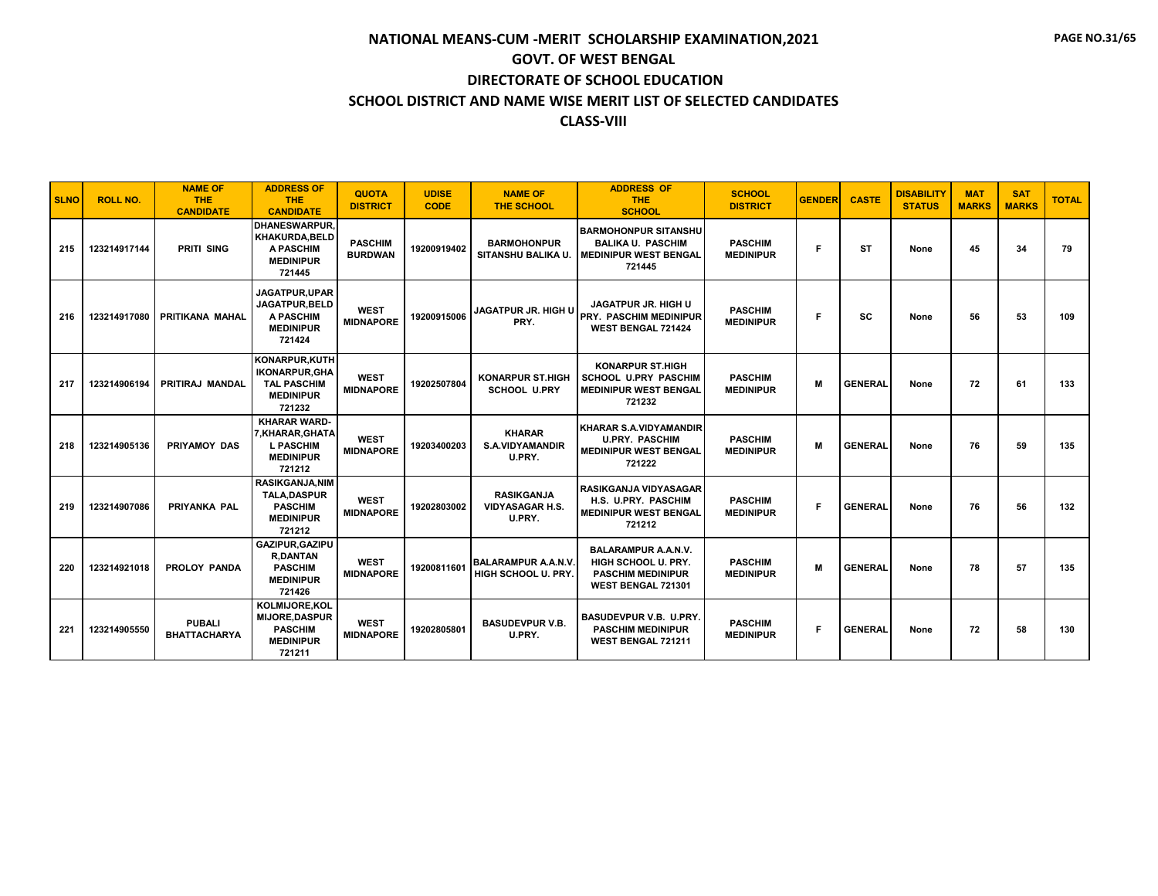| <b>SLNO</b> | <b>ROLL NO.</b> | <b>NAME OF</b><br><b>THE</b><br><b>CANDIDATE</b> | <b>ADDRESS OF</b><br><b>THE</b><br><b>CANDIDATE</b>                                            | QUOTA<br><b>DISTRICT</b>         | <b>UDISE</b><br><b>CODE</b> | <b>NAME OF</b><br><b>THE SCHOOL</b>                   | <b>ADDRESS OF</b><br><b>THE</b><br><b>SCHOOL</b>                                                    | <b>SCHOOL</b><br><b>DISTRICT</b>   | <b>GENDER</b> | <b>CASTE</b>   | <b>DISABILITY</b><br><b>STATUS</b> | <b>MAT</b><br><b>MARKS</b> | <b>SAT</b><br><b>MARKS</b> | <b>TOTAL</b> |
|-------------|-----------------|--------------------------------------------------|------------------------------------------------------------------------------------------------|----------------------------------|-----------------------------|-------------------------------------------------------|-----------------------------------------------------------------------------------------------------|------------------------------------|---------------|----------------|------------------------------------|----------------------------|----------------------------|--------------|
| 215         | 123214917144    | PRITI SING                                       | <b>DHANESWARPUR.</b><br><b>KHAKURDA.BELD</b><br><b>A PASCHIM</b><br><b>MEDINIPUR</b><br>721445 | <b>PASCHIM</b><br><b>BURDWAN</b> | 19200919402                 | <b>BARMOHONPUR</b><br>SITANSHU BALIKA U.              | <b>BARMOHONPUR SITANSHU</b><br><b>BALIKA U. PASCHIM</b><br><b>NEDINIPUR WEST BENGAL</b><br>721445   | <b>PASCHIM</b><br><b>MEDINIPUR</b> | F             | <b>ST</b>      | None                               | 45                         | 34                         | 79           |
| 216         | 123214917080    | PRITIKANA MAHAL                                  | JAGATPUR.UPAR<br><b>JAGATPUR.BELD</b><br><b>A PASCHIM</b><br><b>MEDINIPUR</b><br>721424        | <b>WEST</b><br><b>MIDNAPORE</b>  | 19200915006                 | JAGATPUR JR. HIGH U<br>PRY.                           | <b>JAGATPUR JR. HIGH U</b><br><b>PRY. PASCHIM MEDINIPUR</b><br><b>WEST BENGAL 721424</b>            | <b>PASCHIM</b><br><b>MEDINIPUR</b> | F             | <b>SC</b>      | None                               | 56                         | 53                         | 109          |
| 217         | 123214906194    | PRITIRAJ MANDAL                                  | KONARPUR, KUTH<br><b>IKONARPUR, GHA</b><br><b>TAL PASCHIM</b><br><b>MEDINIPUR</b><br>721232    | <b>WEST</b><br><b>MIDNAPORE</b>  | 19202507804                 | <b>KONARPUR ST.HIGH</b><br><b>SCHOOL U.PRY</b>        | <b>KONARPUR ST.HIGH</b><br><b>SCHOOL U.PRY PASCHIM</b><br><b>MEDINIPUR WEST BENGAL</b><br>721232    | <b>PASCHIM</b><br><b>MEDINIPUR</b> | M             | <b>GENERAL</b> | None                               | 72                         | 61                         | 133          |
| 218         | 123214905136    | <b>PRIYAMOY DAS</b>                              | <b>KHARAR WARD-</b><br>7, KHARAR, GHATA<br><b>L PASCHIM</b><br><b>MEDINIPUR</b><br>721212      | <b>WEST</b><br><b>MIDNAPORE</b>  | 19203400203                 | <b>KHARAR</b><br><b>S.A.VIDYAMANDIR</b><br>U.PRY.     | <b>KHARAR S.A.VIDYAMANDIR</b><br><b>U.PRY. PASCHIM</b><br><b>MEDINIPUR WEST BENGAL</b><br>721222    | <b>PASCHIM</b><br><b>MEDINIPUR</b> | M             | <b>GENERAL</b> | None                               | 76                         | 59                         | 135          |
| 219         | 123214907086    | PRIYANKA PAL                                     | <b>RASIKGANJA.NIM</b><br><b>TALA.DASPUR</b><br><b>PASCHIM</b><br><b>MEDINIPUR</b><br>721212    | <b>WEST</b><br><b>MIDNAPORE</b>  | 19202803002                 | <b>RASIKGANJA</b><br><b>VIDYASAGAR H.S.</b><br>U.PRY. | <b>RASIKGANJA VIDYASAGAR</b><br>H.S. U.PRY. PASCHIM<br><b>MEDINIPUR WEST BENGAL</b><br>721212       | <b>PASCHIM</b><br><b>MEDINIPUR</b> | F             | <b>GENERAL</b> | None                               | 76                         | 56                         | 132          |
| 220         | 123214921018    | <b>PROLOY PANDA</b>                              | GAZIPUR, GAZIPU<br><b>R.DANTAN</b><br><b>PASCHIM</b><br><b>MEDINIPUR</b><br>721426             | <b>WEST</b><br><b>MIDNAPORE</b>  | 19200811601                 | <b>BALARAMPUR A.A.N.V.</b><br>HIGH SCHOOL U. PRY.     | <b>BALARAMPUR A.A.N.V.</b><br>HIGH SCHOOL U. PRY.<br><b>PASCHIM MEDINIPUR</b><br>WEST BENGAL 721301 | <b>PASCHIM</b><br><b>MEDINIPUR</b> | М             | <b>GENERAL</b> | None                               | 78                         | 57                         | 135          |
| 221         | 123214905550    | <b>PUBALI</b><br><b>BHATTACHARYA</b>             | <b>KOLMIJORE,KOL</b><br><b>MIJORE.DASPUR</b><br><b>PASCHIM</b><br><b>MEDINIPUR</b><br>721211   | <b>WEST</b><br><b>MIDNAPORE</b>  | 19202805801                 | <b>BASUDEVPUR V.B.</b><br>U.PRY.                      | <b>BASUDEVPUR V.B. U.PRY.</b><br><b>PASCHIM MEDINIPUR</b><br><b>WEST BENGAL 721211</b>              | <b>PASCHIM</b><br><b>MEDINIPUR</b> | F             | <b>GENERAL</b> | None                               | 72                         | 58                         | 130          |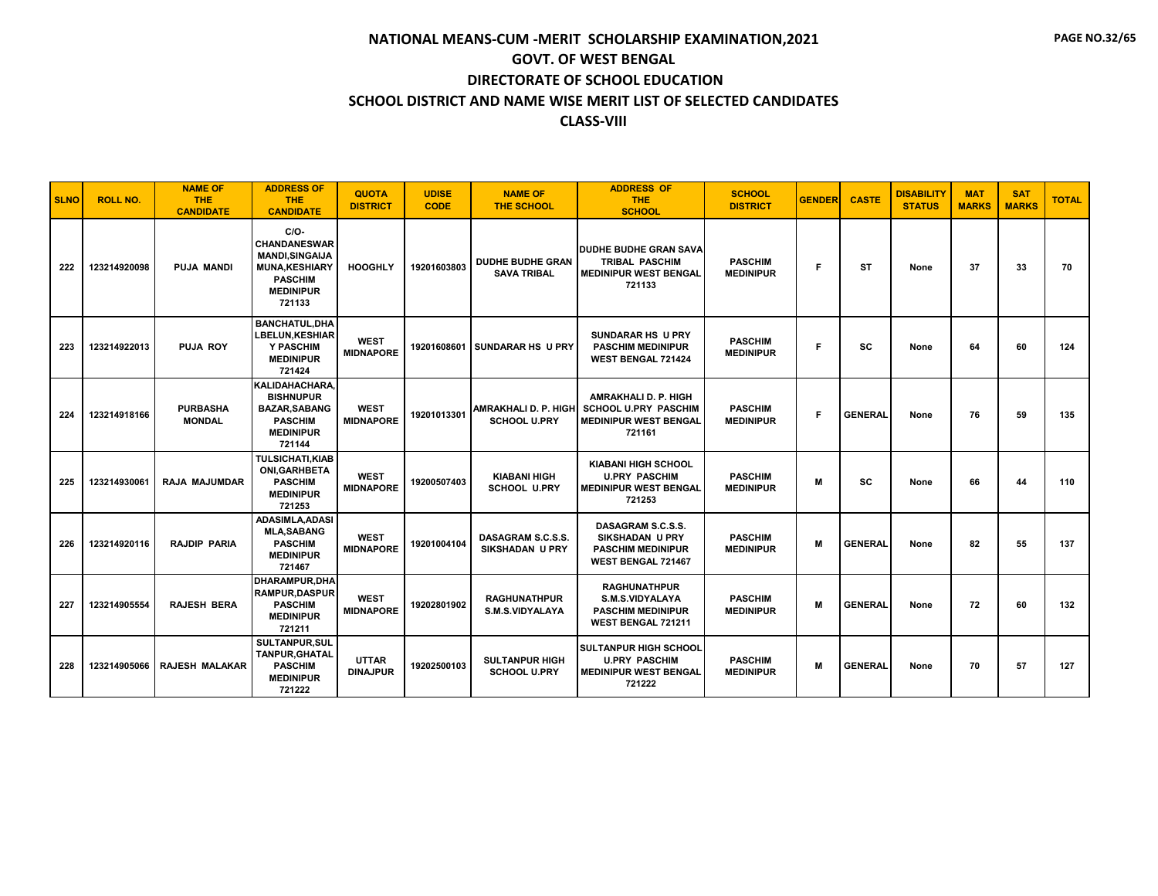| <b>SLNO</b> | <b>ROLL NO.</b> | <b>NAME OF</b><br><b>THE</b><br><b>CANDIDATE</b> | <b>ADDRESS OF</b><br><b>THE</b><br><b>CANDIDATE</b>                                                                             | <b>QUOTA</b><br><b>DISTRICT</b> | <b>UDISE</b><br><b>CODE</b> | <b>NAME OF</b><br>THE SCHOOL                  | <b>ADDRESS OF</b><br><b>THE</b><br><b>SCHOOL</b>                                                     | <b>SCHOOL</b><br><b>DISTRICT</b>   | <b>GENDER</b> | <b>CASTE</b>   | <b>DISABILITY</b><br><b>STATUS</b> | <b>MAT</b><br><b>MARKS</b> | <b>SAT</b><br><b>MARKS</b> | <b>TOTAL</b> |
|-------------|-----------------|--------------------------------------------------|---------------------------------------------------------------------------------------------------------------------------------|---------------------------------|-----------------------------|-----------------------------------------------|------------------------------------------------------------------------------------------------------|------------------------------------|---------------|----------------|------------------------------------|----------------------------|----------------------------|--------------|
| 222         | 123214920098    | <b>PUJA MANDI</b>                                | $C/O-$<br><b>CHANDANESWAR</b><br><b>MANDI, SINGAIJA</b><br><b>MUNA,KESHIARY</b><br><b>PASCHIM</b><br><b>MEDINIPUR</b><br>721133 | <b>HOOGHLY</b>                  | 19201603803                 | <b>DUDHE BUDHE GRAN</b><br><b>SAVA TRIBAL</b> | <b>DUDHE BUDHE GRAN SAVA</b><br>TRIBAL PASCHIM<br><b>MEDINIPUR WEST BENGAL</b><br>721133             | <b>PASCHIM</b><br><b>MEDINIPUR</b> | F             | <b>ST</b>      | None                               | 37                         | 33                         | 70           |
| 223         | 123214922013    | <b>PUJA ROY</b>                                  | <b>BANCHATUL.DHA</b><br><b>LBELUN.KESHIAR</b><br>Y PASCHIM<br><b>MEDINIPUR</b><br>721424                                        | <b>WEST</b><br><b>MIDNAPORE</b> | 19201608601                 | <b>SUNDARAR HS U PRY</b>                      | <b>SUNDARAR HS U PRY</b><br><b>PASCHIM MEDINIPUR</b><br><b>WEST BENGAL 721424</b>                    | <b>PASCHIM</b><br><b>MEDINIPUR</b> | F             | SC             | None                               | 64                         | 60                         | 124          |
| 224         | 123214918166    | <b>PURBASHA</b><br><b>MONDAL</b>                 | KALIDAHACHARA,<br><b>BISHNUPUR</b><br><b>BAZAR, SABANG</b><br><b>PASCHIM</b><br><b>MEDINIPUR</b><br>721144                      | <b>WEST</b><br><b>MIDNAPORE</b> | 19201013301                 | AMRAKHALI D. P. HIGH<br><b>SCHOOL U.PRY</b>   | <b>AMRAKHALI D. P. HIGH</b><br><b>SCHOOL U.PRY PASCHIM</b><br><b>MEDINIPUR WEST BENGAL</b><br>721161 | <b>PASCHIM</b><br><b>MEDINIPUR</b> | F.            | <b>GENERAL</b> | None                               | 76                         | 59                         | 135          |
| 225         | 123214930061    | <b>RAJA MAJUMDAR</b>                             | <b>TULSICHATI,KIAB</b><br><b>ONI, GARHBETA</b><br><b>PASCHIM</b><br><b>MEDINIPUR</b><br>721253                                  | <b>WEST</b><br><b>MIDNAPORE</b> | 19200507403                 | <b>KIABANI HIGH</b><br><b>SCHOOL U.PRY</b>    | <b>KIABANI HIGH SCHOOL</b><br><b>U.PRY PASCHIM</b><br><b>MEDINIPUR WEST BENGAL</b><br>721253         | <b>PASCHIM</b><br><b>MEDINIPUR</b> | M             | SC             | None                               | 66                         | 44                         | 110          |
| 226         | 123214920116    | <b>RAJDIP PARIA</b>                              | <b>ADASIMLA.ADASI</b><br><b>MLA.SABANG</b><br><b>PASCHIM</b><br><b>MEDINIPUR</b><br>721467                                      | <b>WEST</b><br><b>MIDNAPORE</b> | 19201004104                 | DASAGRAM S.C.S.S.<br><b>SIKSHADAN U PRY</b>   | DASAGRAM S.C.S.S.<br><b>SIKSHADAN U PRY</b><br><b>PASCHIM MEDINIPUR</b><br><b>WEST BENGAL 721467</b> | <b>PASCHIM</b><br><b>MEDINIPUR</b> | M             | <b>GENERAL</b> | None                               | 82                         | 55                         | 137          |
| 227         | 123214905554    | <b>RAJESH BERA</b>                               | <b>DHARAMPUR.DHA</b><br><b>RAMPUR.DASPUR</b><br><b>PASCHIM</b><br><b>MEDINIPUR</b><br>721211                                    | <b>WEST</b><br><b>MIDNAPORE</b> | 19202801902                 | <b>RAGHUNATHPUR</b><br>S.M.S.VIDYALAYA        | <b>RAGHUNATHPUR</b><br>S.M.S.VIDYALAYA<br><b>PASCHIM MEDINIPUR</b><br>WEST BENGAL 721211             | <b>PASCHIM</b><br><b>MEDINIPUR</b> | M             | <b>GENERAL</b> | None                               | 72                         | 60                         | 132          |
| 228         | 123214905066    | <b>RAJESH MALAKAR</b>                            | <b>SULTANPUR, SUL</b><br><b>TANPUR.GHATAL</b><br><b>PASCHIM</b><br><b>MEDINIPUR</b><br>721222                                   | <b>UTTAR</b><br><b>DINAJPUR</b> | 19202500103                 | <b>SULTANPUR HIGH</b><br><b>SCHOOL U.PRY</b>  | <b>SULTANPUR HIGH SCHOOL</b><br><b>U.PRY PASCHIM</b><br><b>MEDINIPUR WEST BENGAL</b><br>721222       | <b>PASCHIM</b><br><b>MEDINIPUR</b> | M             | <b>GENERAL</b> | None                               | 70                         | 57                         | 127          |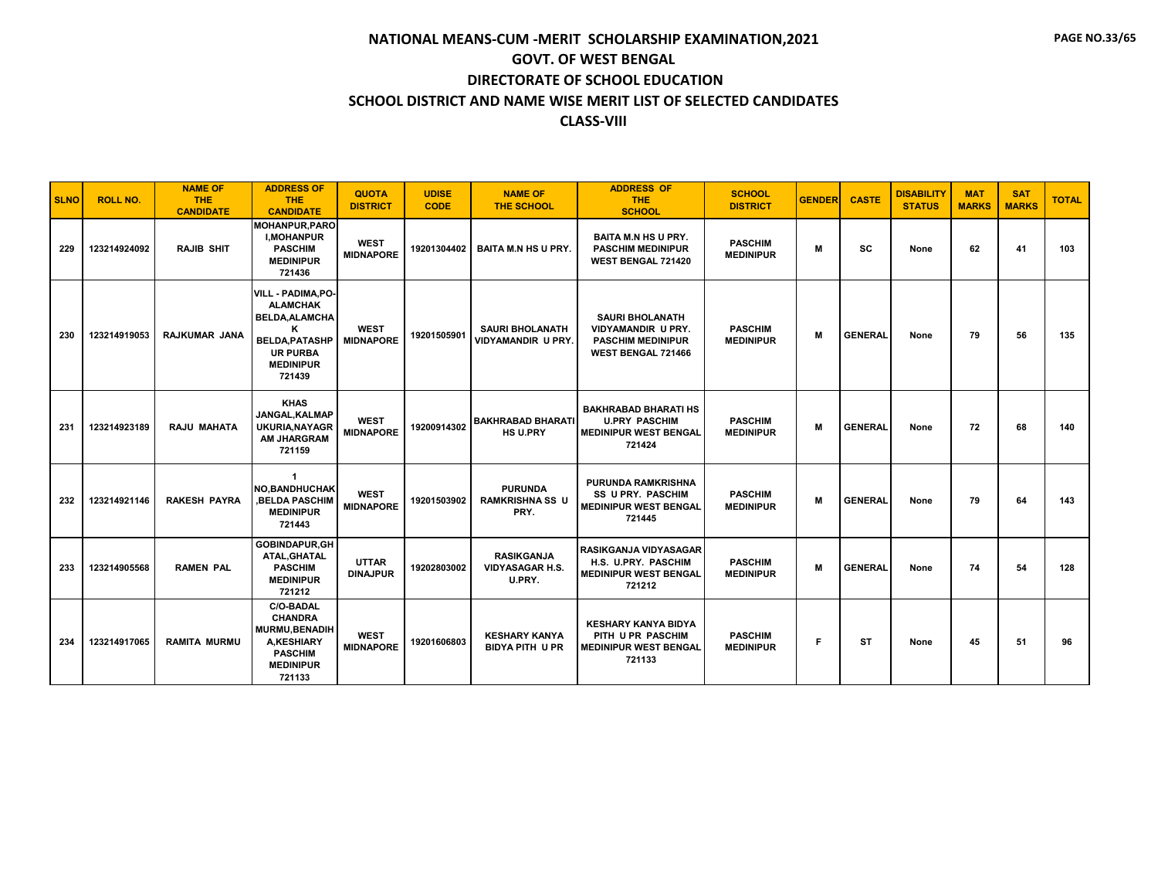| <b>SLNO</b> | <b>ROLL NO.</b> | <b>NAME OF</b><br><b>THE</b><br><b>CANDIDATE</b> | <b>ADDRESS OF</b><br><b>THE</b><br><b>CANDIDATE</b>                                                                                           | <b>QUOTA</b><br><b>DISTRICT</b> | <b>UDISE</b><br><b>CODE</b> | <b>NAME OF</b><br><b>THE SCHOOL</b>                   | <b>ADDRESS OF</b><br><b>THE</b><br><b>SCHOOL</b>                                                             | <b>SCHOOL</b><br><b>DISTRICT</b>   | <b>GENDER</b> | <b>CASTE</b>   | <b>DISABILITY</b><br><b>STATUS</b> | <b>MAT</b><br><b>MARKS</b> | <b>SAT</b><br><b>MARKS</b> | <b>TOTAL</b> |
|-------------|-----------------|--------------------------------------------------|-----------------------------------------------------------------------------------------------------------------------------------------------|---------------------------------|-----------------------------|-------------------------------------------------------|--------------------------------------------------------------------------------------------------------------|------------------------------------|---------------|----------------|------------------------------------|----------------------------|----------------------------|--------------|
| 229         | 123214924092    | <b>RAJIB SHIT</b>                                | <b>MOHANPUR, PARO</b><br><b>I.MOHANPUR</b><br><b>PASCHIM</b><br><b>MEDINIPUR</b><br>721436                                                    | <b>WEST</b><br><b>MIDNAPORE</b> | 19201304402                 | <b>BAITA M.N HS U PRY.</b>                            | <b>BAITA M.N HS U PRY.</b><br><b>PASCHIM MEDINIPUR</b><br>WEST BENGAL 721420                                 | <b>PASCHIM</b><br><b>MEDINIPUR</b> | M             | sc             | None                               | 62                         | 41                         | 103          |
| 230         | 123214919053    | RAJKUMAR JANA                                    | VILL - PADIMA, PO-<br><b>ALAMCHAK</b><br><b>BELDA, ALAMCHA</b><br>Κ<br><b>BELDA, PATASHP</b><br><b>UR PURBA</b><br><b>MEDINIPUR</b><br>721439 | <b>WEST</b><br><b>MIDNAPORE</b> | 19201505901                 | <b>SAURI BHOLANATH</b><br><b>VIDYAMANDIR U PRY.</b>   | <b>SAURI BHOLANATH</b><br><b>VIDYAMANDIR U PRY.</b><br><b>PASCHIM MEDINIPUR</b><br><b>WEST BENGAL 721466</b> | <b>PASCHIM</b><br><b>MEDINIPUR</b> | M             | <b>GENERAL</b> | None                               | 79                         | 56                         | 135          |
| 231         | 123214923189    | <b>RAJU MAHATA</b>                               | <b>KHAS</b><br>JANGAL, KALMAP<br><b>UKURIA, NAYAGR</b><br><b>AM JHARGRAM</b><br>721159                                                        | <b>WEST</b><br><b>MIDNAPORE</b> | 19200914302                 | <b>BAKHRABAD BHARATI</b><br><b>HS U.PRY</b>           | <b>BAKHRABAD BHARATI HS</b><br><b>U.PRY PASCHIM</b><br><b>MEDINIPUR WEST BENGAL</b><br>721424                | <b>PASCHIM</b><br><b>MEDINIPUR</b> | M             | <b>GENERAL</b> | None                               | 72                         | 68                         | 140          |
| 232         | 123214921146    | <b>RAKESH PAYRA</b>                              | $\mathbf{1}$<br><b>NO.BANDHUCHAK</b><br><b>BELDA PASCHIM</b><br><b>MEDINIPUR</b><br>721443                                                    | <b>WEST</b><br><b>MIDNAPORE</b> | 19201503902                 | <b>PURUNDA</b><br><b>RAMKRISHNA SS U</b><br>PRY.      | <b>PURUNDA RAMKRISHNA</b><br><b>SS U PRY. PASCHIM</b><br><b>MEDINIPUR WEST BENGAL</b><br>721445              | <b>PASCHIM</b><br><b>MEDINIPUR</b> | M             | <b>GENERAL</b> | None                               | 79                         | 64                         | 143          |
| 233         | 123214905568    | <b>RAMEN PAL</b>                                 | <b>GOBINDAPUR.GH</b><br>ATAL, GHATAL<br><b>PASCHIM</b><br><b>MEDINIPUR</b><br>721212                                                          | <b>UTTAR</b><br><b>DINAJPUR</b> | 19202803002                 | <b>RASIKGANJA</b><br><b>VIDYASAGAR H.S.</b><br>U.PRY. | <b>RASIKGANJA VIDYASAGAR</b><br>H.S. U.PRY. PASCHIM<br><b>MEDINIPUR WEST BENGAL</b><br>721212                | <b>PASCHIM</b><br><b>MEDINIPUR</b> | M             | <b>GENERAL</b> | None                               | 74                         | 54                         | 128          |
| 234         | 123214917065    | <b>RAMITA MURMU</b>                              | <b>C/O-BADAL</b><br><b>CHANDRA</b><br>MURMU, BENADIH<br><b>A,KESHIARY</b><br><b>PASCHIM</b><br><b>MEDINIPUR</b><br>721133                     | <b>WEST</b><br><b>MIDNAPORE</b> | 19201606803                 | <b>KESHARY KANYA</b><br><b>BIDYA PITH U PR</b>        | <b>KESHARY KANYA BIDYA</b><br>PITH U PR PASCHIM<br><b>MEDINIPUR WEST BENGAL</b><br>721133                    | <b>PASCHIM</b><br><b>MEDINIPUR</b> | F             | ST             | None                               | 45                         | 51                         | 96           |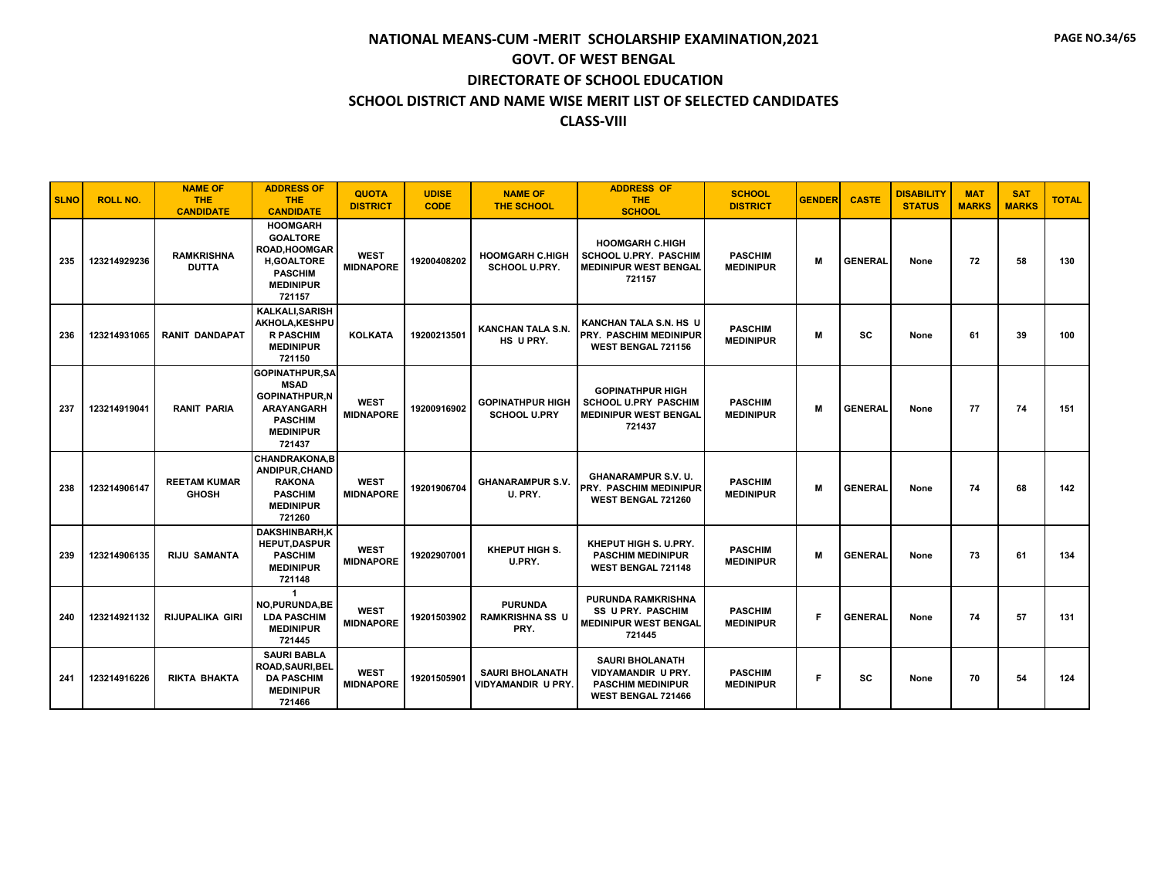| <b>SLNO</b> | <b>ROLL NO.</b> | <b>NAME OF</b><br><b>THE</b><br><b>CANDIDATE</b> | <b>ADDRESS OF</b><br><b>THE</b><br><b>CANDIDATE</b>                                                                               | <b>QUOTA</b><br><b>DISTRICT</b> | <b>UDISE</b><br><b>CODE</b> | <b>NAME OF</b><br><b>THE SCHOOL</b>              | <b>ADDRESS OF</b><br>THE.<br><b>SCHOOL</b>                                                                   | <b>SCHOOL</b><br><b>DISTRICT</b>   | <b>GENDER</b> | <b>CASTE</b>   | <b>DISABILITY</b><br><b>STATUS</b> | <b>MAT</b><br><b>MARKS</b> | <b>SAT</b><br><b>MARKS</b> | <b>TOTAL</b> |
|-------------|-----------------|--------------------------------------------------|-----------------------------------------------------------------------------------------------------------------------------------|---------------------------------|-----------------------------|--------------------------------------------------|--------------------------------------------------------------------------------------------------------------|------------------------------------|---------------|----------------|------------------------------------|----------------------------|----------------------------|--------------|
| 235         | 123214929236    | <b>RAMKRISHNA</b><br><b>DUTTA</b>                | <b>HOOMGARH</b><br><b>GOALTORE</b><br><b>ROAD, HOOMGAR</b><br><b>H.GOALTORE</b><br><b>PASCHIM</b><br><b>MEDINIPUR</b><br>721157   | <b>WEST</b><br><b>MIDNAPORE</b> | 19200408202                 | <b>HOOMGARH C.HIGH</b><br><b>SCHOOL U.PRY.</b>   | <b>HOOMGARH C.HIGH</b><br><b>SCHOOL U.PRY. PASCHIM</b><br><b>MEDINIPUR WEST BENGAL</b><br>721157             | <b>PASCHIM</b><br><b>MEDINIPUR</b> | M             | <b>GENERAL</b> | None                               | 72                         | 58                         | 130          |
| 236         | 123214931065    | <b>RANIT DANDAPAT</b>                            | <b>KALKALI.SARISH</b><br>AKHOLA, KESHPU<br><b>R PASCHIM</b><br><b>MEDINIPUR</b><br>721150                                         | <b>KOLKATA</b>                  | 19200213501                 | <b>KANCHAN TALA S.N.</b><br>HS U PRY.            | KANCHAN TALA S.N. HS U<br>PRY. PASCHIM MEDINIPUR<br><b>WEST BENGAL 721156</b>                                | <b>PASCHIM</b><br><b>MEDINIPUR</b> | M             | <b>SC</b>      | None                               | 61                         | 39                         | 100          |
| 237         | 123214919041    | <b>RANIT PARIA</b>                               | <b>GOPINATHPUR,SA</b><br><b>MSAD</b><br><b>GOPINATHPUR,N</b><br><b>ARAYANGARH</b><br><b>PASCHIM</b><br><b>MEDINIPUR</b><br>721437 | <b>WEST</b><br><b>MIDNAPORE</b> | 19200916902                 | <b>GOPINATHPUR HIGH</b><br><b>SCHOOL U.PRY</b>   | <b>GOPINATHPUR HIGH</b><br><b>SCHOOL U.PRY PASCHIM</b><br><b>MEDINIPUR WEST BENGAL</b><br>721437             | <b>PASCHIM</b><br><b>MEDINIPUR</b> | M             | <b>GENERAL</b> | None                               | 77                         | 74                         | 151          |
| 238         | 123214906147    | <b>REETAM KUMAR</b><br><b>GHOSH</b>              | <b>CHANDRAKONA.B</b><br>ANDIPUR, CHAND<br><b>RAKONA</b><br><b>PASCHIM</b><br><b>MEDINIPUR</b><br>721260                           | <b>WEST</b><br><b>MIDNAPORE</b> | 19201906704                 | <b>GHANARAMPUR S.V.</b><br>U. PRY.               | <b>GHANARAMPUR S.V. U.</b><br><b>PRY. PASCHIM MEDINIPUR</b><br>WEST BENGAL 721260                            | <b>PASCHIM</b><br><b>MEDINIPUR</b> | M             | <b>GENERAL</b> | None                               | 74                         | 68                         | 142          |
| 239         | 123214906135    | <b>RIJU SAMANTA</b>                              | <b>DAKSHINBARH,K</b><br><b>HEPUT.DASPUR</b><br><b>PASCHIM</b><br><b>MEDINIPUR</b><br>721148                                       | <b>WEST</b><br><b>MIDNAPORE</b> | 19202907001                 | KHEPUT HIGH S.<br>U.PRY.                         | KHEPUT HIGH S. U.PRY.<br><b>PASCHIM MEDINIPUR</b><br><b>WEST BENGAL 721148</b>                               | <b>PASCHIM</b><br><b>MEDINIPUR</b> | M             | <b>GENERAL</b> | None                               | 73                         | 61                         | 134          |
| 240         | 123214921132    | <b>RIJUPALIKA GIRI</b>                           | $\mathbf{1}$<br>NO, PURUNDA, BE<br><b>LDA PASCHIM</b><br><b>MEDINIPUR</b><br>721445                                               | <b>WEST</b><br><b>MIDNAPORE</b> | 19201503902                 | <b>PURUNDA</b><br><b>RAMKRISHNA SS U</b><br>PRY. | <b>PURUNDA RAMKRISHNA</b><br><b>SS U PRY. PASCHIM</b><br><b>MEDINIPUR WEST BENGAL</b><br>721445              | <b>PASCHIM</b><br><b>MEDINIPUR</b> | F             | <b>GENERAL</b> | None                               | 74                         | 57                         | 131          |
| 241         | 123214916226    | <b>RIKTA BHAKTA</b>                              | <b>SAURI BABLA</b><br>ROAD, SAURI, BEL<br><b>DA PASCHIM</b><br><b>MEDINIPUR</b><br>721466                                         | <b>WEST</b><br><b>MIDNAPORE</b> | 19201505901                 | <b>SAURI BHOLANATH</b><br>VIDYAMANDIR U PRY.     | <b>SAURI BHOLANATH</b><br><b>VIDYAMANDIR U PRY.</b><br><b>PASCHIM MEDINIPUR</b><br><b>WEST BENGAL 721466</b> | <b>PASCHIM</b><br><b>MEDINIPUR</b> | F             | <b>SC</b>      | None                               | 70                         | 54                         | 124          |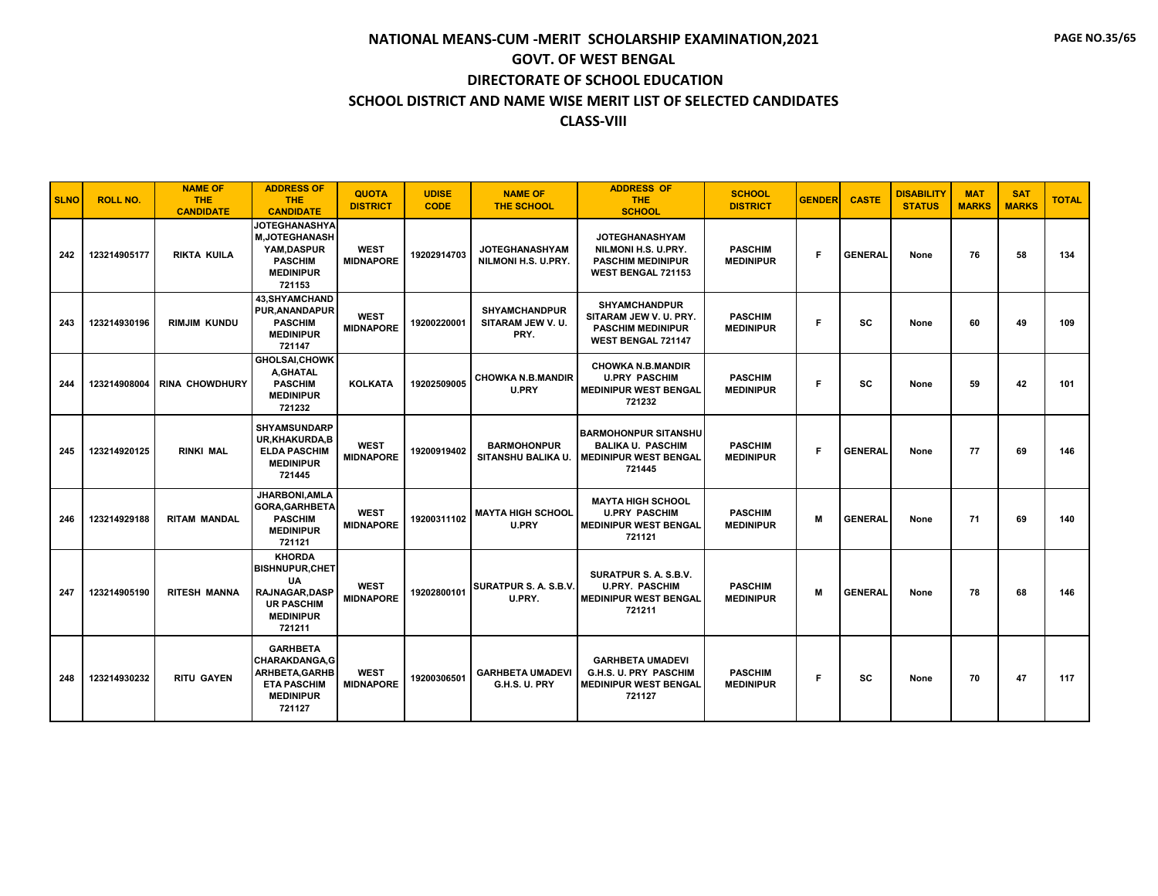| <b>SLNO</b> | <b>ROLL NO.</b> | <b>NAME OF</b><br><b>THE</b><br><b>CANDIDATE</b> | <b>ADDRESS OF</b><br><b>THE</b><br><b>CANDIDATE</b>                                                                       | <b>QUOTA</b><br><b>DISTRICT</b> | <b>UDISE</b><br><b>CODE</b> | <b>NAME OF</b><br><b>THE SCHOOL</b>              | <b>ADDRESS OF</b><br><b>THE</b><br><b>SCHOOL</b>                                                      | <b>SCHOOL</b><br><b>DISTRICT</b>   | <b>GENDER</b> | <b>CASTE</b>   | <b>DISABILITY</b><br><b>STATUS</b> | <b>MAT</b><br><b>MARKS</b> | <b>SAT</b><br><b>MARKS</b> | <b>TOTAL</b> |
|-------------|-----------------|--------------------------------------------------|---------------------------------------------------------------------------------------------------------------------------|---------------------------------|-----------------------------|--------------------------------------------------|-------------------------------------------------------------------------------------------------------|------------------------------------|---------------|----------------|------------------------------------|----------------------------|----------------------------|--------------|
| 242         | 123214905177    | <b>RIKTA KUILA</b>                               | <b>JOTEGHANASHYA</b><br><b>M.JOTEGHANASH</b><br>YAM.DASPUR<br><b>PASCHIM</b><br><b>MEDINIPUR</b><br>721153                | <b>WEST</b><br><b>MIDNAPORE</b> | 19202914703                 | <b>JOTEGHANASHYAM</b><br>NILMONI H.S. U.PRY.     | <b>JOTEGHANASHYAM</b><br>NILMONI H.S. U.PRY.<br><b>PASCHIM MEDINIPUR</b><br><b>WEST BENGAL 721153</b> | <b>PASCHIM</b><br><b>MEDINIPUR</b> | F             | <b>GENERAL</b> | None                               | 76                         | 58                         | 134          |
| 243         | 123214930196    | <b>RIMJIM KUNDU</b>                              | <b>43, SHYAMCHAND</b><br><b>PUR, ANANDAPUR</b><br><b>PASCHIM</b><br><b>MEDINIPUR</b><br>721147                            | <b>WEST</b><br><b>MIDNAPORE</b> | 19200220001                 | <b>SHYAMCHANDPUR</b><br>SITARAM JEW V.U.<br>PRY. | <b>SHYAMCHANDPUR</b><br>SITARAM JEW V.U. PRY.<br><b>PASCHIM MEDINIPUR</b><br>WEST BENGAL 721147       | <b>PASCHIM</b><br><b>MEDINIPUR</b> | F             | <b>SC</b>      | None                               | 60                         | 49                         | 109          |
| 244         | 123214908004    | <b>RINA CHOWDHURY</b>                            | <b>GHOLSAI, CHOWK</b><br>A.GHATAL<br><b>PASCHIM</b><br><b>MEDINIPUR</b><br>721232                                         | <b>KOLKATA</b>                  | 19202509005                 | <b>CHOWKA N.B.MANDIR</b><br><b>U.PRY</b>         | <b>CHOWKA N.B.MANDIR</b><br><b>U.PRY PASCHIM</b><br><b>MEDINIPUR WEST BENGAL</b><br>721232            | <b>PASCHIM</b><br><b>MEDINIPUR</b> | F.            | sc             | None                               | 59                         | 42                         | 101          |
| 245         | 123214920125    | <b>RINKI MAL</b>                                 | <b>SHYAMSUNDARP</b><br>UR, KHAKURDA, B<br><b>ELDA PASCHIM</b><br><b>MEDINIPUR</b><br>721445                               | <b>WEST</b><br><b>MIDNAPORE</b> | 19200919402                 | <b>BARMOHONPUR</b><br>SITANSHU BALIKA U          | <b>BARMOHONPUR SITANSHU</b><br><b>BALIKA U. PASCHIM</b><br><b>MEDINIPUR WEST BENGAL</b><br>721445     | <b>PASCHIM</b><br><b>MEDINIPUR</b> | F             | <b>GENERAL</b> | None                               | 77                         | 69                         | 146          |
| 246         | 123214929188    | <b>RITAM MANDAL</b>                              | JHARBONI, AMLA<br><b>GORA, GARHBETA</b><br><b>PASCHIM</b><br><b>MEDINIPUR</b><br>721121                                   | <b>WEST</b><br><b>MIDNAPORE</b> | 19200311102                 | <b>MAYTA HIGH SCHOOL</b><br><b>U.PRY</b>         | <b>MAYTA HIGH SCHOOL</b><br><b>U.PRY PASCHIM</b><br><b>MEDINIPUR WEST BENGAL</b><br>721121            | <b>PASCHIM</b><br><b>MEDINIPUR</b> | м             | <b>GENERAL</b> | None                               | 71                         | 69                         | 140          |
| 247         | 123214905190    | <b>RITESH MANNA</b>                              | <b>KHORDA</b><br><b>BISHNUPUR, CHET</b><br><b>UA</b><br>RAJNAGAR, DASP<br><b>UR PASCHIM</b><br><b>MEDINIPUR</b><br>721211 | <b>WEST</b><br><b>MIDNAPORE</b> | 19202800101                 | <b>SURATPUR S. A. S.B.V.</b><br>U.PRY.           | SURATPUR S. A. S.B.V.<br><b>U.PRY. PASCHIM</b><br><b>MEDINIPUR WEST BENGAL</b><br>721211              | <b>PASCHIM</b><br><b>MEDINIPUR</b> | М             | <b>GENERAL</b> | None                               | 78                         | 68                         | 146          |
| 248         | 123214930232    | <b>RITU GAYEN</b>                                | <b>GARHBETA</b><br><b>CHARAKDANGA,G</b><br><b>ARHBETA, GARHB</b><br><b>ETA PASCHIM</b><br><b>MEDINIPUR</b><br>721127      | <b>WEST</b><br><b>MIDNAPORE</b> | 19200306501                 | <b>GARHBETA UMADEVI</b><br>G.H.S. U. PRY         | <b>GARHBETA UMADEVI</b><br>G.H.S. U. PRY PASCHIM<br><b>MEDINIPUR WEST BENGAL</b><br>721127            | <b>PASCHIM</b><br><b>MEDINIPUR</b> | F.            | sc             | None                               | 70                         | 47                         | 117          |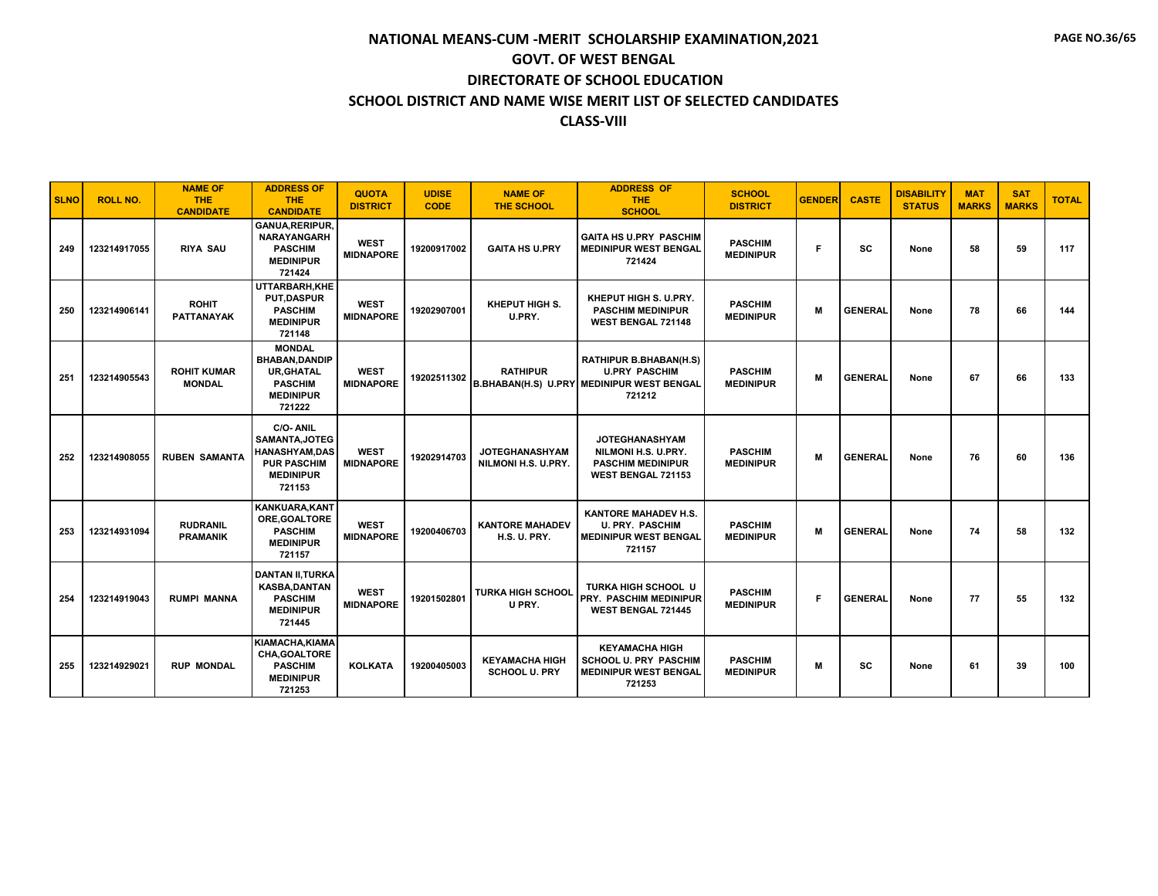| <b>SLNO</b> | <b>ROLL NO.</b> | <b>NAME OF</b><br><b>THE</b><br><b>CANDIDATE</b> | <b>ADDRESS OF</b><br><b>THE</b><br><b>CANDIDATE</b>                                                         | <b>QUOTA</b><br><b>DISTRICT</b> | <b>UDISE</b><br><b>CODE</b> | <b>NAME OF</b><br><b>THE SCHOOL</b>           | <b>ADDRESS OF</b><br><b>THE</b><br><b>SCHOOL</b>                                                                    | <b>SCHOOL</b><br><b>DISTRICT</b>   | <b>GENDER</b> | <b>CASTE</b>   | <b>DISABILITY</b><br><b>STATUS</b> | <b>MAT</b><br><b>MARKS</b> | <b>SAT</b><br><b>MARKS</b> | <b>TOTAL</b> |
|-------------|-----------------|--------------------------------------------------|-------------------------------------------------------------------------------------------------------------|---------------------------------|-----------------------------|-----------------------------------------------|---------------------------------------------------------------------------------------------------------------------|------------------------------------|---------------|----------------|------------------------------------|----------------------------|----------------------------|--------------|
| 249         | 123214917055    | <b>RIYA SAU</b>                                  | <b>GANUA, RERIPUR,</b><br><b>NARAYANGARH</b><br><b>PASCHIM</b><br><b>MEDINIPUR</b><br>721424                | <b>WEST</b><br><b>MIDNAPORE</b> | 19200917002                 | <b>GAITA HS U.PRY</b>                         | <b>GAITA HS U.PRY PASCHIM</b><br><b>MEDINIPUR WEST BENGAL</b><br>721424                                             | <b>PASCHIM</b><br><b>MEDINIPUR</b> | F             | SC             | None                               | 58                         | 59                         | 117          |
| 250         | 123214906141    | <b>ROHIT</b><br><b>PATTANAYAK</b>                | UTTARBARH, KHE<br><b>PUT.DASPUR</b><br><b>PASCHIM</b><br><b>MEDINIPUR</b><br>721148                         | <b>WEST</b><br><b>MIDNAPORE</b> | 19202907001                 | KHEPUT HIGH S.<br>U.PRY.                      | KHEPUT HIGH S. U.PRY.<br><b>PASCHIM MEDINIPUR</b><br>WEST BENGAL 721148                                             | <b>PASCHIM</b><br><b>MEDINIPUR</b> | M             | <b>GENERAL</b> | None                               | 78                         | 66                         | 144          |
| 251         | 123214905543    | <b>ROHIT KUMAR</b><br><b>MONDAL</b>              | <b>MONDAL</b><br><b>BHABAN, DANDIP</b><br><b>UR, GHATAL</b><br><b>PASCHIM</b><br><b>MEDINIPUR</b><br>721222 | <b>WEST</b><br><b>MIDNAPORE</b> | 19202511302                 | <b>RATHIPUR</b>                               | <b>RATHIPUR B.BHABAN(H.S)</b><br><b>U.PRY PASCHIM</b><br><b>B.BHABAN(H.S) U.PRY MEDINIPUR WEST BENGAL</b><br>721212 | <b>PASCHIM</b><br><b>MEDINIPUR</b> | M             | <b>GENERAL</b> | None                               | 67                         | 66                         | 133          |
| 252         | 123214908055    | <b>RUBEN SAMANTA</b>                             | C/O-ANIL<br>SAMANTA, JOTEG<br><b>HANASHYAM,DAS</b><br><b>PUR PASCHIM</b><br><b>MEDINIPUR</b><br>721153      | <b>WEST</b><br><b>MIDNAPORE</b> | 19202914703                 | <b>JOTEGHANASHYAM</b><br>NILMONI H.S. U.PRY.  | <b>JOTEGHANASHYAM</b><br>NILMONI H.S. U.PRY.<br><b>PASCHIM MEDINIPUR</b><br><b>WEST BENGAL 721153</b>               | <b>PASCHIM</b><br><b>MEDINIPUR</b> | M             | <b>GENERAL</b> | None                               | 76                         | 60                         | 136          |
| 253         | 123214931094    | <b>RUDRANIL</b><br><b>PRAMANIK</b>               | <b>KANKUARA.KANT</b><br>ORE, GOALTORE<br><b>PASCHIM</b><br><b>MEDINIPUR</b><br>721157                       | <b>WEST</b><br><b>MIDNAPORE</b> | 19200406703                 | <b>KANTORE MAHADEV</b><br><b>H.S. U. PRY.</b> | <b>KANTORE MAHADEV H.S.</b><br><b>U. PRY. PASCHIM</b><br><b>MEDINIPUR WEST BENGAL</b><br>721157                     | <b>PASCHIM</b><br><b>MEDINIPUR</b> | M             | <b>GENERAL</b> | None                               | 74                         | 58                         | 132          |
| 254         | 123214919043    | <b>RUMPI MANNA</b>                               | <b>DANTAN II, TURKA</b><br><b>KASBA, DANTAN</b><br><b>PASCHIM</b><br><b>MEDINIPUR</b><br>721445             | <b>WEST</b><br><b>MIDNAPORE</b> | 19201502801                 | <b>TURKA HIGH SCHOOL</b><br>U PRY.            | TURKA HIGH SCHOOL U<br><b>PRY. PASCHIM MEDINIPUR</b><br><b>WEST BENGAL 721445</b>                                   | <b>PASCHIM</b><br><b>MEDINIPUR</b> | F             | <b>GENERAL</b> | None                               | 77                         | 55                         | 132          |
| 255         | 123214929021    | <b>RUP MONDAL</b>                                | KIAMACHA.KIAMA<br><b>CHA.GOALTORE</b><br><b>PASCHIM</b><br><b>MEDINIPUR</b><br>721253                       | <b>KOLKATA</b>                  | 19200405003                 | <b>KEYAMACHA HIGH</b><br><b>SCHOOL U. PRY</b> | <b>KEYAMACHA HIGH</b><br>SCHOOL U. PRY PASCHIM<br><b>MEDINIPUR WEST BENGAL</b><br>721253                            | <b>PASCHIM</b><br><b>MEDINIPUR</b> | M             | <b>SC</b>      | None                               | 61                         | 39                         | 100          |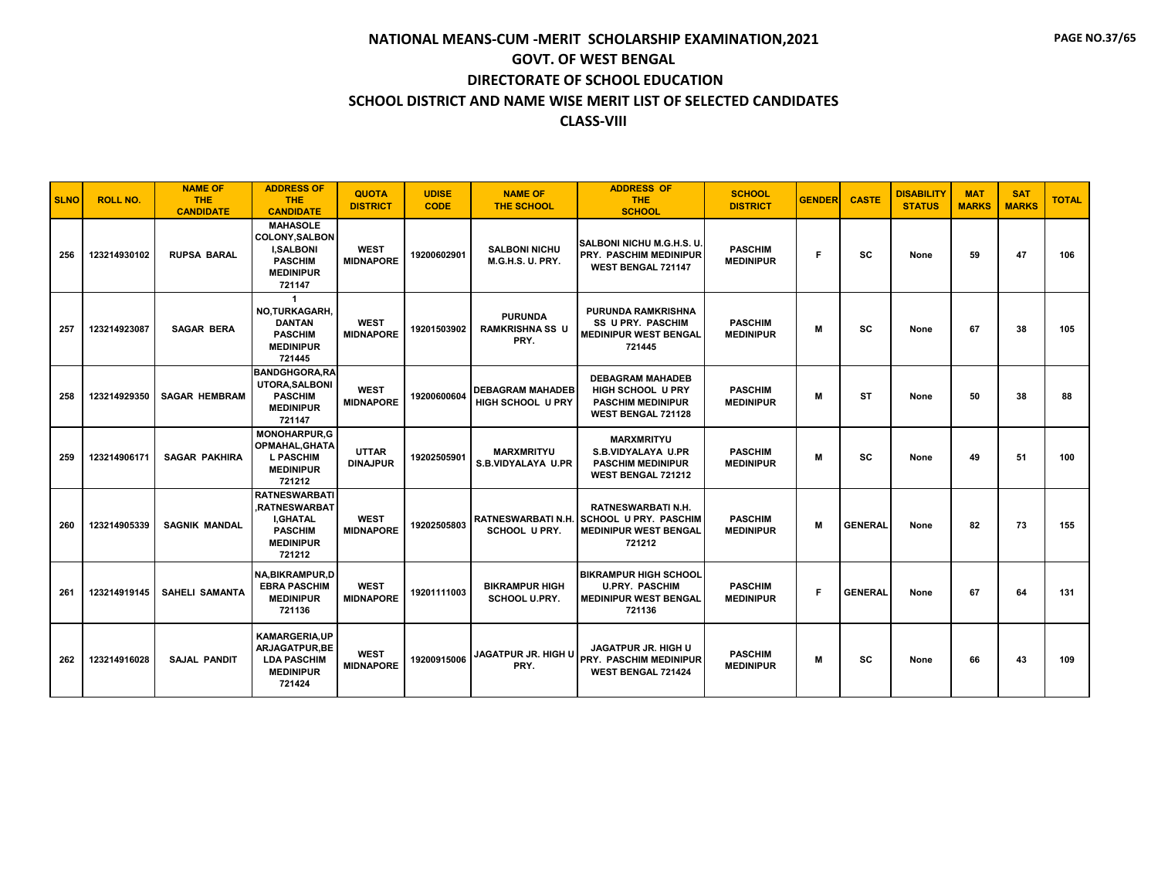| <b>SLNO</b> | <b>ROLL NO.</b> | <b>NAME OF</b><br><b>THE</b><br><b>CANDIDATE</b> | <b>ADDRESS OF</b><br><b>THE</b><br><b>CANDIDATE</b>                                                          | <b>QUOTA</b><br><b>DISTRICT</b> | <b>UDISE</b><br><b>CODE</b> | <b>NAME OF</b><br><b>THE SCHOOL</b>                 | <b>ADDRESS OF</b><br><b>THE</b><br><b>SCHOOL</b>                                                                | <b>SCHOOL</b><br><b>DISTRICT</b>   | <b>GENDER</b> | <b>CASTE</b>   | <b>DISABILITY</b><br><b>STATUS</b> | <b>MAT</b><br><b>MARKS</b> | <b>SAT</b><br><b>MARKS</b> | <b>TOTAL</b> |
|-------------|-----------------|--------------------------------------------------|--------------------------------------------------------------------------------------------------------------|---------------------------------|-----------------------------|-----------------------------------------------------|-----------------------------------------------------------------------------------------------------------------|------------------------------------|---------------|----------------|------------------------------------|----------------------------|----------------------------|--------------|
| 256         | 123214930102    | <b>RUPSA BARAL</b>                               | <b>MAHASOLE</b><br><b>COLONY, SALBON</b><br><b>I,SALBONI</b><br><b>PASCHIM</b><br><b>MEDINIPUR</b><br>721147 | <b>WEST</b><br><b>MIDNAPORE</b> | 19200602901                 | <b>SALBONI NICHU</b><br><b>M.G.H.S. U. PRY.</b>     | <b>SALBONI NICHU M.G.H.S. U.</b><br><b>PRY. PASCHIM MEDINIPUR</b><br>WEST BENGAL 721147                         | <b>PASCHIM</b><br><b>MEDINIPUR</b> | F             | SC             | None                               | 59                         | 47                         | 106          |
| 257         | 123214923087    | <b>SAGAR BERA</b>                                | NO,TURKAGARH,<br><b>DANTAN</b><br><b>PASCHIM</b><br><b>MEDINIPUR</b><br>721445                               | <b>WEST</b><br><b>MIDNAPORE</b> | 19201503902                 | <b>PURUNDA</b><br><b>RAMKRISHNA SS U</b><br>PRY.    | <b>PURUNDA RAMKRISHNA</b><br><b>SS U PRY. PASCHIM</b><br><b>MEDINIPUR WEST BENGAL</b><br>721445                 | <b>PASCHIM</b><br><b>MEDINIPUR</b> | M             | SC             | None                               | 67                         | 38                         | 105          |
| 258         | 123214929350    | <b>SAGAR HEMBRAM</b>                             | <b>BANDGHGORA.RA</b><br>UTORA, SALBONI<br><b>PASCHIM</b><br><b>MEDINIPUR</b><br>721147                       | <b>WEST</b><br><b>MIDNAPORE</b> | 19200600604                 | <b>DEBAGRAM MAHADEB</b><br><b>HIGH SCHOOL U PRY</b> | <b>DEBAGRAM MAHADEB</b><br><b>HIGH SCHOOL U PRY</b><br><b>PASCHIM MEDINIPUR</b><br><b>WEST BENGAL 721128</b>    | <b>PASCHIM</b><br><b>MEDINIPUR</b> | M             | <b>ST</b>      | None                               | 50                         | 38                         | 88           |
| 259         | 123214906171    | <b>SAGAR PAKHIRA</b>                             | <b>MONOHARPUR,G</b><br>OPMAHAL, GHATA<br><b>L PASCHIM</b><br><b>MEDINIPUR</b><br>721212                      | <b>UTTAR</b><br><b>DINAJPUR</b> | 19202505901                 | <b>MARXMRITYU</b><br>S.B.VIDYALAYA U.PR             | <b>MARXMRITYU</b><br><b>S.B.VIDYALAYA U.PR</b><br><b>PASCHIM MEDINIPUR</b><br><b>WEST BENGAL 721212</b>         | <b>PASCHIM</b><br><b>MEDINIPUR</b> | M             | SC             | None                               | 49                         | 51                         | 100          |
| 260         | 123214905339    | <b>SAGNIK MANDAL</b>                             | <b>RATNESWARBATI</b><br>.RATNESWARBAT<br><b>I.GHATAL</b><br><b>PASCHIM</b><br><b>MEDINIPUR</b><br>721212     | <b>WEST</b><br><b>MIDNAPORE</b> | 19202505803                 | SCHOOL U PRY.                                       | <b>RATNESWARBATI N.H.</b><br>RATNESWARBATI N.H. SCHOOL U PRY. PASCHIM<br><b>MEDINIPUR WEST BENGAL</b><br>721212 | <b>PASCHIM</b><br><b>MEDINIPUR</b> | M             | <b>GENERAL</b> | None                               | 82                         | 73                         | 155          |
| 261         | 123214919145    | <b>SAHELI SAMANTA</b>                            | <b>NA, BIKRAMPUR, D</b><br><b>EBRA PASCHIM</b><br><b>MEDINIPUR</b><br>721136                                 | <b>WEST</b><br><b>MIDNAPORE</b> | 19201111003                 | <b>BIKRAMPUR HIGH</b><br><b>SCHOOL U.PRY.</b>       | <b>BIKRAMPUR HIGH SCHOOL</b><br><b>U.PRY. PASCHIM</b><br><b>MEDINIPUR WEST BENGAL</b><br>721136                 | <b>PASCHIM</b><br><b>MEDINIPUR</b> | F             | <b>GENERAL</b> | None                               | 67                         | 64                         | 131          |
| 262         | 123214916028    | <b>SAJAL PANDIT</b>                              | <b>KAMARGERIA.UP</b><br><b>ARJAGATPUR.BE</b><br><b>LDA PASCHIM</b><br><b>MEDINIPUR</b><br>721424             | <b>WEST</b><br><b>MIDNAPORE</b> | 19200915006                 | <b>JAGATPUR JR. HIGH U</b><br>PRY.                  | <b>JAGATPUR JR. HIGH U</b><br><b>PRY. PASCHIM MEDINIPUR</b><br><b>WEST BENGAL 721424</b>                        | <b>PASCHIM</b><br><b>MEDINIPUR</b> | M             | SC             | None                               | 66                         | 43                         | 109          |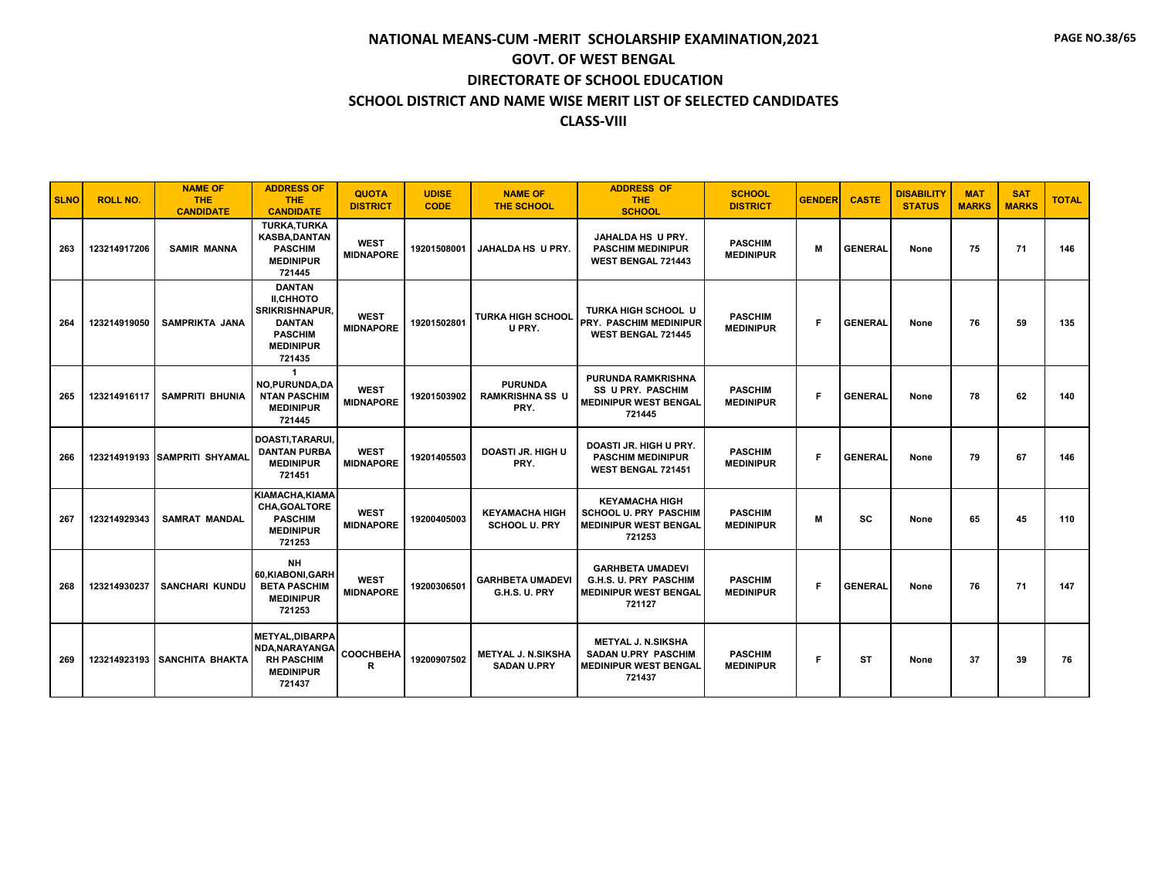| <b>SLNO</b> | <b>ROLL NO.</b> | <b>NAME OF</b><br><b>THE</b><br><b>CANDIDATE</b> | <b>ADDRESS OF</b><br><b>THE</b><br><b>CANDIDATE</b>                                                                         | <b>QUOTA</b><br><b>DISTRICT</b> | <b>UDISE</b><br><b>CODE</b> | <b>NAME OF</b><br>THE SCHOOL                     | <b>ADDRESS OF</b><br><b>THE</b><br><b>SCHOOL</b>                                                  | <b>SCHOOL</b><br><b>DISTRICT</b>   | <b>GENDER</b> | <b>CASTE</b>   | <b>DISABILITY</b><br><b>STATUS</b> | <b>MAT</b><br><b>MARKS</b> | <b>SAT</b><br><b>MARKS</b> | <b>TOTAL</b> |
|-------------|-----------------|--------------------------------------------------|-----------------------------------------------------------------------------------------------------------------------------|---------------------------------|-----------------------------|--------------------------------------------------|---------------------------------------------------------------------------------------------------|------------------------------------|---------------|----------------|------------------------------------|----------------------------|----------------------------|--------------|
| 263         | 123214917206    | <b>SAMIR MANNA</b>                               | <b>TURKA, TURKA</b><br><b>KASBA,DANTAN</b><br><b>PASCHIM</b><br><b>MEDINIPUR</b><br>721445                                  | <b>WEST</b><br><b>MIDNAPORE</b> | 19201508001                 | <b>JAHALDA HS U PRY.</b>                         | <b>JAHALDA HS U PRY.</b><br><b>PASCHIM MEDINIPUR</b><br><b>WEST BENGAL 721443</b>                 | <b>PASCHIM</b><br><b>MEDINIPUR</b> | M             | <b>GENERAL</b> | None                               | 75                         | 71                         | 146          |
| 264         | 123214919050    | <b>SAMPRIKTA JANA</b>                            | <b>DANTAN</b><br><b>II,CHHOTO</b><br><b>SRIKRISHNAPUR,</b><br><b>DANTAN</b><br><b>PASCHIM</b><br><b>MEDINIPUR</b><br>721435 | <b>WEST</b><br><b>MIDNAPORE</b> | 19201502801                 | <b>TURKA HIGH SCHOOL</b><br>U PRY.               | <b>TURKA HIGH SCHOOL U</b><br><b>PRY. PASCHIM MEDINIPUR</b><br><b>WEST BENGAL 721445</b>          | <b>PASCHIM</b><br><b>MEDINIPUR</b> | F             | <b>GENERAL</b> | None                               | 76                         | 59                         | 135          |
| 265         | 123214916117    | <b>SAMPRITI BHUNIA</b>                           | NO, PURUNDA, DA<br><b>NTAN PASCHIM</b><br><b>MEDINIPUR</b><br>721445                                                        | <b>WEST</b><br><b>MIDNAPORE</b> | 19201503902                 | <b>PURUNDA</b><br><b>RAMKRISHNA SS U</b><br>PRY. | <b>PURUNDA RAMKRISHNA</b><br><b>SS U PRY. PASCHIM</b><br><b>MEDINIPUR WEST BENGAL</b><br>721445   | <b>PASCHIM</b><br><b>MEDINIPUR</b> | F             | <b>GENERAL</b> | None                               | 78                         | 62                         | 140          |
| 266         |                 | 123214919193 SAMPRITI SHYAMAL                    | <b>DOASTI.TARARUI.</b><br><b>DANTAN PURBA</b><br><b>MEDINIPUR</b><br>721451                                                 | <b>WEST</b><br><b>MIDNAPORE</b> | 19201405503                 | <b>DOASTI JR. HIGH U</b><br>PRY.                 | DOASTI JR. HIGH U PRY.<br><b>PASCHIM MEDINIPUR</b><br><b>WEST BENGAL 721451</b>                   | <b>PASCHIM</b><br><b>MEDINIPUR</b> | F             | <b>GENERAL</b> | None                               | 79                         | 67                         | 146          |
| 267         | 123214929343    | <b>SAMRAT MANDAL</b>                             | KIAMACHA.KIAMA<br>CHA.GOALTORE<br><b>PASCHIM</b><br><b>MEDINIPUR</b><br>721253                                              | <b>WEST</b><br><b>MIDNAPORE</b> | 19200405003                 | <b>KEYAMACHA HIGH</b><br><b>SCHOOL U. PRY</b>    | <b>KEYAMACHA HIGH</b><br><b>SCHOOL U. PRY PASCHIM</b><br><b>MEDINIPUR WEST BENGAL</b><br>721253   | <b>PASCHIM</b><br><b>MEDINIPUR</b> | M             | SC             | None                               | 65                         | 45                         | 110          |
| 268         | 123214930237    | <b>SANCHARI KUNDU</b>                            | NH<br>60.KIABONI.GARH<br><b>BETA PASCHIM</b><br><b>MEDINIPUR</b><br>721253                                                  | <b>WEST</b><br><b>MIDNAPORE</b> | 19200306501                 | <b>GARHBETA UMADEVI</b><br>G.H.S. U. PRY         | <b>GARHBETA UMADEVI</b><br>G.H.S. U. PRY PASCHIM<br><b>MEDINIPUR WEST BENGAL</b><br>721127        | <b>PASCHIM</b><br><b>MEDINIPUR</b> | F.            | <b>GENERAL</b> | None                               | 76                         | 71                         | 147          |
| 269         |                 | 123214923193 SANCHITA BHAKTA                     | <b>METYAL, DIBARPA</b><br>NDA, NARAYANGA<br><b>RH PASCHIM</b><br><b>MEDINIPUR</b><br>721437                                 | COOCHBEHA<br>R                  | 19200907502                 | <b>METYAL J. N.SIKSHA</b><br><b>SADAN U.PRY</b>  | <b>METYAL J. N.SIKSHA</b><br><b>SADAN U.PRY PASCHIM</b><br><b>MEDINIPUR WEST BENGAL</b><br>721437 | <b>PASCHIM</b><br><b>MEDINIPUR</b> | F             | ST             | None                               | 37                         | 39                         | 76           |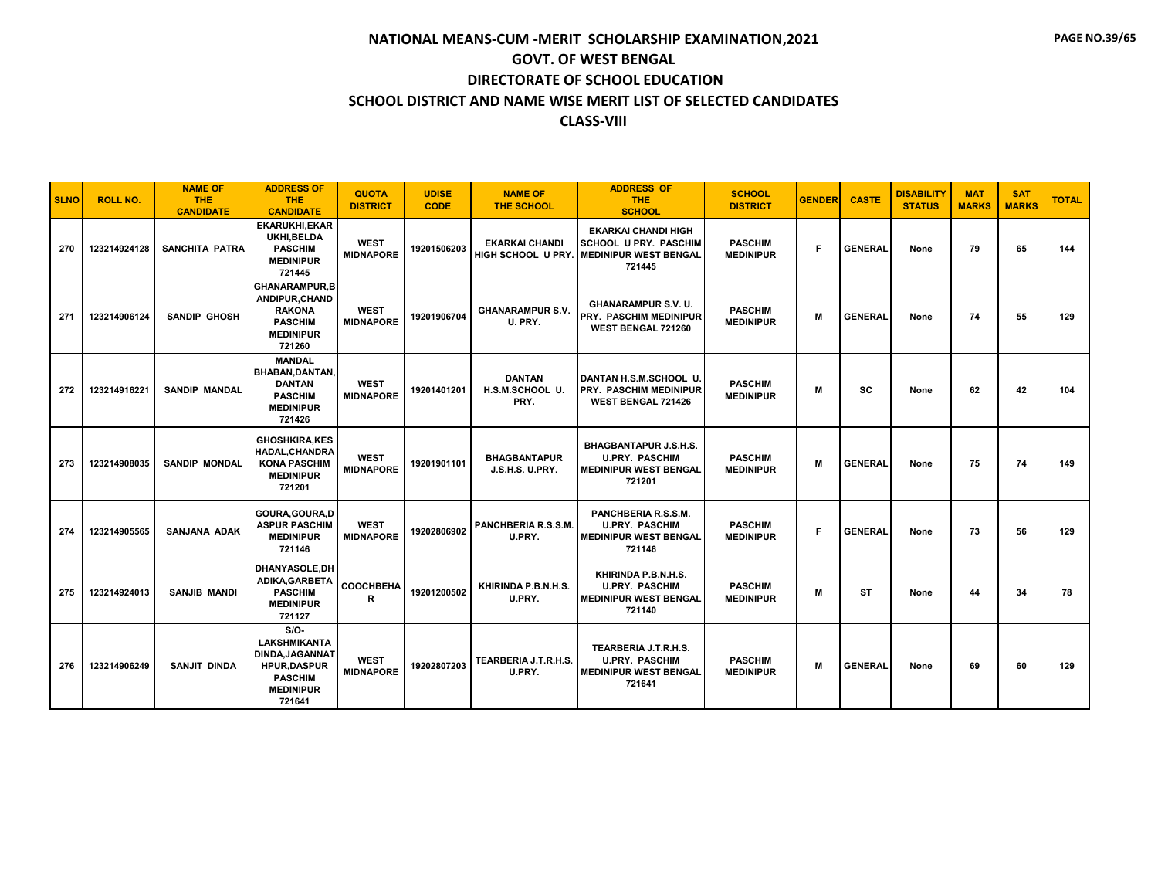| <b>SLNO</b> | <b>ROLL NO.</b> | <b>NAME OF</b><br><b>THE</b><br><b>CANDIDATE</b> | <b>ADDRESS OF</b><br><b>THE</b><br><b>CANDIDATE</b>                                                                           | <b>QUOTA</b><br><b>DISTRICT</b> | <b>UDISE</b><br><b>CODE</b> | <b>NAME OF</b><br><b>THE SCHOOL</b>         | <b>ADDRESS OF</b><br><b>THE</b><br><b>SCHOOL</b>                                                     | <b>SCHOOL</b><br><b>DISTRICT</b>   | <b>GENDER</b> | <b>CASTE</b>   | <b>DISABILITY</b><br><b>STATUS</b> | <b>MAT</b><br><b>MARKS</b> | <b>SAT</b><br><b>MARKS</b> | <b>TOTAL</b> |
|-------------|-----------------|--------------------------------------------------|-------------------------------------------------------------------------------------------------------------------------------|---------------------------------|-----------------------------|---------------------------------------------|------------------------------------------------------------------------------------------------------|------------------------------------|---------------|----------------|------------------------------------|----------------------------|----------------------------|--------------|
| 270         | 123214924128    | <b>SANCHITA PATRA</b>                            | <b>EKARUKHI, EKAR</b><br>UKHI.BELDA<br><b>PASCHIM</b><br><b>MEDINIPUR</b><br>721445                                           | <b>WEST</b><br><b>MIDNAPORE</b> | 19201506203                 | <b>EKARKAI CHANDI</b><br>HIGH SCHOOL U PRY. | <b>EKARKAI CHANDI HIGH</b><br><b>SCHOOL U PRY. PASCHIM</b><br><b>MEDINIPUR WEST BENGAL</b><br>721445 | <b>PASCHIM</b><br><b>MEDINIPUR</b> | F             | <b>GENERAL</b> | None                               | 79                         | 65                         | 144          |
| 271         | 123214906124    | <b>SANDIP GHOSH</b>                              | <b>GHANARAMPUR.B</b><br>ANDIPUR, CHAND<br><b>RAKONA</b><br><b>PASCHIM</b><br><b>MEDINIPUR</b><br>721260                       | <b>WEST</b><br><b>MIDNAPORE</b> | 19201906704                 | <b>GHANARAMPUR S.V.</b><br>U. PRY.          | <b>GHANARAMPUR S.V. U.</b><br><b>PRY. PASCHIM MEDINIPUR</b><br>WEST BENGAL 721260                    | <b>PASCHIM</b><br><b>MEDINIPUR</b> | M             | <b>GENERAL</b> | None                               | 74                         | 55                         | 129          |
| 272         | 123214916221    | <b>SANDIP MANDAL</b>                             | <b>MANDAL</b><br><b>BHABAN, DANTAN</b><br><b>DANTAN</b><br><b>PASCHIM</b><br><b>MEDINIPUR</b><br>721426                       | <b>WEST</b><br><b>MIDNAPORE</b> | 19201401201                 | <b>DANTAN</b><br>H.S.M.SCHOOL U.<br>PRY.    | DANTAN H.S.M.SCHOOL U.<br><b>PRY. PASCHIM MEDINIPUR</b><br>WEST BENGAL 721426                        | <b>PASCHIM</b><br><b>MEDINIPUR</b> | M             | SC             | None                               | 62                         | 42                         | 104          |
| 273         | 123214908035    | <b>SANDIP MONDAL</b>                             | <b>GHOSHKIRA,KES</b><br><b>HADAL.CHANDRA</b><br><b>KONA PASCHIM</b><br><b>MEDINIPUR</b><br>721201                             | <b>WEST</b><br><b>MIDNAPORE</b> | 19201901101                 | <b>BHAGBANTAPUR</b><br>J.S.H.S. U.PRY.      | <b>BHAGBANTAPUR J.S.H.S.</b><br><b>U.PRY. PASCHIM</b><br><b>MEDINIPUR WEST BENGAL</b><br>721201      | <b>PASCHIM</b><br><b>MEDINIPUR</b> | M             | <b>GENERAL</b> | None                               | 75                         | 74                         | 149          |
| 274         | 123214905565    | SANJANA ADAK                                     | GOURA, GOURA, D<br><b>ASPUR PASCHIM</b><br><b>MEDINIPUR</b><br>721146                                                         | <b>WEST</b><br><b>MIDNAPORE</b> | 19202806902                 | PANCHBERIA R.S.S.M.<br>U.PRY.               | PANCHBERIA R.S.S.M.<br><b>U.PRY. PASCHIM</b><br><b>MEDINIPUR WEST BENGAL</b><br>721146               | <b>PASCHIM</b><br><b>MEDINIPUR</b> | F             | <b>GENERAL</b> | None                               | 73                         | 56                         | 129          |
| 275         | 123214924013    | <b>SANJIB MANDI</b>                              | DHANYASOLE, DH<br>ADIKA, GARBETA<br><b>PASCHIM</b><br><b>MEDINIPUR</b><br>721127                                              | COOCHBEHA<br>R                  | 19201200502                 | KHIRINDA P.B.N.H.S.<br>U.PRY.               | KHIRINDA P.B.N.H.S.<br><b>U.PRY. PASCHIM</b><br><b>MEDINIPUR WEST BENGAL</b><br>721140               | <b>PASCHIM</b><br><b>MEDINIPUR</b> | M             | ST             | None                               | 44                         | 34                         | 78           |
| 276         | 123214906249    | <b>SANJIT DINDA</b>                              | $S/O-$<br><b>LAKSHMIKANTA</b><br><b>DINDA, JAGANNAT</b><br><b>HPUR,DASPUR</b><br><b>PASCHIM</b><br><b>MEDINIPUR</b><br>721641 | <b>WEST</b><br><b>MIDNAPORE</b> | 19202807203                 | TEARBERIA J.T.R.H.S.<br>U.PRY.              | TEARBERIA J.T.R.H.S.<br><b>U.PRY. PASCHIM</b><br><b>MEDINIPUR WEST BENGAL</b><br>721641              | <b>PASCHIM</b><br><b>MEDINIPUR</b> | M             | <b>GENERAL</b> | None                               | 69                         | 60                         | 129          |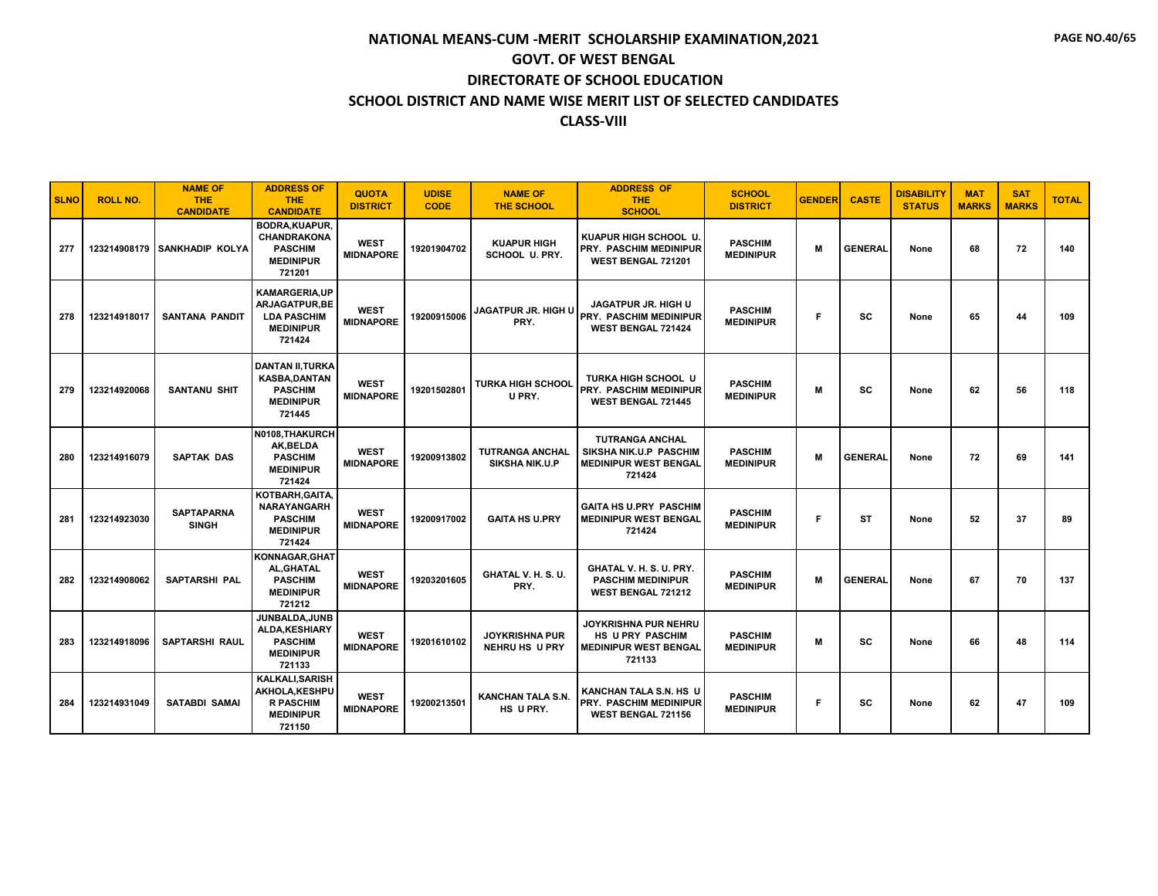| <b>SLNO</b> | <b>ROLL NO.</b> | <b>NAME OF</b><br><b>THE</b><br><b>CANDIDATE</b> | <b>ADDRESS OF</b><br><b>THE</b><br><b>CANDIDATE</b>                                            | <b>QUOTA</b><br><b>DISTRICT</b> | <b>UDISE</b><br><b>CODE</b> | <b>NAME OF</b><br><b>THE SCHOOL</b>             | <b>ADDRESS OF</b><br><b>THE</b><br><b>SCHOOL</b>                                           | <b>SCHOOL</b><br><b>DISTRICT</b>   | <b>GENDER</b> | <b>CASTE</b>   | <b>DISABILITY</b><br><b>STATUS</b> | <b>MAT</b><br><b>MARKS</b> | <b>SAT</b><br><b>MARKS</b> | <b>TOTAL</b> |
|-------------|-----------------|--------------------------------------------------|------------------------------------------------------------------------------------------------|---------------------------------|-----------------------------|-------------------------------------------------|--------------------------------------------------------------------------------------------|------------------------------------|---------------|----------------|------------------------------------|----------------------------|----------------------------|--------------|
| 277         |                 | 123214908179 SANKHADIP KOLYA                     | <b>BODRA, KUAPUR,</b><br><b>CHANDRAKONA</b><br><b>PASCHIM</b><br><b>MEDINIPUR</b><br>721201    | <b>WEST</b><br><b>MIDNAPORE</b> | 19201904702                 | <b>KUAPUR HIGH</b><br>SCHOOL U. PRY.            | KUAPUR HIGH SCHOOL U.<br>PRY. PASCHIM MEDINIPUR<br>WEST BENGAL 721201                      | <b>PASCHIM</b><br><b>MEDINIPUR</b> | M             | <b>GENERAL</b> | None                               | 68                         | 72                         | 140          |
| 278         | 123214918017    | <b>SANTANA PANDIT</b>                            | <b>KAMARGERIA,UP</b><br>ARJAGATPUR, BE<br><b>LDA PASCHIM</b><br><b>MEDINIPUR</b><br>721424     | <b>WEST</b><br><b>MIDNAPORE</b> | 19200915006                 | JAGATPUR JR. HIGH U<br>PRY.                     | <b>JAGATPUR JR. HIGH U</b><br>PRY. PASCHIM MEDINIPUR<br>WEST BENGAL 721424                 | <b>PASCHIM</b><br><b>MEDINIPUR</b> | F             | <b>SC</b>      | None                               | 65                         | 44                         | 109          |
| 279         | 123214920068    | <b>SANTANU SHIT</b>                              | <b>DANTAN II, TURKA</b><br><b>KASBA.DANTAN</b><br><b>PASCHIM</b><br><b>MEDINIPUR</b><br>721445 | <b>WEST</b><br><b>MIDNAPORE</b> | 19201502801                 | <b>TURKA HIGH SCHOOL</b><br>U PRY.              | TURKA HIGH SCHOOL U<br>PRY. PASCHIM MEDINIPUR<br><b>WEST BENGAL 721445</b>                 | <b>PASCHIM</b><br><b>MEDINIPUR</b> | M             | <b>SC</b>      | None                               | 62                         | 56                         | 118          |
| 280         | 123214916079    | <b>SAPTAK DAS</b>                                | N0108.THAKURCH<br>AK.BELDA<br><b>PASCHIM</b><br><b>MEDINIPUR</b><br>721424                     | <b>WEST</b><br><b>MIDNAPORE</b> | 19200913802                 | <b>TUTRANGA ANCHAL</b><br><b>SIKSHA NIK.U.P</b> | <b>TUTRANGA ANCHAL</b><br>SIKSHA NIK.U.P PASCHIM<br><b>MEDINIPUR WEST BENGAL</b><br>721424 | <b>PASCHIM</b><br><b>MEDINIPUR</b> | M             | <b>GENERAL</b> | None                               | 72                         | 69                         | 141          |
| 281         | 123214923030    | <b>SAPTAPARNA</b><br><b>SINGH</b>                | KOTBARH, GAITA,<br><b>NARAYANGARH</b><br><b>PASCHIM</b><br><b>MEDINIPUR</b><br>721424          | <b>WEST</b><br><b>MIDNAPORE</b> | 19200917002                 | <b>GAITA HS U.PRY</b>                           | <b>GAITA HS U.PRY PASCHIM</b><br><b>MEDINIPUR WEST BENGAL</b><br>721424                    | <b>PASCHIM</b><br><b>MEDINIPUR</b> | F             | <b>ST</b>      | None                               | 52                         | 37                         | 89           |
| 282         | 123214908062    | <b>SAPTARSHI PAL</b>                             | KONNAGAR, GHAT<br>AL, GHATAL<br><b>PASCHIM</b><br><b>MEDINIPUR</b><br>721212                   | <b>WEST</b><br><b>MIDNAPORE</b> | 19203201605                 | GHATAL V. H. S. U.<br>PRY.                      | GHATAL V. H. S. U. PRY.<br><b>PASCHIM MEDINIPUR</b><br>WEST BENGAL 721212                  | <b>PASCHIM</b><br><b>MEDINIPUR</b> | M             | <b>GENERAL</b> | None                               | 67                         | 70                         | 137          |
| 283         | 123214918096    | <b>SAPTARSHI RAUL</b>                            | JUNBALDA.JUNB<br>ALDA, KESHIARY<br><b>PASCHIM</b><br><b>MEDINIPUR</b><br>721133                | <b>WEST</b><br><b>MIDNAPORE</b> | 19201610102                 | <b>JOYKRISHNA PUR</b><br><b>NEHRU HS U PRY</b>  | JOYKRISHNA PUR NEHRU<br>HS U PRY PASCHIM<br><b>MEDINIPUR WEST BENGAL</b><br>721133         | <b>PASCHIM</b><br><b>MEDINIPUR</b> | M             | <b>SC</b>      | None                               | 66                         | 48                         | 114          |
| 284         | 123214931049    | <b>SATABDI SAMAI</b>                             | <b>KALKALI, SARISH</b><br>AKHOLA, KESHPU<br><b>R PASCHIM</b><br><b>MEDINIPUR</b><br>721150     | <b>WEST</b><br><b>MIDNAPORE</b> | 19200213501                 | <b>KANCHAN TALA S.N.</b><br>HS U PRY.           | KANCHAN TALA S.N. HS U<br>PRY. PASCHIM MEDINIPUR<br><b>WEST BENGAL 721156</b>              | <b>PASCHIM</b><br><b>MEDINIPUR</b> | F.            | <b>SC</b>      | None                               | 62                         | 47                         | 109          |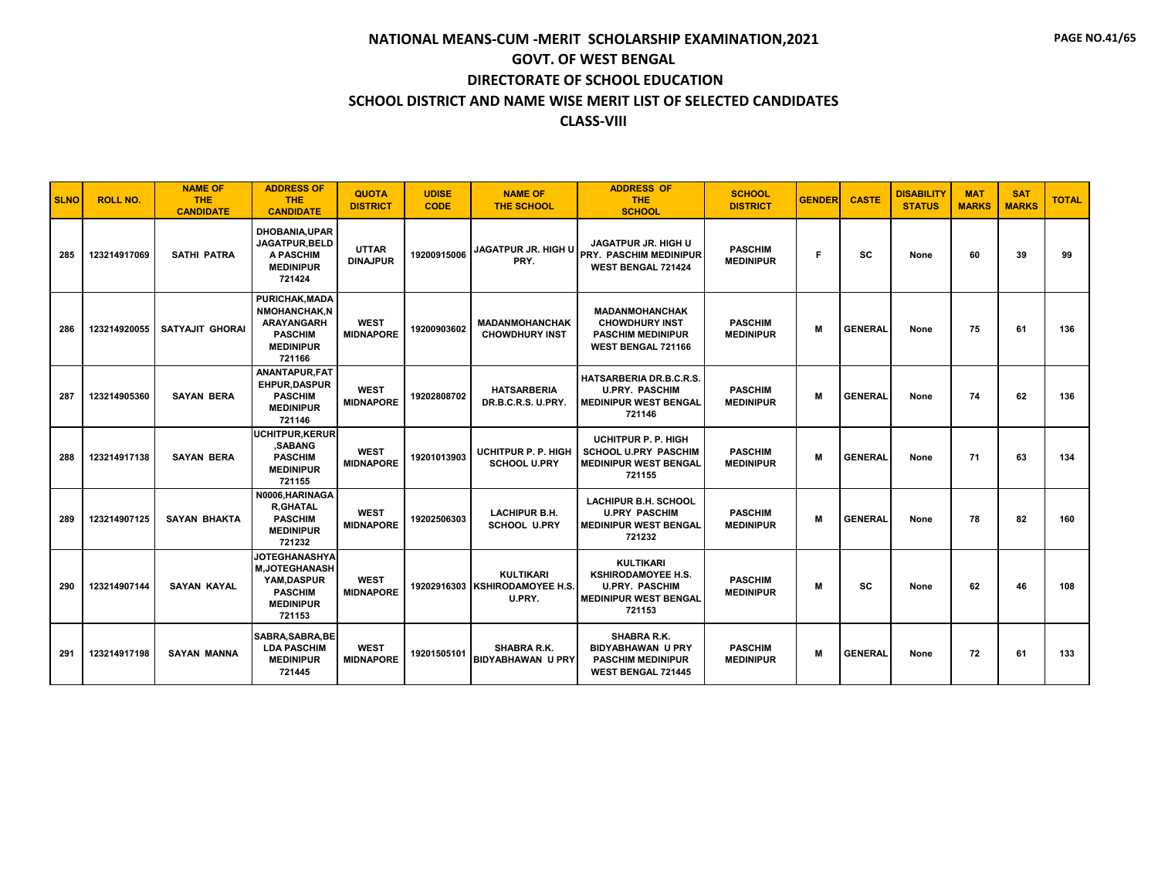| <b>SLNO</b> | <b>ROLL NO.</b> | <b>NAME OF</b><br><b>THE</b><br><b>CANDIDATE</b> | <b>ADDRESS OF</b><br><b>THE</b><br><b>CANDIDATE</b>                                                              | <b>QUOTA</b><br><b>DISTRICT</b> | <b>UDISE</b><br><b>CODE</b> | <b>NAME OF</b><br><b>THE SCHOOL</b>                          | <b>ADDRESS OF</b><br><b>THE</b><br><b>SCHOOL</b>                                                                 | <b>SCHOOL</b><br><b>DISTRICT</b>   | <b>GENDER</b> | <b>CASTE</b>   | <b>DISABILITY</b><br><b>STATUS</b> | <b>MAT</b><br><b>MARKS</b> | <b>SAT</b><br><b>MARKS</b> | <b>TOTAL</b> |
|-------------|-----------------|--------------------------------------------------|------------------------------------------------------------------------------------------------------------------|---------------------------------|-----------------------------|--------------------------------------------------------------|------------------------------------------------------------------------------------------------------------------|------------------------------------|---------------|----------------|------------------------------------|----------------------------|----------------------------|--------------|
| 285         | 123214917069    | <b>SATHI PATRA</b>                               | <b>DHOBANIA, UPAR</b><br>JAGATPUR, BELD<br><b>A PASCHIM</b><br><b>MEDINIPUR</b><br>721424                        | <b>UTTAR</b><br><b>DINAJPUR</b> | 19200915006                 | <b>JAGATPUR JR. HIGH U</b><br>PRY.                           | JAGATPUR JR. HIGH U<br><b>PRY. PASCHIM MEDINIPUR</b><br>WEST BENGAL 721424                                       | <b>PASCHIM</b><br><b>MEDINIPUR</b> | F             | SC             | None                               | 60                         | 39                         | 99           |
| 286         | 123214920055    | <b>SATYAJIT GHORAI</b>                           | <b>PURICHAK.MADA</b><br><b>NMOHANCHAK.N</b><br><b>ARAYANGARH</b><br><b>PASCHIM</b><br><b>MEDINIPUR</b><br>721166 | <b>WEST</b><br><b>MIDNAPORE</b> | 19200903602                 | <b>MADANMOHANCHAK</b><br><b>CHOWDHURY INST</b>               | <b>MADANMOHANCHAK</b><br><b>CHOWDHURY INST</b><br><b>PASCHIM MEDINIPUR</b><br><b>WEST BENGAL 721166</b>          | <b>PASCHIM</b><br><b>MEDINIPUR</b> | M             | <b>GENERAL</b> | None                               | 75                         | 61                         | 136          |
| 287         | 123214905360    | <b>SAYAN BERA</b>                                | ANANTAPUR, FAT<br><b>EHPUR.DASPUR</b><br><b>PASCHIM</b><br><b>MEDINIPUR</b><br>721146                            | <b>WEST</b><br><b>MIDNAPORE</b> | 19202808702                 | <b>HATSARBERIA</b><br>DR.B.C.R.S. U.PRY.                     | <b>HATSARBERIA DR.B.C.R.S.</b><br><b>U.PRY. PASCHIM</b><br><b>MEDINIPUR WEST BENGAL</b><br>721146                | <b>PASCHIM</b><br><b>MEDINIPUR</b> | M             | <b>GENERAL</b> | None                               | 74                         | 62                         | 136          |
| 288         | 123214917138    | <b>SAYAN BERA</b>                                | UCHITPUR.KERUR<br>.SABANG<br><b>PASCHIM</b><br><b>MEDINIPUR</b><br>721155                                        | <b>WEST</b><br><b>MIDNAPORE</b> | 19201013903                 | <b>UCHITPUR P. P. HIGH</b><br><b>SCHOOL U.PRY</b>            | <b>UCHITPUR P. P. HIGH</b><br><b>SCHOOL U.PRY PASCHIM</b><br><b>MEDINIPUR WEST BENGAL</b><br>721155              | <b>PASCHIM</b><br><b>MEDINIPUR</b> | M             | <b>GENERAL</b> | None                               | 71                         | 63                         | 134          |
| 289         | 123214907125    | <b>SAYAN BHAKTA</b>                              | N0006.HARINAGA<br><b>R,GHATAL</b><br><b>PASCHIM</b><br><b>MEDINIPUR</b><br>721232                                | <b>WEST</b><br><b>MIDNAPORE</b> | 19202506303                 | <b>LACHIPUR B.H.</b><br><b>SCHOOL U.PRY</b>                  | <b>LACHIPUR B.H. SCHOOL</b><br><b>U.PRY PASCHIM</b><br><b>MEDINIPUR WEST BENGAL</b><br>721232                    | <b>PASCHIM</b><br><b>MEDINIPUR</b> | M             | <b>GENERAL</b> | None                               | 78                         | 82                         | 160          |
| 290         | 123214907144    | <b>SAYAN KAYAL</b>                               | <b>JOTEGHANASHYA</b><br><b>M.JOTEGHANASH</b><br>YAM.DASPUR<br><b>PASCHIM</b><br><b>MEDINIPUR</b><br>721153       | <b>WEST</b><br><b>MIDNAPORE</b> |                             | <b>KULTIKARI</b><br>19202916303 KSHIRODAMOYEE H.S.<br>U.PRY. | <b>KULTIKARI</b><br><b>KSHIRODAMOYEE H.S.</b><br><b>U.PRY. PASCHIM</b><br><b>MEDINIPUR WEST BENGAL</b><br>721153 | <b>PASCHIM</b><br><b>MEDINIPUR</b> | M             | <b>SC</b>      | None                               | 62                         | 46                         | 108          |
| 291         | 123214917198    | <b>SAYAN MANNA</b>                               | SABRA, SABRA, BE<br><b>LDA PASCHIM</b><br><b>MEDINIPUR</b><br>721445                                             | <b>WEST</b><br><b>MIDNAPORE</b> | 19201505101                 | <b>SHABRA R.K.</b><br><b>BIDYABHAWAN U PRY</b>               | SHABRA R.K.<br><b>BIDYABHAWAN U PRY</b><br><b>PASCHIM MEDINIPUR</b><br>WEST BENGAL 721445                        | <b>PASCHIM</b><br><b>MEDINIPUR</b> | M             | <b>GENERAL</b> | None                               | 72                         | 61                         | 133          |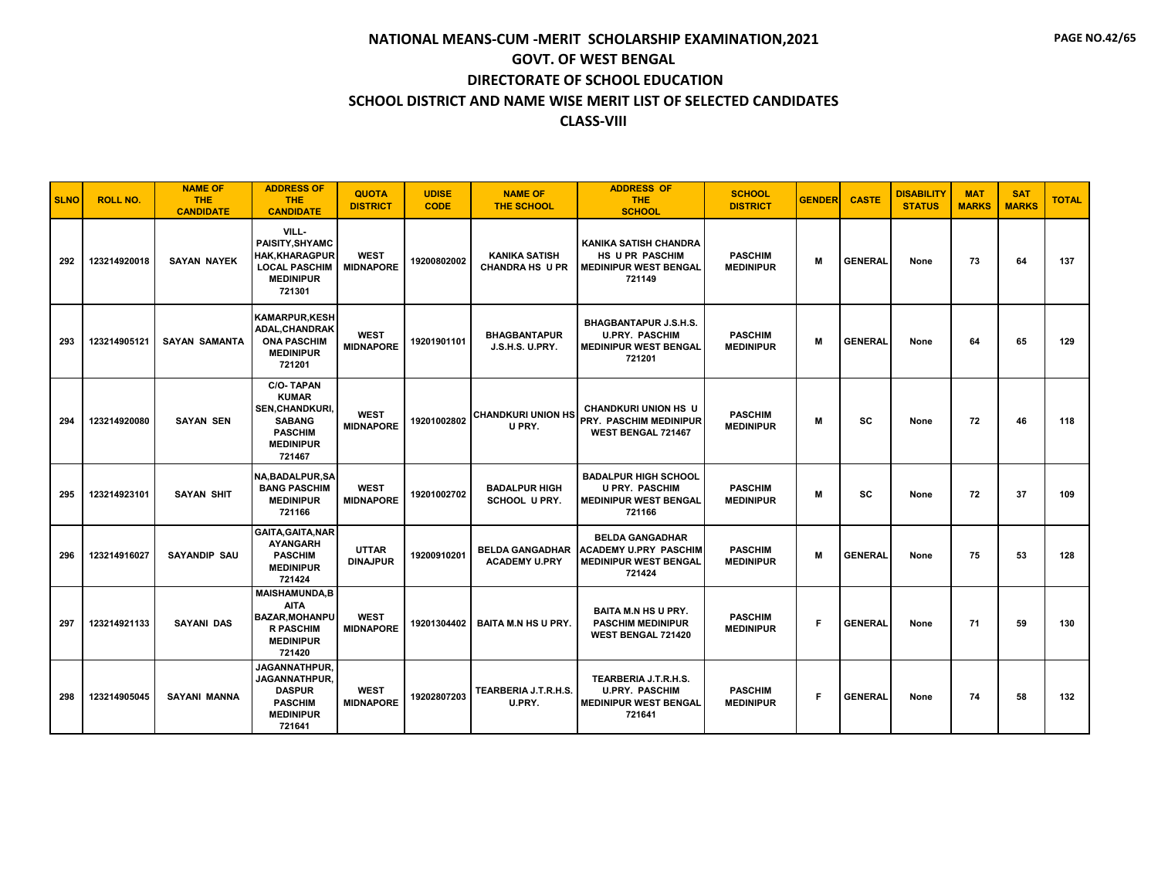| <b>SLNO</b> | <b>ROLL NO.</b> | <b>NAME OF</b><br><b>THE</b><br><b>CANDIDATE</b> | <b>ADDRESS OF</b><br><b>THE</b><br><b>CANDIDATE</b>                                                                         | <b>QUOTA</b><br><b>DISTRICT</b> | <b>UDISE</b><br><b>CODE</b> | <b>NAME OF</b><br><b>THE SCHOOL</b>            | <b>ADDRESS OF</b><br><b>THE</b><br><b>SCHOOL</b>                                                   | <b>SCHOOL</b><br><b>DISTRICT</b>   | <b>GENDER</b> | <b>CASTE</b>   | <b>DISABILITY</b><br><b>STATUS</b> | <b>MAT</b><br><b>MARKS</b> | <b>SAT</b><br><b>MARKS</b> | <b>TOTAL</b> |
|-------------|-----------------|--------------------------------------------------|-----------------------------------------------------------------------------------------------------------------------------|---------------------------------|-----------------------------|------------------------------------------------|----------------------------------------------------------------------------------------------------|------------------------------------|---------------|----------------|------------------------------------|----------------------------|----------------------------|--------------|
| 292         | 123214920018    | <b>SAYAN NAYEK</b>                               | VILL-<br>PAISITY, SHYAMC<br><b>HAK, KHARAGPUR</b><br><b>LOCAL PASCHIM</b><br><b>MEDINIPUR</b><br>721301                     | <b>WEST</b><br><b>MIDNAPORE</b> | 19200802002                 | <b>KANIKA SATISH</b><br><b>CHANDRA HS U PR</b> | <b>KANIKA SATISH CHANDRA</b><br><b>HS U PR PASCHIM</b><br><b>I MEDINIPUR WEST BENGAL</b><br>721149 | <b>PASCHIM</b><br><b>MEDINIPUR</b> | M             | <b>GENERAL</b> | None                               | 73                         | 64                         | 137          |
| 293         | 123214905121    | <b>SAYAN SAMANTA</b>                             | <b>KAMARPUR,KESH</b><br>ADAL, CHANDRAK<br><b>ONA PASCHIM</b><br><b>MEDINIPUR</b><br>721201                                  | <b>WEST</b><br><b>MIDNAPORE</b> | 19201901101                 | <b>BHAGBANTAPUR</b><br>J.S.H.S. U.PRY.         | <b>BHAGBANTAPUR J.S.H.S.</b><br><b>U.PRY. PASCHIM</b><br><b>MEDINIPUR WEST BENGAL</b><br>721201    | <b>PASCHIM</b><br><b>MEDINIPUR</b> | M             | <b>GENERAL</b> | None                               | 64                         | 65                         | 129          |
| 294         | 123214920080    | <b>SAYAN SEN</b>                                 | <b>C/O-TAPAN</b><br><b>KUMAR</b><br><b>SEN, CHANDKURI,</b><br><b>SABANG</b><br><b>PASCHIM</b><br><b>MEDINIPUR</b><br>721467 | <b>WEST</b><br><b>MIDNAPORE</b> | 19201002802                 | <b>CHANDKURI UNION HS</b><br>U PRY.            | <b>CHANDKURI UNION HS U</b><br><b>PRY. PASCHIM MEDINIPUR</b><br><b>WEST BENGAL 721467</b>          | <b>PASCHIM</b><br><b>MEDINIPUR</b> | M             | <b>SC</b>      | None                               | 72                         | 46                         | 118          |
| 295         | 123214923101    | <b>SAYAN SHIT</b>                                | <b>NA, BADALPUR, SA</b><br><b>BANG PASCHIM</b><br><b>MEDINIPUR</b><br>721166                                                | <b>WEST</b><br><b>MIDNAPORE</b> | 19201002702                 | <b>BADALPUR HIGH</b><br>SCHOOL U PRY.          | <b>BADALPUR HIGH SCHOOL</b><br><b>U PRY. PASCHIM</b><br><b>MEDINIPUR WEST BENGAL</b><br>721166     | <b>PASCHIM</b><br><b>MEDINIPUR</b> | M             | <b>SC</b>      | None                               | 72                         | 37                         | 109          |
| 296         | 123214916027    | <b>SAYANDIP SAU</b>                              | GAITA, GAITA, NAR<br><b>AYANGARH</b><br><b>PASCHIM</b><br><b>MEDINIPUR</b><br>721424                                        | <b>UTTAR</b><br><b>DINAJPUR</b> | 19200910201                 | <b>BELDA GANGADHAR</b><br><b>ACADEMY U.PRY</b> | <b>BELDA GANGADHAR</b><br><b>ACADEMY U.PRY PASCHIM</b><br><b>MEDINIPUR WEST BENGAL</b><br>721424   | <b>PASCHIM</b><br><b>MEDINIPUR</b> | M             | <b>GENERAL</b> | None                               | 75                         | 53                         | 128          |
| 297         | 123214921133    | <b>SAYANI DAS</b>                                | <b>MAISHAMUNDA,B</b><br><b>AITA</b><br><b>BAZAR, MOHANPU</b><br><b>R PASCHIM</b><br><b>MEDINIPUR</b><br>721420              | <b>WEST</b><br><b>MIDNAPORE</b> | 19201304402                 | <b>BAITA M.N HS U PRY.</b>                     | <b>BAITA M.N HS U PRY.</b><br><b>PASCHIM MEDINIPUR</b><br><b>WEST BENGAL 721420</b>                | <b>PASCHIM</b><br><b>MEDINIPUR</b> | F             | <b>GENERAL</b> | None                               | 71                         | 59                         | 130          |
| 298         | 123214905045    | <b>SAYANI MANNA</b>                              | JAGANNATHPUR,<br>JAGANNATHPUR.<br><b>DASPUR</b><br><b>PASCHIM</b><br><b>MEDINIPUR</b><br>721641                             | <b>WEST</b><br><b>MIDNAPORE</b> | 19202807203                 | TEARBERIA J.T.R.H.S.<br>U.PRY.                 | TEARBERIA J.T.R.H.S.<br><b>U.PRY. PASCHIM</b><br><b>MEDINIPUR WEST BENGAL</b><br>721641            | <b>PASCHIM</b><br><b>MEDINIPUR</b> | F             | <b>GENERAL</b> | None                               | 74                         | 58                         | 132          |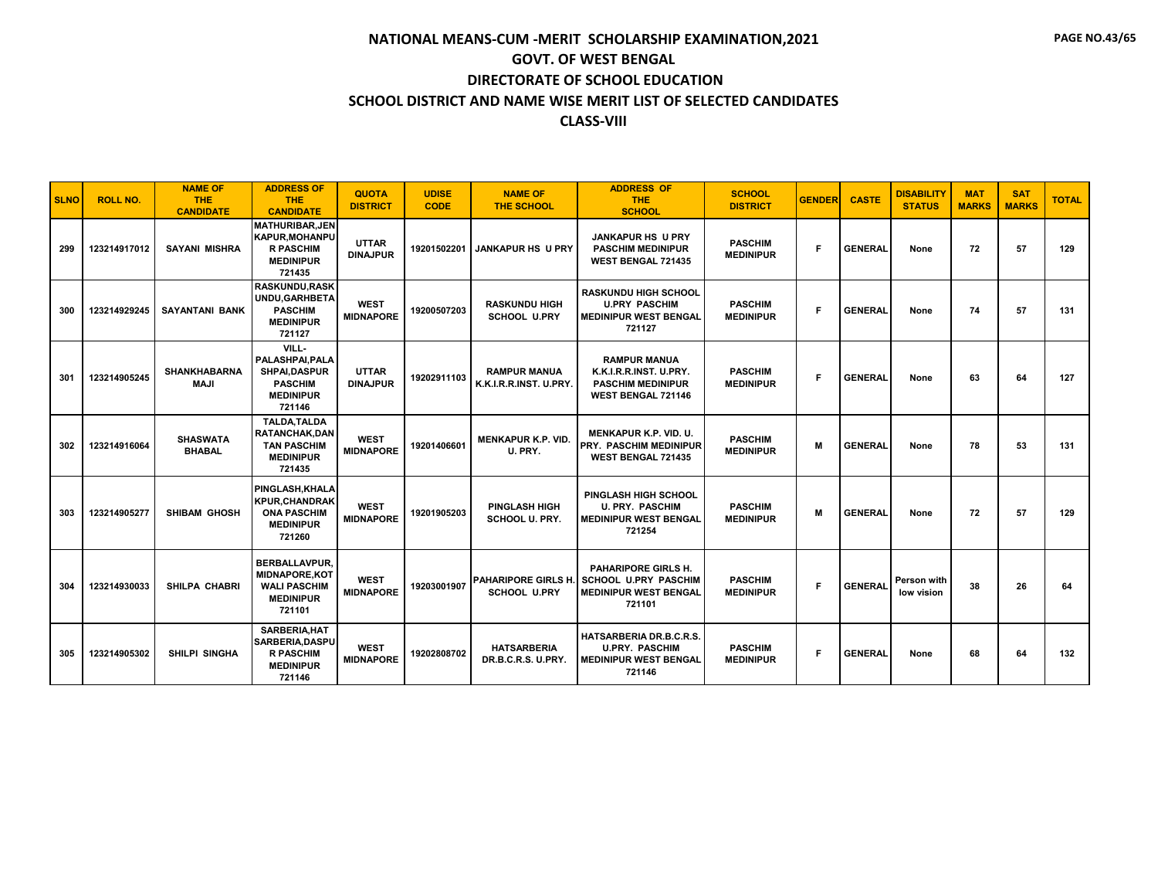| <b>SLNO</b> | <b>ROLL NO.</b> | <b>NAME OF</b><br><b>THE</b><br><b>CANDIDATE</b> | <b>ADDRESS OF</b><br><b>THE</b><br><b>CANDIDATE</b>                                                | <b>QUOTA</b><br><b>DISTRICT</b> | <b>UDISE</b><br><b>CODE</b> | <b>NAME OF</b><br><b>THE SCHOOL</b>           | <b>ADDRESS OF</b><br><b>THE</b><br><b>SCHOOL</b>                                                          | <b>SCHOOL</b><br><b>DISTRICT</b>   | <b>GENDER</b> | <b>CASTE</b>   | <b>DISABILITY</b><br><b>STATUS</b> | <b>MAT</b><br><b>MARKS</b> | <b>SAT</b><br><b>MARKS</b> | <b>TOTAL</b> |
|-------------|-----------------|--------------------------------------------------|----------------------------------------------------------------------------------------------------|---------------------------------|-----------------------------|-----------------------------------------------|-----------------------------------------------------------------------------------------------------------|------------------------------------|---------------|----------------|------------------------------------|----------------------------|----------------------------|--------------|
| 299         | 123214917012    | <b>SAYANI MISHRA</b>                             | <b>MATHURIBAR.JEN</b><br><b>KAPUR, MOHANPU</b><br><b>R PASCHIM</b><br><b>MEDINIPUR</b><br>721435   | <b>UTTAR</b><br><b>DINAJPUR</b> | 19201502201                 | <b>JANKAPUR HS U PRY</b>                      | <b>JANKAPUR HS U PRY</b><br><b>PASCHIM MEDINIPUR</b><br><b>WEST BENGAL 721435</b>                         | <b>PASCHIM</b><br><b>MEDINIPUR</b> | F             | <b>GENERAL</b> | None                               | 72                         | 57                         | 129          |
| 300         | 123214929245    | <b>SAYANTANI BANK</b>                            | <b>RASKUNDU, RASK</b><br>UNDU, GARHBETA<br><b>PASCHIM</b><br><b>MEDINIPUR</b><br>721127            | <b>WEST</b><br><b>MIDNAPORE</b> | 19200507203                 | <b>RASKUNDU HIGH</b><br><b>SCHOOL U.PRY</b>   | <b>RASKUNDU HIGH SCHOOL</b><br><b>U.PRY PASCHIM</b><br><b>MEDINIPUR WEST BENGAL</b><br>721127             | <b>PASCHIM</b><br><b>MEDINIPUR</b> | F             | <b>GENERAL</b> | None                               | 74                         | 57                         | 131          |
| 301         | 123214905245    | <b>SHANKHABARNA</b><br><b>MAJI</b>               | VILL-<br>PALASHPAI.PALA<br><b>SHPAI.DASPUR</b><br><b>PASCHIM</b><br><b>MEDINIPUR</b><br>721146     | <b>UTTAR</b><br><b>DINAJPUR</b> | 19202911103                 | <b>RAMPUR MANUA</b><br>K.K.I.R.R.INST. U.PRY. | <b>RAMPUR MANUA</b><br>K.K.I.R.R.INST. U.PRY.<br><b>PASCHIM MEDINIPUR</b><br><b>WEST BENGAL 721146</b>    | <b>PASCHIM</b><br><b>MEDINIPUR</b> | F             | <b>GENERAL</b> | None                               | 63                         | 64                         | 127          |
| 302         | 123214916064    | <b>SHASWATA</b><br><b>BHABAL</b>                 | <b>TALDA.TALDA</b><br><b>RATANCHAK.DAN</b><br><b>TAN PASCHIM</b><br><b>MEDINIPUR</b><br>721435     | <b>WEST</b><br><b>MIDNAPORE</b> | 19201406601                 | <b>MENKAPUR K.P. VID.</b><br>U. PRY.          | <b>MENKAPUR K.P. VID. U.</b><br><b>PRY. PASCHIM MEDINIPUR</b><br>WEST BENGAL 721435                       | <b>PASCHIM</b><br><b>MEDINIPUR</b> | M             | <b>GENERAL</b> | None                               | 78                         | 53                         | 131          |
| 303         | 123214905277    | <b>SHIBAM GHOSH</b>                              | PINGLASH, KHALA<br><b>KPUR.CHANDRAK</b><br><b>ONA PASCHIM</b><br><b>MEDINIPUR</b><br>721260        | <b>WEST</b><br><b>MIDNAPORE</b> | 19201905203                 | <b>PINGLASH HIGH</b><br><b>SCHOOL U. PRY.</b> | <b>PINGLASH HIGH SCHOOL</b><br><b>U. PRY. PASCHIM</b><br><b>MEDINIPUR WEST BENGAL</b><br>721254           | <b>PASCHIM</b><br><b>MEDINIPUR</b> | M             | <b>GENERAL</b> | None                               | 72                         | 57                         | 129          |
| 304         | 123214930033    | <b>SHILPA CHABRI</b>                             | <b>BERBALLAVPUR.</b><br><b>MIDNAPORE, KOT</b><br><b>WALI PASCHIM</b><br><b>MEDINIPUR</b><br>721101 | <b>WEST</b><br><b>MIDNAPORE</b> | 19203001907                 | <b>SCHOOL U.PRY</b>                           | PAHARIPORE GIRLS H.<br>PAHARIPORE GIRLS H. SCHOOL U.PRY PASCHIM<br><b>MEDINIPUR WEST BENGAL</b><br>721101 | <b>PASCHIM</b><br><b>MEDINIPUR</b> | F             | <b>GENERAL</b> | Person with<br>low vision          | 38                         | 26                         | 64           |
| 305         | 123214905302    | SHILPI SINGHA                                    | SARBERIA, HAT<br>SARBERIA, DASPU<br><b>R PASCHIM</b><br><b>MEDINIPUR</b><br>721146                 | <b>WEST</b><br><b>MIDNAPORE</b> | 19202808702                 | <b>HATSARBERIA</b><br>DR.B.C.R.S. U.PRY.      | <b>HATSARBERIA DR.B.C.R.S.</b><br><b>U.PRY. PASCHIM</b><br><b>MEDINIPUR WEST BENGAL</b><br>721146         | <b>PASCHIM</b><br><b>MEDINIPUR</b> | F.            | <b>GENERAL</b> | None                               | 68                         | 64                         | 132          |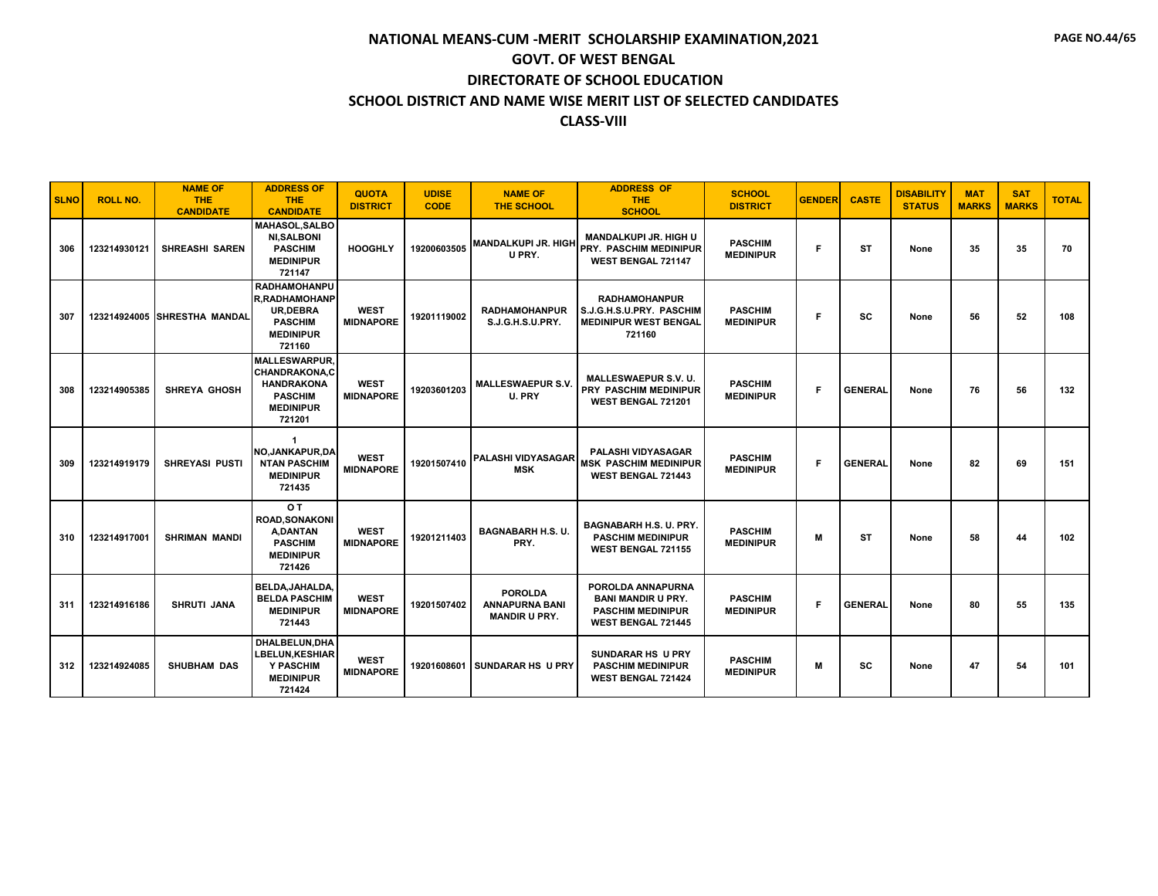| <b>SLNO</b> | <b>ROLL NO.</b> | <b>NAME OF</b><br><b>THE</b><br><b>CANDIDATE</b> | <b>ADDRESS OF</b><br><b>THE</b><br><b>CANDIDATE</b>                                                               | <b>QUOTA</b><br><b>DISTRICT</b> | <b>UDISE</b><br><b>CODE</b> | <b>NAME OF</b><br><b>THE SCHOOL</b>                             | <b>ADDRESS OF</b><br><b>THE</b><br><b>SCHOOL</b>                                                        | <b>SCHOOL</b><br><b>DISTRICT</b>   | <b>GENDER</b> | <b>CASTE</b>   | <b>DISABILITY</b><br><b>STATUS</b> | <b>MAT</b><br><b>MARKS</b> | <b>SAT</b><br><b>MARKS</b> | <b>TOTAL</b> |
|-------------|-----------------|--------------------------------------------------|-------------------------------------------------------------------------------------------------------------------|---------------------------------|-----------------------------|-----------------------------------------------------------------|---------------------------------------------------------------------------------------------------------|------------------------------------|---------------|----------------|------------------------------------|----------------------------|----------------------------|--------------|
| 306         | 123214930121    | <b>SHREASHI SAREN</b>                            | <b>MAHASOL.SALBO</b><br><b>NI.SALBONI</b><br><b>PASCHIM</b><br><b>MEDINIPUR</b><br>721147                         | <b>HOOGHLY</b>                  | 19200603505                 | <b>MANDALKUPI JR. HIGH</b><br>U PRY.                            | <b>MANDALKUPI JR. HIGH U</b><br><b>PRY. PASCHIM MEDINIPUR</b><br>WEST BENGAL 721147                     | <b>PASCHIM</b><br><b>MEDINIPUR</b> | F             | <b>ST</b>      | None                               | 35                         | 35                         | 70           |
| 307         |                 | 123214924005 SHRESTHA MANDAL                     | <b>RADHAMOHANPU</b><br><b>R.RADHAMOHANP</b><br><b>UR.DEBRA</b><br><b>PASCHIM</b><br><b>MEDINIPUR</b><br>721160    | <b>WEST</b><br><b>MIDNAPORE</b> | 19201119002                 | <b>RADHAMOHANPUR</b><br>S.J.G.H.S.U.PRY.                        | <b>RADHAMOHANPUR</b><br>S.J.G.H.S.U.PRY. PASCHIM<br><b>MEDINIPUR WEST BENGAL</b><br>721160              | <b>PASCHIM</b><br><b>MEDINIPUR</b> | F             | SC             | None                               | 56                         | 52                         | 108          |
| 308         | 123214905385    | <b>SHREYA GHOSH</b>                              | <b>MALLESWARPUR.</b><br><b>CHANDRAKONA.C</b><br><b>HANDRAKONA</b><br><b>PASCHIM</b><br><b>MEDINIPUR</b><br>721201 | <b>WEST</b><br><b>MIDNAPORE</b> | 19203601203                 | <b>MALLESWAEPUR S.V.</b><br>U. PRY                              | <b>MALLESWAEPUR S.V. U.</b><br><b>PRY PASCHIM MEDINIPUR</b><br>WEST BENGAL 721201                       | <b>PASCHIM</b><br><b>MEDINIPUR</b> | F             | <b>GENERAL</b> | None                               | 76                         | 56                         | 132          |
| 309         | 123214919179    | <b>SHREYASI PUSTI</b>                            | -1<br>NO, JANKAPUR, DA<br><b>NTAN PASCHIM</b><br><b>MEDINIPUR</b><br>721435                                       | <b>WEST</b><br><b>MIDNAPORE</b> | 19201507410                 | <b>PALASHI VIDYASAGAR</b><br><b>MSK</b>                         | <b>PALASHI VIDYASAGAR</b><br><b>MSK PASCHIM MEDINIPUR</b><br><b>WEST BENGAL 721443</b>                  | <b>PASCHIM</b><br><b>MEDINIPUR</b> | F             | <b>GENERAL</b> | None                               | 82                         | 69                         | 151          |
| 310         | 123214917001    | <b>SHRIMAN MANDI</b>                             | O T<br>ROAD, SONAKONI<br><b>A.DANTAN</b><br><b>PASCHIM</b><br><b>MEDINIPUR</b><br>721426                          | <b>WEST</b><br><b>MIDNAPORE</b> | 19201211403                 | <b>BAGNABARH H.S. U.</b><br>PRY.                                | <b>BAGNABARH H.S. U. PRY.</b><br><b>PASCHIM MEDINIPUR</b><br><b>WEST BENGAL 721155</b>                  | <b>PASCHIM</b><br><b>MEDINIPUR</b> | м             | <b>ST</b>      | None                               | 58                         | 44                         | 102          |
| 311         | 123214916186    | <b>SHRUTI JANA</b>                               | BELDA.JAHALDA.<br><b>BELDA PASCHIM</b><br><b>MEDINIPUR</b><br>721443                                              | <b>WEST</b><br><b>MIDNAPORE</b> | 19201507402                 | <b>POROLDA</b><br><b>ANNAPURNA BANI</b><br><b>MANDIR U PRY.</b> | POROLDA ANNAPURNA<br><b>BANI MANDIR U PRY.</b><br><b>PASCHIM MEDINIPUR</b><br><b>WEST BENGAL 721445</b> | <b>PASCHIM</b><br><b>MEDINIPUR</b> | F             | <b>GENERAL</b> | None                               | 80                         | 55                         | 135          |
| 312         | 123214924085    | <b>SHUBHAM DAS</b>                               | DHALBELUN, DHA<br><b>LBELUN, KESHIAR</b><br>Y PASCHIM<br><b>MEDINIPUR</b><br>721424                               | <b>WEST</b><br><b>MIDNAPORE</b> | 19201608601                 | <b>SUNDARAR HS U PRY</b>                                        | <b>SUNDARAR HS U PRY</b><br><b>PASCHIM MEDINIPUR</b><br><b>WEST BENGAL 721424</b>                       | <b>PASCHIM</b><br><b>MEDINIPUR</b> | M             | <b>SC</b>      | None                               | 47                         | 54                         | 101          |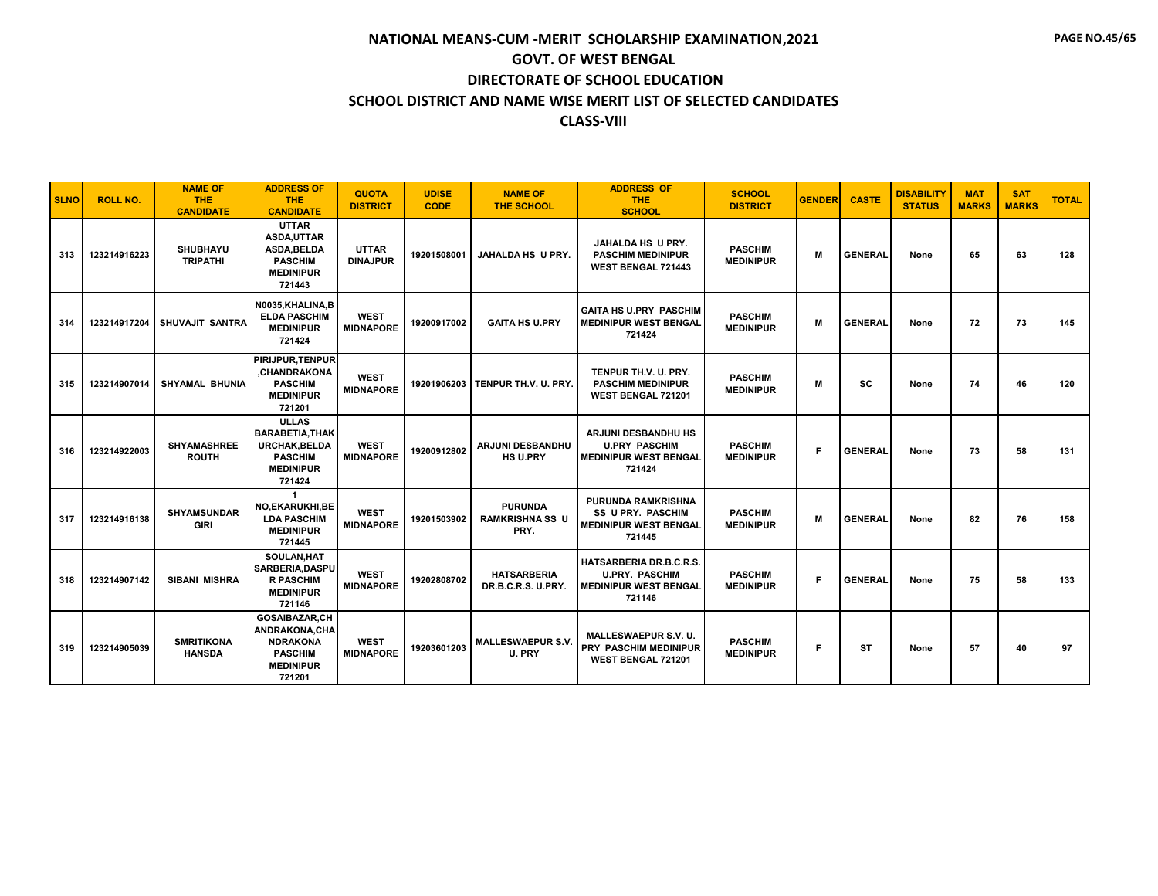| <b>SLNO</b> | <b>ROLL NO.</b> | <b>NAME OF</b><br><b>THE</b><br><b>CANDIDATE</b> | <b>ADDRESS OF</b><br><b>THE</b><br><b>CANDIDATE</b>                                                          | <b>QUOTA</b><br><b>DISTRICT</b> | <b>UDISE</b><br><b>CODE</b> | <b>NAME OF</b><br><b>THE SCHOOL</b>              | <b>ADDRESS OF</b><br><b>THE</b><br><b>SCHOOL</b>                                                | <b>SCHOOL</b><br><b>DISTRICT</b>   | <b>GENDER</b> | <b>CASTE</b>   | <b>DISABILITY</b><br><b>STATUS</b> | <b>MAT</b><br><b>MARKS</b> | <b>SAT</b><br><b>MARKS</b> | <b>TOTAL</b> |
|-------------|-----------------|--------------------------------------------------|--------------------------------------------------------------------------------------------------------------|---------------------------------|-----------------------------|--------------------------------------------------|-------------------------------------------------------------------------------------------------|------------------------------------|---------------|----------------|------------------------------------|----------------------------|----------------------------|--------------|
| 313         | 123214916223    | <b>SHUBHAYU</b><br><b>TRIPATHI</b>               | <b>UTTAR</b><br>ASDA, UTTAR<br><b>ASDA.BELDA</b><br><b>PASCHIM</b><br><b>MEDINIPUR</b><br>721443             | <b>UTTAR</b><br><b>DINAJPUR</b> | 19201508001                 | JAHALDA HS U PRY.                                | JAHALDA HS U PRY.<br><b>PASCHIM MEDINIPUR</b><br><b>WEST BENGAL 721443</b>                      | <b>PASCHIM</b><br><b>MEDINIPUR</b> | M             | <b>GENERAL</b> | None                               | 65                         | 63                         | 128          |
| 314         | 123214917204    | SHUVAJIT SANTRA                                  | N0035.KHALINA.B<br><b>ELDA PASCHIM</b><br><b>MEDINIPUR</b><br>721424                                         | <b>WEST</b><br><b>MIDNAPORE</b> | 19200917002                 | <b>GAITA HS U.PRY</b>                            | <b>GAITA HS U.PRY PASCHIM</b><br><b>MEDINIPUR WEST BENGAL</b><br>721424                         | <b>PASCHIM</b><br><b>MEDINIPUR</b> | M             | <b>GENERAL</b> | None                               | 72                         | 73                         | 145          |
| 315         | 123214907014    | <b>SHYAMAL BHUNIA</b>                            | <b>PIRIJPUR.TENPUR</b><br>.CHANDRAKONA<br><b>PASCHIM</b><br><b>MEDINIPUR</b><br>721201                       | <b>WEST</b><br><b>MIDNAPORE</b> | 19201906203                 | TENPUR TH.V. U. PRY.                             | TENPUR TH.V. U. PRY.<br><b>PASCHIM MEDINIPUR</b><br><b>WEST BENGAL 721201</b>                   | <b>PASCHIM</b><br><b>MEDINIPUR</b> | M             | sc             | None                               | 74                         | 46                         | 120          |
| 316         | 123214922003    | <b>SHYAMASHREE</b><br><b>ROUTH</b>               | <b>ULLAS</b><br><b>BARABETIA.THAK</b><br><b>URCHAK.BELDA</b><br><b>PASCHIM</b><br><b>MEDINIPUR</b><br>721424 | <b>WEST</b><br><b>MIDNAPORE</b> | 19200912802                 | ARJUNI DESBANDHU<br><b>HS U.PRY</b>              | <b>ARJUNI DESBANDHU HS</b><br><b>U.PRY PASCHIM</b><br><b>MEDINIPUR WEST BENGAL</b><br>721424    | <b>PASCHIM</b><br><b>MEDINIPUR</b> | F.            | <b>GENERAL</b> | None                               | 73                         | 58                         | 131          |
| 317         | 123214916138    | <b>SHYAMSUNDAR</b><br><b>GIRI</b>                | $\blacktriangleleft$<br>NO, EKARUKHI, BE<br><b>LDA PASCHIM</b><br><b>MEDINIPUR</b><br>721445                 | <b>WEST</b><br><b>MIDNAPORE</b> | 19201503902                 | <b>PURUNDA</b><br><b>RAMKRISHNA SS U</b><br>PRY. | <b>PURUNDA RAMKRISHNA</b><br><b>SS U PRY. PASCHIM</b><br><b>MEDINIPUR WEST BENGAL</b><br>721445 | <b>PASCHIM</b><br><b>MEDINIPUR</b> | M             | <b>GENERAL</b> | None                               | 82                         | 76                         | 158          |
| 318         | 123214907142    | <b>SIBANI MISHRA</b>                             | SOULAN.HAT<br>SARBERIA.DASPU<br><b>R PASCHIM</b><br><b>MEDINIPUR</b><br>721146                               | <b>WEST</b><br><b>MIDNAPORE</b> | 19202808702                 | <b>HATSARBERIA</b><br>DR.B.C.R.S. U.PRY.         | HATSARBERIA DR.B.C.R.S.<br><b>U.PRY. PASCHIM</b><br><b>MEDINIPUR WEST BENGAL</b><br>721146      | <b>PASCHIM</b><br><b>MEDINIPUR</b> | F.            | <b>GENERAL</b> | None                               | 75                         | 58                         | 133          |
| 319         | 123214905039    | <b>SMRITIKONA</b><br><b>HANSDA</b>               | GOSAIBAZAR,CH<br><b>ANDRAKONA.CHA</b><br><b>NDRAKONA</b><br><b>PASCHIM</b><br><b>MEDINIPUR</b><br>721201     | <b>WEST</b><br><b>MIDNAPORE</b> | 19203601203                 | <b>MALLESWAEPUR S.V.</b><br>U. PRY               | <b>MALLESWAEPUR S.V. U.</b><br><b>PRY PASCHIM MEDINIPUR</b><br>WEST BENGAL 721201               | <b>PASCHIM</b><br><b>MEDINIPUR</b> | F.            | ST             | None                               | 57                         | 40                         | 97           |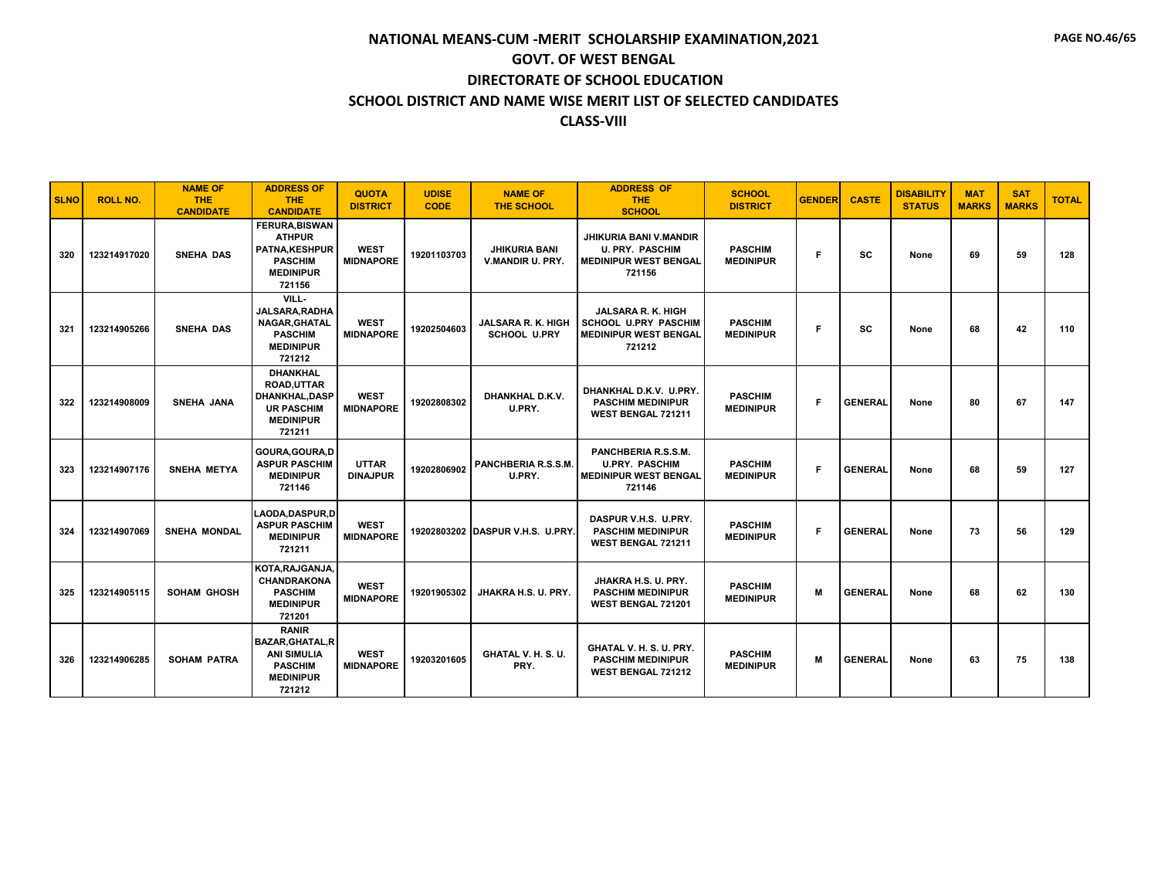| <b>SLNO</b> | <b>ROLL NO.</b> | <b>NAME OF</b><br><b>THE</b><br><b>CANDIDATE</b> | <b>ADDRESS OF</b><br><b>THE</b><br><b>CANDIDATE</b>                                                             | <b>QUOTA</b><br><b>DISTRICT</b> | <b>UDISE</b><br><b>CODE</b> | <b>NAME OF</b><br><b>THE SCHOOL</b>       | <b>ADDRESS OF</b><br><b>THE</b><br><b>SCHOOL</b>                                                   | <b>SCHOOL</b><br><b>DISTRICT</b>   | <b>GENDER</b> | <b>CASTE</b>   | <b>DISABILITY</b><br><b>STATUS</b> | <b>MAT</b><br><b>MARKS</b> | <b>SAT</b><br><b>MARKS</b> | <b>TOTAL</b> |
|-------------|-----------------|--------------------------------------------------|-----------------------------------------------------------------------------------------------------------------|---------------------------------|-----------------------------|-------------------------------------------|----------------------------------------------------------------------------------------------------|------------------------------------|---------------|----------------|------------------------------------|----------------------------|----------------------------|--------------|
| 320         | 123214917020    | <b>SNEHA DAS</b>                                 | <b>FERURA, BISWAN</b><br><b>ATHPUR</b><br>PATNA, KESHPUR<br><b>PASCHIM</b><br><b>MEDINIPUR</b><br>721156        | <b>WEST</b><br><b>MIDNAPORE</b> | 19201103703                 | <b>JHIKURIA BANI</b><br>V.MANDIR U. PRY.  | <b>JHIKURIA BANI V.MANDIR</b><br><b>U. PRY. PASCHIM</b><br><b>MEDINIPUR WEST BENGAL</b><br>721156  | <b>PASCHIM</b><br><b>MEDINIPUR</b> | F             | <b>SC</b>      | None                               | 69                         | 59                         | 128          |
| 321         | 123214905266    | <b>SNEHA DAS</b>                                 | VILL-<br>JALSARA, RADHA<br>NAGAR, GHATAL<br><b>PASCHIM</b><br><b>MEDINIPUR</b><br>721212                        | <b>WEST</b><br><b>MIDNAPORE</b> | 19202504603                 | JALSARA R. K. HIGH<br><b>SCHOOL U.PRY</b> | <b>JALSARA R. K. HIGH</b><br><b>SCHOOL U.PRY PASCHIM</b><br><b>MEDINIPUR WEST BENGAL</b><br>721212 | <b>PASCHIM</b><br><b>MEDINIPUR</b> | F.            | <b>SC</b>      | None                               | 68                         | 42                         | 110          |
| 322         | 123214908009    | <b>SNEHA JANA</b>                                | <b>DHANKHAL</b><br><b>ROAD.UTTAR</b><br><b>DHANKHAL.DASP</b><br><b>UR PASCHIM</b><br><b>MEDINIPUR</b><br>721211 | <b>WEST</b><br><b>MIDNAPORE</b> | 19202808302                 | DHANKHAL D.K.V.<br>U.PRY.                 | DHANKHAL D.K.V. U.PRY.<br><b>PASCHIM MEDINIPUR</b><br><b>WEST BENGAL 721211</b>                    | <b>PASCHIM</b><br><b>MEDINIPUR</b> | F             | <b>GENERAL</b> | None                               | 80                         | 67                         | 147          |
| 323         | 123214907176    | <b>SNEHA METYA</b>                               | GOURA.GOURA.D<br><b>ASPUR PASCHIM</b><br><b>MEDINIPUR</b><br>721146                                             | <b>UTTAR</b><br><b>DINAJPUR</b> | 19202806902                 | PANCHBERIA R.S.S.M.<br>U.PRY.             | PANCHBERIA R.S.S.M.<br><b>U.PRY. PASCHIM</b><br><b>MEDINIPUR WEST BENGAL</b><br>721146             | <b>PASCHIM</b><br><b>MEDINIPUR</b> | F             | <b>GENERAL</b> | None                               | 68                         | 59                         | 127          |
| 324         | 123214907069    | <b>SNEHA MONDAL</b>                              | <b>LAODA.DASPUR.D</b><br><b>ASPUR PASCHIM</b><br><b>MEDINIPUR</b><br>721211                                     | <b>WEST</b><br><b>MIDNAPORE</b> |                             | 19202803202 DASPUR V.H.S. U.PRY.          | DASPUR V.H.S. U.PRY.<br><b>PASCHIM MEDINIPUR</b><br><b>WEST BENGAL 721211</b>                      | <b>PASCHIM</b><br><b>MEDINIPUR</b> | F             | <b>GENERAL</b> | None                               | 73                         | 56                         | 129          |
| 325         | 123214905115    | <b>SOHAM GHOSH</b>                               | KOTA, RAJGANJA,<br><b>CHANDRAKONA</b><br><b>PASCHIM</b><br><b>MEDINIPUR</b><br>721201                           | <b>WEST</b><br><b>MIDNAPORE</b> | 19201905302                 | JHAKRA H.S. U. PRY.                       | JHAKRA H.S. U. PRY.<br><b>PASCHIM MEDINIPUR</b><br>WEST BENGAL 721201                              | <b>PASCHIM</b><br><b>MEDINIPUR</b> | M             | <b>GENERAL</b> | None                               | 68                         | 62                         | 130          |
| 326         | 123214906285    | <b>SOHAM PATRA</b>                               | <b>RANIR</b><br><b>BAZAR, GHATAL, R</b><br><b>ANI SIMULIA</b><br><b>PASCHIM</b><br><b>MEDINIPUR</b><br>721212   | <b>WEST</b><br><b>MIDNAPORE</b> | 19203201605                 | GHATAL V. H. S. U.<br>PRY.                | GHATAL V. H. S. U. PRY.<br><b>PASCHIM MEDINIPUR</b><br><b>WEST BENGAL 721212</b>                   | <b>PASCHIM</b><br><b>MEDINIPUR</b> | M             | <b>GENERAL</b> | None                               | 63                         | 75                         | 138          |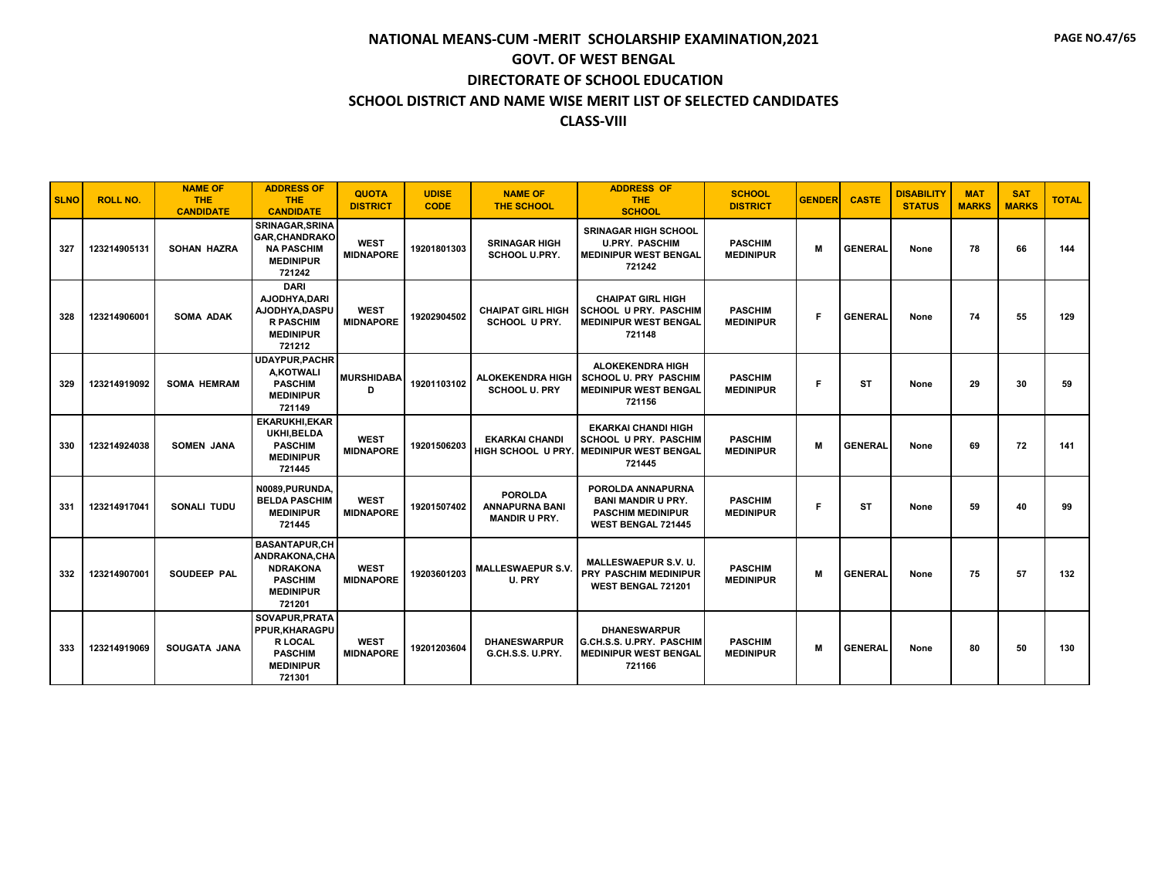| <b>SLNO</b> | <b>ROLL NO.</b> | <b>NAME OF</b><br><b>THE</b><br><b>CANDIDATE</b> | <b>ADDRESS OF</b><br><b>THE</b><br><b>CANDIDATE</b>                                                             | <b>QUOTA</b><br><b>DISTRICT</b> | <b>UDISE</b><br><b>CODE</b> | <b>NAME OF</b><br><b>THE SCHOOL</b>                             | <b>ADDRESS OF</b><br><b>THE</b><br><b>SCHOOL</b>                                                        | <b>SCHOOL</b><br><b>DISTRICT</b>   | <b>GENDER</b> | <b>CASTE</b>   | <b>DISABILITY</b><br><b>STATUS</b> | <b>MAT</b><br><b>MARKS</b> | <b>SAT</b><br><b>MARKS</b> | <b>TOTAL</b> |
|-------------|-----------------|--------------------------------------------------|-----------------------------------------------------------------------------------------------------------------|---------------------------------|-----------------------------|-----------------------------------------------------------------|---------------------------------------------------------------------------------------------------------|------------------------------------|---------------|----------------|------------------------------------|----------------------------|----------------------------|--------------|
| 327         | 123214905131    | <b>SOHAN HAZRA</b>                               | <b>SRINAGAR, SRINA</b><br><b>GAR, CHANDRAKO</b><br><b>NA PASCHIM</b><br><b>MEDINIPUR</b><br>721242              | <b>WEST</b><br><b>MIDNAPORE</b> | 19201801303                 | <b>SRINAGAR HIGH</b><br><b>SCHOOL U.PRY.</b>                    | <b>SRINAGAR HIGH SCHOOL</b><br><b>U.PRY. PASCHIM</b><br><b>MEDINIPUR WEST BENGAL</b><br>721242          | <b>PASCHIM</b><br><b>MEDINIPUR</b> | M             | <b>GENERAL</b> | None                               | 78                         | 66                         | 144          |
| 328         | 123214906001    | <b>SOMA ADAK</b>                                 | <b>DARI</b><br>AJODHYA.DARI<br>AJODHYA.DASPU<br><b>R PASCHIM</b><br><b>MEDINIPUR</b><br>721212                  | <b>WEST</b><br><b>MIDNAPORE</b> | 19202904502                 | <b>CHAIPAT GIRL HIGH</b><br><b>SCHOOL U PRY.</b>                | <b>CHAIPAT GIRL HIGH</b><br><b>SCHOOL U PRY. PASCHIM</b><br><b>MEDINIPUR WEST BENGAL</b><br>721148      | <b>PASCHIM</b><br><b>MEDINIPUR</b> | F             | <b>GENERAL</b> | None                               | 74                         | 55                         | 129          |
| 329         | 123214919092    | <b>SOMA HEMRAM</b>                               | <b>UDAYPUR, PACHR</b><br>A,KOTWALI<br><b>PASCHIM</b><br><b>MEDINIPUR</b><br>721149                              | <b>MURSHIDABA</b><br>D          | 19201103102                 | <b>ALOKEKENDRA HIGH</b><br><b>SCHOOL U. PRY</b>                 | ALOKEKENDRA HIGH<br><b>SCHOOL U. PRY PASCHIM</b><br><b>MEDINIPUR WEST BENGAL</b><br>721156              | <b>PASCHIM</b><br><b>MEDINIPUR</b> | Е             | ST             | None                               | 29                         | 30                         | 59           |
| 330         | 123214924038    | <b>SOMEN JANA</b>                                | <b>EKARUKHI, EKAR</b><br>UKHI.BELDA<br><b>PASCHIM</b><br><b>MEDINIPUR</b><br>721445                             | <b>WEST</b><br><b>MIDNAPORE</b> | 19201506203                 | <b>EKARKAI CHANDI</b><br>HIGH SCHOOL U PRY.                     | <b>EKARKAI CHANDI HIGH</b><br><b>SCHOOL U PRY. PASCHIM</b><br><b>MEDINIPUR WEST BENGAL</b><br>721445    | <b>PASCHIM</b><br><b>MEDINIPUR</b> | M             | <b>GENERAL</b> | None                               | 69                         | 72                         | 141          |
| 331         | 123214917041    | SONALI TUDU                                      | N0089.PURUNDA.<br><b>BELDA PASCHIM</b><br><b>MEDINIPUR</b><br>721445                                            | <b>WEST</b><br><b>MIDNAPORE</b> | 19201507402                 | <b>POROLDA</b><br><b>ANNAPURNA BANI</b><br><b>MANDIR U PRY.</b> | POROLDA ANNAPURNA<br><b>BANI MANDIR U PRY.</b><br><b>PASCHIM MEDINIPUR</b><br><b>WEST BENGAL 721445</b> | <b>PASCHIM</b><br><b>MEDINIPUR</b> | F             | ST             | None                               | 59                         | 40                         | 99           |
| 332         | 123214907001    | <b>SOUDEEP PAL</b>                               | <b>BASANTAPUR.CH</b><br><b>ANDRAKONA.CHA</b><br><b>NDRAKONA</b><br><b>PASCHIM</b><br><b>MEDINIPUR</b><br>721201 | <b>WEST</b><br><b>MIDNAPORE</b> | 19203601203                 | <b>MALLESWAEPUR S.V.</b><br>U. PRY                              | <b>MALLESWAEPUR S.V. U.</b><br>PRY PASCHIM MEDINIPUR<br>WEST BENGAL 721201                              | <b>PASCHIM</b><br><b>MEDINIPUR</b> | M             | <b>GENERAL</b> | None                               | 75                         | 57                         | 132          |
| 333         | 123214919069    | <b>SOUGATA JANA</b>                              | SOVAPUR, PRATA<br><b>PPUR.KHARAGPU</b><br><b>R LOCAL</b><br><b>PASCHIM</b><br><b>MEDINIPUR</b><br>721301        | <b>WEST</b><br><b>MIDNAPORE</b> | 19201203604                 | <b>DHANESWARPUR</b><br>G.CH.S.S. U.PRY.                         | <b><i>DHANESWARPUR</i></b><br>G.CH.S.S. U.PRY. PASCHIM<br><b>MEDINIPUR WEST BENGAL</b><br>721166        | <b>PASCHIM</b><br><b>MEDINIPUR</b> | M             | <b>GENERAL</b> | None                               | 80                         | 50                         | 130          |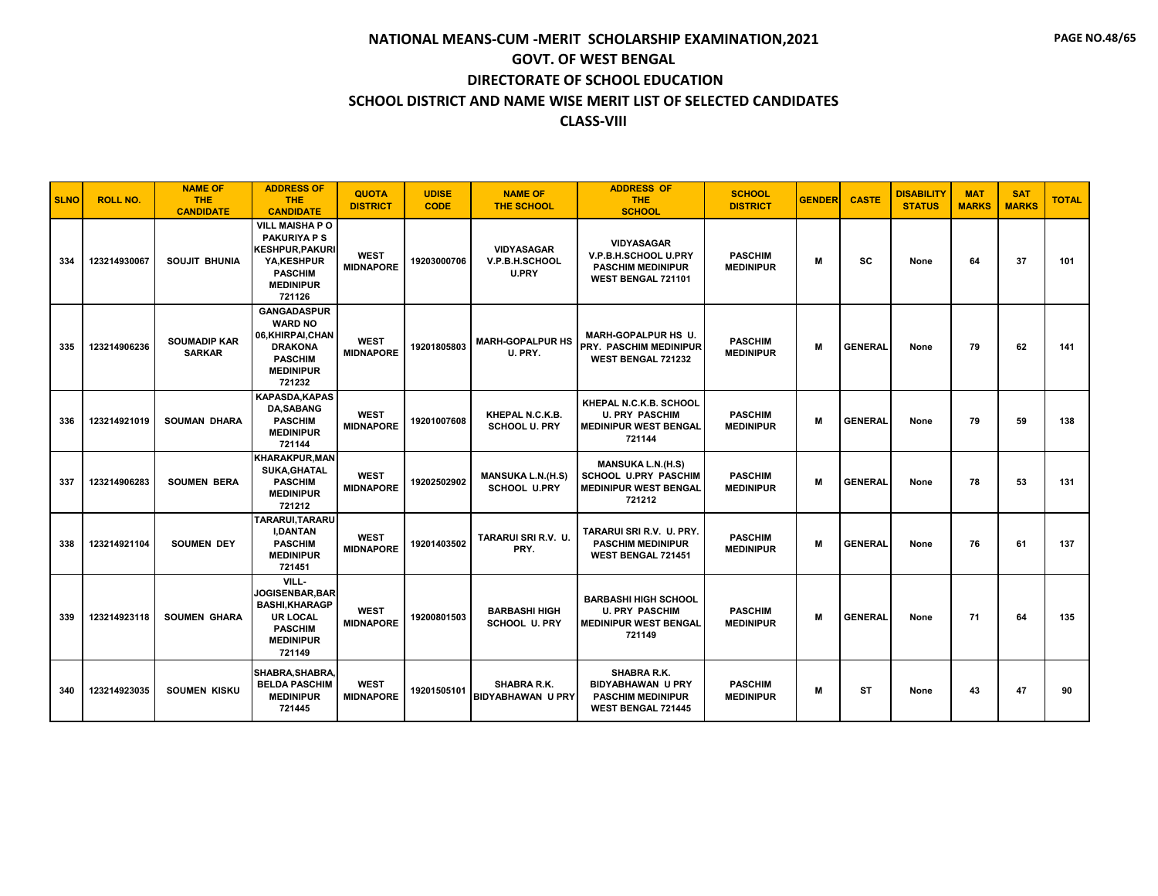| <b>SLNO</b> | <b>ROLL NO.</b> | <b>NAME OF</b><br><b>THE</b><br><b>CANDIDATE</b> | <b>ADDRESS OF</b><br><b>THE</b><br><b>CANDIDATE</b>                                                                                  | <b>QUOTA</b><br><b>DISTRICT</b> | <b>UDISE</b><br><b>CODE</b> | <b>NAME OF</b><br><b>THE SCHOOL</b>                 | <b>ADDRESS OF</b><br><b>THE</b><br><b>SCHOOL</b>                                                  | <b>SCHOOL</b><br><b>DISTRICT</b>   | <b>GENDER</b> | <b>CASTE</b>   | <b>DISABILITY</b><br><b>STATUS</b> | <b>MAT</b><br><b>MARKS</b> | <b>SAT</b><br><b>MARKS</b> | <b>TOTAL</b> |
|-------------|-----------------|--------------------------------------------------|--------------------------------------------------------------------------------------------------------------------------------------|---------------------------------|-----------------------------|-----------------------------------------------------|---------------------------------------------------------------------------------------------------|------------------------------------|---------------|----------------|------------------------------------|----------------------------|----------------------------|--------------|
| 334         | 123214930067    | SOUJIT BHUNIA                                    | <b>VILL MAISHAP O</b><br><b>PAKURIYA P S</b><br><b>KESHPUR, PAKURI</b><br>YA.KESHPUR<br><b>PASCHIM</b><br><b>MEDINIPUR</b><br>721126 | <b>WEST</b><br><b>MIDNAPORE</b> | 19203000706                 | <b>VIDYASAGAR</b><br>V.P.B.H.SCHOOL<br><b>U.PRY</b> | <b>VIDYASAGAR</b><br>V.P.B.H.SCHOOL U.PRY<br><b>PASCHIM MEDINIPUR</b><br>WEST BENGAL 721101       | <b>PASCHIM</b><br><b>MEDINIPUR</b> | M             | SC             | None                               | 64                         | 37                         | 101          |
| 335         | 123214906236    | <b>SOUMADIP KAR</b><br><b>SARKAR</b>             | <b>GANGADASPUR</b><br><b>WARD NO</b><br>06, KHIRPAI, CHAN<br><b>DRAKONA</b><br><b>PASCHIM</b><br><b>MEDINIPUR</b><br>721232          | <b>WEST</b><br><b>MIDNAPORE</b> | 19201805803                 | <b>MARH-GOPALPUR HS</b><br>U. PRY.                  | <b>MARH-GOPALPUR HS U.</b><br><b>PRY. PASCHIM MEDINIPUR</b><br>WEST BENGAL 721232                 | <b>PASCHIM</b><br><b>MEDINIPUR</b> | M             | <b>GENERAL</b> | None                               | 79                         | 62                         | 141          |
| 336         | 123214921019    | <b>SOUMAN DHARA</b>                              | <b>KAPASDA.KAPAS</b><br><b>DA.SABANG</b><br><b>PASCHIM</b><br><b>MEDINIPUR</b><br>721144                                             | <b>WEST</b><br><b>MIDNAPORE</b> | 19201007608                 | KHEPAL N.C.K.B.<br><b>SCHOOL U. PRY</b>             | KHEPAL N.C.K.B. SCHOOL<br><b>U. PRY PASCHIM</b><br><b>MEDINIPUR WEST BENGAL</b><br>721144         | <b>PASCHIM</b><br><b>MEDINIPUR</b> | M             | <b>GENERAL</b> | None                               | 79                         | 59                         | 138          |
| 337         | 123214906283    | <b>SOUMEN BERA</b>                               | <b>KHARAKPUR, MAN</b><br>SUKA, GHATAL<br><b>PASCHIM</b><br><b>MEDINIPUR</b><br>721212                                                | <b>WEST</b><br><b>MIDNAPORE</b> | 19202502902                 | <b>MANSUKA L.N.(H.S)</b><br><b>SCHOOL U.PRY</b>     | <b>MANSUKA L.N.(H.S)</b><br><b>SCHOOL U.PRY PASCHIM</b><br><b>MEDINIPUR WEST BENGAL</b><br>721212 | <b>PASCHIM</b><br><b>MEDINIPUR</b> | м             | <b>GENERAL</b> | None                               | 78                         | 53                         | 131          |
| 338         | 123214921104    | <b>SOUMEN DEY</b>                                | TARARUI, TARARU<br><b>I,DANTAN</b><br><b>PASCHIM</b><br><b>MEDINIPUR</b><br>721451                                                   | <b>WEST</b><br><b>MIDNAPORE</b> | 19201403502                 | TARARUI SRI R.V. U.<br>PRY.                         | TARARUI SRI R.V. U. PRY.<br><b>PASCHIM MEDINIPUR</b><br><b>WEST BENGAL 721451</b>                 | <b>PASCHIM</b><br><b>MEDINIPUR</b> | M             | <b>GENERAL</b> | None                               | 76                         | 61                         | 137          |
| 339         | 123214923118    | <b>SOUMEN GHARA</b>                              | VILL-<br><b>JOGISENBAR.BAR</b><br><b>BASHI, KHARAGP</b><br><b>UR LOCAL</b><br><b>PASCHIM</b><br><b>MEDINIPUR</b><br>721149           | <b>WEST</b><br><b>MIDNAPORE</b> | 19200801503                 | <b>BARBASHI HIGH</b><br><b>SCHOOL U. PRY</b>        | <b>BARBASHI HIGH SCHOOL</b><br><b>U. PRY PASCHIM</b><br><b>MEDINIPUR WEST BENGAL</b><br>721149    | <b>PASCHIM</b><br><b>MEDINIPUR</b> | M             | <b>GENERAL</b> | None                               | 71                         | 64                         | 135          |
| 340         | 123214923035    | <b>SOUMEN KISKU</b>                              | SHABRA, SHABRA,<br><b>BELDA PASCHIM</b><br><b>MEDINIPUR</b><br>721445                                                                | <b>WEST</b><br><b>MIDNAPORE</b> | 19201505101                 | SHABRA R.K.<br><b>BIDYABHAWAN U PRY</b>             | SHABRA R.K.<br><b>BIDYABHAWAN U PRY</b><br><b>PASCHIM MEDINIPUR</b><br><b>WEST BENGAL 721445</b>  | <b>PASCHIM</b><br><b>MEDINIPUR</b> | М             | ST             | None                               | 43                         | 47                         | 90           |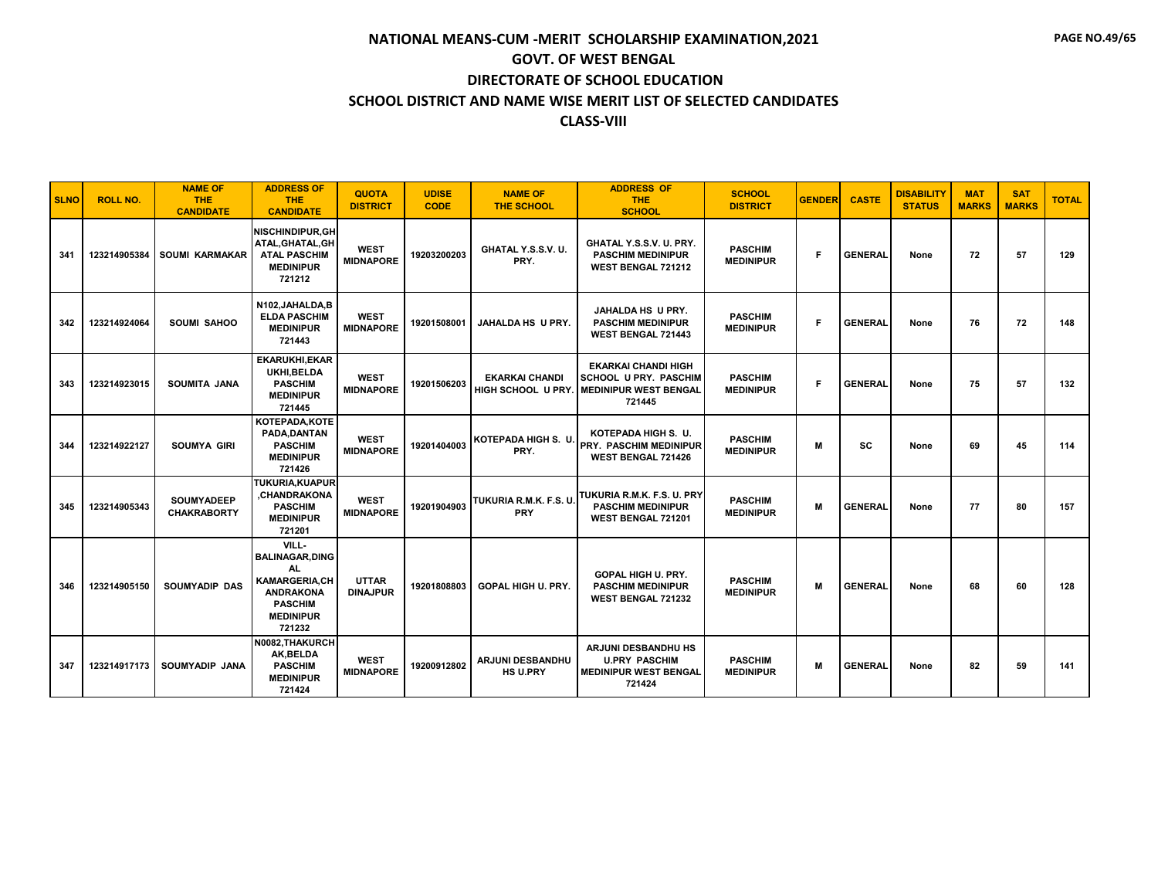| <b>SLNO</b> | <b>ROLL NO.</b> | <b>NAME OF</b><br><b>THE</b><br><b>CANDIDATE</b> | <b>ADDRESS OF</b><br><b>THE</b><br><b>CANDIDATE</b>                                                                                | <b>QUOTA</b><br><b>DISTRICT</b> | <b>UDISE</b><br><b>CODE</b> | <b>NAME OF</b><br><b>THE SCHOOL</b>         | <b>ADDRESS OF</b><br><b>THE</b><br><b>SCHOOL</b>                                                       | <b>SCHOOL</b><br><b>DISTRICT</b>   | <b>GENDER</b> | <b>CASTE</b>   | <b>DISABILITY</b><br><b>STATUS</b> | <b>MAT</b><br><b>MARKS</b> | <b>SAT</b><br><b>MARKS</b> | <b>TOTAL</b> |
|-------------|-----------------|--------------------------------------------------|------------------------------------------------------------------------------------------------------------------------------------|---------------------------------|-----------------------------|---------------------------------------------|--------------------------------------------------------------------------------------------------------|------------------------------------|---------------|----------------|------------------------------------|----------------------------|----------------------------|--------------|
| 341         | 123214905384    | <b>SOUMI KARMAKAR</b>                            | <b>NISCHINDIPUR.GH</b><br>ATAL, GHATAL, GH<br><b>ATAL PASCHIM</b><br><b>MEDINIPUR</b><br>721212                                    | <b>WEST</b><br><b>MIDNAPORE</b> | 19203200203                 | GHATAL Y.S.S.V. U.<br>PRY.                  | GHATAL Y.S.S.V. U. PRY.<br><b>PASCHIM MEDINIPUR</b><br><b>WEST BENGAL 721212</b>                       | <b>PASCHIM</b><br><b>MEDINIPUR</b> | F             | <b>GENERAL</b> | None                               | 72                         | 57                         | 129          |
| 342         | 123214924064    | <b>SOUMI SAHOO</b>                               | N102, JAHALDA, B<br><b>ELDA PASCHIM</b><br><b>MEDINIPUR</b><br>721443                                                              | <b>WEST</b><br><b>MIDNAPORE</b> | 19201508001                 | <b>JAHALDA HS U PRY.</b>                    | JAHALDA HS U PRY.<br><b>PASCHIM MEDINIPUR</b><br><b>WEST BENGAL 721443</b>                             | <b>PASCHIM</b><br><b>MEDINIPUR</b> | F             | <b>GENERAL</b> | None                               | 76                         | 72                         | 148          |
| 343         | 123214923015    | <b>SOUMITA JANA</b>                              | <b>EKARUKHI, EKAR</b><br>UKHI.BELDA<br><b>PASCHIM</b><br><b>MEDINIPUR</b><br>721445                                                | <b>WEST</b><br><b>MIDNAPORE</b> | 19201506203                 | <b>EKARKAI CHANDI</b><br>HIGH SCHOOL U PRY. | <b>EKARKAI CHANDI HIGH</b><br><b>SCHOOL U PRY. PASCHIM</b><br><b>I MEDINIPUR WEST BENGAL</b><br>721445 | <b>PASCHIM</b><br><b>MEDINIPUR</b> | F             | <b>GENERAL</b> | None                               | 75                         | 57                         | 132          |
| 344         | 123214922127    | <b>SOUMYA GIRI</b>                               | KOTEPADA, KOTE<br>PADA.DANTAN<br><b>PASCHIM</b><br><b>MEDINIPUR</b><br>721426                                                      | <b>WEST</b><br><b>MIDNAPORE</b> | 19201404003                 | <b>KOTEPADA HIGH S. U.</b><br>PRY.          | KOTEPADA HIGH S. U.<br><b>PRY. PASCHIM MEDINIPUR</b><br><b>WEST BENGAL 721426</b>                      | <b>PASCHIM</b><br><b>MEDINIPUR</b> | M             | <b>SC</b>      | None                               | 69                         | 45                         | 114          |
| 345         | 123214905343    | <b>SOUMYADEEP</b><br><b>CHAKRABORTY</b>          | <b>TUKURIA.KUAPUR</b><br>.CHANDRAKONA<br><b>PASCHIM</b><br><b>MEDINIPUR</b><br>721201                                              | <b>WEST</b><br><b>MIDNAPORE</b> | 19201904903                 | TUKURIA R.M.K. F.S. U.<br><b>PRY</b>        | TUKURIA R.M.K. F.S. U. PRY<br><b>PASCHIM MEDINIPUR</b><br>WEST BENGAL 721201                           | <b>PASCHIM</b><br><b>MEDINIPUR</b> | M             | <b>GENERAL</b> | None                               | 77                         | 80                         | 157          |
| 346         | 123214905150    | <b>SOUMYADIP DAS</b>                             | VILL-<br><b>BALINAGAR, DING</b><br>AL.<br><b>KAMARGERIA,CH</b><br><b>ANDRAKONA</b><br><b>PASCHIM</b><br><b>MEDINIPUR</b><br>721232 | <b>UTTAR</b><br><b>DINAJPUR</b> | 19201808803                 | <b>GOPAL HIGH U. PRY.</b>                   | GOPAL HIGH U. PRY.<br><b>PASCHIM MEDINIPUR</b><br>WEST BENGAL 721232                                   | <b>PASCHIM</b><br><b>MEDINIPUR</b> | M             | <b>GENERAL</b> | None                               | 68                         | 60                         | 128          |
| 347         | 123214917173    | SOUMYADIP JANA                                   | N0082, THAKURCH<br>AK, BELDA<br><b>PASCHIM</b><br><b>MEDINIPUR</b><br>721424                                                       | <b>WEST</b><br><b>MIDNAPORE</b> | 19200912802                 | ARJUNI DESBANDHU<br><b>HS U.PRY</b>         | ARJUNI DESBANDHU HS<br><b>U.PRY PASCHIM</b><br><b>MEDINIPUR WEST BENGAL</b><br>721424                  | <b>PASCHIM</b><br><b>MEDINIPUR</b> | M             | <b>GENERAL</b> | None                               | 82                         | 59                         | 141          |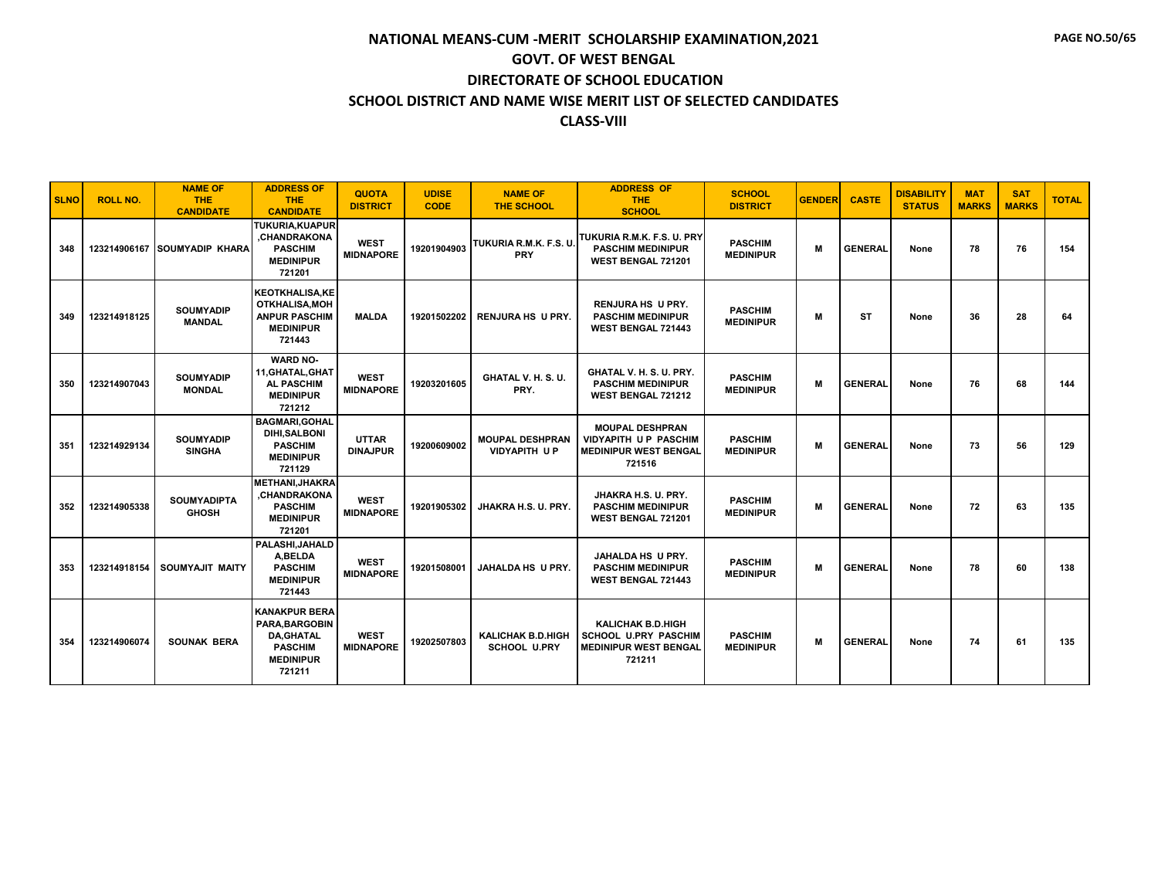| <b>SLNO</b> | <b>ROLL NO.</b> | <b>NAME OF</b><br><b>THE</b><br><b>CANDIDATE</b> | <b>ADDRESS OF</b><br><b>THE</b><br><b>CANDIDATE</b>                                                        | <b>QUOTA</b><br><b>DISTRICT</b> | <b>UDISE</b><br><b>CODE</b> | <b>NAME OF</b><br><b>THE SCHOOL</b>             | <b>ADDRESS OF</b><br><b>THE</b><br><b>SCHOOL</b>                                                  | <b>SCHOOL</b><br><b>DISTRICT</b>   | <b>GENDER</b> | <b>CASTE</b>   | <b>DISABILITY</b><br><b>STATUS</b> | <b>MAT</b><br><b>MARKS</b> | <b>SAT</b><br><b>MARKS</b> | <b>TOTAL</b> |
|-------------|-----------------|--------------------------------------------------|------------------------------------------------------------------------------------------------------------|---------------------------------|-----------------------------|-------------------------------------------------|---------------------------------------------------------------------------------------------------|------------------------------------|---------------|----------------|------------------------------------|----------------------------|----------------------------|--------------|
| 348         | 123214906167    | <b>SOUMYADIP KHARA</b>                           | <b>TUKURIA,KUAPUR</b><br>.CHANDRAKONA<br><b>PASCHIM</b><br><b>MEDINIPUR</b><br>721201                      | <b>WEST</b><br><b>MIDNAPORE</b> | 19201904903                 | TUKURIA R.M.K. F.S. U.<br>PRY                   | TUKURIA R.M.K. F.S. U. PRY<br><b>PASCHIM MEDINIPUR</b><br>WEST BENGAL 721201                      | <b>PASCHIM</b><br><b>MEDINIPUR</b> | M             | <b>GENERAL</b> | None                               | 78                         | 76                         | 154          |
| 349         | 123214918125    | <b>SOUMYADIP</b><br><b>MANDAL</b>                | <b>KEOTKHALISA.KE</b><br><b>OTKHALISA, MOH</b><br><b>ANPUR PASCHIM</b><br><b>MEDINIPUR</b><br>721443       | <b>MALDA</b>                    | 19201502202                 | <b>RENJURA HS U PRY.</b>                        | <b>RENJURA HS U PRY.</b><br><b>PASCHIM MEDINIPUR</b><br><b>WEST BENGAL 721443</b>                 | <b>PASCHIM</b><br><b>MEDINIPUR</b> | M             | <b>ST</b>      | None                               | 36                         | 28                         | 64           |
| 350         | 123214907043    | <b>SOUMYADIP</b><br><b>MONDAL</b>                | <b>WARD NO-</b><br>11, GHATAL, GHAT<br><b>AL PASCHIM</b><br><b>MEDINIPUR</b><br>721212                     | <b>WEST</b><br><b>MIDNAPORE</b> | 19203201605                 | GHATAL V. H. S. U.<br>PRY.                      | GHATAL V. H. S. U. PRY.<br><b>PASCHIM MEDINIPUR</b><br><b>WEST BENGAL 721212</b>                  | <b>PASCHIM</b><br><b>MEDINIPUR</b> | M             | <b>GENERAL</b> | None                               | 76                         | 68                         | 144          |
| 351         | 123214929134    | <b>SOUMYADIP</b><br><b>SINGHA</b>                | <b>BAGMARI.GOHAL</b><br><b>DIHI,SALBONI</b><br><b>PASCHIM</b><br><b>MEDINIPUR</b><br>721129                | <b>UTTAR</b><br><b>DINAJPUR</b> | 19200609002                 | <b>MOUPAL DESHPRAN</b><br><b>VIDYAPITH UP</b>   | <b>MOUPAL DESHPRAN</b><br><b>VIDYAPITH UP PASCHIM</b><br><b>MEDINIPUR WEST BENGAL</b><br>721516   | <b>PASCHIM</b><br><b>MEDINIPUR</b> | M             | <b>GENERAL</b> | None                               | 73                         | 56                         | 129          |
| 352         | 123214905338    | <b>SOUMYADIPTA</b><br><b>GHOSH</b>               | <b>METHANI, JHAKRA</b><br><b>CHANDRAKONA</b><br><b>PASCHIM</b><br><b>MEDINIPUR</b><br>721201               | <b>WEST</b><br><b>MIDNAPORE</b> | 19201905302                 | JHAKRA H.S. U. PRY.                             | JHAKRA H.S. U. PRY.<br><b>PASCHIM MEDINIPUR</b><br>WEST BENGAL 721201                             | <b>PASCHIM</b><br><b>MEDINIPUR</b> | M             | <b>GENERAL</b> | None                               | 72                         | 63                         | 135          |
| 353         | 123214918154    | SOUMYAJIT MAITY                                  | PALASHI, JAHALD<br>A,BELDA<br><b>PASCHIM</b><br><b>MEDINIPUR</b><br>721443                                 | <b>WEST</b><br><b>MIDNAPORE</b> | 19201508001                 | <b>JAHALDA HS U PRY.</b>                        | <b>JAHALDA HS U PRY.</b><br><b>PASCHIM MEDINIPUR</b><br><b>WEST BENGAL 721443</b>                 | <b>PASCHIM</b><br><b>MEDINIPUR</b> | M             | <b>GENERAL</b> | None                               | 78                         | 60                         | 138          |
| 354         | 123214906074    | <b>SOUNAK BERA</b>                               | <b>KANAKPUR BERA</b><br>PARA.BARGOBIN<br><b>DA, GHATAL</b><br><b>PASCHIM</b><br><b>MEDINIPUR</b><br>721211 | <b>WEST</b><br><b>MIDNAPORE</b> | 19202507803                 | <b>KALICHAK B.D.HIGH</b><br><b>SCHOOL U.PRY</b> | <b>KALICHAK B.D.HIGH</b><br><b>SCHOOL U.PRY PASCHIM</b><br><b>MEDINIPUR WEST BENGAL</b><br>721211 | <b>PASCHIM</b><br><b>MEDINIPUR</b> | M             | <b>GENERAL</b> | None                               | 74                         | 61                         | 135          |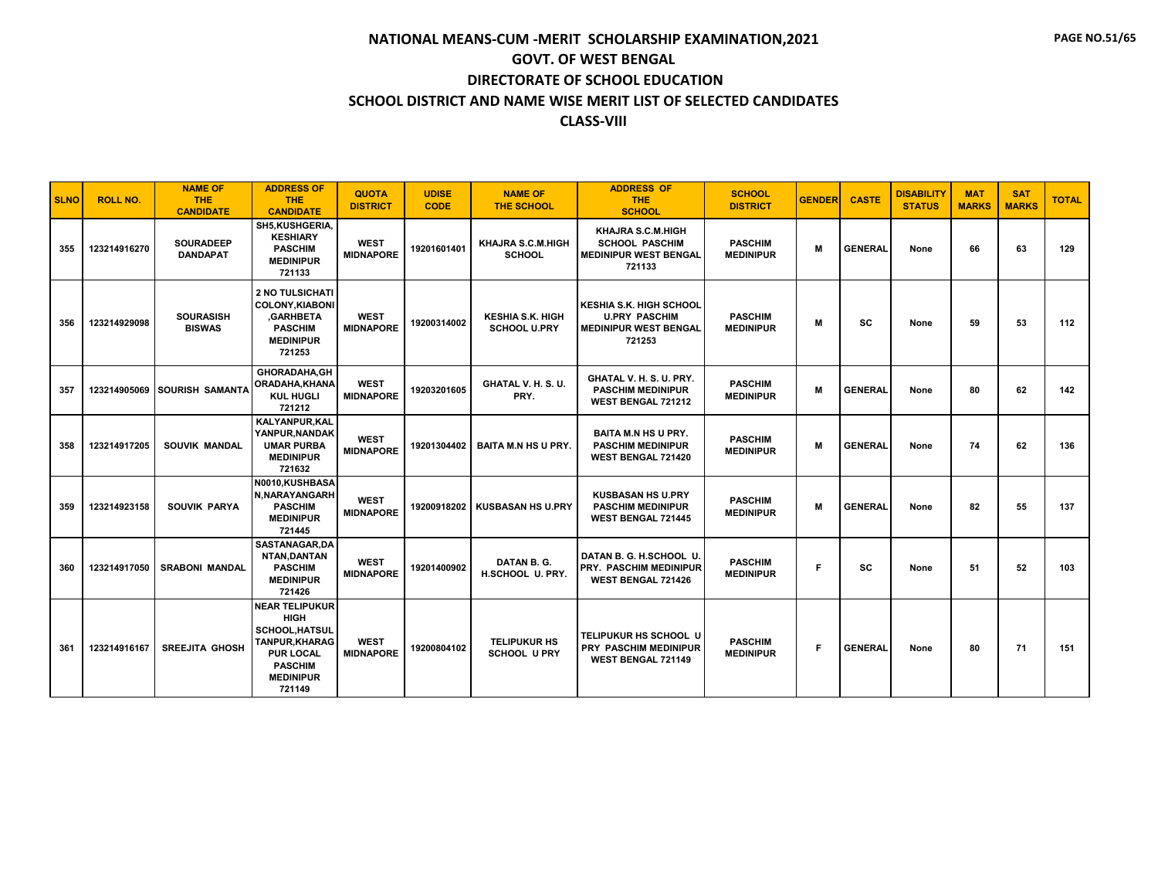| <b>SLNO</b> | <b>ROLL NO.</b> | <b>NAME OF</b><br><b>THE</b><br><b>CANDIDATE</b> | <b>ADDRESS OF</b><br><b>THE</b><br><b>CANDIDATE</b>                                                                                                | <b>QUOTA</b><br><b>DISTRICT</b> | <b>UDISE</b><br><b>CODE</b> | <b>NAME OF</b><br>THE SCHOOL                   | <b>ADDRESS OF</b><br><b>THE</b><br><b>SCHOOL</b>                                                 | <b>SCHOOL</b><br><b>DISTRICT</b>   | <b>GENDER</b> | <b>CASTE</b>   | <b>DISABILITY</b><br><b>STATUS</b> | <b>MAT</b><br><b>MARKS</b> | <b>SAT</b><br><b>MARKS</b> | <b>TOTAL</b> |
|-------------|-----------------|--------------------------------------------------|----------------------------------------------------------------------------------------------------------------------------------------------------|---------------------------------|-----------------------------|------------------------------------------------|--------------------------------------------------------------------------------------------------|------------------------------------|---------------|----------------|------------------------------------|----------------------------|----------------------------|--------------|
| 355         | 123214916270    | <b>SOURADEEP</b><br><b>DANDAPAT</b>              | SH5, KUSHGERIA,<br><b>KESHIARY</b><br><b>PASCHIM</b><br><b>MEDINIPUR</b><br>721133                                                                 | <b>WEST</b><br><b>MIDNAPORE</b> | 19201601401                 | <b>KHAJRA S.C.M.HIGH</b><br><b>SCHOOL</b>      | KHAJRA S.C.M.HIGH<br><b>SCHOOL PASCHIM</b><br><b>MEDINIPUR WEST BENGAL</b><br>721133             | <b>PASCHIM</b><br><b>MEDINIPUR</b> | M             | <b>GENERAL</b> | None                               | 66                         | 63                         | 129          |
| 356         | 123214929098    | <b>SOURASISH</b><br><b>BISWAS</b>                | <b>2 NO TULSICHATI</b><br><b>COLONY, KIABONI</b><br>.GARHBETA<br><b>PASCHIM</b><br><b>MEDINIPUR</b><br>721253                                      | <b>WEST</b><br><b>MIDNAPORE</b> | 19200314002                 | <b>KESHIA S.K. HIGH</b><br><b>SCHOOL U.PRY</b> | <b>KESHIA S.K. HIGH SCHOOL</b><br><b>U.PRY PASCHIM</b><br><b>MEDINIPUR WEST BENGAL</b><br>721253 | <b>PASCHIM</b><br><b>MEDINIPUR</b> | M             | SC             | None                               | 59                         | 53                         | 112          |
| 357         | 123214905069    | <b>SOURISH SAMANTA</b>                           | <b>GHORADAHA.GH</b><br><b>ORADAHA.KHANA</b><br><b>KUL HUGLI</b><br>721212                                                                          | <b>WEST</b><br><b>MIDNAPORE</b> | 19203201605                 | GHATAL V. H. S. U.<br>PRY.                     | GHATAL V. H. S. U. PRY.<br><b>PASCHIM MEDINIPUR</b><br>WEST BENGAL 721212                        | <b>PASCHIM</b><br><b>MEDINIPUR</b> | M             | <b>GENERAL</b> | None                               | 80                         | 62                         | 142          |
| 358         | 123214917205    | <b>SOUVIK MANDAL</b>                             | KALYANPUR, KAL<br>YANPUR, NANDAK<br><b>UMAR PURBA</b><br><b>MEDINIPUR</b><br>721632                                                                | <b>WEST</b><br><b>MIDNAPORE</b> | 19201304402                 | <b>BAITA M.N HS U PRY.</b>                     | <b>BAITA M.N HS U PRY.</b><br><b>PASCHIM MEDINIPUR</b><br>WEST BENGAL 721420                     | <b>PASCHIM</b><br><b>MEDINIPUR</b> | M             | <b>GENERAL</b> | None                               | 74                         | 62                         | 136          |
| 359         | 123214923158    | SOUVIK PARYA                                     | N0010.KUSHBASA<br>N, NARAYANGARH<br><b>PASCHIM</b><br><b>MEDINIPUR</b><br>721445                                                                   | <b>WEST</b><br><b>MIDNAPORE</b> | 19200918202                 | <b>KUSBASAN HS U.PRY</b>                       | <b>KUSBASAN HS U.PRY</b><br><b>PASCHIM MEDINIPUR</b><br>WEST BENGAL 721445                       | <b>PASCHIM</b><br><b>MEDINIPUR</b> | M             | <b>GENERAL</b> | None                               | 82                         | 55                         | 137          |
| 360         | 123214917050    | <b>SRABONI MANDAL</b>                            | SASTANAGAR, DA<br>NTAN, DANTAN<br><b>PASCHIM</b><br><b>MEDINIPUR</b><br>721426                                                                     | <b>WEST</b><br><b>MIDNAPORE</b> | 19201400902                 | DATAN B.G.<br>H.SCHOOL U. PRY.                 | DATAN B. G. H.SCHOOL U.<br><b>PRY. PASCHIM MEDINIPUR</b><br><b>WEST BENGAL 721426</b>            | <b>PASCHIM</b><br><b>MEDINIPUR</b> | F             | SC             | None                               | 51                         | 52                         | 103          |
| 361         | 123214916167    | <b>SREEJITA GHOSH</b>                            | <b>NEAR TELIPUKUR</b><br><b>HIGH</b><br><b>SCHOOL.HATSUL</b><br>TANPUR, KHARAG<br><b>PUR LOCAL</b><br><b>PASCHIM</b><br><b>MEDINIPUR</b><br>721149 | <b>WEST</b><br><b>MIDNAPORE</b> | 19200804102                 | <b>TELIPUKUR HS</b><br><b>SCHOOL U PRY</b>     | <b>TELIPUKUR HS SCHOOL U</b><br>PRY PASCHIM MEDINIPUR<br>WEST BENGAL 721149                      | <b>PASCHIM</b><br><b>MEDINIPUR</b> | F             | <b>GENERAL</b> | None                               | 80                         | 71                         | 151          |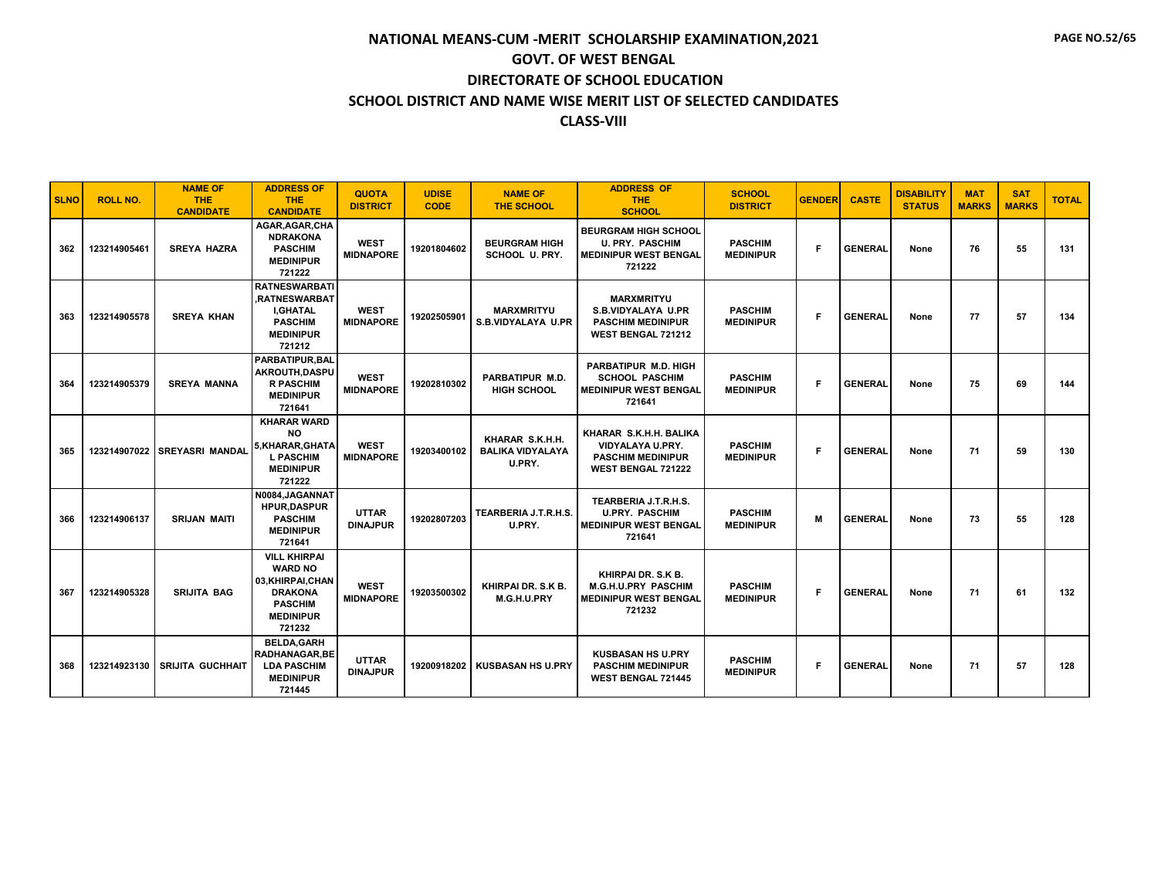| <b>SLNO</b> | <b>ROLL NO.</b> | <b>NAME OF</b><br><b>THE</b><br><b>CANDIDATE</b> | <b>ADDRESS OF</b><br><b>THE</b><br><b>CANDIDATE</b>                                                                          | <b>QUOTA</b><br><b>DISTRICT</b> | <b>UDISE</b><br><b>CODE</b> | <b>NAME OF</b><br><b>THE SCHOOL</b>                  | <b>ADDRESS OF</b><br><b>THE</b><br><b>SCHOOL</b>                                                        | <b>SCHOOL</b><br><b>DISTRICT</b>   | <b>GENDER</b> | <b>CASTE</b>   | <b>DISABILITY</b><br><b>STATUS</b> | <b>MAT</b><br><b>MARKS</b> | <b>SAT</b><br><b>MARKS</b> | <b>TOTAL</b> |
|-------------|-----------------|--------------------------------------------------|------------------------------------------------------------------------------------------------------------------------------|---------------------------------|-----------------------------|------------------------------------------------------|---------------------------------------------------------------------------------------------------------|------------------------------------|---------------|----------------|------------------------------------|----------------------------|----------------------------|--------------|
| 362         | 123214905461    | <b>SREYA HAZRA</b>                               | AGAR.AGAR.CHA<br><b>NDRAKONA</b><br><b>PASCHIM</b><br><b>MEDINIPUR</b><br>721222                                             | <b>WEST</b><br><b>MIDNAPORE</b> | 19201804602                 | <b>BEURGRAM HIGH</b><br><b>SCHOOL U. PRY.</b>        | <b>BEURGRAM HIGH SCHOOL</b><br><b>U. PRY. PASCHIM</b><br><b>MEDINIPUR WEST BENGAL</b><br>721222         | <b>PASCHIM</b><br><b>MEDINIPUR</b> | F             | <b>GENERAL</b> | None                               | 76                         | 55                         | 131          |
| 363         | 123214905578    | <b>SREYA KHAN</b>                                | <b>RATNESWARBATI</b><br>.RATNESWARBAT<br><b>I.GHATAL</b><br><b>PASCHIM</b><br><b>MEDINIPUR</b><br>721212                     | <b>WEST</b><br><b>MIDNAPORE</b> | 19202505901                 | <b>MARXMRITYU</b><br>S.B.VIDYALAYA U.PR              | <b>MARXMRITYU</b><br><b>S.B.VIDYALAYA U.PR</b><br><b>PASCHIM MEDINIPUR</b><br><b>WEST BENGAL 721212</b> | <b>PASCHIM</b><br><b>MEDINIPUR</b> | F             | <b>GENERAL</b> | None                               | 77                         | 57                         | 134          |
| 364         | 123214905379    | <b>SREYA MANNA</b>                               | <b>PARBATIPUR.BAL</b><br>AKROUTH.DASPU<br><b>R PASCHIM</b><br><b>MEDINIPUR</b><br>721641                                     | <b>WEST</b><br><b>MIDNAPORE</b> | 19202810302                 | PARBATIPUR M.D.<br><b>HIGH SCHOOL</b>                | PARBATIPUR M.D. HIGH<br><b>SCHOOL PASCHIM</b><br><b>MEDINIPUR WEST BENGAL</b><br>721641                 | <b>PASCHIM</b><br><b>MEDINIPUR</b> | F             | <b>GENERAL</b> | None                               | 75                         | 69                         | 144          |
| 365         | 123214907022    | <b>SREYASRI MANDAL</b>                           | <b>KHARAR WARD</b><br><b>NO</b><br>5.KHARAR.GHATA<br><b>L PASCHIM</b><br><b>MEDINIPUR</b><br>721222                          | <b>WEST</b><br><b>MIDNAPORE</b> | 19203400102                 | KHARAR S.K.H.H.<br><b>BALIKA VIDYALAYA</b><br>U.PRY. | KHARAR S.K.H.H. BALIKA<br>VIDYALAYA U.PRY.<br><b>PASCHIM MEDINIPUR</b><br><b>WEST BENGAL 721222</b>     | <b>PASCHIM</b><br><b>MEDINIPUR</b> | F             | <b>GENERAL</b> | None                               | 71                         | 59                         | 130          |
| 366         | 123214906137    | <b>SRIJAN MAITI</b>                              | N0084, JAGANNAT<br><b>HPUR.DASPUR</b><br><b>PASCHIM</b><br><b>MEDINIPUR</b><br>721641                                        | <b>UTTAR</b><br><b>DINAJPUR</b> | 19202807203                 | TEARBERIA J.T.R.H.S.<br>U.PRY.                       | TEARBERIA J.T.R.H.S.<br><b>U.PRY. PASCHIM</b><br><b>MEDINIPUR WEST BENGAL</b><br>721641                 | <b>PASCHIM</b><br><b>MEDINIPUR</b> | М             | <b>GENERAL</b> | None                               | 73                         | 55                         | 128          |
| 367         | 123214905328    | <b>SRIJITA BAG</b>                               | <b>VILL KHIRPAI</b><br><b>WARD NO</b><br>03, KHIRPAI, CHAN<br><b>DRAKONA</b><br><b>PASCHIM</b><br><b>MEDINIPUR</b><br>721232 | <b>WEST</b><br><b>MIDNAPORE</b> | 19203500302                 | KHIRPAI DR. S.K B.<br>M.G.H.U.PRY                    | KHIRPAI DR. S.K B.<br><b>M.G.H.U.PRY PASCHIM</b><br><b>MEDINIPUR WEST BENGAL</b><br>721232              | <b>PASCHIM</b><br><b>MEDINIPUR</b> | F             | <b>GENERAL</b> | None                               | 71                         | 61                         | 132          |
| 368         | 123214923130    | <b>SRIJITA GUCHHAIT</b>                          | <b>BELDA.GARH</b><br><b>RADHANAGAR.BE</b><br><b>LDA PASCHIM</b><br><b>MEDINIPUR</b><br>721445                                | <b>UTTAR</b><br><b>DINAJPUR</b> | 19200918202                 | <b>KUSBASAN HS U.PRY</b>                             | <b>KUSBASAN HS U.PRY</b><br><b>PASCHIM MEDINIPUR</b><br><b>WEST BENGAL 721445</b>                       | <b>PASCHIM</b><br><b>MEDINIPUR</b> | F             | <b>GENERAL</b> | None                               | 71                         | 57                         | 128          |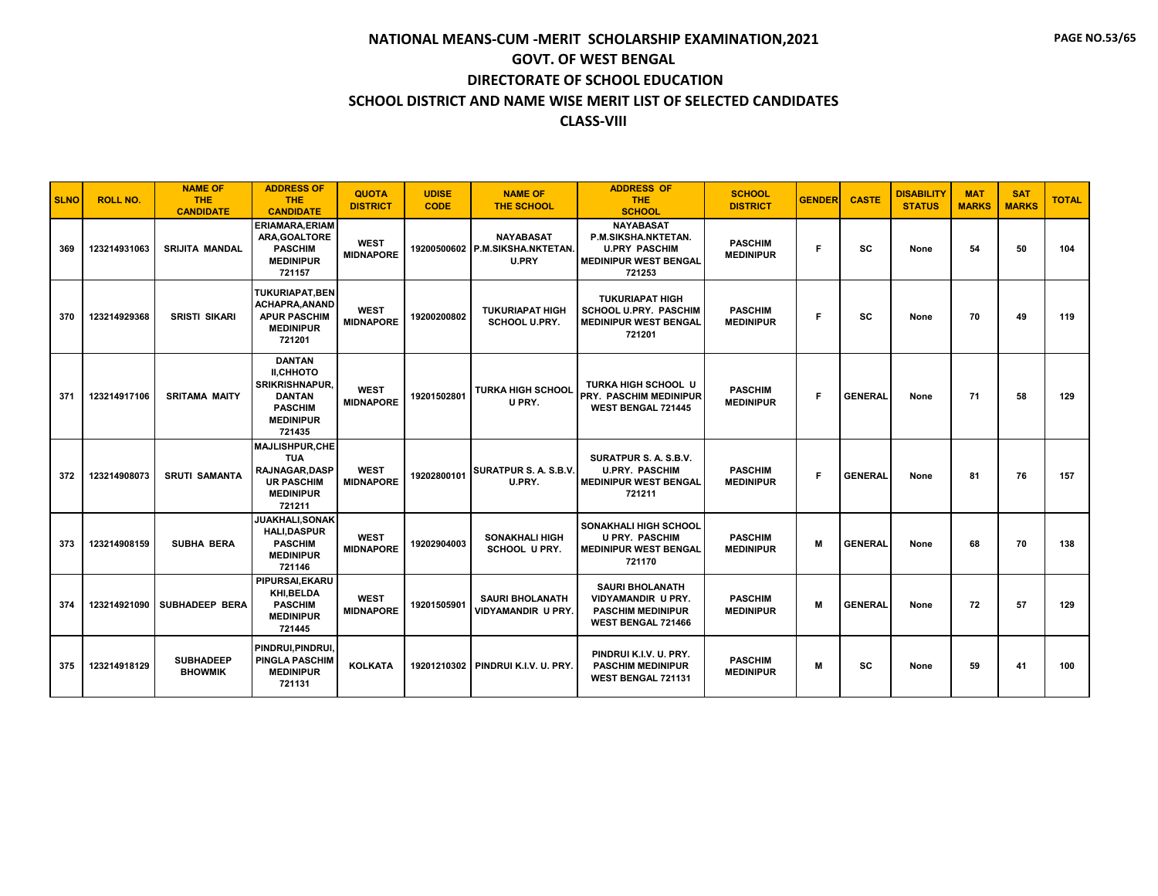| <b>SLNO</b> | <b>ROLL NO.</b> | <b>NAME OF</b><br><b>THE</b><br><b>CANDIDATE</b> | <b>ADDRESS OF</b><br><b>THE</b><br><b>CANDIDATE</b>                                                                         | <b>QUOTA</b><br><b>DISTRICT</b> | <b>UDISE</b><br><b>CODE</b> | <b>NAME OF</b><br><b>THE SCHOOL</b>                                 | <b>ADDRESS OF</b><br><b>THE</b><br><b>SCHOOL</b>                                                          | <b>SCHOOL</b><br><b>DISTRICT</b>   | <b>GENDER</b> | <b>CASTE</b>   | <b>DISABILITY</b><br><b>STATUS</b> | <b>MAT</b><br><b>MARKS</b> | <b>SAT</b><br><b>MARKS</b> | <b>TOTAL</b> |
|-------------|-----------------|--------------------------------------------------|-----------------------------------------------------------------------------------------------------------------------------|---------------------------------|-----------------------------|---------------------------------------------------------------------|-----------------------------------------------------------------------------------------------------------|------------------------------------|---------------|----------------|------------------------------------|----------------------------|----------------------------|--------------|
| 369         | 123214931063    | <b>SRIJITA MANDAL</b>                            | <b>ERIAMARA.ERIAM</b><br>ARA, GOALTORE<br><b>PASCHIM</b><br><b>MEDINIPUR</b><br>721157                                      | <b>WEST</b><br><b>MIDNAPORE</b> |                             | <b>NAYABASAT</b><br>19200500602 P.M.SIKSHA.NKTETAN.<br><b>U.PRY</b> | <b>NAYABASAT</b><br>P.M.SIKSHA.NKTETAN.<br><b>U.PRY PASCHIM</b><br><b>MEDINIPUR WEST BENGAL</b><br>721253 | <b>PASCHIM</b><br><b>MEDINIPUR</b> | F             | SC             | None                               | 54                         | 50                         | 104          |
| 370         | 123214929368    | <b>SRISTI SIKARI</b>                             | <b>TUKURIAPAT, BEN</b><br>ACHAPRA, ANAND<br><b>APUR PASCHIM</b><br><b>MEDINIPUR</b><br>721201                               | <b>WEST</b><br><b>MIDNAPORE</b> | 19200200802                 | <b>TUKURIAPAT HIGH</b><br><b>SCHOOL U.PRY.</b>                      | <b>TUKURIAPAT HIGH</b><br><b>SCHOOL U.PRY. PASCHIM</b><br><b>MEDINIPUR WEST BENGAL</b><br>721201          | <b>PASCHIM</b><br><b>MEDINIPUR</b> | F             | SC             | None                               | 70                         | 49                         | 119          |
| 371         | 123214917106    | <b>SRITAMA MAITY</b>                             | <b>DANTAN</b><br><b>II.CHHOTO</b><br><b>SRIKRISHNAPUR.</b><br><b>DANTAN</b><br><b>PASCHIM</b><br><b>MEDINIPUR</b><br>721435 | <b>WEST</b><br><b>MIDNAPORE</b> | 19201502801                 | <b>TURKA HIGH SCHOOL</b><br>U PRY.                                  | <b>TURKA HIGH SCHOOL U</b><br><b>PRY. PASCHIM MEDINIPUR</b><br><b>WEST BENGAL 721445</b>                  | <b>PASCHIM</b><br><b>MEDINIPUR</b> | F             | <b>GENERAL</b> | None                               | 71                         | 58                         | 129          |
| 372         | 123214908073    | <b>SRUTI SAMANTA</b>                             | <b>MAJLISHPUR.CHE</b><br><b>TUA</b><br>RAJNAGAR, DASP<br><b>UR PASCHIM</b><br><b>MEDINIPUR</b><br>721211                    | <b>WEST</b><br><b>MIDNAPORE</b> | 19202800101                 | SURATPUR S. A. S.B.V.<br>U.PRY.                                     | SURATPUR S. A. S.B.V.<br><b>U.PRY. PASCHIM</b><br><b>MEDINIPUR WEST BENGAL</b><br>721211                  | <b>PASCHIM</b><br><b>MEDINIPUR</b> | F             | <b>GENERAL</b> | None                               | 81                         | 76                         | 157          |
| 373         | 123214908159    | <b>SUBHA BERA</b>                                | JUAKHALI, SONAK<br><b>HALI.DASPUR</b><br><b>PASCHIM</b><br><b>MEDINIPUR</b><br>721146                                       | <b>WEST</b><br><b>MIDNAPORE</b> | 19202904003                 | <b>SONAKHALI HIGH</b><br><b>SCHOOL U PRY.</b>                       | <b>SONAKHALI HIGH SCHOOL</b><br><b>U PRY. PASCHIM</b><br><b>MEDINIPUR WEST BENGAL</b><br>721170           | <b>PASCHIM</b><br><b>MEDINIPUR</b> | M             | <b>GENERAL</b> | None                               | 68                         | 70                         | 138          |
| 374         | 123214921090    | <b>SUBHADEEP BERA</b>                            | PIPURSAI.EKARU<br>KHI, BELDA<br><b>PASCHIM</b><br><b>MEDINIPUR</b><br>721445                                                | <b>WEST</b><br><b>MIDNAPORE</b> | 19201505901                 | <b>SAURI BHOLANATH</b><br><b>VIDYAMANDIR U PRY.</b>                 | <b>SAURI BHOLANATH</b><br><b>VIDYAMANDIR U PRY.</b><br><b>PASCHIM MEDINIPUR</b><br>WEST BENGAL 721466     | <b>PASCHIM</b><br><b>MEDINIPUR</b> | M             | <b>GENERAL</b> | None                               | 72                         | 57                         | 129          |
| 375         | 123214918129    | <b>SUBHADEEP</b><br><b>BHOWMIK</b>               | PINDRUI.PINDRUI.<br><b>PINGLA PASCHIM</b><br><b>MEDINIPUR</b><br>721131                                                     | <b>KOLKATA</b>                  | 19201210302                 | PINDRUI K.I.V. U. PRY.                                              | PINDRUI K.I.V. U. PRY.<br><b>PASCHIM MEDINIPUR</b><br>WEST BENGAL 721131                                  | <b>PASCHIM</b><br><b>MEDINIPUR</b> | M             | <b>SC</b>      | None                               | 59                         | 41                         | 100          |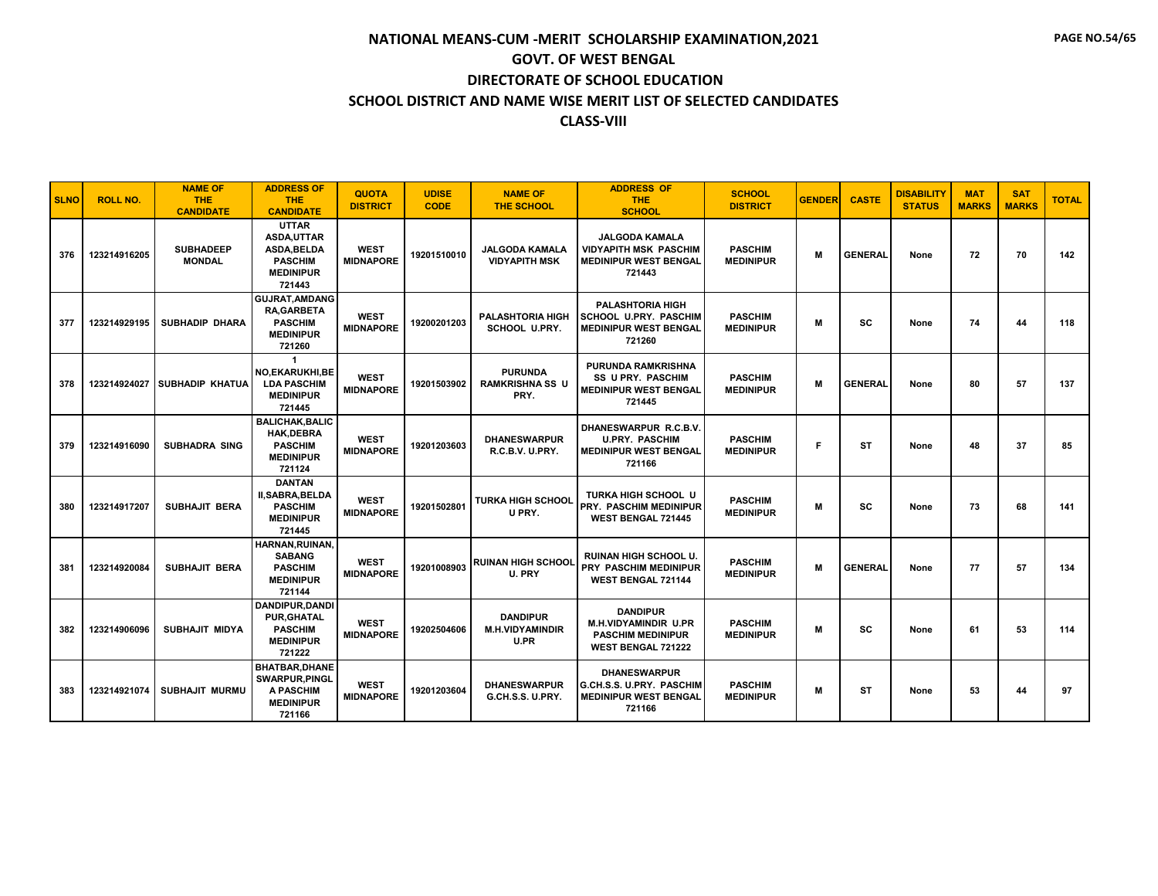| <b>SLNO</b> | <b>ROLL NO.</b> | <b>NAME OF</b><br><b>THE</b><br><b>CANDIDATE</b> | <b>ADDRESS OF</b><br><b>THE</b><br><b>CANDIDATE</b>                                                    | <b>QUOTA</b><br><b>DISTRICT</b> | <b>UDISE</b><br><b>CODE</b> | <b>NAME OF</b><br><b>THE SCHOOL</b>               | <b>ADDRESS OF</b><br>THE.<br><b>SCHOOL</b>                                                              | <b>SCHOOL</b><br><b>DISTRICT</b>   | <b>GENDER</b> | <b>CASTE</b>   | <b>DISABILITY</b><br><b>STATUS</b> | <b>MAT</b><br><b>MARKS</b> | <b>SAT</b><br><b>MARKS</b> | <b>TOTAL</b> |
|-------------|-----------------|--------------------------------------------------|--------------------------------------------------------------------------------------------------------|---------------------------------|-----------------------------|---------------------------------------------------|---------------------------------------------------------------------------------------------------------|------------------------------------|---------------|----------------|------------------------------------|----------------------------|----------------------------|--------------|
| 376         | 123214916205    | <b>SUBHADEEP</b><br><b>MONDAL</b>                | <b>UTTAR</b><br><b>ASDA,UTTAR</b><br><b>ASDA.BELDA</b><br><b>PASCHIM</b><br><b>MEDINIPUR</b><br>721443 | <b>WEST</b><br><b>MIDNAPORE</b> | 19201510010                 | <b>JALGODA KAMALA</b><br><b>VIDYAPITH MSK</b>     | <b>JALGODA KAMALA</b><br><b>VIDYAPITH MSK PASCHIM</b><br><b>MEDINIPUR WEST BENGAL</b><br>721443         | <b>PASCHIM</b><br><b>MEDINIPUR</b> | M             | <b>GENERAL</b> | None                               | 72                         | 70                         | 142          |
| 377         | 123214929195    | <b>SUBHADIP DHARA</b>                            | <b>GUJRAT, AMDANG</b><br><b>RA,GARBETA</b><br><b>PASCHIM</b><br><b>MEDINIPUR</b><br>721260             | <b>WEST</b><br><b>MIDNAPORE</b> | 19200201203                 | <b>PALASHTORIA HIGH</b><br><b>SCHOOL U.PRY.</b>   | <b>PALASHTORIA HIGH</b><br><b>SCHOOL U.PRY. PASCHIM</b><br><b>MEDINIPUR WEST BENGAL</b><br>721260       | <b>PASCHIM</b><br><b>MEDINIPUR</b> | M             | <b>SC</b>      | None                               | 74                         | 44                         | 118          |
| 378         | 123214924027    | <b>SUBHADIP KHATUA</b>                           | NO,EKARUKHI,BE<br><b>LDA PASCHIM</b><br><b>MEDINIPUR</b><br>721445                                     | <b>WEST</b><br><b>MIDNAPORE</b> | 19201503902                 | <b>PURUNDA</b><br><b>RAMKRISHNA SS U</b><br>PRY.  | <b>PURUNDA RAMKRISHNA</b><br><b>SS U PRY. PASCHIM</b><br><b>MEDINIPUR WEST BENGAL</b><br>721445         | <b>PASCHIM</b><br><b>MEDINIPUR</b> | M             | <b>GENERAL</b> | None                               | 80                         | 57                         | 137          |
| 379         | 123214916090    | <b>SUBHADRA SING</b>                             | <b>BALICHAK.BALIC</b><br><b>HAK.DEBRA</b><br><b>PASCHIM</b><br><b>MEDINIPUR</b><br>721124              | <b>WEST</b><br><b>MIDNAPORE</b> | 19201203603                 | <b><i>DHANESWARPUR</i></b><br>R.C.B.V. U.PRY.     | DHANESWARPUR R.C.B.V.<br><b>U.PRY. PASCHIM</b><br><b>MEDINIPUR WEST BENGAL</b><br>721166                | <b>PASCHIM</b><br><b>MEDINIPUR</b> | F             | <b>ST</b>      | None                               | 48                         | 37                         | 85           |
| 380         | 123214917207    | <b>SUBHAJIT BERA</b>                             | <b>DANTAN</b><br>II, SABRA, BELDA<br><b>PASCHIM</b><br><b>MEDINIPUR</b><br>721445                      | <b>WEST</b><br><b>MIDNAPORE</b> | 19201502801                 | <b>TURKA HIGH SCHOOL</b><br>U PRY.                | <b>TURKA HIGH SCHOOL U</b><br><b>PRY. PASCHIM MEDINIPUR</b><br><b>WEST BENGAL 721445</b>                | <b>PASCHIM</b><br><b>MEDINIPUR</b> | M             | <b>SC</b>      | None                               | 73                         | 68                         | 141          |
| 381         | 123214920084    | <b>SUBHAJIT BERA</b>                             | HARNAN.RUINAN.<br><b>SABANG</b><br><b>PASCHIM</b><br><b>MEDINIPUR</b><br>721144                        | <b>WEST</b><br><b>MIDNAPORE</b> | 19201008903                 | <b>RUINAN HIGH SCHOOL</b><br>U. PRY               | RUINAN HIGH SCHOOL U.<br>PRY PASCHIM MEDINIPUR<br>WEST BENGAL 721144                                    | <b>PASCHIM</b><br><b>MEDINIPUR</b> | M             | <b>GENERAL</b> | None                               | 77                         | 57                         | 134          |
| 382         | 123214906096    | <b>SUBHAJIT MIDYA</b>                            | <b>DANDIPUR.DANDI</b><br><b>PUR, GHATAL</b><br><b>PASCHIM</b><br><b>MEDINIPUR</b><br>721222            | <b>WEST</b><br><b>MIDNAPORE</b> | 19202504606                 | <b>DANDIPUR</b><br><b>M.H.VIDYAMINDIR</b><br>U.PR | <b>DANDIPUR</b><br><b>M.H.VIDYAMINDIR U.PR</b><br><b>PASCHIM MEDINIPUR</b><br><b>WEST BENGAL 721222</b> | <b>PASCHIM</b><br><b>MEDINIPUR</b> | M             | SC             | None                               | 61                         | 53                         | 114          |
| 383         | 123214921074    | <b>SUBHAJIT MURMU</b>                            | <b>BHATBAR.DHANE</b><br><b>SWARPUR, PINGL</b><br><b>A PASCHIM</b><br><b>MEDINIPUR</b><br>721166        | <b>WEST</b><br><b>MIDNAPORE</b> | 19201203604                 | <b><i>DHANESWARPUR</i></b><br>G.CH.S.S. U.PRY.    | <b>DHANESWARPUR</b><br>G.CH.S.S. U.PRY. PASCHIM<br><b>MEDINIPUR WEST BENGAL</b><br>721166               | <b>PASCHIM</b><br><b>MEDINIPUR</b> | M             | ST             | None                               | 53                         | 44                         | 97           |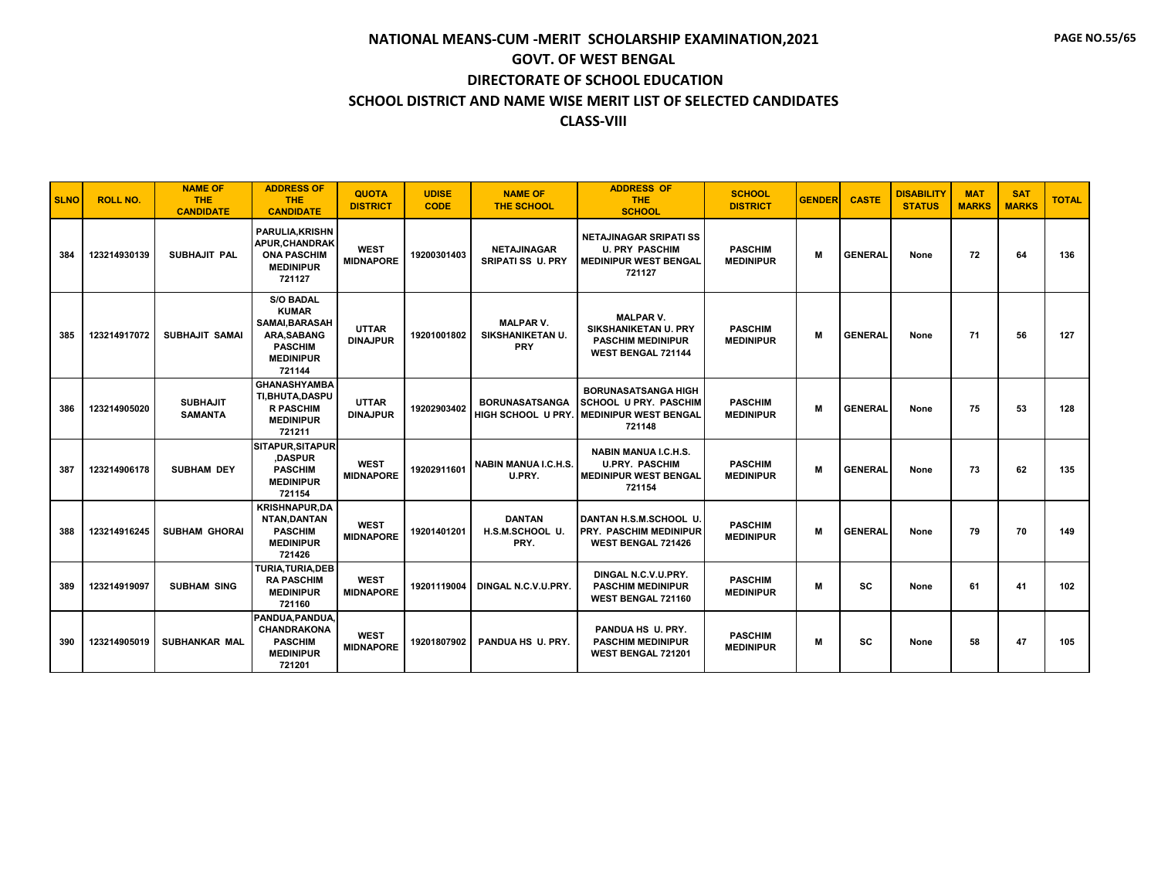| <b>SLNO</b> | <b>ROLL NO.</b> | <b>NAME OF</b><br><b>THE</b><br><b>CANDIDATE</b> | <b>ADDRESS OF</b><br><b>THE</b><br><b>CANDIDATE</b>                                                                     | <b>QUOTA</b><br><b>DISTRICT</b> | <b>UDISE</b><br><b>CODE</b> | <b>NAME OF</b><br><b>THE SCHOOL</b>                       | <b>ADDRESS OF</b><br><b>THE</b><br><b>SCHOOL</b>                                                         | <b>SCHOOL</b><br><b>DISTRICT</b>   | <b>GENDER</b> | <b>CASTE</b>   | <b>DISABILITY</b><br><b>STATUS</b> | <b>MAT</b><br><b>MARKS</b> | <b>SAT</b><br><b>MARKS</b> | <b>TOTAL</b> |
|-------------|-----------------|--------------------------------------------------|-------------------------------------------------------------------------------------------------------------------------|---------------------------------|-----------------------------|-----------------------------------------------------------|----------------------------------------------------------------------------------------------------------|------------------------------------|---------------|----------------|------------------------------------|----------------------------|----------------------------|--------------|
| 384         | 123214930139    | SUBHAJIT PAL                                     | <b>PARULIA.KRISHN</b><br><b>APUR.CHANDRAK</b><br><b>ONA PASCHIM</b><br><b>MEDINIPUR</b><br>721127                       | <b>WEST</b><br><b>MIDNAPORE</b> | 19200301403                 | <b>NETAJINAGAR</b><br><b>SRIPATI SS U. PRY</b>            | <b>NETAJINAGAR SRIPATI SS</b><br><b>U. PRY PASCHIM</b><br><b>MEDINIPUR WEST BENGAL</b><br>721127         | <b>PASCHIM</b><br><b>MEDINIPUR</b> | M             | <b>GENERAL</b> | None                               | 72                         | 64                         | 136          |
| 385         | 123214917072    | <b>SUBHAJIT SAMAI</b>                            | <b>S/O BADAL</b><br><b>KUMAR</b><br>SAMAI, BARASAH<br><b>ARA.SABANG</b><br><b>PASCHIM</b><br><b>MEDINIPUR</b><br>721144 | <b>UTTAR</b><br><b>DINAJPUR</b> | 19201001802                 | <b>MALPAR V.</b><br><b>SIKSHANIKETAN U.</b><br><b>PRY</b> | <b>MALPAR V.</b><br><b>SIKSHANIKETAN U. PRY</b><br><b>PASCHIM MEDINIPUR</b><br><b>WEST BENGAL 721144</b> | <b>PASCHIM</b><br><b>MEDINIPUR</b> | M             | <b>GENERAL</b> | None                               | 71                         | 56                         | 127          |
| 386         | 123214905020    | <b>SUBHAJIT</b><br><b>SAMANTA</b>                | <b>GHANASHYAMBA</b><br>TI.BHUTA.DASPU<br><b>R PASCHIM</b><br><b>MEDINIPUR</b><br>721211                                 | <b>UTTAR</b><br><b>DINAJPUR</b> | 19202903402                 | <b>BORUNASATSANGA</b><br>HIGH SCHOOL U PRY                | <b>BORUNASATSANGA HIGH</b><br><b>SCHOOL U PRY. PASCHIM</b><br><b>MEDINIPUR WEST BENGAL</b><br>721148     | <b>PASCHIM</b><br><b>MEDINIPUR</b> | M             | <b>GENERAL</b> | None                               | 75                         | 53                         | 128          |
| 387         | 123214906178    | <b>SUBHAM DEY</b>                                | <b>SITAPUR, SITAPUR</b><br>,DASPUR<br><b>PASCHIM</b><br><b>MEDINIPUR</b><br>721154                                      | <b>WEST</b><br><b>MIDNAPORE</b> | 19202911601                 | <b>NABIN MANUA I.C.H.S.</b><br>U.PRY.                     | <b>NABIN MANUA I.C.H.S.</b><br><b>U.PRY. PASCHIM</b><br><b>MEDINIPUR WEST BENGAL</b><br>721154           | <b>PASCHIM</b><br><b>MEDINIPUR</b> | M             | <b>GENERAL</b> | None                               | 73                         | 62                         | 135          |
| 388         | 123214916245    | <b>SUBHAM GHORAI</b>                             | <b>KRISHNAPUR.DA</b><br>NTAN, DANTAN<br><b>PASCHIM</b><br><b>MEDINIPUR</b><br>721426                                    | <b>WEST</b><br><b>MIDNAPORE</b> | 19201401201                 | <b>DANTAN</b><br>H.S.M.SCHOOL U.<br>PRY.                  | DANTAN H.S.M.SCHOOL U.<br>PRY. PASCHIM MEDINIPUR<br><b>WEST BENGAL 721426</b>                            | <b>PASCHIM</b><br><b>MEDINIPUR</b> | M             | <b>GENERAL</b> | None                               | 79                         | 70                         | 149          |
| 389         | 123214919097    | <b>SUBHAM SING</b>                               | TURIA.TURIA.DEB<br><b>RA PASCHIM</b><br><b>MEDINIPUR</b><br>721160                                                      | <b>WEST</b><br><b>MIDNAPORE</b> | 19201119004                 | DINGAL N.C.V.U.PRY.                                       | DINGAL N.C.V.U.PRY.<br><b>PASCHIM MEDINIPUR</b><br>WEST BENGAL 721160                                    | <b>PASCHIM</b><br><b>MEDINIPUR</b> | M             | <b>SC</b>      | None                               | 61                         | 41                         | 102          |
| 390         | 123214905019    | <b>SUBHANKAR MAL</b>                             | PANDUA.PANDUA.<br><b>CHANDRAKONA</b><br><b>PASCHIM</b><br><b>MEDINIPUR</b><br>721201                                    | <b>WEST</b><br><b>MIDNAPORE</b> | 19201807902                 | PANDUA HS U. PRY.                                         | PANDUA HS U. PRY.<br><b>PASCHIM MEDINIPUR</b><br>WEST BENGAL 721201                                      | <b>PASCHIM</b><br><b>MEDINIPUR</b> | M             | SC             | None                               | 58                         | 47                         | 105          |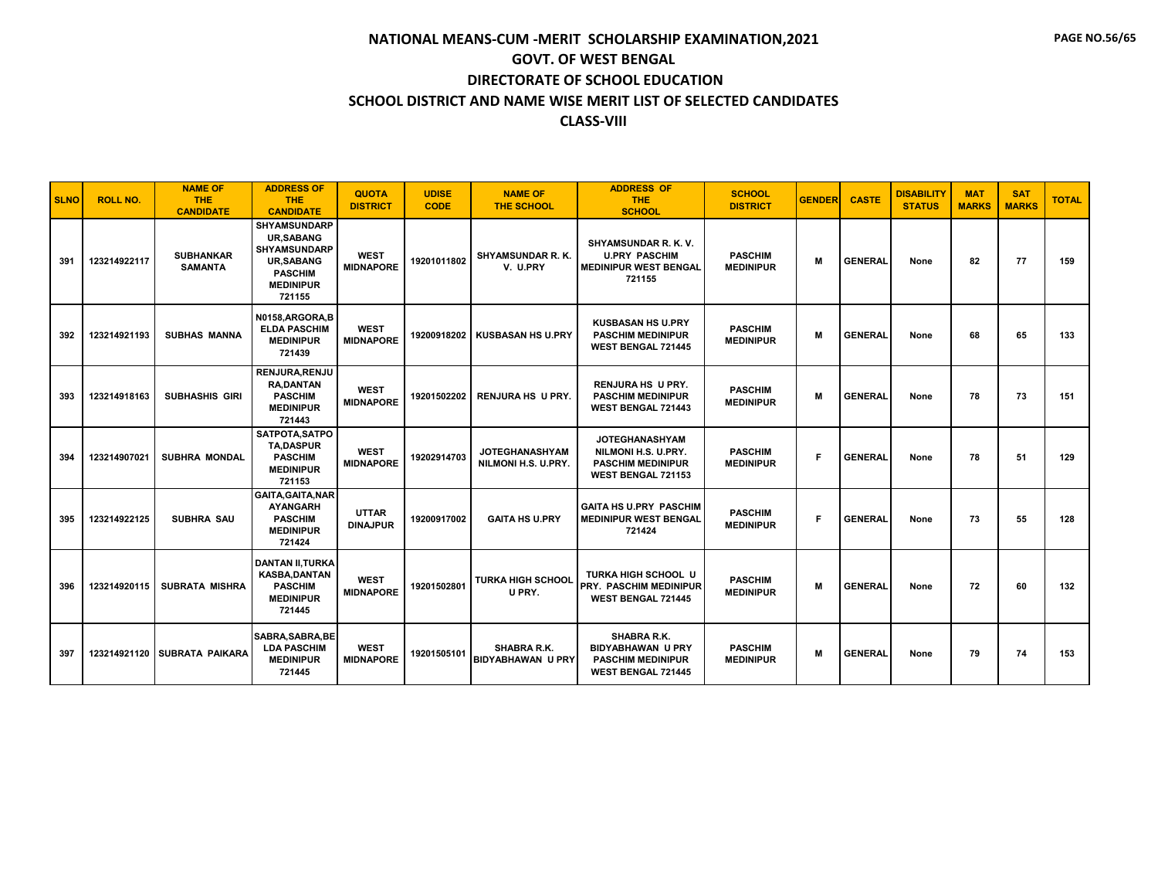| <b>SLNO</b> | <b>ROLL NO.</b> | <b>NAME OF</b><br><b>THE</b><br><b>CANDIDATE</b> | <b>ADDRESS OF</b><br><b>THE</b><br><b>CANDIDATE</b>                                                                                | <b>QUOTA</b><br><b>DISTRICT</b> | <b>UDISE</b><br><b>CODE</b> | <b>NAME OF</b><br><b>THE SCHOOL</b>            | <b>ADDRESS OF</b><br><b>THE</b><br><b>SCHOOL</b>                                                      | <b>SCHOOL</b><br><b>DISTRICT</b>   | <b>GENDER</b> | <b>CASTE</b>   | <b>DISABILITY</b><br><b>STATUS</b> | <b>MAT</b><br><b>MARKS</b> | <b>SAT</b><br><b>MARKS</b> | <b>TOTAL</b> |
|-------------|-----------------|--------------------------------------------------|------------------------------------------------------------------------------------------------------------------------------------|---------------------------------|-----------------------------|------------------------------------------------|-------------------------------------------------------------------------------------------------------|------------------------------------|---------------|----------------|------------------------------------|----------------------------|----------------------------|--------------|
| 391         | 123214922117    | <b>SUBHANKAR</b><br><b>SAMANTA</b>               | <b>SHYAMSUNDARP</b><br><b>UR.SABANG</b><br><b>SHYAMSUNDARP</b><br><b>UR,SABANG</b><br><b>PASCHIM</b><br><b>MEDINIPUR</b><br>721155 | <b>WEST</b><br><b>MIDNAPORE</b> | 19201011802                 | SHYAMSUNDAR R. K.<br>V. U.PRY                  | SHYAMSUNDAR R. K. V.<br><b>U.PRY PASCHIM</b><br><b>MEDINIPUR WEST BENGAL</b><br>721155                | <b>PASCHIM</b><br><b>MEDINIPUR</b> | M             | <b>GENERAL</b> | None                               | 82                         | 77                         | 159          |
| 392         | 123214921193    | <b>SUBHAS MANNA</b>                              | N0158.ARGORA.B<br><b>ELDA PASCHIM</b><br><b>MEDINIPUR</b><br>721439                                                                | <b>WEST</b><br><b>MIDNAPORE</b> | 19200918202                 | <b>KUSBASAN HS U.PRY</b>                       | <b>KUSBASAN HS U.PRY</b><br><b>PASCHIM MEDINIPUR</b><br><b>WEST BENGAL 721445</b>                     | <b>PASCHIM</b><br><b>MEDINIPUR</b> | M             | <b>GENERAL</b> | None                               | 68                         | 65                         | 133          |
| 393         | 123214918163    | <b>SUBHASHIS GIRI</b>                            | <b>RENJURA, RENJU</b><br><b>RA.DANTAN</b><br><b>PASCHIM</b><br><b>MEDINIPUR</b><br>721443                                          | <b>WEST</b><br><b>MIDNAPORE</b> | 19201502202                 | <b>RENJURA HS U PRY.</b>                       | <b>RENJURA HS U PRY.</b><br><b>PASCHIM MEDINIPUR</b><br><b>WEST BENGAL 721443</b>                     | <b>PASCHIM</b><br><b>MEDINIPUR</b> | M             | <b>GENERAL</b> | None                               | 78                         | 73                         | 151          |
| 394         | 123214907021    | <b>SUBHRA MONDAL</b>                             | SATPOTA, SATPO<br><b>TA.DASPUR</b><br><b>PASCHIM</b><br><b>MEDINIPUR</b><br>721153                                                 | <b>WEST</b><br><b>MIDNAPORE</b> | 19202914703                 | <b>JOTEGHANASHYAM</b><br>NILMONI H.S. U.PRY.   | <b>JOTEGHANASHYAM</b><br>NILMONI H.S. U.PRY.<br><b>PASCHIM MEDINIPUR</b><br><b>WEST BENGAL 721153</b> | <b>PASCHIM</b><br><b>MEDINIPUR</b> | F             | <b>GENERAL</b> | None                               | 78                         | 51                         | 129          |
| 395         | 123214922125    | <b>SUBHRA SAU</b>                                | <b>GAITA.GAITA.NAR</b><br><b>AYANGARH</b><br><b>PASCHIM</b><br><b>MEDINIPUR</b><br>721424                                          | <b>UTTAR</b><br><b>DINAJPUR</b> | 19200917002                 | <b>GAITA HS U.PRY</b>                          | <b>GAITA HS U.PRY PASCHIM</b><br><b>MEDINIPUR WEST BENGAL</b><br>721424                               | <b>PASCHIM</b><br><b>MEDINIPUR</b> | F             | <b>GENERAL</b> | None                               | 73                         | 55                         | 128          |
| 396         | 123214920115    | <b>SUBRATA MISHRA</b>                            | <b>DANTAN II, TURKA</b><br><b>KASBA, DANTAN</b><br><b>PASCHIM</b><br><b>MEDINIPUR</b><br>721445                                    | <b>WEST</b><br><b>MIDNAPORE</b> | 19201502801                 | <b>TURKA HIGH SCHOOL</b><br>U PRY.             | <b>TURKA HIGH SCHOOL U</b><br><b>PRY. PASCHIM MEDINIPUR</b><br><b>WEST BENGAL 721445</b>              | <b>PASCHIM</b><br><b>MEDINIPUR</b> | M             | <b>GENERAL</b> | None                               | 72                         | 60                         | 132          |
| 397         | 123214921120    | <b>SUBRATA PAIKARA</b>                           | SABRA.SABRA.BE<br><b>LDA PASCHIM</b><br><b>MEDINIPUR</b><br>721445                                                                 | <b>WEST</b><br><b>MIDNAPORE</b> | 19201505101                 | <b>SHABRA R.K.</b><br><b>BIDYABHAWAN U PRY</b> | SHABRA R.K.<br><b>BIDYABHAWAN U PRY</b><br><b>PASCHIM MEDINIPUR</b><br>WEST BENGAL 721445             | <b>PASCHIM</b><br><b>MEDINIPUR</b> | M             | <b>GENERAL</b> | None                               | 79                         | 74                         | 153          |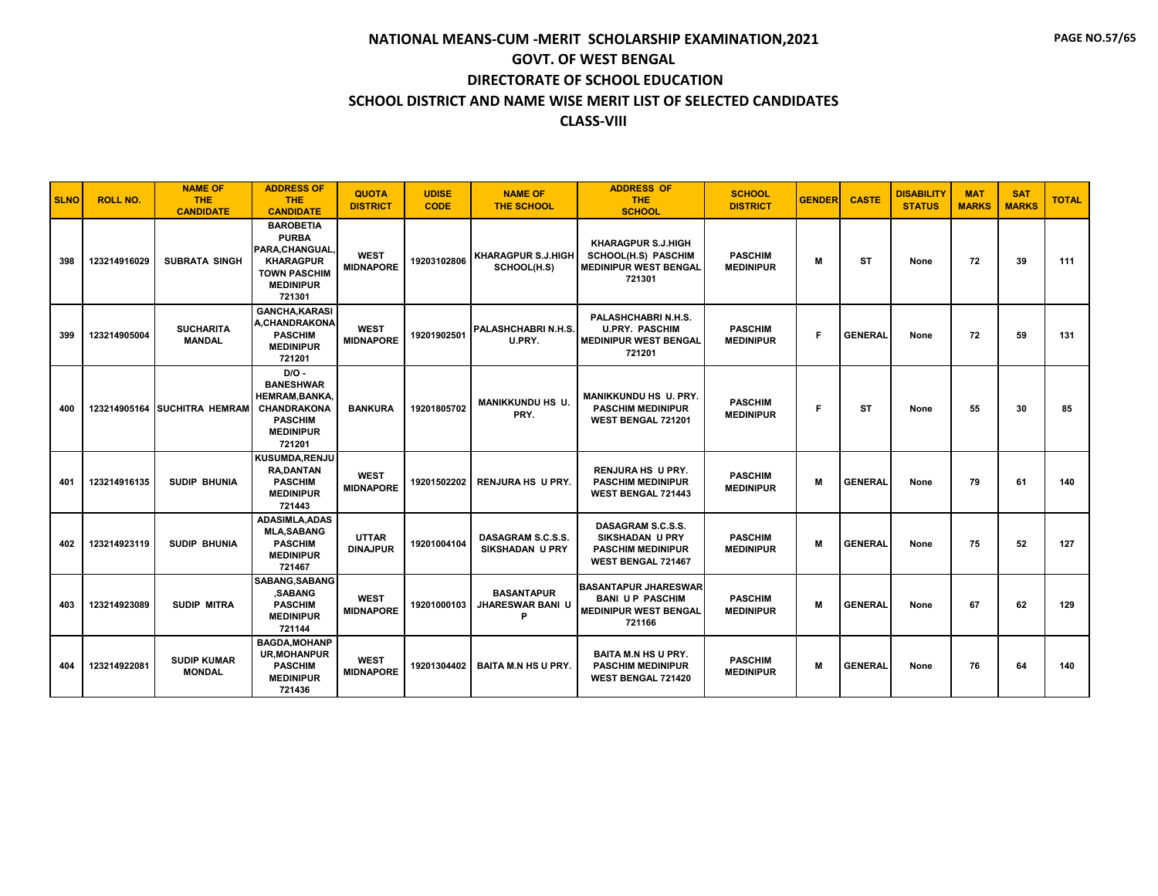| <b>SLNO</b> | <b>ROLL NO.</b> | <b>NAME OF</b><br><b>THE</b><br><b>CANDIDATE</b> | <b>ADDRESS OF</b><br><b>THE</b><br><b>CANDIDATE</b>                                                                         | <b>QUOTA</b><br><b>DISTRICT</b> | <b>UDISE</b><br><b>CODE</b> | <b>NAME OF</b><br><b>THE SCHOOL</b>               | <b>ADDRESS OF</b><br><b>THE</b><br><b>SCHOOL</b>                                                  | <b>SCHOOL</b><br><b>DISTRICT</b>   | <b>GENDER</b> | <b>CASTE</b>   | <b>DISABILITY</b><br><b>STATUS</b> | <b>MAT</b><br><b>MARKS</b> | <b>SAT</b><br><b>MARKS</b> | <b>TOTAL</b> |
|-------------|-----------------|--------------------------------------------------|-----------------------------------------------------------------------------------------------------------------------------|---------------------------------|-----------------------------|---------------------------------------------------|---------------------------------------------------------------------------------------------------|------------------------------------|---------------|----------------|------------------------------------|----------------------------|----------------------------|--------------|
| 398         | 123214916029    | <b>SUBRATA SINGH</b>                             | <b>BAROBETIA</b><br><b>PURBA</b><br>PARA, CHANGUAL<br><b>KHARAGPUR</b><br><b>TOWN PASCHIM</b><br><b>MEDINIPUR</b><br>721301 | <b>WEST</b><br><b>MIDNAPORE</b> | 19203102806                 | <b>KHARAGPUR S.J.HIGH</b><br>SCHOOL(H.S)          | <b>KHARAGPUR S.J.HIGH</b><br><b>SCHOOL(H.S) PASCHIM</b><br><b>MEDINIPUR WEST BENGAL</b><br>721301 | <b>PASCHIM</b><br><b>MEDINIPUR</b> | M             | ST             | None                               | 72                         | 39                         | 111          |
| 399         | 123214905004    | <b>SUCHARITA</b><br><b>MANDAL</b>                | <b>GANCHA, KARASI</b><br><b>A.CHANDRAKONA</b><br><b>PASCHIM</b><br><b>MEDINIPUR</b><br>721201                               | <b>WEST</b><br><b>MIDNAPORE</b> | 19201902501                 | PALASHCHABRI N.H.S.<br>U.PRY.                     | PALASHCHABRI N.H.S.<br><b>U.PRY. PASCHIM</b><br><b>MEDINIPUR WEST BENGAL</b><br>721201            | <b>PASCHIM</b><br><b>MEDINIPUR</b> | F             | <b>GENERAL</b> | None                               | 72                         | 59                         | 131          |
| 400         |                 | 123214905164 SUCHITRA HEMRAM                     | $D/O -$<br><b>BANESHWAR</b><br><b>HEMRAM, BANKA,</b><br><b>CHANDRAKONA</b><br><b>PASCHIM</b><br><b>MEDINIPUR</b><br>721201  | <b>BANKURA</b>                  | 19201805702                 | <b>MANIKKUNDU HS U.</b><br>PRY.                   | MANIKKUNDU HS U. PRY.<br><b>PASCHIM MEDINIPUR</b><br>WEST BENGAL 721201                           | <b>PASCHIM</b><br><b>MEDINIPUR</b> | F             | <b>ST</b>      | None                               | 55                         | 30                         | 85           |
| 401         | 123214916135    | <b>SUDIP BHUNIA</b>                              | <b>KUSUMDA.RENJU</b><br><b>RA.DANTAN</b><br><b>PASCHIM</b><br><b>MEDINIPUR</b><br>721443                                    | <b>WEST</b><br><b>MIDNAPORE</b> | 19201502202                 | <b>RENJURA HS U PRY.</b>                          | <b>RENJURA HS U PRY.</b><br><b>PASCHIM MEDINIPUR</b><br><b>WEST BENGAL 721443</b>                 | <b>PASCHIM</b><br><b>MEDINIPUR</b> | M             | <b>GENERAL</b> | None                               | 79                         | 61                         | 140          |
| 402         | 123214923119    | <b>SUDIP BHUNIA</b>                              | <b>ADASIMLA.ADAS</b><br><b>MLA,SABANG</b><br><b>PASCHIM</b><br><b>MEDINIPUR</b><br>721467                                   | <b>UTTAR</b><br><b>DINAJPUR</b> | 19201004104                 | DASAGRAM S.C.S.S.<br><b>SIKSHADAN U PRY</b>       | DASAGRAM S.C.S.S.<br><b>SIKSHADAN U PRY</b><br><b>PASCHIM MEDINIPUR</b><br>WEST BENGAL 721467     | <b>PASCHIM</b><br><b>MEDINIPUR</b> | M             | <b>GENERAL</b> | None                               | 75                         | 52                         | 127          |
| 403         | 123214923089    | <b>SUDIP MITRA</b>                               | SABANG, SABANG<br>,SABANG<br><b>PASCHIM</b><br><b>MEDINIPUR</b><br>721144                                                   | <b>WEST</b><br><b>MIDNAPORE</b> | 19201000103                 | <b>BASANTAPUR</b><br><b>JHARESWAR BANI U</b><br>P | <b>BASANTAPUR JHARESWAR</b><br><b>BANI UP PASCHIM</b><br><b>MEDINIPUR WEST BENGAL</b><br>721166   | <b>PASCHIM</b><br><b>MEDINIPUR</b> | M             | <b>GENERAL</b> | None                               | 67                         | 62                         | 129          |
| 404         | 123214922081    | <b>SUDIP KUMAR</b><br><b>MONDAL</b>              | <b>BAGDA, MOHANP</b><br><b>UR.MOHANPUR</b><br><b>PASCHIM</b><br><b>MEDINIPUR</b><br>721436                                  | <b>WEST</b><br><b>MIDNAPORE</b> | 19201304402                 | <b>BAITA M.N HS U PRY.</b>                        | <b>BAITA M.N HS U PRY.</b><br><b>PASCHIM MEDINIPUR</b><br>WEST BENGAL 721420                      | <b>PASCHIM</b><br><b>MEDINIPUR</b> | M             | <b>GENERAL</b> | None                               | 76                         | 64                         | 140          |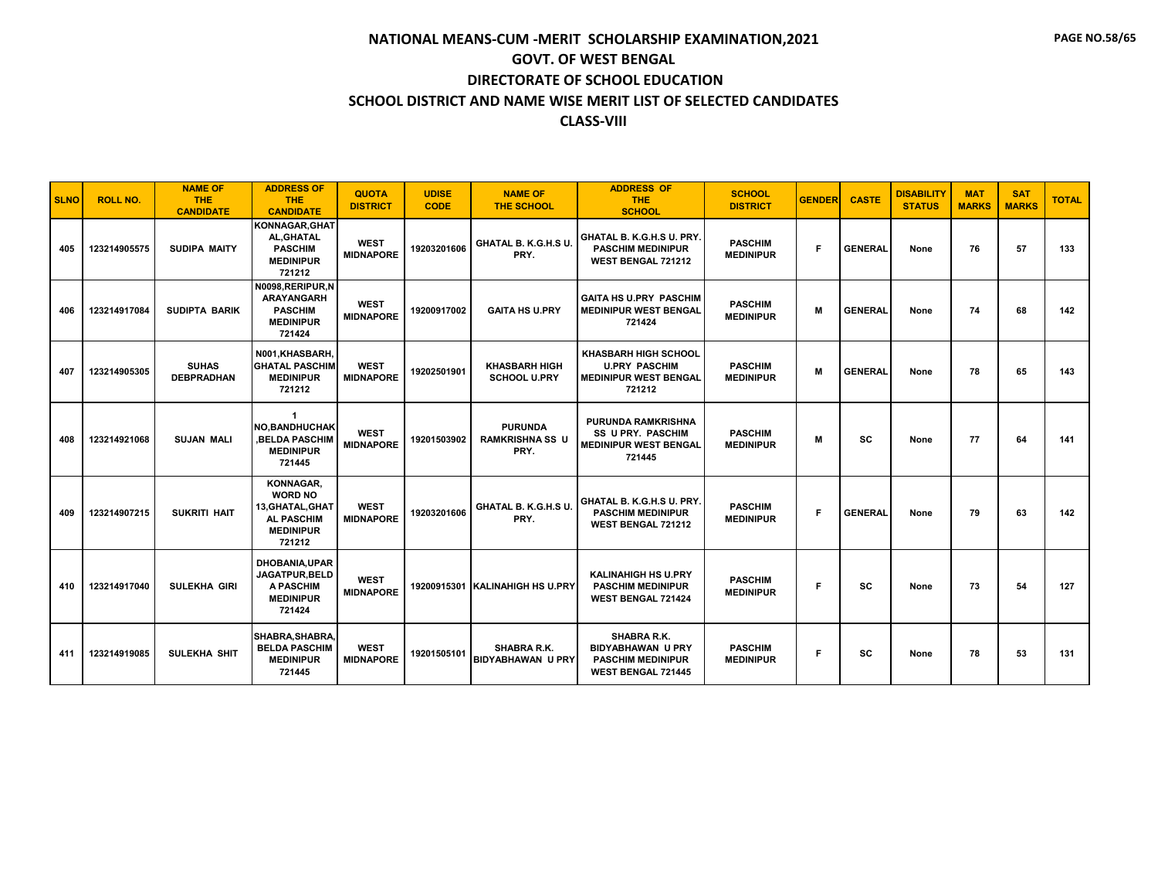#### **SCHOOL DISTRICT AND NAME WISE MERIT LIST OF SELECTED CANDIDATES**

#### **CLASS-VIII**

| <b>SLNO</b> | <b>ROLL NO.</b> | <b>NAME OF</b><br><b>THE</b><br><b>CANDIDATE</b> | <b>ADDRESS OF</b><br><b>THE</b><br><b>CANDIDATE</b>                                                | <b>QUOTA</b><br><b>DISTRICT</b> | <b>UDISE</b><br><b>CODE</b> | <b>NAME OF</b><br><b>THE SCHOOL</b>              | <b>ADDRESS OF</b><br><b>THE</b><br><b>SCHOOL</b>                                                 | <b>SCHOOL</b><br><b>DISTRICT</b>   | <b>GENDER</b> | <b>CASTE</b>   | <b>DISABILITY</b><br><b>STATUS</b> | <b>MAT</b><br><b>MARKS</b> | <b>SAT</b><br><b>MARKS</b> | <b>TOTAL</b> |
|-------------|-----------------|--------------------------------------------------|----------------------------------------------------------------------------------------------------|---------------------------------|-----------------------------|--------------------------------------------------|--------------------------------------------------------------------------------------------------|------------------------------------|---------------|----------------|------------------------------------|----------------------------|----------------------------|--------------|
| 405         | 123214905575    | <b>SUDIPA MAITY</b>                              | KONNAGAR.GHAT<br>AL, GHATAL<br><b>PASCHIM</b><br><b>MEDINIPUR</b><br>721212                        | <b>WEST</b><br><b>MIDNAPORE</b> | 19203201606                 | GHATAL B. K.G.H.S U.<br>PRY.                     | GHATAL B. K.G.H.S U. PRY.<br><b>PASCHIM MEDINIPUR</b><br>WEST BENGAL 721212                      | <b>PASCHIM</b><br><b>MEDINIPUR</b> | F             | <b>GENERAL</b> | None                               | 76                         | 57                         | 133          |
| 406         | 123214917084    | <b>SUDIPTA BARIK</b>                             | N0098, RERIPUR, N<br><b>ARAYANGARH</b><br><b>PASCHIM</b><br><b>MEDINIPUR</b><br>721424             | <b>WEST</b><br><b>MIDNAPORE</b> | 19200917002                 | <b>GAITA HS U.PRY</b>                            | <b>GAITA HS U.PRY PASCHIM</b><br><b>MEDINIPUR WEST BENGAL</b><br>721424                          | <b>PASCHIM</b><br><b>MEDINIPUR</b> | M             | <b>GENERAL</b> | None                               | 74                         | 68                         | 142          |
| 407         | 123214905305    | <b>SUHAS</b><br><b>DEBPRADHAN</b>                | N001.KHASBARH.<br><b>GHATAL PASCHIM</b><br><b>MEDINIPUR</b><br>721212                              | <b>WEST</b><br><b>MIDNAPORE</b> | 19202501901                 | <b>KHASBARH HIGH</b><br><b>SCHOOL U.PRY</b>      | <b>KHASBARH HIGH SCHOOL</b><br><b>U.PRY PASCHIM</b><br><b>MEDINIPUR WEST BENGAL</b><br>721212    | <b>PASCHIM</b><br><b>MEDINIPUR</b> | M             | <b>GENERAL</b> | None                               | 78                         | 65                         | 143          |
| 408         | 123214921068    | <b>SUJAN MALI</b>                                | -1<br><b>NO, BANDHUCHAK</b><br><b>BELDA PASCHIM</b><br><b>MEDINIPUR</b><br>721445                  | <b>WEST</b><br><b>MIDNAPORE</b> | 19201503902                 | <b>PURUNDA</b><br><b>RAMKRISHNA SS U</b><br>PRY. | <b>PURUNDA RAMKRISHNA</b><br>SS U PRY. PASCHIM<br><b>MEDINIPUR WEST BENGAL</b><br>721445         | <b>PASCHIM</b><br><b>MEDINIPUR</b> | M             | <b>SC</b>      | None                               | 77                         | 64                         | 141          |
| 409         | 123214907215    | <b>SUKRITI HAIT</b>                              | KONNAGAR,<br><b>WORD NO</b><br>13, GHATAL, GHAT<br><b>AL PASCHIM</b><br><b>MEDINIPUR</b><br>721212 | <b>WEST</b><br><b>MIDNAPORE</b> | 19203201606                 | GHATAL B. K.G.H.S U.<br>PRY.                     | GHATAL B. K.G.H.S U. PRY.<br><b>PASCHIM MEDINIPUR</b><br>WEST BENGAL 721212                      | <b>PASCHIM</b><br><b>MEDINIPUR</b> | F             | <b>GENERAL</b> | None                               | 79                         | 63                         | 142          |
| 410         | 123214917040    | <b>SULEKHA GIRI</b>                              | <b>DHOBANIA, UPAR</b><br>JAGATPUR, BELD<br><b>A PASCHIM</b><br><b>MEDINIPUR</b><br>721424          | <b>WEST</b><br><b>MIDNAPORE</b> |                             | 19200915301 KALINAHIGH HS U.PRY                  | <b>KALINAHIGH HS U.PRY</b><br><b>PASCHIM MEDINIPUR</b><br><b>WEST BENGAL 721424</b>              | <b>PASCHIM</b><br><b>MEDINIPUR</b> | F             | SC             | None                               | 73                         | 54                         | 127          |
| 411         | 123214919085    | SULEKHA SHIT                                     | SHABRA.SHABRA.<br><b>BELDA PASCHIM</b><br><b>MEDINIPUR</b><br>721445                               | <b>WEST</b><br><b>MIDNAPORE</b> | 19201505101                 | <b>SHABRA R.K.</b><br><b>BIDYABHAWAN U PRY</b>   | SHABRA R.K.<br><b>BIDYABHAWAN U PRY</b><br><b>PASCHIM MEDINIPUR</b><br><b>WEST BENGAL 721445</b> | <b>PASCHIM</b><br><b>MEDINIPUR</b> | F             | <b>SC</b>      | None                               | 78                         | 53                         | 131          |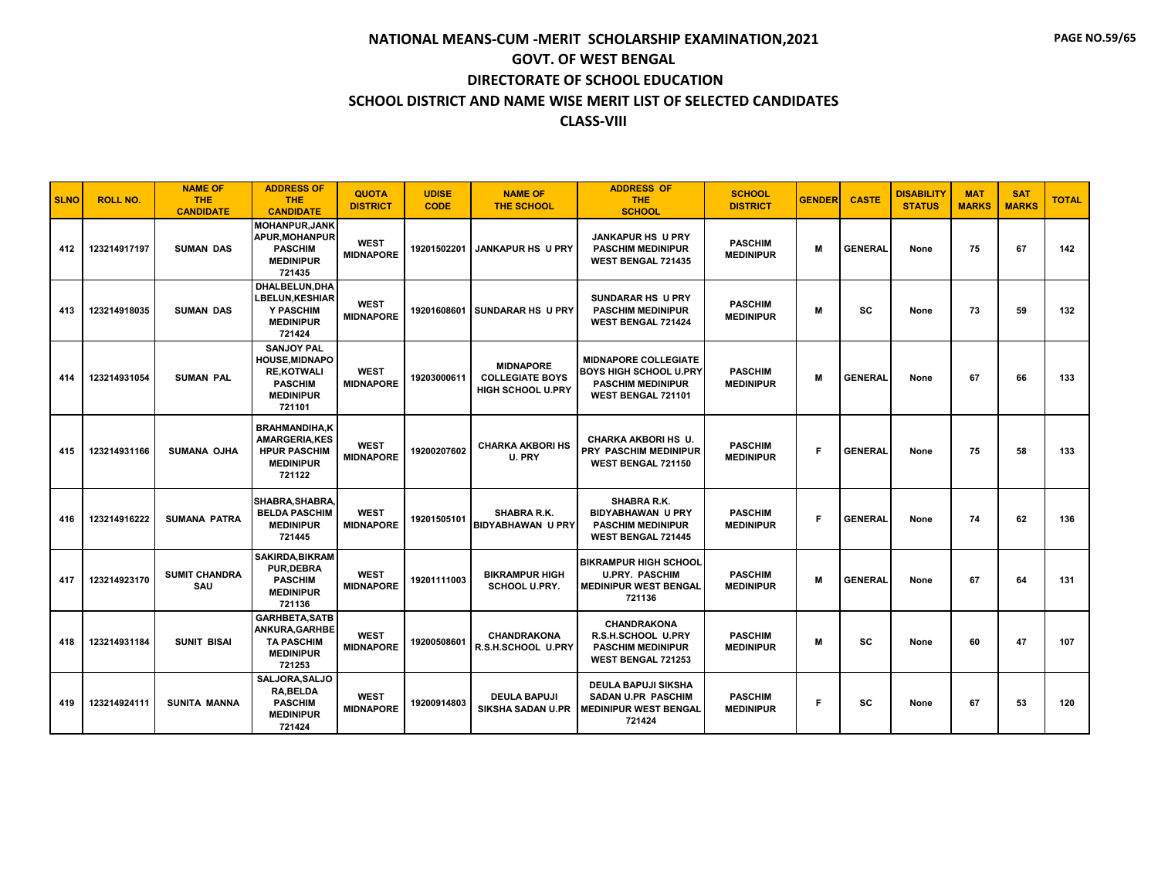| <b>SLNO</b> | <b>ROLL NO.</b> | <b>NAME OF</b><br><b>THE</b><br><b>CANDIDATE</b> | <b>ADDRESS OF</b><br><b>THE</b><br><b>CANDIDATE</b>                                                             | <b>QUOTA</b><br><b>DISTRICT</b> | <b>UDISE</b><br><b>CODE</b> | <b>NAME OF</b><br><b>THE SCHOOL</b>                                    | <b>ADDRESS OF</b><br><b>THE</b><br><b>SCHOOL</b>                                                               | <b>SCHOOL</b><br><b>DISTRICT</b>   | <b>GENDER</b> | <b>CASTE</b>   | <b>DISABILITY</b><br><b>STATUS</b> | <b>MAT</b><br><b>MARKS</b> | <b>SAT</b><br><b>MARKS</b> | <b>TOTAL</b> |
|-------------|-----------------|--------------------------------------------------|-----------------------------------------------------------------------------------------------------------------|---------------------------------|-----------------------------|------------------------------------------------------------------------|----------------------------------------------------------------------------------------------------------------|------------------------------------|---------------|----------------|------------------------------------|----------------------------|----------------------------|--------------|
| 412         | 123214917197    | <b>SUMAN DAS</b>                                 | <b>MOHANPUR.JANK</b><br><b>APUR, MOHANPUR</b><br><b>PASCHIM</b><br><b>MEDINIPUR</b><br>721435                   | <b>WEST</b><br><b>MIDNAPORE</b> | 19201502201                 | <b>JANKAPUR HS U PRY</b>                                               | <b>JANKAPUR HS U PRY</b><br><b>PASCHIM MEDINIPUR</b><br><b>WEST BENGAL 721435</b>                              | <b>PASCHIM</b><br><b>MEDINIPUR</b> | М             | <b>GENERAL</b> | None                               | 75                         | 67                         | 142          |
| 413         | 123214918035    | <b>SUMAN DAS</b>                                 | DHALBELUN, DHA<br><b>LBELUN,KESHIAR</b><br>Y PASCHIM<br><b>MEDINIPUR</b><br>721424                              | <b>WEST</b><br><b>MIDNAPORE</b> |                             | 19201608601 SUNDARAR HS U PRY                                          | <b>SUNDARAR HS U PRY</b><br><b>PASCHIM MEDINIPUR</b><br><b>WEST BENGAL 721424</b>                              | <b>PASCHIM</b><br><b>MEDINIPUR</b> | M             | <b>SC</b>      | None                               | 73                         | 59                         | 132          |
| 414         | 123214931054    | <b>SUMAN PAL</b>                                 | <b>SANJOY PAL</b><br><b>HOUSE, MIDNAPO</b><br><b>RE,KOTWALI</b><br><b>PASCHIM</b><br><b>MEDINIPUR</b><br>721101 | <b>WEST</b><br><b>MIDNAPORE</b> | 19203000611                 | <b>MIDNAPORE</b><br><b>COLLEGIATE BOYS</b><br><b>HIGH SCHOOL U.PRY</b> | <b>MIDNAPORE COLLEGIATE</b><br><b>BOYS HIGH SCHOOL U.PRY</b><br><b>PASCHIM MEDINIPUR</b><br>WEST BENGAL 721101 | <b>PASCHIM</b><br><b>MEDINIPUR</b> | M             | <b>GENERAL</b> | None                               | 67                         | 66                         | 133          |
| 415         | 123214931166    | <b>SUMANA OJHA</b>                               | <b>BRAHMANDIHA.K</b><br><b>AMARGERIA,KES</b><br><b>HPUR PASCHIM</b><br><b>MEDINIPUR</b><br>721122               | <b>WEST</b><br><b>MIDNAPORE</b> | 19200207602                 | <b>CHARKA AKBORI HS</b><br>U. PRY                                      | <b>CHARKA AKBORI HS U.</b><br>PRY PASCHIM MEDINIPUR<br>WEST BENGAL 721150                                      | <b>PASCHIM</b><br><b>MEDINIPUR</b> | F.            | <b>GENERAL</b> | None                               | 75                         | 58                         | 133          |
| 416         | 123214916222    | <b>SUMANA PATRA</b>                              | SHABRA, SHABRA,<br><b>BELDA PASCHIM</b><br><b>MEDINIPUR</b><br>721445                                           | <b>WEST</b><br><b>MIDNAPORE</b> | 19201505101                 | <b>SHABRA R.K.</b><br><b>BIDYABHAWAN U PRY</b>                         | SHABRA R.K.<br><b>BIDYABHAWAN U PRY</b><br><b>PASCHIM MEDINIPUR</b><br><b>WEST BENGAL 721445</b>               | <b>PASCHIM</b><br><b>MEDINIPUR</b> | F.            | <b>GENERAL</b> | None                               | 74                         | 62                         | 136          |
| 417         | 123214923170    | <b>SUMIT CHANDRA</b><br>SAU                      | <b>SAKIRDA.BIKRAM</b><br><b>PUR.DEBRA</b><br><b>PASCHIM</b><br><b>MEDINIPUR</b><br>721136                       | <b>WEST</b><br><b>MIDNAPORE</b> | 19201111003                 | <b>BIKRAMPUR HIGH</b><br><b>SCHOOL U.PRY.</b>                          | <b>BIKRAMPUR HIGH SCHOOL</b><br><b>U.PRY. PASCHIM</b><br><b>MEDINIPUR WEST BENGAL</b><br>721136                | <b>PASCHIM</b><br><b>MEDINIPUR</b> | М             | <b>GENERAI</b> | None                               | 67                         | 64                         | 131          |
| 418         | 123214931184    | <b>SUNIT BISAI</b>                               | <b>GARHBETA.SATB</b><br>ANKURA, GARHBE<br><b>TA PASCHIM</b><br><b>MEDINIPUR</b><br>721253                       | <b>WEST</b><br><b>MIDNAPORE</b> | 19200508601                 | <b>CHANDRAKONA</b><br>R.S.H.SCHOOL U.PRY                               | <b>CHANDRAKONA</b><br>R.S.H.SCHOOL U.PRY<br><b>PASCHIM MEDINIPUR</b><br>WEST BENGAL 721253                     | <b>PASCHIM</b><br><b>MEDINIPUR</b> | M             | <b>SC</b>      | None                               | 60                         | 47                         | 107          |
| 419         | 123214924111    | <b>SUNITA MANNA</b>                              | SALJORA, SALJO<br><b>RA, BELDA</b><br><b>PASCHIM</b><br><b>MEDINIPUR</b><br>721424                              | <b>WEST</b><br><b>MIDNAPORE</b> | 19200914803                 | <b>DEULA BAPUJI</b><br>SIKSHA SADAN U.PR                               | <b>DEULA BAPUJI SIKSHA</b><br>SADAN U.PR PASCHIM<br><b>MEDINIPUR WEST BENGAL</b><br>721424                     | <b>PASCHIM</b><br><b>MEDINIPUR</b> | F             | SC             | None                               | 67                         | 53                         | 120          |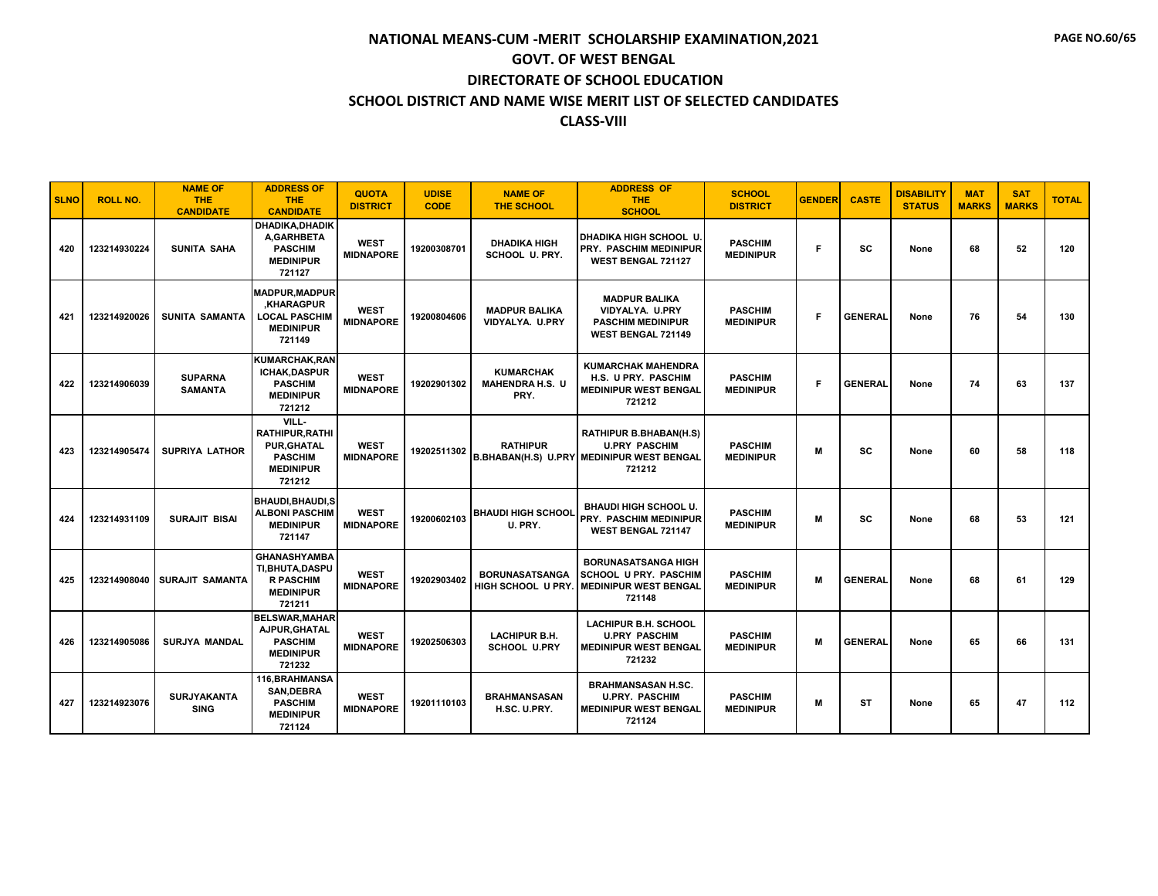| <b>SLNO</b> | <b>ROLL NO.</b> | <b>NAME OF</b><br><b>THE</b><br><b>CANDIDATE</b> | <b>ADDRESS OF</b><br><b>THE</b><br><b>CANDIDATE</b>                                                  | <b>QUOTA</b><br><b>DISTRICT</b> | <b>UDISE</b><br><b>CODE</b> | <b>NAME OF</b><br><b>THE SCHOOL</b>                | <b>ADDRESS OF</b><br>THE.<br><b>SCHOOL</b>                                                                          | <b>SCHOOL</b><br><b>DISTRICT</b>   | <b>GENDER</b> | <b>CASTE</b>   | <b>DISABILITY</b><br><b>STATUS</b> | <b>MAT</b><br><b>MARKS</b> | <b>SAT</b><br><b>MARKS</b> | <b>TOTAL</b> |
|-------------|-----------------|--------------------------------------------------|------------------------------------------------------------------------------------------------------|---------------------------------|-----------------------------|----------------------------------------------------|---------------------------------------------------------------------------------------------------------------------|------------------------------------|---------------|----------------|------------------------------------|----------------------------|----------------------------|--------------|
| 420         | 123214930224    | <b>SUNITA SAHA</b>                               | DHADIKA, DHADIK<br>A.GARHBETA<br><b>PASCHIM</b><br><b>MEDINIPUR</b><br>721127                        | <b>WEST</b><br><b>MIDNAPORE</b> | 19200308701                 | <b>DHADIKA HIGH</b><br>SCHOOL U. PRY.              | DHADIKA HIGH SCHOOL U.<br>PRY. PASCHIM MEDINIPUR<br>WEST BENGAL 721127                                              | <b>PASCHIM</b><br><b>MEDINIPUR</b> | Е             | SC             | None                               | 68                         | 52                         | 120          |
| 421         | 123214920026    | <b>SUNITA SAMANTA</b>                            | <b>MADPUR, MADPUR</b><br><b>KHARAGPUR</b><br><b>LOCAL PASCHIM</b><br><b>MEDINIPUR</b><br>721149      | <b>WEST</b><br><b>MIDNAPORE</b> | 19200804606                 | <b>MADPUR BALIKA</b><br>VIDYALYA. U.PRY            | <b>MADPUR BALIKA</b><br>VIDYALYA. U.PRY<br><b>PASCHIM MEDINIPUR</b><br><b>WEST BENGAL 721149</b>                    | <b>PASCHIM</b><br><b>MEDINIPUR</b> | Е             | <b>GENERAL</b> | None                               | 76                         | 54                         | 130          |
| 422         | 123214906039    | <b>SUPARNA</b><br><b>SAMANTA</b>                 | <b>KUMARCHAK, RAN</b><br>ICHAK, DASPUR<br><b>PASCHIM</b><br><b>MEDINIPUR</b><br>721212               | <b>WEST</b><br><b>MIDNAPORE</b> | 19202901302                 | <b>KUMARCHAK</b><br><b>MAHENDRA H.S. U</b><br>PRY. | <b>KUMARCHAK MAHENDRA</b><br>H.S. U PRY. PASCHIM<br><b>MEDINIPUR WEST BENGAL</b><br>721212                          | <b>PASCHIM</b><br><b>MEDINIPUR</b> | F             | <b>GENERAL</b> | None                               | 74                         | 63                         | 137          |
| 423         | 123214905474    | <b>SUPRIYA LATHOR</b>                            | VILL-<br><b>RATHIPUR.RATHI</b><br><b>PUR, GHATAL</b><br><b>PASCHIM</b><br><b>MEDINIPUR</b><br>721212 | <b>WEST</b><br><b>MIDNAPORE</b> | 19202511302                 | <b>RATHIPUR</b>                                    | <b>RATHIPUR B.BHABAN(H.S)</b><br><b>U.PRY PASCHIM</b><br><b>B.BHABAN(H.S) U.PRY MEDINIPUR WEST BENGAL</b><br>721212 | <b>PASCHIM</b><br><b>MEDINIPUR</b> | М             | SC             | None                               | 60                         | 58                         | 118          |
| 424         | 123214931109    | <b>SURAJIT BISAI</b>                             | <b>BHAUDI.BHAUDI.S</b><br><b>ALBONI PASCHIM</b><br><b>MEDINIPUR</b><br>721147                        | <b>WEST</b><br><b>MIDNAPORE</b> | 19200602103                 | <b>BHAUDI HIGH SCHOOL</b><br>U. PRY.               | <b>BHAUDI HIGH SCHOOL U.</b><br>PRY. PASCHIM MEDINIPUR<br>WEST BENGAL 721147                                        | <b>PASCHIM</b><br><b>MEDINIPUR</b> | M             | SC             | None                               | 68                         | 53                         | 121          |
| 425         | 123214908040    | SURAJIT SAMANTA                                  | <b>GHANASHYAMBA</b><br>TI, BHUTA, DASPU<br><b>R PASCHIM</b><br><b>MEDINIPUR</b><br>721211            | <b>WEST</b><br><b>MIDNAPORE</b> | 19202903402                 | <b>BORUNASATSANGA</b><br>HIGH SCHOOL U PRY.        | <b>BORUNASATSANGA HIGH</b><br>SCHOOL U PRY. PASCHIM<br><b>MEDINIPUR WEST BENGAL</b><br>721148                       | <b>PASCHIM</b><br><b>MEDINIPUR</b> | M             | <b>GENERAL</b> | None                               | 68                         | 61                         | 129          |
| 426         | 123214905086    | <b>SURJYA MANDAL</b>                             | <b>BELSWAR, MAHAR</b><br>AJPUR, GHATAL<br><b>PASCHIM</b><br><b>MEDINIPUR</b><br>721232               | <b>WEST</b><br><b>MIDNAPORE</b> | 19202506303                 | <b>LACHIPUR B.H.</b><br><b>SCHOOL U.PRY</b>        | <b>LACHIPUR B.H. SCHOOL</b><br><b>U.PRY PASCHIM</b><br><b>MEDINIPUR WEST BENGAL</b><br>721232                       | <b>PASCHIM</b><br><b>MEDINIPUR</b> | M             | <b>GENERAL</b> | None                               | 65                         | 66                         | 131          |
| 427         | 123214923076    | <b>SURJYAKANTA</b><br><b>SING</b>                | 116.BRAHMANSA<br>SAN, DEBRA<br><b>PASCHIM</b><br><b>MEDINIPUR</b><br>721124                          | <b>WEST</b><br><b>MIDNAPORE</b> | 19201110103                 | <b>BRAHMANSASAN</b><br>H.SC. U.PRY.                | <b>BRAHMANSASAN H.SC.</b><br><b>U.PRY. PASCHIM</b><br><b>MEDINIPUR WEST BENGAL</b><br>721124                        | <b>PASCHIM</b><br><b>MEDINIPUR</b> | M             | ST             | None                               | 65                         | 47                         | 112          |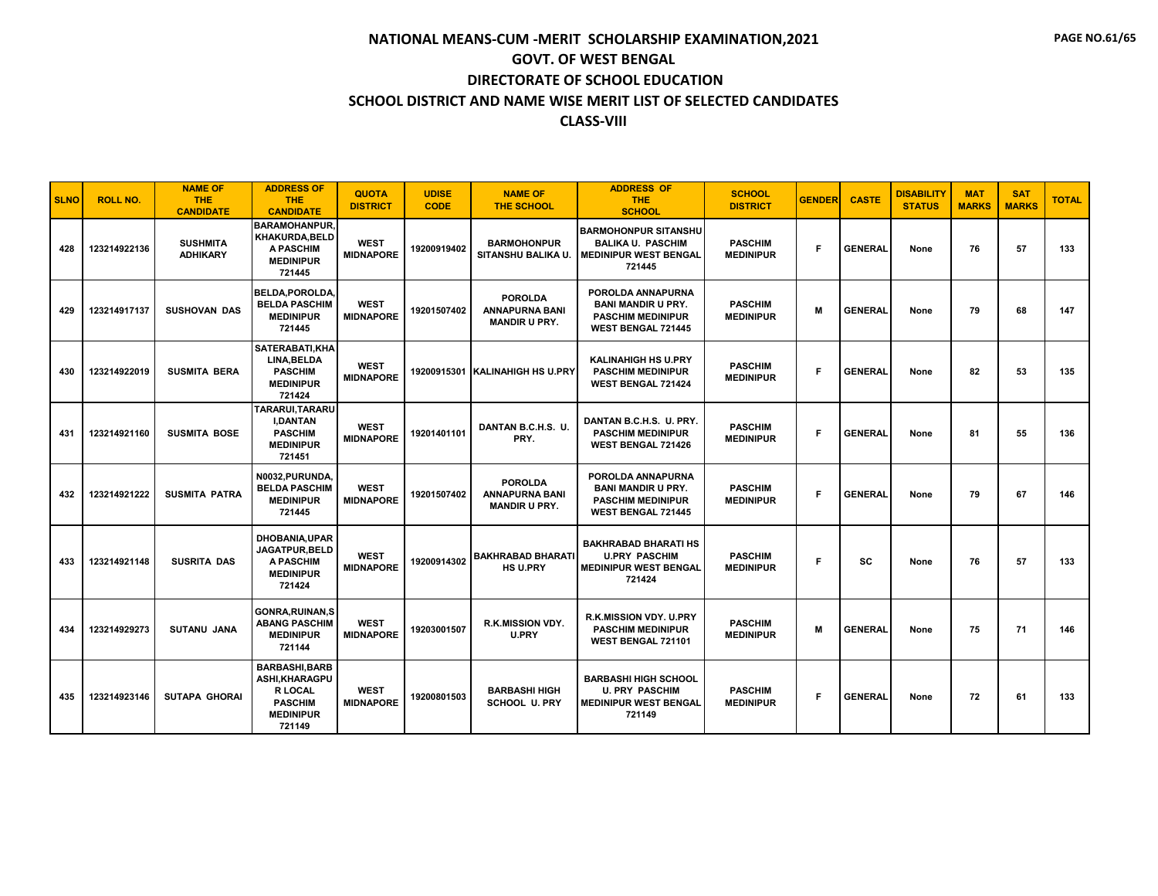| <b>SLNO</b> | <b>ROLL NO.</b> | <b>NAME OF</b><br><b>THE</b><br><b>CANDIDATE</b> | <b>ADDRESS OF</b><br><b>THE</b><br><b>CANDIDATE</b>                                                       | <b>QUOTA</b><br><b>DISTRICT</b> | <b>UDISE</b><br><b>CODE</b> | <b>NAME OF</b><br><b>THE SCHOOL</b>                             | <b>ADDRESS OF</b><br>THE.<br><b>SCHOOL</b>                                                              | <b>SCHOOL</b><br><b>DISTRICT</b>   | <b>GENDER</b> | <b>CASTE</b>   | <b>DISABILITY</b><br><b>STATUS</b> | <b>MAT</b><br><b>MARKS</b> | <b>SAT</b><br><b>MARKS</b> | <b>TOTAL</b> |
|-------------|-----------------|--------------------------------------------------|-----------------------------------------------------------------------------------------------------------|---------------------------------|-----------------------------|-----------------------------------------------------------------|---------------------------------------------------------------------------------------------------------|------------------------------------|---------------|----------------|------------------------------------|----------------------------|----------------------------|--------------|
| 428         | 123214922136    | <b>SUSHMITA</b><br><b>ADHIKARY</b>               | <b>BARAMOHANPUR.</b><br>KHAKURDA, BELD<br><b>A PASCHIM</b><br><b>MEDINIPUR</b><br>721445                  | <b>WEST</b><br><b>MIDNAPORE</b> | 19200919402                 | <b>BARMOHONPUR</b><br><b>SITANSHU BALIKA U.</b>                 | <b>BARMOHONPUR SITANSHU</b><br><b>BALIKA U. PASCHIM</b><br><b>MEDINIPUR WEST BENGAL</b><br>721445       | <b>PASCHIM</b><br><b>MEDINIPUR</b> | F.            | <b>GENERAL</b> | None                               | 76                         | 57                         | 133          |
| 429         | 123214917137    | <b>SUSHOVAN DAS</b>                              | <b>BELDA.POROLDA.</b><br><b>BELDA PASCHIM</b><br><b>MEDINIPUR</b><br>721445                               | <b>WEST</b><br><b>MIDNAPORE</b> | 19201507402                 | <b>POROLDA</b><br><b>ANNAPURNA BANI</b><br><b>MANDIR U PRY.</b> | POROLDA ANNAPURNA<br><b>BANI MANDIR U PRY.</b><br><b>PASCHIM MEDINIPUR</b><br><b>WEST BENGAL 721445</b> | <b>PASCHIM</b><br><b>MEDINIPUR</b> | M             | <b>GENERAL</b> | None                               | 79                         | 68                         | 147          |
| 430         | 123214922019    | <b>SUSMITA BERA</b>                              | SATERABATI, KHA<br>LINA, BELDA<br><b>PASCHIM</b><br><b>MEDINIPUR</b><br>721424                            | <b>WEST</b><br><b>MIDNAPORE</b> |                             | 19200915301 KALINAHIGH HS U.PRY                                 | <b>KALINAHIGH HS U.PRY</b><br><b>PASCHIM MEDINIPUR</b><br><b>WEST BENGAL 721424</b>                     | <b>PASCHIM</b><br><b>MEDINIPUR</b> | F.            | <b>GENERAL</b> | None                               | 82                         | 53                         | 135          |
| 431         | 123214921160    | <b>SUSMITA BOSE</b>                              | TARARUI, TARARU<br><b>I,DANTAN</b><br><b>PASCHIM</b><br><b>MEDINIPUR</b><br>721451                        | <b>WEST</b><br><b>MIDNAPORE</b> | 19201401101                 | DANTAN B.C.H.S. U.<br>PRY.                                      | DANTAN B.C.H.S. U. PRY.<br><b>PASCHIM MEDINIPUR</b><br><b>WEST BENGAL 721426</b>                        | <b>PASCHIM</b><br><b>MEDINIPUR</b> | F.            | <b>GENERAL</b> | None                               | 81                         | 55                         | 136          |
| 432         | 123214921222    | <b>SUSMITA PATRA</b>                             | N0032, PURUNDA,<br><b>BELDA PASCHIM</b><br><b>MEDINIPUR</b><br>721445                                     | <b>WEST</b><br><b>MIDNAPORE</b> | 19201507402                 | <b>POROLDA</b><br><b>ANNAPURNA BANI</b><br><b>MANDIR U PRY.</b> | POROLDA ANNAPURNA<br><b>BANI MANDIR U PRY.</b><br><b>PASCHIM MEDINIPUR</b><br><b>WEST BENGAL 721445</b> | <b>PASCHIM</b><br><b>MEDINIPUR</b> | F             | <b>GENERAL</b> | None                               | 79                         | 67                         | 146          |
| 433         | 123214921148    | <b>SUSRITA DAS</b>                               | <b>DHOBANIA.UPAR</b><br>JAGATPUR, BELD<br>A PASCHIM<br><b>MEDINIPUR</b><br>721424                         | <b>WEST</b><br><b>MIDNAPORE</b> | 19200914302                 | <b>BAKHRABAD BHARATI</b><br><b>HS U.PRY</b>                     | <b>BAKHRABAD BHARATI HS</b><br><b>U.PRY PASCHIM</b><br><b>MEDINIPUR WEST BENGAL</b><br>721424           | <b>PASCHIM</b><br><b>MEDINIPUR</b> | F             | SC             | None                               | 76                         | 57                         | 133          |
| 434         | 123214929273    | <b>SUTANU JANA</b>                               | <b>GONRA.RUINAN.S</b><br><b>ABANG PASCHIM</b><br><b>MEDINIPUR</b><br>721144                               | <b>WEST</b><br><b>MIDNAPORE</b> | 19203001507                 | R.K.MISSION VDY.<br><b>U.PRY</b>                                | <b>R.K.MISSION VDY, U.PRY</b><br><b>PASCHIM MEDINIPUR</b><br>WEST BENGAL 721101                         | <b>PASCHIM</b><br><b>MEDINIPUR</b> | м             | <b>GENERAL</b> | None                               | 75                         | 71                         | 146          |
| 435         | 123214923146    | <b>SUTAPA GHORAI</b>                             | <b>BARBASHI, BARB</b><br>ASHI, KHARAGPU<br><b>R LOCAL</b><br><b>PASCHIM</b><br><b>MEDINIPUR</b><br>721149 | <b>WEST</b><br><b>MIDNAPORE</b> | 19200801503                 | <b>BARBASHI HIGH</b><br><b>SCHOOL U. PRY</b>                    | <b>BARBASHI HIGH SCHOOL</b><br><b>U. PRY PASCHIM</b><br><b>MEDINIPUR WEST BENGAL</b><br>721149          | <b>PASCHIM</b><br><b>MEDINIPUR</b> | F             | <b>GENERAL</b> | None                               | 72                         | 61                         | 133          |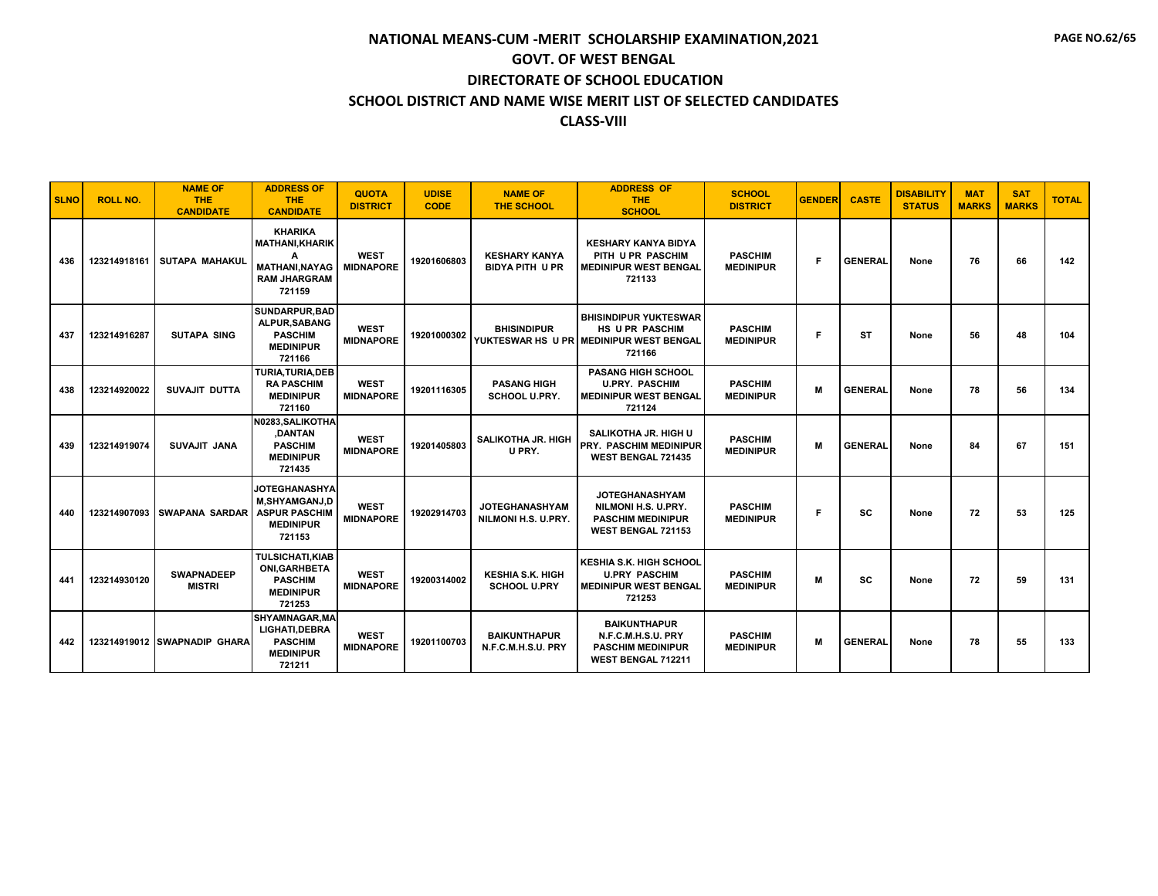| <b>SLNO</b> | <b>ROLL NO.</b> | <b>NAME OF</b><br><b>THE</b><br><b>CANDIDATE</b> | <b>ADDRESS OF</b><br><b>THE</b><br><b>CANDIDATE</b>                                              | <b>QUOTA</b><br><b>DISTRICT</b> | <b>UDISE</b><br><b>CODE</b> | <b>NAME OF</b><br><b>THE SCHOOL</b>            | <b>ADDRESS OF</b><br><b>THE</b><br><b>SCHOOL</b>                                                            | <b>SCHOOL</b><br><b>DISTRICT</b>   | <b>GENDER</b> | <b>CASTE</b>   | <b>DISABILITY</b><br><b>STATUS</b> | <b>MAT</b><br><b>MARKS</b> | <b>SAT</b><br><b>MARKS</b> | <b>TOTAL</b> |
|-------------|-----------------|--------------------------------------------------|--------------------------------------------------------------------------------------------------|---------------------------------|-----------------------------|------------------------------------------------|-------------------------------------------------------------------------------------------------------------|------------------------------------|---------------|----------------|------------------------------------|----------------------------|----------------------------|--------------|
| 436         | 123214918161    | SUTAPA MAHAKUL                                   | <b>KHARIKA</b><br><b>MATHANI.KHARIK</b><br><b>MATHANI.NAYAG</b><br><b>RAM JHARGRAM</b><br>721159 | <b>WEST</b><br><b>MIDNAPORE</b> | 19201606803                 | <b>KESHARY KANYA</b><br><b>BIDYA PITH U PR</b> | <b>KESHARY KANYA BIDYA</b><br>PITH U PR PASCHIM<br><b>MEDINIPUR WEST BENGAL</b><br>721133                   | <b>PASCHIM</b><br><b>MEDINIPUR</b> | F             | <b>GENERAL</b> | None                               | 76                         | 66                         | 142          |
| 437         | 123214916287    | <b>SUTAPA SING</b>                               | SUNDARPUR.BAD<br>ALPUR, SABANG<br><b>PASCHIM</b><br><b>MEDINIPUR</b><br>721166                   | <b>WEST</b><br><b>MIDNAPORE</b> | 19201000302                 | <b>BHISINDIPUR</b>                             | <b>BHISINDIPUR YUKTESWAR</b><br><b>HS U PR PASCHIM</b><br>YUKTESWAR HS U PR MEDINIPUR WEST BENGAL<br>721166 | <b>PASCHIM</b><br><b>MEDINIPUR</b> | F             | <b>ST</b>      | None                               | 56                         | 48                         | 104          |
| 438         | 123214920022    | SUVAJIT DUTTA                                    | TURIA, TURIA, DEB<br><b>RA PASCHIM</b><br><b>MEDINIPUR</b><br>721160                             | <b>WEST</b><br><b>MIDNAPORE</b> | 19201116305                 | <b>PASANG HIGH</b><br>SCHOOL U.PRY.            | <b>PASANG HIGH SCHOOL</b><br><b>U.PRY. PASCHIM</b><br><b>MEDINIPUR WEST BENGAL</b><br>721124                | <b>PASCHIM</b><br><b>MEDINIPUR</b> | M             | <b>GENERAL</b> | None                               | 78                         | 56                         | 134          |
| 439         | 123214919074    | <b>SUVAJIT JANA</b>                              | N0283.SALIKOTHA<br>,DANTAN<br><b>PASCHIM</b><br><b>MEDINIPUR</b><br>721435                       | <b>WEST</b><br><b>MIDNAPORE</b> | 19201405803                 | <b>SALIKOTHA JR. HIGH</b><br>U PRY.            | <b>SALIKOTHA JR. HIGH U</b><br><b>PRY. PASCHIM MEDINIPUR</b><br>WEST BENGAL 721435                          | <b>PASCHIM</b><br><b>MEDINIPUR</b> | M             | <b>GENERAL</b> | None                               | 84                         | 67                         | 151          |
| 440         |                 | 123214907093 SWAPANA SARDAR                      | JOTEGHANASHYA<br><b>M.SHYAMGANJ.D</b><br><b>ASPUR PASCHIM</b><br><b>MEDINIPUR</b><br>721153      | <b>WEST</b><br><b>MIDNAPORE</b> | 19202914703                 | <b>JOTEGHANASHYAM</b><br>NILMONI H.S. U.PRY.   | <b>JOTEGHANASHYAM</b><br>NILMONI H.S. U.PRY.<br><b>PASCHIM MEDINIPUR</b><br>WEST BENGAL 721153              | <b>PASCHIM</b><br><b>MEDINIPUR</b> | F             | <b>SC</b>      | None                               | 72                         | 53                         | 125          |
| 441         | 123214930120    | <b>SWAPNADEEP</b><br><b>MISTRI</b>               | <b>TULSICHATI,KIAB</b><br><b>ONI, GARHBETA</b><br><b>PASCHIM</b><br><b>MEDINIPUR</b><br>721253   | <b>WEST</b><br><b>MIDNAPORE</b> | 19200314002                 | <b>KESHIA S.K. HIGH</b><br><b>SCHOOL U.PRY</b> | <b>KESHIA S.K. HIGH SCHOOL</b><br><b>U.PRY PASCHIM</b><br><b>MEDINIPUR WEST BENGAL</b><br>721253            | <b>PASCHIM</b><br><b>MEDINIPUR</b> | M             | SC             | None                               | 72                         | 59                         | 131          |
| 442         |                 | 123214919012 SWAPNADIP GHARA                     | <b>SHYAMNAGAR.MA</b><br>LIGHATI.DEBRA<br><b>PASCHIM</b><br><b>MEDINIPUR</b><br>721211            | <b>WEST</b><br><b>MIDNAPORE</b> | 19201100703                 | <b>BAIKUNTHAPUR</b><br>N.F.C.M.H.S.U. PRY      | <b>BAIKUNTHAPUR</b><br>N.F.C.M.H.S.U. PRY<br><b>PASCHIM MEDINIPUR</b><br>WEST BENGAL 712211                 | <b>PASCHIM</b><br><b>MEDINIPUR</b> | M             | <b>GENERAL</b> | None                               | 78                         | 55                         | 133          |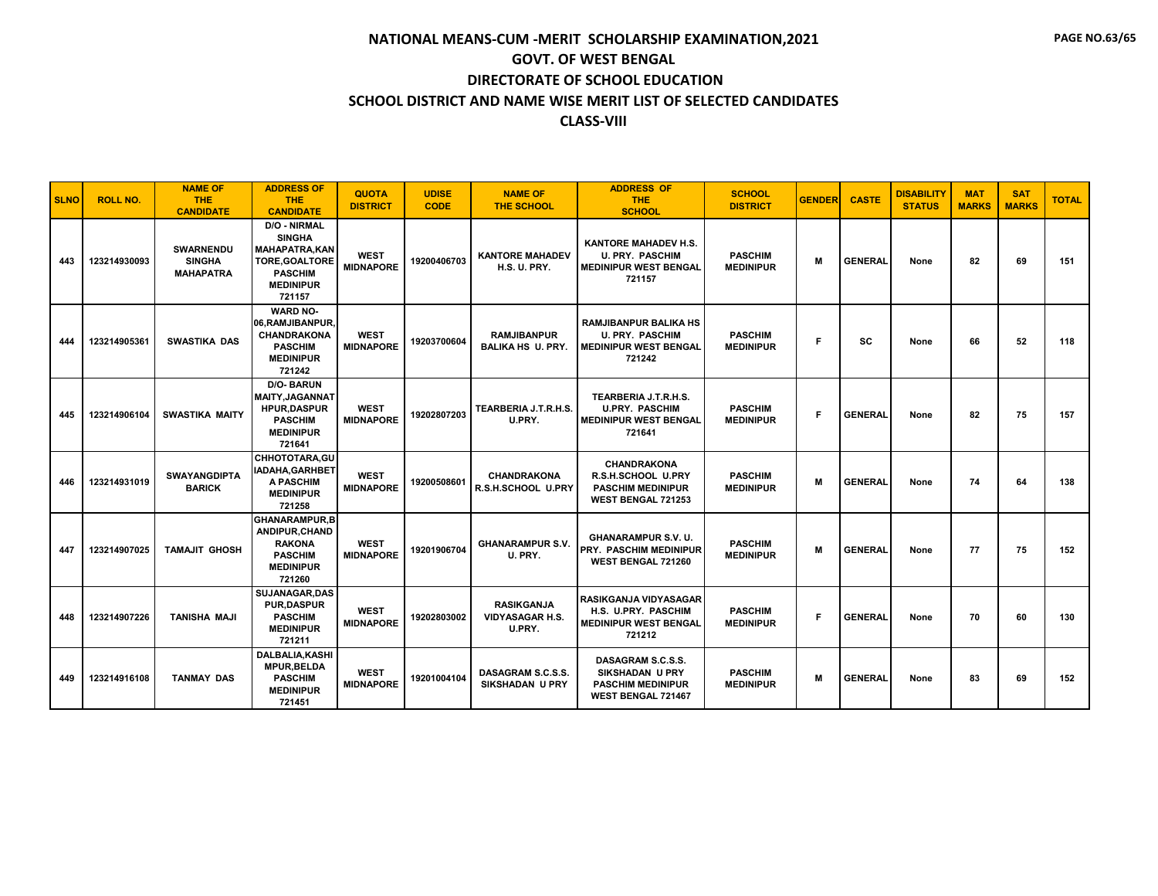| <b>SLNO</b> | <b>ROLL NO.</b> | <b>NAME OF</b><br><b>THE</b><br><b>CANDIDATE</b>      | <b>ADDRESS OF</b><br><b>THE</b><br><b>CANDIDATE</b>                                                                                  | <b>QUOTA</b><br><b>DISTRICT</b> | <b>UDISE</b><br><b>CODE</b> | <b>NAME OF</b><br><b>THE SCHOOL</b>                   | <b>ADDRESS OF</b><br>THE.<br><b>SCHOOL</b>                                                               | <b>SCHOOL</b><br><b>DISTRICT</b>   | <b>GENDER</b> | <b>CASTE</b>   | <b>DISABILITY</b><br><b>STATUS</b> | <b>MAT</b><br><b>MARKS</b> | <b>SAT</b><br><b>MARKS</b> | <b>TOTAL</b> |
|-------------|-----------------|-------------------------------------------------------|--------------------------------------------------------------------------------------------------------------------------------------|---------------------------------|-----------------------------|-------------------------------------------------------|----------------------------------------------------------------------------------------------------------|------------------------------------|---------------|----------------|------------------------------------|----------------------------|----------------------------|--------------|
| 443         | 123214930093    | <b>SWARNENDU</b><br><b>SINGHA</b><br><b>MAHAPATRA</b> | <b>D/O - NIRMAL</b><br><b>SINGHA</b><br><b>MAHAPATRA.KAN</b><br><b>TORE.GOALTORE</b><br><b>PASCHIM</b><br><b>MEDINIPUR</b><br>721157 | <b>WEST</b><br><b>MIDNAPORE</b> | 19200406703                 | <b>KANTORE MAHADEV</b><br><b>H.S. U. PRY.</b>         | <b>KANTORE MAHADEV H.S.</b><br><b>U. PRY. PASCHIM</b><br><b>MEDINIPUR WEST BENGAL</b><br>721157          | <b>PASCHIM</b><br><b>MEDINIPUR</b> | M             | <b>GENERAL</b> | None                               | 82                         | 69                         | 151          |
| 444         | 123214905361    | <b>SWASTIKA DAS</b>                                   | <b>WARD NO-</b><br>06, RAMJIBANPUR,<br><b>CHANDRAKONA</b><br><b>PASCHIM</b><br><b>MEDINIPUR</b><br>721242                            | <b>WEST</b><br><b>MIDNAPORE</b> | 19203700604                 | <b>RAMJIBANPUR</b><br><b>BALIKA HS U. PRY.</b>        | <b>RAMJIBANPUR BALIKA HS</b><br><b>U. PRY. PASCHIM</b><br><b>MEDINIPUR WEST BENGAL</b><br>721242         | <b>PASCHIM</b><br><b>MEDINIPUR</b> | F             | SC             | None                               | 66                         | 52                         | 118          |
| 445         | 123214906104    | <b>SWASTIKA MAITY</b>                                 | <b>D/O-BARUN</b><br><b>MAITY.JAGANNAT</b><br><b>HPUR.DASPUR</b><br><b>PASCHIM</b><br><b>MEDINIPUR</b><br>721641                      | <b>WEST</b><br><b>MIDNAPORE</b> | 19202807203                 | TEARBERIA J.T.R.H.S.<br>U.PRY.                        | TEARBERIA J.T.R.H.S.<br><b>U.PRY. PASCHIM</b><br><b>MEDINIPUR WEST BENGAL</b><br>721641                  | <b>PASCHIM</b><br><b>MEDINIPUR</b> | F             | <b>GENERAL</b> | None                               | 82                         | 75                         | 157          |
| 446         | 123214931019    | <b>SWAYANGDIPTA</b><br><b>BARICK</b>                  | CHHOTOTARA.GU<br>IADAHA, GARHBET<br>A PASCHIM<br><b>MEDINIPUR</b><br>721258                                                          | <b>WEST</b><br><b>MIDNAPORE</b> | 19200508601                 | <b>CHANDRAKONA</b><br>R.S.H.SCHOOL U.PRY              | <b>CHANDRAKONA</b><br><b>R.S.H.SCHOOL U.PRY</b><br><b>PASCHIM MEDINIPUR</b><br><b>WEST BENGAL 721253</b> | <b>PASCHIM</b><br><b>MEDINIPUR</b> | м             | <b>GENERAL</b> | None                               | 74                         | 64                         | 138          |
| 447         | 123214907025    | <b>TAMAJIT GHOSH</b>                                  | <b>GHANARAMPUR,B</b><br>ANDIPUR.CHAND<br><b>RAKONA</b><br><b>PASCHIM</b><br><b>MEDINIPUR</b><br>721260                               | <b>WEST</b><br><b>MIDNAPORE</b> | 19201906704                 | <b>GHANARAMPUR S.V.</b><br>U. PRY.                    | <b>GHANARAMPUR S.V. U.</b><br>PRY. PASCHIM MEDINIPUR<br>WEST BENGAL 721260                               | <b>PASCHIM</b><br><b>MEDINIPUR</b> | M             | <b>GENERAL</b> | None                               | 77                         | 75                         | 152          |
| 448         | 123214907226    | <b>TANISHA MAJI</b>                                   | SUJANAGAR, DAS<br><b>PUR,DASPUR</b><br><b>PASCHIM</b><br><b>MEDINIPUR</b><br>721211                                                  | <b>WEST</b><br><b>MIDNAPORE</b> | 19202803002                 | <b>RASIKGANJA</b><br><b>VIDYASAGAR H.S.</b><br>U.PRY. | <b>RASIKGANJA VIDYASAGAR</b><br>H.S. U.PRY. PASCHIM<br><b>MEDINIPUR WEST BENGAL</b><br>721212            | <b>PASCHIM</b><br><b>MEDINIPUR</b> | F.            | <b>GENERAL</b> | None                               | 70                         | 60                         | 130          |
| 449         | 123214916108    | <b>TANMAY DAS</b>                                     | <b>DALBALIA.KASHI</b><br><b>MPUR.BELDA</b><br><b>PASCHIM</b><br><b>MEDINIPUR</b><br>721451                                           | <b>WEST</b><br><b>MIDNAPORE</b> | 19201004104                 | DASAGRAM S.C.S.S.<br><b>SIKSHADAN U PRY</b>           | DASAGRAM S.C.S.S.<br><b>SIKSHADAN U PRY</b><br><b>PASCHIM MEDINIPUR</b><br>WEST BENGAL 721467            | <b>PASCHIM</b><br><b>MEDINIPUR</b> | M             | <b>GENERAL</b> | None                               | 83                         | 69                         | 152          |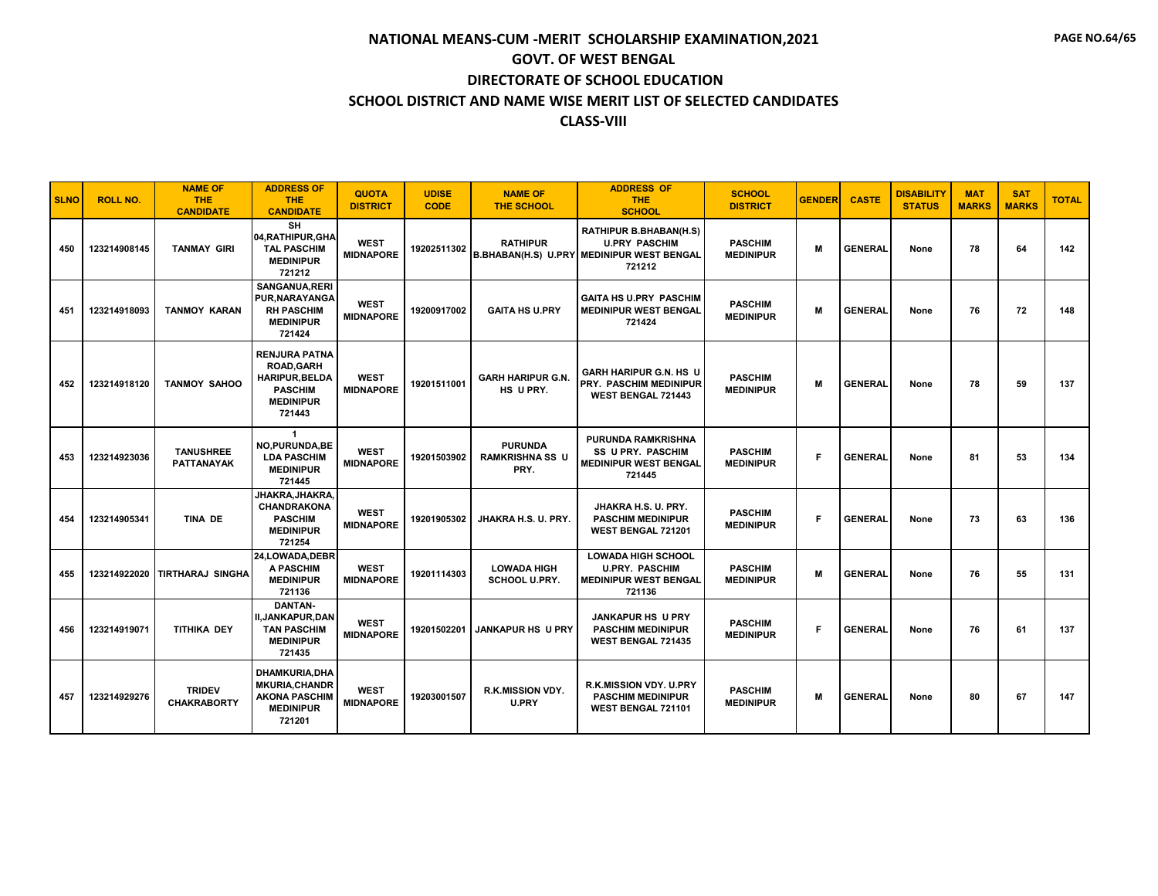| <b>SLNO</b> | <b>ROLL NO.</b> | <b>NAME OF</b><br><b>THE</b><br><b>CANDIDATE</b> | <b>ADDRESS OF</b><br><b>THE</b><br><b>CANDIDATE</b>                                                                | <b>QUOTA</b><br><b>DISTRICT</b> | <b>UDISE</b><br><b>CODE</b> | <b>NAME OF</b><br><b>THE SCHOOL</b>              | <b>ADDRESS OF</b><br>THE.<br><b>SCHOOL</b>                                                                   | <b>SCHOOL</b><br><b>DISTRICT</b>   | <b>GENDER</b> | <b>CASTE</b>   | <b>DISABILITY</b><br><b>STATUS</b> | <b>MAT</b><br><b>MARKS</b> | <b>SAT</b><br><b>MARKS</b> | <b>TOTAL</b> |
|-------------|-----------------|--------------------------------------------------|--------------------------------------------------------------------------------------------------------------------|---------------------------------|-----------------------------|--------------------------------------------------|--------------------------------------------------------------------------------------------------------------|------------------------------------|---------------|----------------|------------------------------------|----------------------------|----------------------------|--------------|
| 450         | 123214908145    | <b>TANMAY GIRI</b>                               | <b>SH</b><br>04, RATHIPUR, GHA<br><b>TAL PASCHIM</b><br><b>MEDINIPUR</b><br>721212                                 | <b>WEST</b><br><b>MIDNAPORE</b> | 19202511302                 | <b>RATHIPUR</b>                                  | <b>RATHIPUR B.BHABAN(H.S)</b><br><b>U.PRY PASCHIM</b><br>B.BHABAN(H.S) U.PRY MEDINIPUR WEST BENGAL<br>721212 | <b>PASCHIM</b><br><b>MEDINIPUR</b> | M             | <b>GENERAL</b> | None                               | 78                         | 64                         | 142          |
| 451         | 123214918093    | <b>TANMOY KARAN</b>                              | <b>SANGANUA.RERI</b><br>PUR, NARAYANGA<br><b>RH PASCHIM</b><br><b>MEDINIPUR</b><br>721424                          | <b>WEST</b><br><b>MIDNAPORE</b> | 19200917002                 | <b>GAITA HS U.PRY</b>                            | <b>GAITA HS U.PRY PASCHIM</b><br><b>MEDINIPUR WEST BENGAL</b><br>721424                                      | <b>PASCHIM</b><br><b>MEDINIPUR</b> | M             | <b>GENERAL</b> | None                               | 76                         | 72                         | 148          |
| 452         | 123214918120    | <b>TANMOY SAHOO</b>                              | <b>RENJURA PATNA</b><br><b>ROAD, GARH</b><br><b>HARIPUR, BELDA</b><br><b>PASCHIM</b><br><b>MEDINIPUR</b><br>721443 | <b>WEST</b><br><b>MIDNAPORE</b> | 19201511001                 | <b>GARH HARIPUR G.N.</b><br>HS U PRY.            | <b>GARH HARIPUR G.N. HS U</b><br><b>PRY. PASCHIM MEDINIPUR</b><br><b>WEST BENGAL 721443</b>                  | <b>PASCHIM</b><br><b>MEDINIPUR</b> | M             | <b>GENERAL</b> | None                               | 78                         | 59                         | 137          |
| 453         | 123214923036    | <b>TANUSHREE</b><br><b>PATTANAYAK</b>            | $\mathbf{1}$<br><b>NO,PURUNDA,BE</b><br><b>LDA PASCHIM</b><br><b>MEDINIPUR</b><br>721445                           | <b>WEST</b><br><b>MIDNAPORE</b> | 19201503902                 | <b>PURUNDA</b><br><b>RAMKRISHNA SS U</b><br>PRY. | PURUNDA RAMKRISHNA<br><b>SS U PRY. PASCHIM</b><br><b>MEDINIPUR WEST BENGAL</b><br>721445                     | <b>PASCHIM</b><br><b>MEDINIPUR</b> | F             | <b>GENERAL</b> | None                               | 81                         | 53                         | 134          |
| 454         | 123214905341    | TINA DE                                          | JHAKRA,JHAKRA.<br><b>CHANDRAKONA</b><br><b>PASCHIM</b><br><b>MEDINIPUR</b><br>721254                               | <b>WEST</b><br><b>MIDNAPORE</b> | 19201905302                 | JHAKRA H.S. U. PRY.                              | JHAKRA H.S. U. PRY.<br><b>PASCHIM MEDINIPUR</b><br>WEST BENGAL 721201                                        | <b>PASCHIM</b><br><b>MEDINIPUR</b> | F.            | <b>GENERAL</b> | None                               | 73                         | 63                         | 136          |
| 455         | 123214922020    | Itirtharaj singha                                | 24.LOWADA.DEBR<br>A PASCHIM<br><b>MEDINIPUR</b><br>721136                                                          | <b>WEST</b><br><b>MIDNAPORE</b> | 19201114303                 | <b>LOWADA HIGH</b><br><b>SCHOOL U.PRY.</b>       | <b>LOWADA HIGH SCHOOL</b><br><b>U.PRY. PASCHIM</b><br><b>MEDINIPUR WEST BENGAL</b><br>721136                 | <b>PASCHIM</b><br><b>MEDINIPUR</b> | M             | <b>GENERAL</b> | None                               | 76                         | 55                         | 131          |
| 456         | 123214919071    | <b>TITHIKA DEY</b>                               | <b>DANTAN-</b><br>II,JANKAPUR,DAN<br><b>TAN PASCHIM</b><br><b>MEDINIPUR</b><br>721435                              | <b>WEST</b><br><b>MIDNAPORE</b> | 19201502201                 | <b>JANKAPUR HS U PRY</b>                         | <b>JANKAPUR HS U PRY</b><br><b>PASCHIM MEDINIPUR</b><br><b>WEST BENGAL 721435</b>                            | <b>PASCHIM</b><br><b>MEDINIPUR</b> | F.            | <b>GENERAL</b> | None                               | 76                         | 61                         | 137          |
| 457         | 123214929276    | <b>TRIDEV</b><br><b>CHAKRABORTY</b>              | <b>DHAMKURIA,DHA</b><br><b>MKURIA, CHANDR</b><br><b>AKONA PASCHIM</b><br><b>MEDINIPUR</b><br>721201                | <b>WEST</b><br><b>MIDNAPORE</b> | 19203001507                 | <b>R.K.MISSION VDY.</b><br>U.PRY                 | R.K.MISSION VDY. U.PRY<br><b>PASCHIM MEDINIPUR</b><br>WEST BENGAL 721101                                     | <b>PASCHIM</b><br><b>MEDINIPUR</b> | M             | <b>GENERAL</b> | None                               | 80                         | 67                         | 147          |